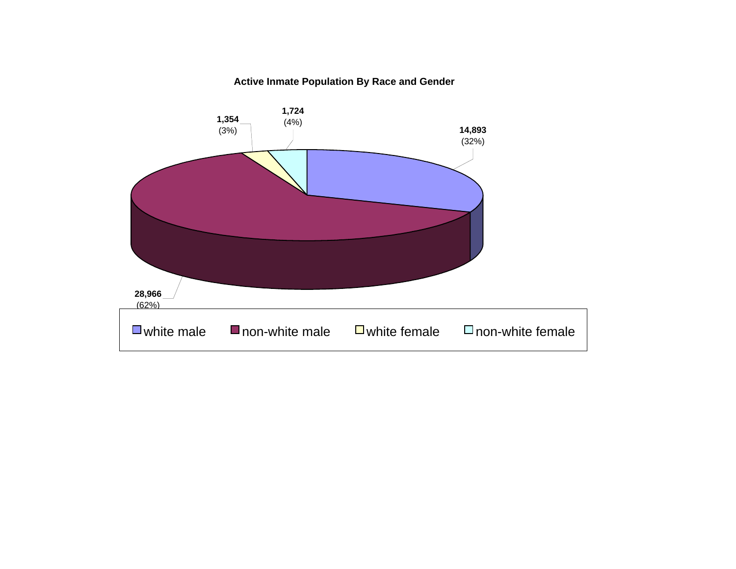#### **Active Inmate Population By Race and Gender**

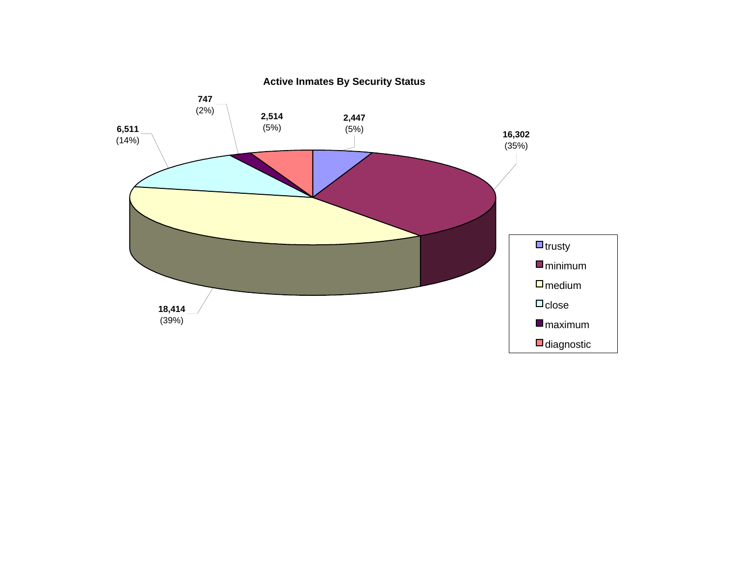

**Active Inmates By Security Status**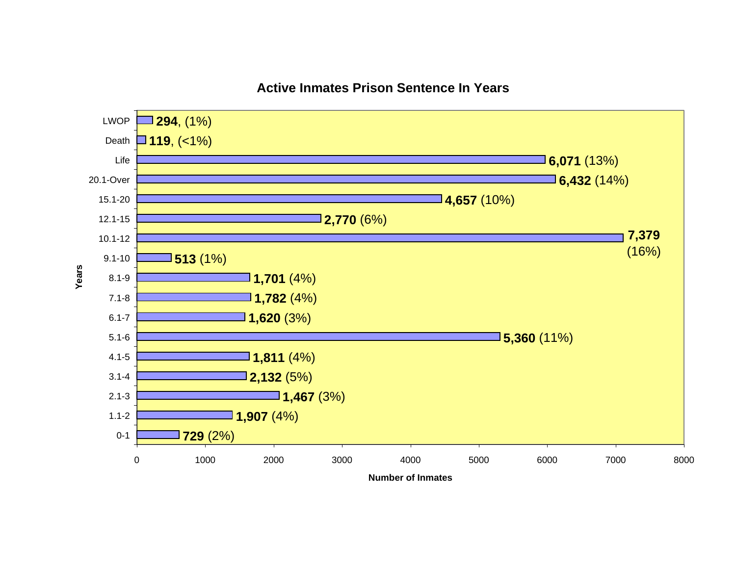

#### **Active Inmates Prison Sentence In Years**

**Number of Inmates**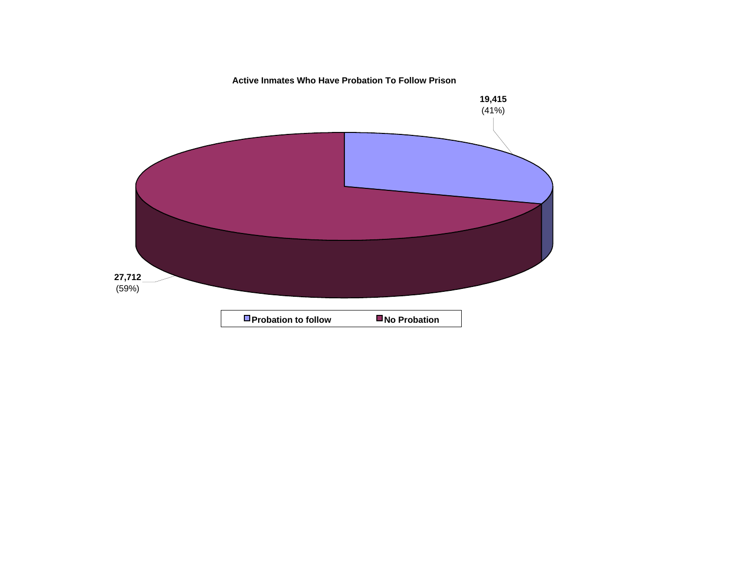**Active Inmates Who Have Probation To Follow Prison**

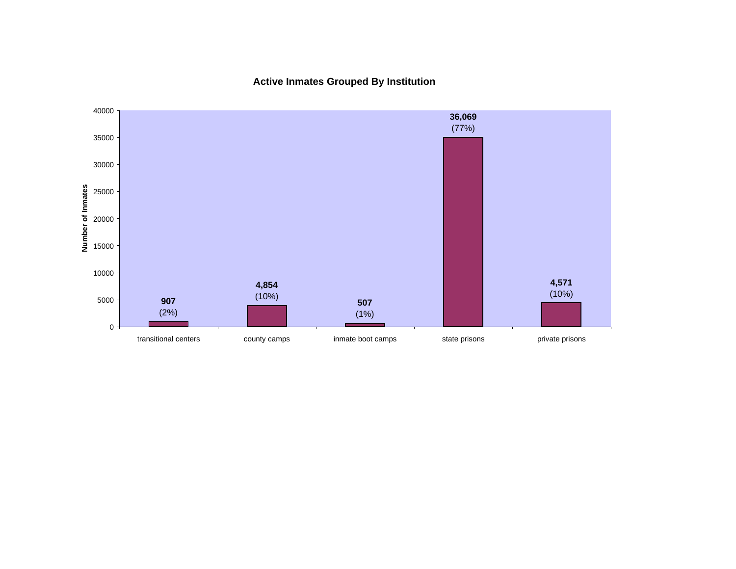**Active Inmates Grouped By Institution**

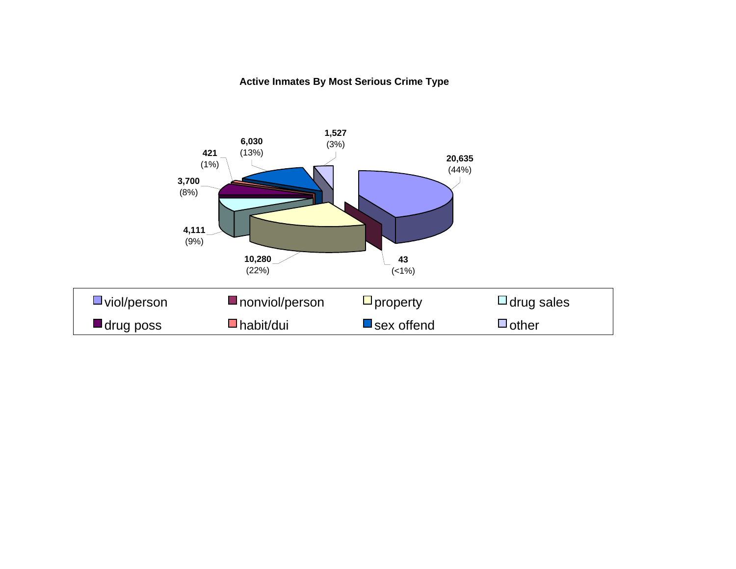#### **Active Inmates By Most Serious Crime Type**

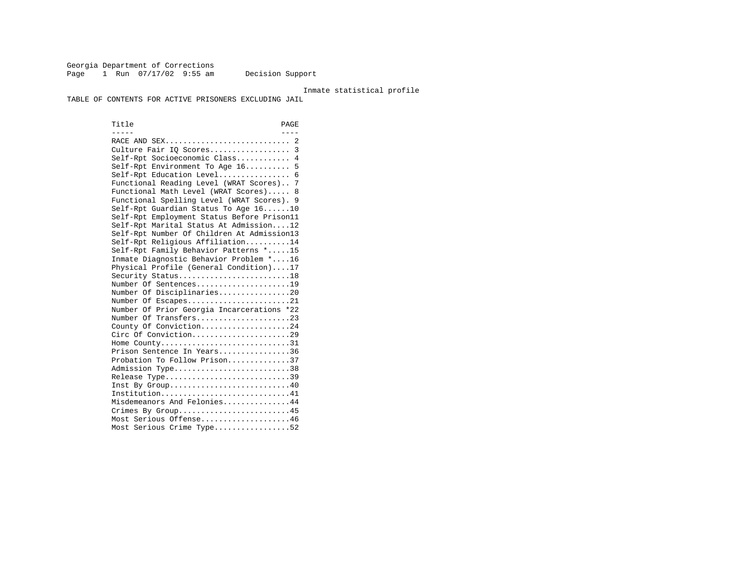Georgia Department of Corrections Page 1 Run 07/17/02 9:55 am Decision Support

#### Inmate statistical profile

TABLE OF CONTENTS FOR ACTIVE PRISONERS EXCLUDING JAIL

Title PAGE ----- ----RACE AND SEX................................. 2 Culture Fair IQ Scores.................. 3 Self-Rpt Socioeconomic Class............ 4 Self-Rpt Environment To Age 16.......... 5 Self-Rpt Education Level................ 6 Functional Reading Level (WRAT Scores).. 7 Functional Math Level (WRAT Scores)..... 8 Functional Spelling Level (WRAT Scores). 9 Self-Rpt Guardian Status To Age 16......10 Self-Rpt Employment Status Before Prison11 Self-Rpt Marital Status At Admission....12 Self-Rpt Number Of Children At Admission13 Self-Rpt Religious Affiliation..........14 Self-Rpt Family Behavior Patterns \*.....15 Inmate Diagnostic Behavior Problem \*....16 Physical Profile (General Condition)....17 Security Status...........................18 Number Of Sentences.....................19 Number Of Disciplinaries................20 Number Of Escapes........................21 Number Of Prior Georgia Incarcerations \*22 Number Of Transfers.....................23 County Of Conviction....................24 Circ Of Conviction......................29 Home County................................31 Prison Sentence In Years................36 Probation To Follow Prison..............37Admission Type.............................38 Release Type...............................39 Inst By Group..............................40 Institution................................41 Misdemeanors And Felonies...............44 Crimes By Group...........................45 Most Serious Offense....................46 Most Serious Crime Type.................52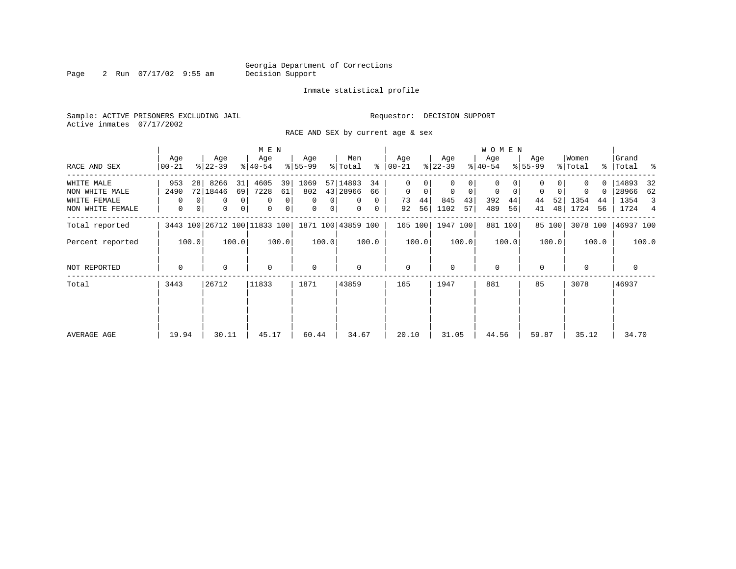Page 2 Run 07/17/02 9:55 am

#### Inmate statistical profile

Sample: ACTIVE PRISONERS EXCLUDING JAIL **Requestor: DECISION SUPPORT** Active inmates 07/17/2002

RACE AND SEX by current age & sex

|                  |                  |                              | M E N                   |                |                  |                         |          |                  |       |                  |       | <b>WOMEN</b>     |         |                  |        |                  |               |                  |       |
|------------------|------------------|------------------------------|-------------------------|----------------|------------------|-------------------------|----------|------------------|-------|------------------|-------|------------------|---------|------------------|--------|------------------|---------------|------------------|-------|
| RACE AND SEX     | Age<br>$00 - 21$ | Age<br>$ 22-39 $             | Age<br>$ 40-54 $        |                | Age<br>$ 55-99 $ | Men<br>% Total          | ွေ       | Age<br>$00 - 21$ |       | Age<br>$ 22-39 $ |       | Age<br>$ 40-54 $ |         | Age<br>$ 55-99 $ |        | Women<br>% Total | $\frac{8}{3}$ | Grand<br>Total % |       |
|                  |                  |                              |                         |                |                  |                         |          |                  |       |                  |       |                  |         |                  |        |                  |               |                  |       |
| WHITE MALE       | 953              | 8266<br>28 <sub>1</sub>      | 4605<br>31              | 39             | 1069             | 57 14893                | 34       | $\Omega$         |       |                  |       | 0                |         |                  |        |                  |               | 14893            | 32    |
| NON WHITE MALE   | 2490             | 72 18446                     | 7228<br>69              | 61             | 802              | 43 28966                | 66       | 0                | 0     | $\mathbf 0$      | 0     | 0                | 0       | $\mathbf 0$      |        | $\Omega$         | 0             | 28966            | 62    |
| WHITE FEMALE     | $\Omega$         | $\Omega$                     | $\mathbf 0$<br>$\Omega$ | 0              | $\Omega$         | $\Omega$<br>$\Omega$    | $\Omega$ | 73               | 44    | 845              | 43    | 392              | 44      | 44               | 52     | 1354             | 44            | 1354             | 3     |
| NON WHITE FEMALE | $\mathbf{0}$     | 0<br>$\mathbf{0}$            | 0 <br>$\mathbf 0$       | $\overline{0}$ | 0                | $\circ$<br>$\mathbf{0}$ | 0        | 92               | 56    | 1102             | 57    | 489              | 56      | 41               | 48     | 1724             | 56            | 1724 4           |       |
| Total reported   |                  | 3443 100 26712 100 11833 100 |                         |                |                  | 1871 100 43859 100      |          | 165 100          |       | 1947 100         |       |                  | 881 100 |                  | 85 100 | 3078 100         |               | 46937 100        |       |
| Percent reported | 100.0            | 100.0                        |                         | 100.0          | 100.0            |                         | 100.0    |                  | 100.0 |                  | 100.0 |                  | 100.0   |                  | 100.0  |                  | 100.0         |                  | 100.0 |
| NOT REPORTED     | $\Omega$         | 0                            | $\mathbf 0$             |                | $\mathbf 0$      | 0                       |          | $\mathbf{0}$     |       | $\Omega$         |       | $\mathbf 0$      |         | 0                |        | $\mathbf 0$      |               | $\mathbf 0$      |       |
| Total            | 3443             | 26712                        | 11833                   |                | 1871             | 43859                   |          | 165              |       | 1947             |       | 881              |         | 85               |        | 3078             |               | 46937            |       |
|                  |                  |                              |                         |                |                  |                         |          |                  |       |                  |       |                  |         |                  |        |                  |               |                  |       |
| AVERAGE AGE      | 19.94            | 30.11                        | 45.17                   |                | 60.44            | 34.67                   |          | 20.10            |       | 31.05            |       | 44.56            |         | 59.87            |        | 35.12            |               | 34.70            |       |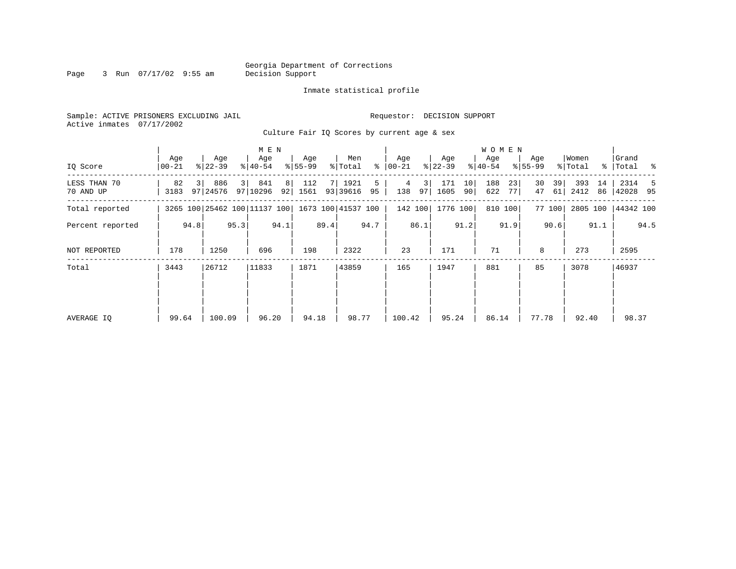Page 3 Run 07/17/02 9:55 am

#### Inmate statistical profile

Sample: ACTIVE PRISONERS EXCLUDING JAIL **Requestor: DECISION SUPPORT** Active inmates 07/17/2002

Culture Fair IQ Scores by current age & sex

|                           |              |      |                   |      | M E N                        |         |                  |      |                    |         |                |          |                  |          | W O M E N        |          |                    |          |                  |          |                      |      |
|---------------------------|--------------|------|-------------------|------|------------------------------|---------|------------------|------|--------------------|---------|----------------|----------|------------------|----------|------------------|----------|--------------------|----------|------------------|----------|----------------------|------|
| IQ Score                  | Age<br>00-21 |      | Age<br>$ 22-39 $  |      | Age<br>$ 40-54 $             |         | Age<br>$8 55-99$ |      | Men<br>% Total     | ႜ       | Age<br>  00-21 |          | Age<br>$ 22-39 $ |          | Age<br>$8 40-54$ |          | Age<br>$8155 - 99$ |          | Women<br>% Total |          | Grand<br>%   Total % |      |
| LESS THAN 70<br>70 AND UP | 82<br>3183   |      | 886<br>97   24576 | 3    | 841<br>97 10296              | 8<br>92 | 112<br>1561      |      | 1921<br>93 39616   | 5<br>95 | 4<br>138       | 31<br>97 | 171<br>1605      | 10<br>90 | 188<br>622       | 23<br>77 | 30<br>47           | 39<br>61 | 393<br>2412      | 14<br>86 | 2314<br>42028 95     | 5    |
| Total reported            |              |      |                   |      | 3265 100 25462 100 11137 100 |         |                  |      | 1673 100 41537 100 |         |                | 142 100  | 1776 100         |          |                  | 810 100  |                    | 77 100   | 2805 100         |          | 44342 100            |      |
| Percent reported          |              | 94.8 |                   | 95.3 |                              | 94.1    |                  | 89.4 |                    | 94.7    |                | 86.1     |                  | 91.2     |                  | 91.9     |                    | 90.6     |                  | 91.1     |                      | 94.5 |
| NOT REPORTED              | 178          |      | 1250              |      | 696                          |         | 198              |      | 2322               |         | 23             |          | 171              |          | 71               |          | 8                  |          | 273              |          | 2595                 |      |
| Total                     | 3443         |      | 26712             |      | 11833                        |         | 1871             |      | 43859              |         | 165            |          | 1947             |          | 881              |          | 85                 |          | 3078             |          | 46937                |      |
|                           |              |      |                   |      |                              |         |                  |      |                    |         |                |          |                  |          |                  |          |                    |          |                  |          |                      |      |
|                           | 99.64        |      | 100.09            |      | 96.20                        |         | 94.18            |      | 98.77              |         | 100.42         |          | 95.24            |          | 86.14            |          | 77.78              |          | 92.40            |          | 98.37                |      |
| AVERAGE IQ                |              |      |                   |      |                              |         |                  |      |                    |         |                |          |                  |          |                  |          |                    |          |                  |          |                      |      |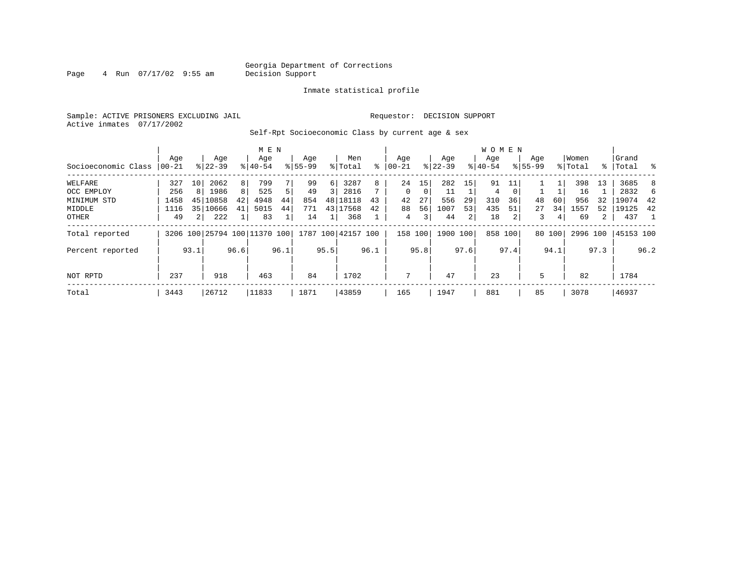# Georgia Department of Corrections<br>Decision Support

Page  $4$  Run  $07/17/02$  9:55 am

#### Inmate statistical profile

Sample: ACTIVE PRISONERS EXCLUDING JAIL Requestor: DECISION SUPPORT Active inmates 07/17/2002

Self-Rpt Socioeconomic Class by current age & sex

|                     |          |                |                              |      | M E N     |      |             |      |                    |      |            |               |           |      | <b>WOMEN</b> |          |             |        |          |             |           |      |
|---------------------|----------|----------------|------------------------------|------|-----------|------|-------------|------|--------------------|------|------------|---------------|-----------|------|--------------|----------|-------------|--------|----------|-------------|-----------|------|
|                     | Age      |                | Age                          |      | Age       |      | Age         |      | Men                |      | Age        |               | Age       |      | Age          |          | Age         |        | Women    |             | Grand     |      |
| Socioeconomic Class | $ 00-21$ |                | $8 22-39$                    |      | $8 40-54$ |      | $8155 - 99$ |      | % Total            | ៖    | $ 00 - 21$ | $\frac{1}{6}$ | $22 - 39$ |      | $ 40-54 $    |          | $8155 - 99$ |        | % Total  | $\approx$ 1 | Total     | ႜ ⊱  |
| WELFARE             | 327      | 10             | 2062                         | 8    | 799       |      | 99          | 6    | 3287               | 8    | 24         | 15            | 282       | 15   | 91           |          |             |        | 398      | 13          | 3685      | 8    |
| OCC EMPLOY          | 256      | 8              | 1986                         | 8    | 525       | 5    | 49          | 3    | 2816               |      | $\Omega$   | 0             | 11        |      | 4            | $\Omega$ |             |        | 16       |             | 2832      | 6    |
| MINIMUM STD         | 1458     | 45             | 10858                        | 42   | 4948      | 44   | 854         | 48   | 18118              | 43   | 42         | 27            | 556       | 29   | 310          | 36       | 48          | 60     | 956      | 32          | 19074     | 42   |
| MIDDLE              | 1116     | 351            | 10666                        | 41   | 5015      | 44   | 771         | 43   | 17568              | 42   | 88         | 56            | 1007      | 53   | 435          | 51       | 27          | 34     | 1557     | 52          | 19125     | 42   |
| OTHER               | 49       | 2 <sub>1</sub> | 222                          |      | 83        |      | 14          |      | 368                |      | 4          | 3             | 44        | 2    | 18           |          | 3           | 4      | 69       | 2           | 437       |      |
| Total reported      |          |                | 3206 100 25794 100 11370 100 |      |           |      |             |      | 1787 100 42157 100 |      | 158 100    |               | 1900 100  |      | 858 100      |          |             | 80 100 | 2996 100 |             | 45153 100 |      |
| Percent reported    |          | 93.1           |                              | 96.6 |           | 96.1 |             | 95.5 |                    | 96.1 |            | 95.8          |           | 97.6 |              | 97.4     |             | 94.1   |          | 97.3        |           | 96.2 |
| NOT RPTD            | 237      |                | 918                          |      | 463       |      | 84          |      | 1702               |      | 7          |               | 47        |      | 23           |          | 5           |        | 82       |             | 1784      |      |
| Total               | 3443     |                | 26712                        |      | 11833     |      | 1871        |      | 43859              |      | 165        |               | 1947      |      | 881          |          | 85          |        | 3078     |             | 46937     |      |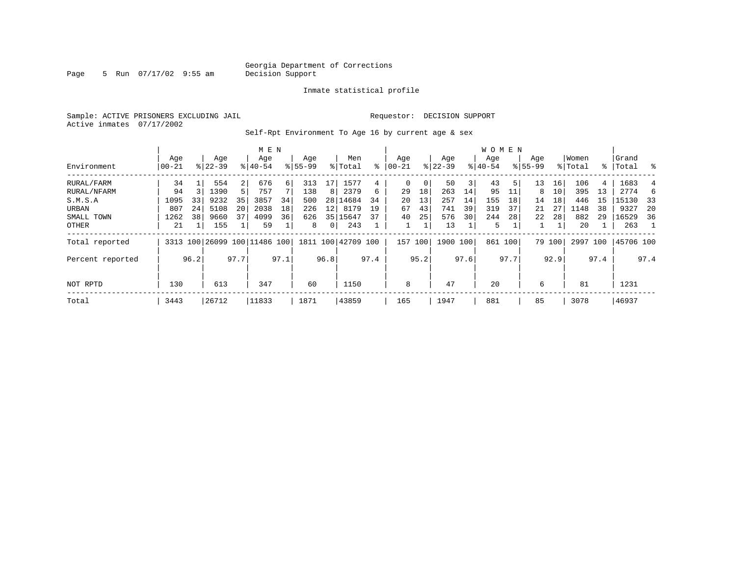Page 5 Run 07/17/02 9:55 am

#### Inmate statistical profile

Sample: ACTIVE PRISONERS EXCLUDING JAIL **Requestor: DECISION SUPPORT** Active inmates 07/17/2002

Self-Rpt Environment To Age 16 by current age & sex

|                  | M E N           |      |                    |                |                              |      |                    |                |                    |      |                   |      |                  |      | W O M E N        |      |                    |        |                  |      |                 |      |
|------------------|-----------------|------|--------------------|----------------|------------------------------|------|--------------------|----------------|--------------------|------|-------------------|------|------------------|------|------------------|------|--------------------|--------|------------------|------|-----------------|------|
| Environment      | Age<br>$ 00-21$ |      | Age<br>$8122 - 39$ |                | Age<br>$8140 - 54$           |      | Age<br>$8155 - 99$ |                | Men<br>% Total     | ៖    | Age<br>$ 00 - 21$ |      | Age<br>$ 22-39 $ |      | Age<br>$ 40-54 $ |      | Age<br>$8155 - 99$ |        | Women<br>% Total | ႜၟ   | Grand<br> Total | ႜ    |
|                  |                 |      |                    |                |                              |      |                    |                |                    |      |                   |      |                  |      |                  |      |                    |        |                  |      |                 |      |
| RURAL/FARM       | 34              |      | 554                | $\overline{2}$ | 676                          | 6    | 313                | 17             | 1577               | 4    | 0                 |      | 50               | 3    | 43               | 5    | 13                 | 16     | 106              | 4    | 1683            |      |
| RURAL/NFARM      | 94              |      | 1390               | 5 <sup>1</sup> | 757                          |      | 138                | 8              | 2379               | 6    | 29                | 18   | 263              | 14   | 95               |      | 8                  | 10     | 395              | 13   | 2774            | 6    |
| S.M.S.A          | 1095            | 33   | 9232               | 35             | 3857                         | 34   | 500                |                | 28 14684           | 34   | 20                | 13   | 257              | 14   | 155              | 18   | 14                 | 18     | 446              | 15   | 15130           | - 33 |
| URBAN            | 807             | 24   | 5108               | 20             | 2038                         | 18   | 226                | 12             | 8179               | 19   | 67                | 43   | 741              | 39   | 319              | 37   | 21                 | 27     | 1148             | 38   | 9327            | 20   |
| SMALL TOWN       | 1262            | 38   | 9660               | 37             | 4099                         | 36   | 626                |                | 35 15647           | 37   | 40                | 25   | 576              | 30   | 244              | 28   | 22                 | 28     | 882              | 29   | 16529           | -36  |
| OTHER            | 21              |      | 155                |                | 59                           |      | 8                  | $\overline{0}$ | 243                |      |                   |      | 13               |      | 5                |      |                    |        | 20               |      | 263             |      |
| Total reported   |                 |      |                    |                | 3313 100 26099 100 11486 100 |      |                    |                | 1811 100 42709 100 |      | 157               | 100  | 1900             | 100  | 861 100          |      |                    | 79 100 | 2997 100         |      | 45706 100       |      |
| Percent reported |                 | 96.2 |                    | 97.7           |                              | 97.1 |                    | 96.8           |                    | 97.4 |                   | 95.2 |                  | 97.6 |                  | 97.7 |                    | 92.9   |                  | 97.4 |                 | 97.4 |
| NOT RPTD         | 130             |      | 613                |                | 347                          |      | 60                 |                | 1150               |      | 8                 |      | 47               |      | 20               |      | 6                  |        | 81               |      | 1231            |      |
|                  |                 |      |                    |                |                              |      |                    |                |                    |      |                   |      |                  |      |                  |      |                    |        |                  |      |                 |      |
| Total            | 3443            |      | 26712              |                | 11833                        |      | 1871               |                | 43859              |      | 165               |      | 1947             |      | 881              |      | 85                 |        | 3078             |      | 46937           |      |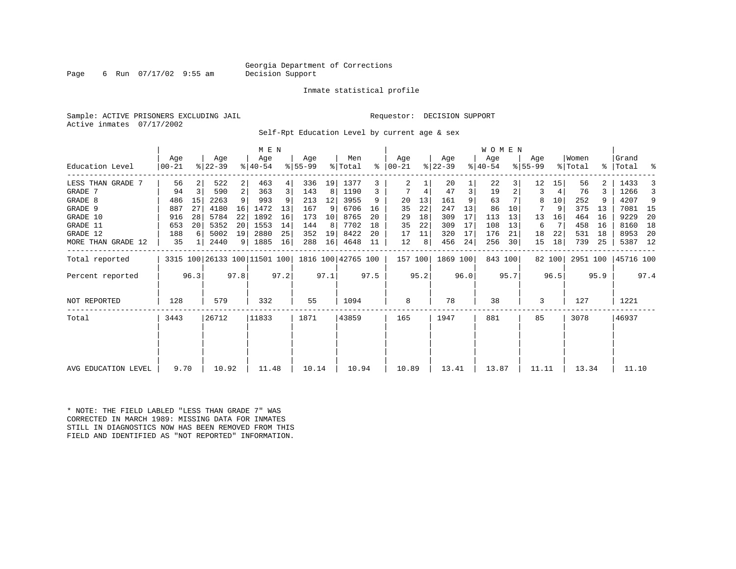#### Georgia Department of Corrections<br>Decision Support

Page 6 Run  $07/17/02$  9:55 am

Inmate statistical profile

Sample: ACTIVE PRISONERS EXCLUDING JAIL **Requestor: DECISION SUPPORT** Active inmates 07/17/2002

Self-Rpt Education Level by current age & sex

|                     |                |      |                              |                | M E N              |      |                  |      |                    |      |                      |      |                  |      | WOMEN            |         |                  |        |                  |      |                    |      |
|---------------------|----------------|------|------------------------------|----------------|--------------------|------|------------------|------|--------------------|------|----------------------|------|------------------|------|------------------|---------|------------------|--------|------------------|------|--------------------|------|
| Education Level     | Age<br>  00-21 |      | Age<br>$ 22-39 $             |                | Age<br>$8140 - 54$ |      | Age<br>$8 55-99$ |      | Men<br>% Total     |      | Age<br>$8   00 - 21$ |      | Age<br>$ 22-39 $ |      | Age<br>$ 40-54 $ |         | Age<br>$8 55-99$ |        | Women<br>% Total |      | Grand<br>%   Total | ႜ    |
| LESS THAN GRADE 7   | 56             |      | 522                          | $\overline{2}$ | 463                | 4    | 336              | 19   | 1377               | 3    | 2                    |      | 20               |      | 22               |         | 12               | 15     | 56               |      | 1433               |      |
| GRADE 7             | 94             | 3    | 590                          | 2              | 363                | 3    | 143              | 8    | 1190               | 3    |                      | 4    | 47               | 3    | 19               |         | 3                | 4      | 76               |      | 1266               |      |
| GRADE 8             | 486            | 15   | 2263                         | 9              | 993                | 9    | 213              | 12   | 3955               | 9    | 20                   | 13   | 161              | 9    | 63               |         | 8                | 10     | 252              |      | 4207               | 9    |
| GRADE 9             | 887            | 27   | 4180                         | 16             | 1472               | 13   | 167              | 9    | 6706               | 16   | 35                   | 22   | 247              | 13   | 86               | 10      |                  | 9      | 375              | 13   | 7081               | 15   |
| GRADE 10            | 916            | 28   | 5784                         | 22             | 1892               | 16   | 173              | 10   | 8765               | 20   | 29                   | 18   | 309              | 17   | 113              | 13      | 13               | 16     | 464              | 16   | 9229               | 20   |
| GRADE 11            | 653            | 20   | 5352                         | 20             | 1553               | 14   | 144              | 8    | 7702               | 18   | 35                   | 22   | 309              | 17   | 108              | 13      | 6                |        | 458              | 16   | 8160               | 18   |
| GRADE 12            | 188            | 6    | 5002                         | 19             | 2880               | 25   | 352              | 19   | 8422               | 20   | 17                   | 11   | 320              | 17   | 176              | 21      | 18               | 22     | 531              | 18   | 8953               | -20  |
| MORE THAN GRADE 12  | 35             |      | 2440                         |                | 9   1885           | 16   | 288              | 16   | 4648               | 11   | 12                   | 8    | 456              | 24   | 256              | 30      | 15               | 18     | 739              | 25   | 5387 12            |      |
| Total reported      |                |      | 3315 100 26133 100 11501 100 |                |                    |      |                  |      | 1816 100 42765 100 |      | 157 100              |      | 1869 100         |      |                  | 843 100 |                  | 82 100 | 2951 100         |      | 45716 100          |      |
| Percent reported    |                | 96.3 |                              | 97.8           |                    | 97.2 |                  | 97.1 |                    | 97.5 |                      | 95.2 |                  | 96.0 |                  | 95.7    |                  | 96.5   |                  | 95.9 |                    | 97.4 |
| NOT REPORTED        | 128            |      | 579                          |                | 332                |      | 55               |      | 1094               |      | 8                    |      | 78               |      | 38               |         | 3                |        | 127              |      | 1221               |      |
| Total               | 3443           |      | 26712                        |                | 11833              |      | 1871             |      | 43859              |      | 165                  |      | 1947             |      | 881              |         | 85               |        | 3078             |      | 46937              |      |
|                     |                |      |                              |                |                    |      |                  |      |                    |      |                      |      |                  |      |                  |         |                  |        |                  |      |                    |      |
|                     |                |      |                              |                |                    |      |                  |      |                    |      |                      |      |                  |      |                  |         |                  |        |                  |      |                    |      |
| AVG EDUCATION LEVEL | 9.70           |      | 10.92                        |                | 11.48              |      | 10.14            |      | 10.94              |      | 10.89                |      | 13.41            |      | 13.87            |         | 11.11            |        | 13.34            |      | 11.10              |      |

\* NOTE: THE FIELD LABLED "LESS THAN GRADE 7" WAS CORRECTED IN MARCH 1989: MISSING DATA FOR INMATES STILL IN DIAGNOSTICS NOW HAS BEEN REMOVED FROM THIS FIELD AND IDENTIFIED AS "NOT REPORTED" INFORMATION.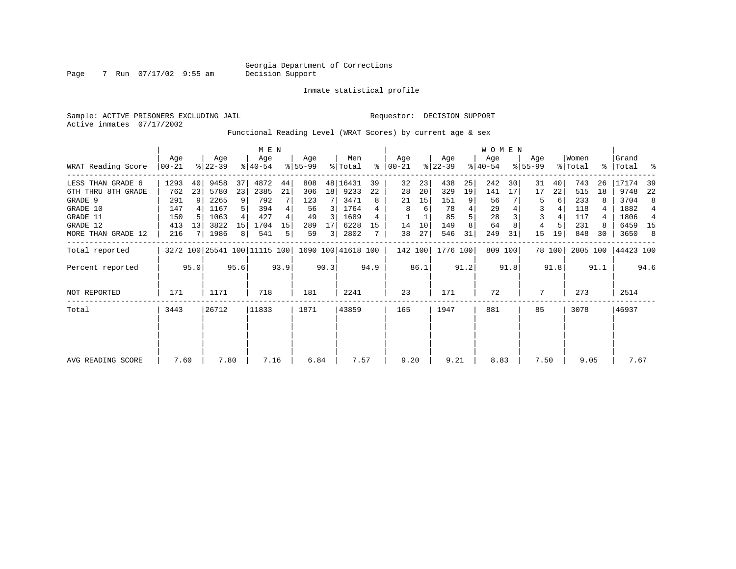Inmate statistical profile

Sample: ACTIVE PRISONERS EXCLUDING JAIL Requestor: DECISION SUPPORT

Active inmates 07/17/2002

#### Functional Reading Level (WRAT Scores) by current age & sex

|                    |                  |                 |                  |      | M E N                        |      |                 |                 |                    |      |                 |      |                  |      | <b>WOMEN</b>     |         |                    |        |                  |      |                      |      |
|--------------------|------------------|-----------------|------------------|------|------------------------------|------|-----------------|-----------------|--------------------|------|-----------------|------|------------------|------|------------------|---------|--------------------|--------|------------------|------|----------------------|------|
| WRAT Reading Score | Age<br>$00 - 21$ |                 | Age<br>$ 22-39 $ |      | Age<br>$ 40-54 $             |      | Aqe<br>$ 55-99$ |                 | Men<br>% Total     | ွေ   | Aqe<br>$ 00-21$ |      | Age<br>$ 22-39 $ |      | Age<br>$ 40-54 $ |         | Aqe<br>$8155 - 99$ |        | Women<br>% Total |      | l Grand<br>%   Total | း    |
| LESS THAN GRADE 6  | 1293             | 40              | 9458             | 37   | 4872                         | 44   | 808             |                 | 48 16431           | 39   | 32              | 23   | 438              | 25   | 242              | 30      | 31                 | 40     | 743              | 26   | 17174                | 39   |
| 6TH THRU 8TH GRADE | 762              | 23              | 5780             | 23   | 2385                         | 21   | 306             | 18 <sup>1</sup> | 9233               | 22   | 28              | 20   | 329              | 19   | 141              | 17      | 17                 | 22     | 515              | 18   | 9748                 | 22   |
| GRADE 9            | 291              | 9               | 2265             | 9    | 792                          |      | 123             |                 | 3471               | 8    | 21              | 15   | 151              | 9    | 56               |         | 5                  | 6      | 233              |      | 3704                 | 8    |
| GRADE 10           | 147              |                 | 1167             |      | 394                          |      | 56              | 3               | 1764               |      | 8               | 6    | 78               |      | 29               |         | 3                  |        | 118              |      | 1882                 | 4    |
| GRADE 11           | 150              |                 | 1063             |      | 427                          | 4    | 49              | 3               | 1689               | 4    |                 |      | 85               |      | 28               |         |                    |        | 117              |      | 1806                 | 4    |
| GRADE 12           | 413              | 13 <sup>1</sup> | 3822             | 15   | 1704                         | 15   | 289             | 17              | 6228               | 15   | 14              | 10   | 149              | 8    | 64               | 8       | 4                  |        | 231              |      | 6459                 | - 15 |
| MORE THAN GRADE 12 | 216              |                 | 1986             | 8    | 541                          | 5    | 59              | 3               | 2802               |      | 38              | 27   | 546              | 31   | 249              | 31      | 15                 | 19     | 848              | 30   | 3650                 | -8   |
| Total reported     |                  |                 |                  |      | 3272 100 25541 100 11115 100 |      |                 |                 | 1690 100 41618 100 |      | 142 100         |      | 1776 100         |      |                  | 809 100 |                    | 78 100 | 2805 100         |      | 44423 100            |      |
| Percent reported   |                  | 95.0            |                  | 95.6 |                              | 93.9 |                 | 90.3            |                    | 94.9 |                 | 86.1 |                  | 91.2 |                  | 91.8    |                    | 91.8   |                  | 91.1 |                      | 94.6 |
| NOT REPORTED       | 171              |                 | 1171             |      | 718                          |      | 181             |                 | 2241               |      | 23              |      | 171              |      | 72               |         | 7                  |        | 273              |      | 2514                 |      |
| Total              | 3443             | 26712           |                  |      | 11833                        |      | 1871            |                 | 43859              |      | 165             |      | 1947             |      | 881              |         | 85                 |        | 3078             |      | 46937                |      |
|                    |                  |                 |                  |      |                              |      |                 |                 |                    |      |                 |      |                  |      |                  |         |                    |        |                  |      |                      |      |
|                    |                  |                 |                  |      |                              |      |                 |                 |                    |      |                 |      |                  |      |                  |         |                    |        |                  |      |                      |      |
| AVG READING SCORE  | 7.60             |                 | 7.80             |      | 7.16                         |      | 6.84            |                 | 7.57               |      | 9.20            |      | 9.21             |      | 8.83             |         | 7.50               |        | 9.05             |      | 7.67                 |      |

Page 7 Run 07/17/02 9:55 am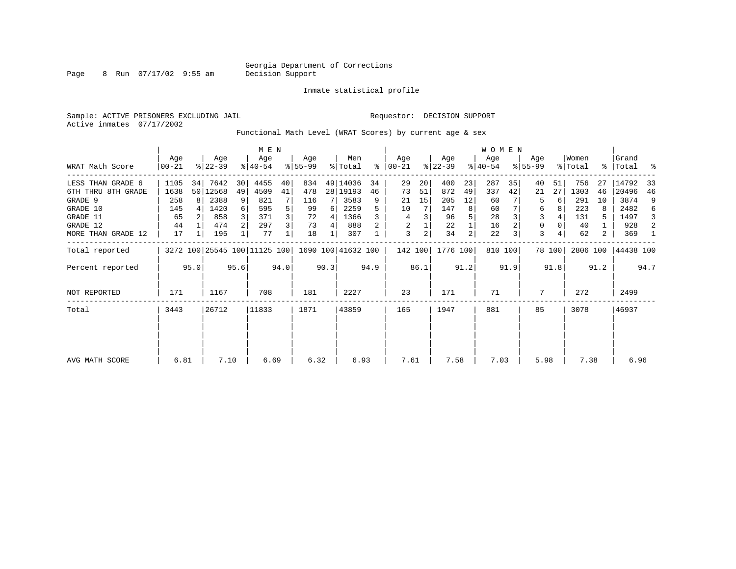Page 8 Run 07/17/02 9:55 am

Inmate statistical profile

Sample: ACTIVE PRISONERS EXCLUDING JAIL Requestor: DECISION SUPPORT Active inmates 07/17/2002

Functional Math Level (WRAT Scores) by current age & sex

|                    |                   |      |                  |      |                              |      |                  |      |                    |      |                  |      |                  |                | <b>WOMEN</b>     |         |                    |        |                  |      |                    |      |
|--------------------|-------------------|------|------------------|------|------------------------------|------|------------------|------|--------------------|------|------------------|------|------------------|----------------|------------------|---------|--------------------|--------|------------------|------|--------------------|------|
| WRAT Math Score    | Age<br>$ 00 - 21$ |      | Age<br>$ 22-39 $ |      | Age<br>$ 40-54 $             |      | Aqe<br>$ 55-99 $ |      | Men<br>% Total     | ႜ    | Age<br>$00 - 21$ |      | Age<br>$ 22-39 $ |                | Age<br>$ 40-54 $ |         | Age<br>$8155 - 99$ |        | Women<br>% Total |      | Grand<br>%   Total | ႜ    |
| LESS THAN GRADE 6  | 1105              | 34   | 7642             | 30   | 4455                         | 40   | 834              |      | 49 14036           | 34   | 29               | 20   | 400              | 23             | 287              | 35      | 40                 | 51     | 756              | 27   | 14792              | 33   |
| 6TH THRU 8TH GRADE | 1638              |      | 50 12568         | 49   | 4509                         | 41   | 478              |      | 28 19193           | 46   | 73               | 51   | 872              | 49             | 337              | 42      | 21                 | 27     | 1303             | 46   | 20496              | 46   |
| GRADE 9            | 258               | R I  | 2388             | 9    | 821                          |      | 116              |      | 3583               | 9    | 21               | 15   | 205              | 12             | 60               |         | 5                  | 6      | 291              | 10   | 3874               | 9    |
| GRADE 10           | 145               |      | 1420             | 6    | 595                          |      | 99               | 6    | 2259               |      | 10               |      | 147              | 8              | 60               |         | 6                  |        | 223              |      | 2482               | 6    |
| GRADE 11           | 65                |      | 858              |      | 371                          |      | 72               | 4    | 1366               |      | 4                | 3    | 96               |                | 28               |         | 3                  |        | 131              | 5    | 1497               | 3    |
| GRADE 12           | 44                |      | 474              |      | 297                          | 3    | 73               | 4    | 888                |      | 2                |      | 22               |                | 16               |         | 0                  |        | 40               |      | 928                | 2    |
| MORE THAN GRADE 12 | 17                |      | 195              |      | 77                           |      | 18               |      | 307                |      | 3                | 2    | 34               | $\overline{c}$ | 22               |         | 3                  |        | 62               | 2    | 369                | -1   |
| Total reported     |                   |      |                  |      | 3272 100 25545 100 11125 100 |      |                  |      | 1690 100 41632 100 |      | 142 100          |      | 1776 100         |                |                  | 810 100 |                    | 78 100 | 2806 100         |      | 44438 100          |      |
| Percent reported   |                   | 95.0 |                  | 95.6 |                              | 94.0 |                  | 90.3 |                    | 94.9 |                  | 86.1 |                  | 91.2           |                  | 91.9    |                    | 91.8   |                  | 91.2 |                    | 94.7 |
| NOT REPORTED       | 171               |      | 1167             |      | 708                          |      | 181              |      | 2227               |      | 23               |      | 171              |                | 71               |         | 7                  |        | 272              |      | 2499               |      |
| Total              | 3443              |      | 26712            |      | 11833                        |      | 1871             |      | 43859              |      | 165              |      | 1947             |                | 881              |         | 85                 |        | 3078             |      | 46937              |      |
|                    |                   |      |                  |      |                              |      |                  |      |                    |      |                  |      |                  |                |                  |         |                    |        |                  |      |                    |      |
| AVG MATH SCORE     | 6.81              |      | 7.10             |      | 6.69                         |      | 6.32             |      | 6.93               |      | 7.61             |      | 7.58             |                | 7.03             |         | 5.98               |        | 7.38             |      | 6.96               |      |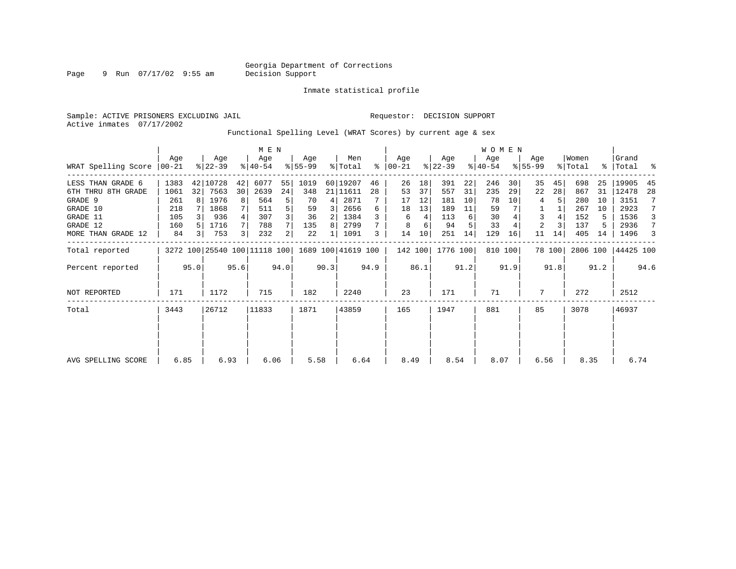Page 9 Run 07/17/02 9:55 am

Inmate statistical profile

Sample: ACTIVE PRISONERS EXCLUDING JAIL **Requestor: DECISION SUPPORT** Active inmates 07/17/2002

Functional Spelling Level (WRAT Scores) by current age & sex

|                     |                 |                | M E N            |      |                               |      |                    |      |                |      |                  |      | <b>WOMEN</b>     |      |                  |         |                    |        |                  |      |                    |      |
|---------------------|-----------------|----------------|------------------|------|-------------------------------|------|--------------------|------|----------------|------|------------------|------|------------------|------|------------------|---------|--------------------|--------|------------------|------|--------------------|------|
| WRAT Spelling Score | Aqe<br>$ 00-21$ |                | Age<br>$8 22-39$ |      | Age<br>$8 40-54$              |      | Aqe<br>$ 55-99$    |      | Men<br>% Total | ႜ    | Age<br>$00 - 21$ |      | Age<br>$ 22-39 $ |      | Age<br>$ 40-54 $ |         | Aqe<br>$8155 - 99$ |        | Women<br>% Total |      | Grand<br>%   Total | ႜ    |
| LESS THAN GRADE 6   | 1383            |                | 42 10728         | 42   | 6077                          | 55   | 1019               |      | 60 19207       | 46   | 26               | 18   | 391              | 22   | 246              | 30      | 35                 | 45     | 698              | 25   | 19905              | 45   |
| 6TH THRU 8TH GRADE  | 1061            | 32             | 7563             | 30   | 2639                          | 24   | 348                |      | 21 11611       | 28   | 53               | 37   | 557              | 31   | 235              | 29      | 22                 | 28     | 867              | 31   | 12478              | 28   |
| GRADE 9             | 261             |                | 1976             | 8    | 564                           | 5    | 70                 | 4    | 2871           |      | 17               | 12   | 181              | 10   | 78               | 10      | 4                  |        | 280              | 10   | 3151               |      |
| GRADE 10            | 218             |                | 1868             |      | 511                           | 5    | 59                 | 3    | 2656           | 6    | 18               | 13   | 189              | 11   | 59               |         |                    |        | 267              | 10   | 2923               |      |
| GRADE 11            | 105             |                | 936              |      | 307                           |      | 36                 | 2    | 1384           |      | 6                | 4    | 113              | 6    | 30               |         | 3                  |        | 152              | 5    | 1536               | 3    |
| GRADE 12            | 160             |                | 1716             |      | 788                           |      | 135                | 8    | 2799           |      | 8                | 6    | 94               |      | 33               |         | 2                  |        | 137              | 5    | 2936               | 7    |
| MORE THAN GRADE 12  | 84              | $\overline{3}$ | 753              | 3    | 232                           | 2    | 22                 |      | 1091           | 3    | 14               | 10   | 251              | 14   | 129              | 16      | 11                 | 14     | 405              | 14   | 1496               | 3    |
| Total reported      |                 |                |                  |      | 3272 100 25540 100 111118 100 |      | 1689 100 41619 100 |      |                |      | 142 100          |      | 1776 100         |      |                  | 810 100 |                    | 78 100 | 2806 100         |      | 44425 100          |      |
| Percent reported    |                 | 95.0           |                  | 95.6 |                               | 94.0 |                    | 90.3 |                | 94.9 |                  | 86.1 |                  | 91.2 |                  | 91.9    |                    | 91.8   |                  | 91.2 |                    | 94.6 |
| <b>NOT REPORTED</b> | 171             |                | 1172             |      | 715                           |      | 182                |      | 2240           |      | 23               |      | 171              |      | 71               |         | 7                  |        | 272              |      | 2512               |      |
| Total               | 3443            |                | 26712            |      | 11833                         |      | 1871               |      | 43859          |      | 165              |      | 1947             |      | 881              |         | 85                 |        | 3078             |      | 46937              |      |
|                     |                 |                |                  |      |                               |      |                    |      |                |      |                  |      |                  |      |                  |         |                    |        |                  |      |                    |      |
|                     |                 |                |                  |      |                               |      |                    |      |                |      |                  |      |                  |      |                  |         |                    |        |                  |      |                    |      |
| AVG SPELLING SCORE  | 6.85            |                | 6.93             |      | 6.06                          |      | 5.58               |      | 6.64           |      | 8.49             |      | 8.54             |      | 8.07             |         | 6.56               |        | 8.35             |      | 6.74               |      |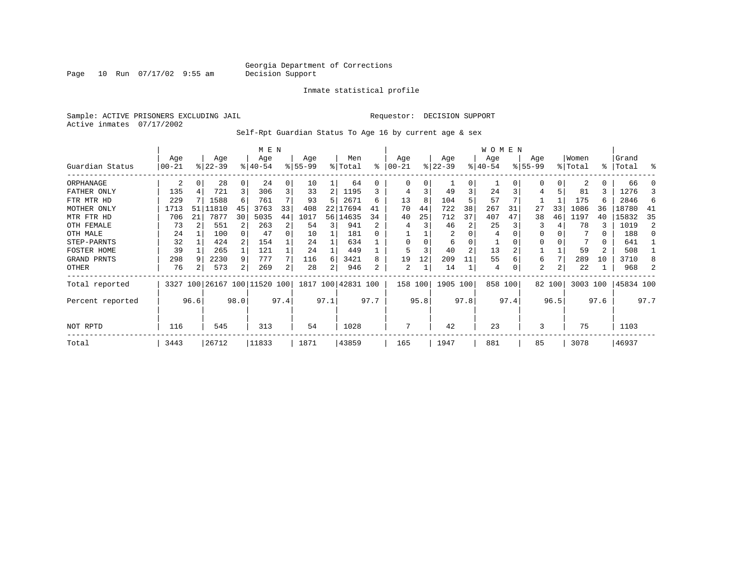Page 10 Run 07/17/02 9:55 am

#### Inmate statistical profile

Sample: ACTIVE PRISONERS EXCLUDING JAIL Requestor: DECISION SUPPORT Active inmates 07/17/2002

Self-Rpt Guardian Status To Age 16 by current age & sex

|                  |            |      |                         |      | M E N     |      |          |      |                    |      |          |      |           |                | W O M E N |      |           |        |          |           |           |      |
|------------------|------------|------|-------------------------|------|-----------|------|----------|------|--------------------|------|----------|------|-----------|----------------|-----------|------|-----------|--------|----------|-----------|-----------|------|
|                  | Age        |      | Age                     |      | Age       |      | Age      |      | Men                |      | Age      |      | Age       |                | Age       |      | Age       |        | Women    |           | Grand     |      |
| Guardian Status  | $ 00 - 21$ |      | $ 22-39 $               |      | $ 40-54 $ |      | $ 55-99$ |      | % Total            | ి    | $ 00-21$ |      | $ 22-39 $ |                | $ 40-54 $ |      | $8 55-99$ |        | % Total  | $\approx$ | Total     | န္   |
| ORPHANAGE        | 2          | 0    | 28                      |      | 24        | 0    | 10       |      | 64                 | U    | $\Omega$ | 0    |           | $\Omega$       |           |      | $\Omega$  | 0      | 2        | 0         | 66        |      |
| FATHER ONLY      | 135        |      | 721                     | 3    | 306       | 3    | 33       | 2    | 1195               |      | 4        | 3    | 49        | 3              | 24        |      |           | 5      | 81       | 3         | 1276      |      |
| FTR MTR HD       | 229        |      | 1588                    | 6    | 761       |      | 93       |      | 2671               | б    | 13       | 8    | 104       |                | 57        |      |           |        | 175      | 6         | 2846      | 6    |
| MOTHER ONLY      | 1713       | 51   | 11810                   | 45   | 3763      | 33   | 408      |      | 22 17694           |      | 70       | 44   | 722       | 38             | 267       | 31   | 27        | 33     | 1086     | 36        | 18780     | 41   |
| MTR FTR HD       | 706        | 21   | 7877                    | 30   | 5035      | 44   | 1017     |      | 56 14635           | 34   | 40       | 25   | 712       | 37             | 407       | 47   | 38        | 46     | 1197     | 40        | 15832     | 35   |
| OTH FEMALE       | 73         |      | 551                     |      | 263       | 2    | 54       | 3    | 941                |      |          |      | 46        |                | 25        |      |           |        | 78       | ζ         | 1019      | 2    |
| OTH MALE         | 24         |      | 100                     |      | 47        | 0    | 10       |      | 181                |      |          |      | 2         |                | 4         |      |           |        |          | 0         | 188       |      |
| STEP-PARNTS      | 32         |      | 424                     |      | 154       |      | 24       |      | 634                |      | $\Omega$ |      | 6         |                |           |      |           |        |          | 0         | 641       |      |
| FOSTER HOME      | 39         |      | 265                     |      | 121       |      | 24       |      | 449                |      |          | 3    | 40        | $\overline{a}$ | 13        |      |           |        | 59       | 2         | 508       |      |
| GRAND PRNTS      | 298        | -9   | 2230                    | 9    | 777       |      | 116      | 6    | 3421               | 8    | 19       | 12   | 209       | 11             | 55        |      | 6         | 7      | 289      | 10        | 3710      |      |
| OTHER            | 76         |      | 573                     | 2    | 269       | 2    | 28       | 2    | 946                | 2    | 2        |      | 14        |                | 4         |      | 2         | 2      | 22       |           | 968       |      |
| Total reported   | 3327       |      | 100 26167 100 11520 100 |      |           |      |          |      | 1817 100 42831 100 |      | 158 100  |      | 1905 100  |                | 858 100   |      |           | 82 100 | 3003 100 |           | 45834 100 |      |
| Percent reported |            | 96.6 |                         | 98.0 |           | 97.4 |          | 97.1 |                    | 97.7 |          | 95.8 |           | 97.8           |           | 97.4 |           | 96.5   |          | 97.6      |           | 97.7 |
| NOT RPTD         | 116<br>545 |      |                         |      | 313       |      | 54       |      | 1028               |      |          |      | 42        |                | 23        |      | 3         |        | 75       |           | 1103      |      |
| Total            | 3443       |      | 26712                   |      | 11833     |      | 1871     |      | 43859              |      | 165      |      | 1947      |                | 881       |      | 85        |        | 3078     |           | 46937     |      |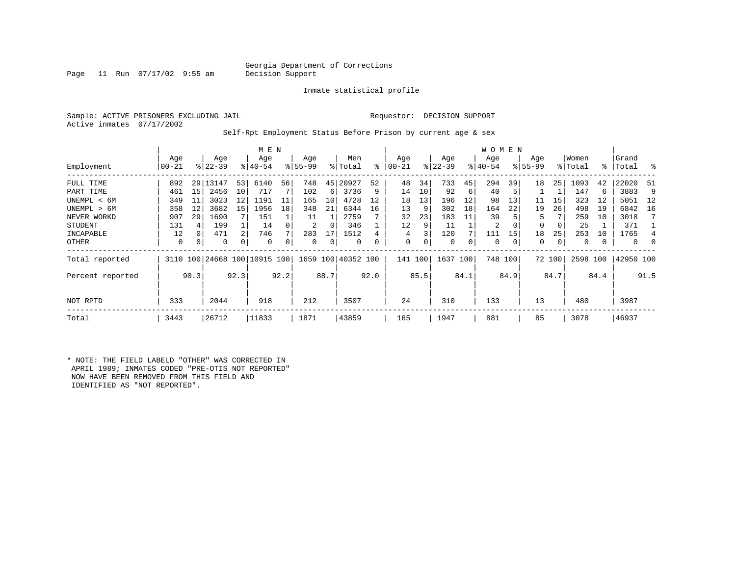#### Georgia Department of Corrections<br>Decision Support

Page 11 Run  $07/17/02$  9:55 am

Inmate statistical profile

Sample: ACTIVE PRISONERS EXCLUDING JAIL Requestor: DECISION SUPPORT Active inmates 07/17/2002

Self-Rpt Employment Status Before Prison by current age & sex

|                  |           |          |           |                | M E N                        |      |           |      |                    |           |           |      |             |      | W O M E N |          |             |             |          |               |             |          |
|------------------|-----------|----------|-----------|----------------|------------------------------|------|-----------|------|--------------------|-----------|-----------|------|-------------|------|-----------|----------|-------------|-------------|----------|---------------|-------------|----------|
|                  | Age       |          | Age       |                | Age                          |      | Age       |      | Men                |           | Age       |      | Age         |      | Age       |          | Age         |             | Women    |               | Grand       |          |
| Employment       | $00 - 21$ |          | $ 22-39 $ |                | $8140 - 54$                  |      | $8 55-99$ |      | % Total            | $\approx$ | $00 - 21$ |      | $ 22-39 $   |      | $ 40-54 $ |          | $8155 - 99$ |             | % Total  | $\frac{8}{3}$ | Total       | း        |
| FULL TIME        | 892       |          | 29 13147  | 53             | 6140                         | 56   | 748       | 45   | 20927              | 52        | 48        | 34   | 733         | 45   | 294       | 39       | 18          | 25          | 1093     | 42            | 22020       | -51      |
| PART TIME        | 461       | 15       | 2456      | 10             | 717                          |      | 102       | 6    | 3736               | 9         | 14        | 10   | 92          | 6    | 40        | 5        |             |             | 147      | 6             | 3883        | 9        |
| UNEMPL < 6M      | 349       | 11       | 3023      | 12             | 1191                         | 11   | 165       | 10   | 4728               | 12        | 18        | 13   | 196         | 12   | 98        | 13       | 11          | 15          | 323      | 12            | 5051        | 12       |
| UNEMPL > 6M      | 358       | 12       | 3682      | 15             | 1956                         | 18   | 348       | 21   | 6344               | 16        | 13        | 9    | 302         | 18   | 164       | 22       | 19          | 26          | 498      | 19            | 6842        | 16       |
| NEVER WORKD      | 907       | 29       | 1690      |                | 151                          |      | 11        |      | 2759               |           | 32        | 23   | 183         | 11   | 39        |          | 5           |             | 259      | 10            | 3018        | 7        |
| <b>STUDENT</b>   | 131       | 4        | 199       |                | 14                           |      | 2         | 0    | 346                |           | 12        | 9    | 11          |      | 2         | 0        | 0           | 0           | 25       |               | 371         |          |
| INCAPABLE        | 12        | $\Omega$ | 471       | $\overline{2}$ | 746                          |      | 283       | 17   | 1512               |           | 4         |      | 120         |      | 111       | 15       | 18          | 25          | 253      | 10            | 1765        | 4        |
| OTHER            | 0         | 0        | 0         | 0              | $\Omega$                     |      | 0         | 0    | 0                  |           | 0         | 0    | $\mathbf 0$ | 0    | 0         | $\Omega$ | 0           | $\mathbf 0$ | 0        |               | $\mathbf 0$ | $\Omega$ |
| Total reported   |           |          |           |                | 3110 100 24668 100 10915 100 |      |           |      | 1659 100 40352 100 |           | 141 100   |      | 1637 100    |      |           | 748 100  |             | 72 100      | 2598 100 |               | 42950 100   |          |
| Percent reported |           | 90.3     |           | 92.3           |                              | 92.2 |           | 88.7 |                    | 92.0      |           | 85.5 |             | 84.1 |           | 84.9     |             | 84.7        |          | 84.4          |             | 91.5     |
| NOT RPTD         | 333       |          | 2044      |                | 918                          |      | 212       |      | 3507               |           | 24        |      | 310         |      | 133       |          | 13          |             | 480      |               | 3987        |          |
| Total            | 3443      |          | 26712     |                | 11833                        |      | 1871      |      | 43859              |           | 165       |      | 1947        |      | 881       |          | 85          |             | 3078     |               | 46937       |          |

\* NOTE: THE FIELD LABELD "OTHER" WAS CORRECTED IN APRIL 1989; INMATES CODED "PRE-OTIS NOT REPORTED" NOW HAVE BEEN REMOVED FROM THIS FIELD AND IDENTIFIED AS "NOT REPORTED".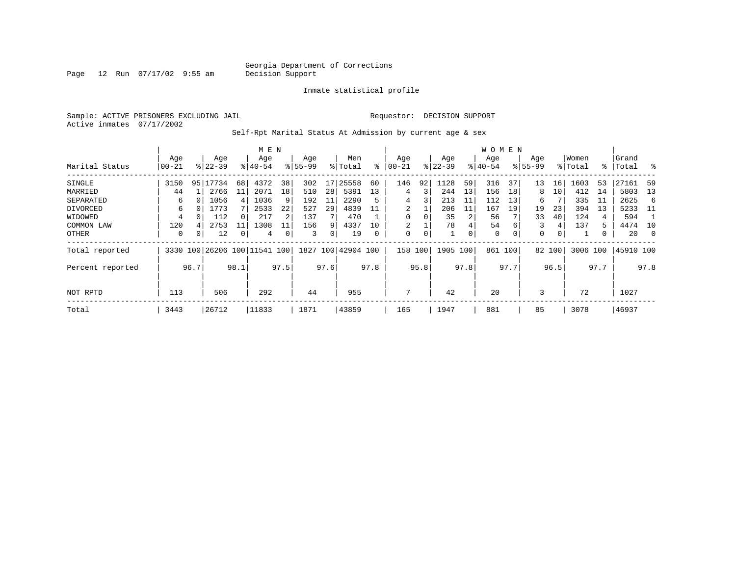Page 12 Run 07/17/02 9:55 am

Inmate statistical profile

Sample: ACTIVE PRISONERS EXCLUDING JAIL Requestor: DECISION SUPPORT Active inmates 07/17/2002

Self-Rpt Marital Status At Admission by current age & sex

|                  |           |          |                         |      | M E N       |      |          |      |               |          |             |             |           |      | W O M E N |      |              |        |         |      |           |          |
|------------------|-----------|----------|-------------------------|------|-------------|------|----------|------|---------------|----------|-------------|-------------|-----------|------|-----------|------|--------------|--------|---------|------|-----------|----------|
|                  | Age       |          | Age                     |      | Age         |      | Age      |      | Men           |          | Age         |             | Age       |      | Age       |      | Age          |        | Women   |      | Grand     |          |
| Marital Status   | $00 - 21$ |          | $8 22-39$               |      | $8140 - 54$ |      | $ 55-99$ |      | % Total       | ႜ        | $ 00-21$    |             | $ 22-39 $ |      | $ 40-54$  |      | $8155 - 99$  |        | % Total | % ิ  | Total     | ွေ       |
| SINGLE           | 3150      |          | 95 17734                | 68   | 4372        | 38   | 302      | 17   | 25558         | 60       | 146         | 92          | 1128      | 59   | 316       | 37   | 13           | 16     | 1603    | 53   | 27161     | -59      |
| MARRIED          | 44        |          | 2766                    | 11   | 2071        | 18   | 510      | 28   | 5391          | 13       | 4           | 3           | 244       | 13   | 156       | 18   | 8            | 10     | 412     | 14   | 5803      | 13       |
| SEPARATED        | 6         |          | 1056                    | 4    | 1036        | 9    | 192      | 11   | 2290          |          | 4           | 3           | 213       | 11   | 112       | 13   | 6            |        | 335     | -11  | 2625      | 6        |
| DIVORCED         | 6         |          | 1773                    |      | 2533        | 22   | 527      | 29   | 4839          | 11       | 2           |             | 206       | 11   | 167       | 19   | 19           | 23     | 394     | 13   | 5233      | -11      |
| WIDOWED          | 4         |          | 112                     |      | 217         | 2    | 137      |      | 470           |          | $\mathbf 0$ | 0           | 35        | 2    | 56        |      | 33           | 40     | 124     | 4    | 594       |          |
| COMMON LAW       | 120       |          | 2753                    | 11   | 1308        |      | 156      | 9    | 4337          | 10       |             |             | 78        |      | 54        |      | 3            | 4      | 137     | 5    | 4474      | 10       |
| OTHER            | 0         | $\Omega$ | 12                      |      | 4           | 0    | 3        | 0    | 19            | $\Omega$ | $\mathbf 0$ | $\mathbf 0$ |           | 0    | 0         |      | $\mathbf{0}$ | 0      |         | 0    | 20        | $\Omega$ |
| Total reported   | 3330      |          | 100 26206 100 11541 100 |      |             |      | 1827     |      | 100 42904 100 |          | 158         | 100         | 1905      | 100  | 861       | 100  |              | 82 100 | 3006    | 100  | 45910 100 |          |
| Percent reported |           | 96.7     |                         | 98.1 |             | 97.5 |          | 97.6 |               | 97.8     |             | 95.8        |           | 97.8 |           | 97.7 |              | 96.5   |         | 97.7 |           | 97.8     |
| NOT RPTD         | 113       |          | 506                     |      | 292         |      | 44       |      | 955           |          | 7           |             | 42        |      | 20        |      | 3            |        | 72      |      | 1027      |          |
|                  |           |          |                         |      |             |      |          |      |               |          |             |             |           |      |           |      |              |        |         |      |           |          |
| Total            | 3443      |          | 26712                   |      | 11833       |      | 1871     |      | 43859         |          | 165         |             | 1947      |      | 881       |      | 85           |        | 3078    |      | 46937     |          |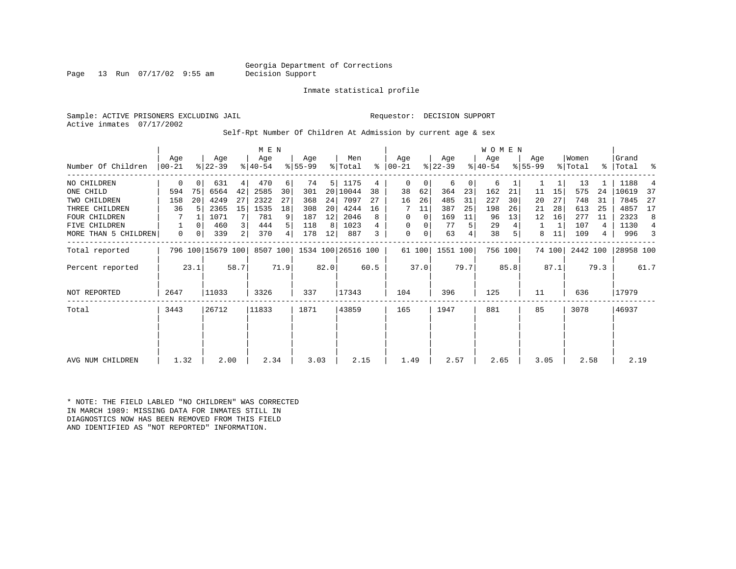Georgia Department of Corrections<br>Decision Support

Page 13 Run  $07/17/02$  9:55 am

Inmate statistical profile

Sample: ACTIVE PRISONERS EXCLUDING JAIL Requestor: DECISION SUPPORT Active inmates 07/17/2002

Self-Rpt Number Of Children At Admission by current age & sex

|                      |                  |          |                   |      | M E N            |                |                  |      |                    |      |                 |        |                  |      | <b>WOMEN</b>     |         |                    |        |                  |      |                |      |
|----------------------|------------------|----------|-------------------|------|------------------|----------------|------------------|------|--------------------|------|-----------------|--------|------------------|------|------------------|---------|--------------------|--------|------------------|------|----------------|------|
| Number Of Children   | Aqe<br>$00 - 21$ |          | Age<br>$ 22-39 $  |      | Age<br>$ 40-54 $ |                | Age<br>$ 55-99 $ |      | Men<br>% Total     | ႜ    | Aqe<br>$ 00-21$ |        | Age<br>$ 22-39 $ |      | Age<br>$8 40-54$ |         | Aqe<br>$8155 - 99$ |        | Women<br>% Total | ፟ዼ   | Grand<br>Total | ႜ    |
| NO CHILDREN          | 0                | $\Omega$ | 631               | 4    | 470              | 6              | 74               | 5    | 1175               | 4    | 0               | 0      | 6                | 0    | 6                |         |                    |        | 13               |      | 1188           |      |
| ONE CHILD            | 594              | 75       | 6564              | 42   | 2585             | 30             | 301              | 20   | 10044              | 38   | 38              | 62     | 364              | 23   | 162              | 21      | 11                 | 15     | 575              | 24   | 10619          | 37   |
| TWO CHILDREN         | 158              | 20       | 4249              | 27   | 2322             | 27             | 368              | 24   | 7097               | 27   | 16              | 26     | 485              | 31   | 227              | 30      | 20                 | 27     | 748              | 31   | 7845           | 27   |
| THREE CHILDREN       | 36               |          | 2365              | 15   | 1535             | 18             | 308              | 20   | 4244               | 16   |                 | 11     | 387              | 25   | 198              | 26      | 21                 | 28     | 613              | 25   | 4857           | 17   |
| <b>FOUR CHILDREN</b> |                  |          | 1071              |      | 781              | 9              | 187              | 12   | 2046               | 8    | 0               | 0      | 169              | 11   | 96               | 13      | 12                 | 16     | 277              | -11  | 2323           | 8    |
| <b>FIVE CHILDREN</b> |                  | $\Omega$ | 460               | 3    | 444              | 5 <sup>1</sup> | 118              | 8    | 1023               |      | 0               | 0      | 77               | 5    | 29               |         | 1                  |        | 107              | 4    | 1130           | 4    |
| MORE THAN 5 CHILDREN | 0                | 0        | 339               | 2    | 370              | $4\vert$       | 178              | 12   | 887                | 3    | 0               | 0      | 63               |      | 38               |         | 8                  | 11     | 109              | 4    | 996            |      |
| Total reported       |                  |          | 796 100 15679 100 |      | 8507 100         |                |                  |      | 1534 100 26516 100 |      |                 | 61 100 | 1551 100         |      |                  | 756 100 |                    | 74 100 | 2442 100         |      | 28958 100      |      |
| Percent reported     |                  | 23.1     |                   | 58.7 |                  | 71.9           |                  | 82.0 |                    | 60.5 |                 | 37.0   |                  | 79.7 |                  | 85.8    |                    | 87.1   |                  | 79.3 |                | 61.7 |
| NOT REPORTED         | 2647             |          | 11033             |      | 3326             |                | 337              |      | 17343              |      | 104             |        | 396              |      | 125              |         | 11                 |        | 636              |      | 17979          |      |
| Total                | 3443             |          | 26712             |      | 11833            |                | 1871             |      | 43859              |      | 165             |        | 1947             |      | 881              |         | 85                 |        | 3078             |      | 46937          |      |
|                      |                  |          |                   |      |                  |                |                  |      |                    |      |                 |        |                  |      |                  |         |                    |        |                  |      |                |      |
|                      |                  |          |                   |      |                  |                |                  |      |                    |      |                 |        |                  |      |                  |         |                    |        |                  |      |                |      |
| AVG NUM CHILDREN     | 1.32             |          | 2.00              |      | 2.34             |                | 3.03             |      | 2.15               |      | 1.49            |        | 2.57             |      | 2.65             |         | 3.05               |        | 2.58             |      | 2.19           |      |

\* NOTE: THE FIELD LABLED "NO CHILDREN" WAS CORRECTED IN MARCH 1989: MISSING DATA FOR INMATES STILL IN DIAGNOSTICS NOW HAS BEEN REMOVED FROM THIS FIELD AND IDENTIFIED AS "NOT REPORTED" INFORMATION.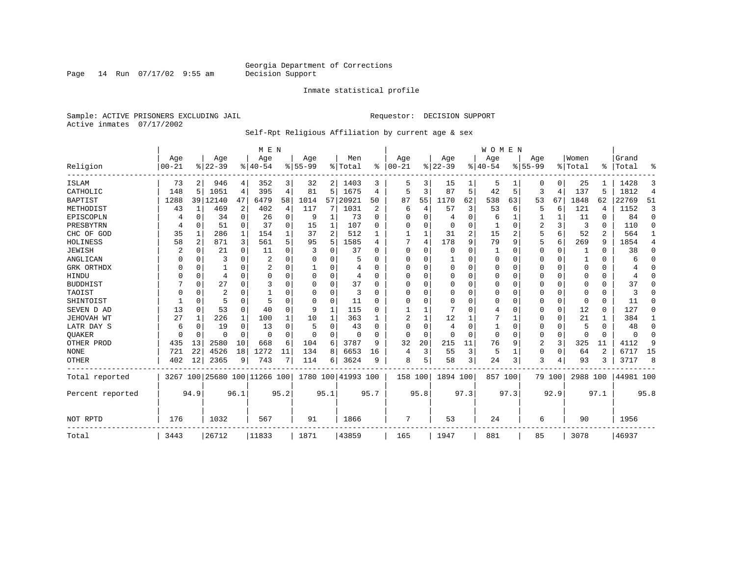Page 14 Run 07/17/02 9:55 am

#### Inmate statistical profile

Sample: ACTIVE PRISONERS EXCLUDING JAIL **Requestor: DECISION SUPPORT** Active inmates 07/17/2002

#### Self-Rpt Religious Affiliation by current age & sex

|                  |           |          |                |          | M E N                   |          |           |                |                    |          |          |          |                |      | <b>WOMEN</b> |                |           |                |          |          |           |                |
|------------------|-----------|----------|----------------|----------|-------------------------|----------|-----------|----------------|--------------------|----------|----------|----------|----------------|------|--------------|----------------|-----------|----------------|----------|----------|-----------|----------------|
|                  | Age       |          | Age            |          | Age                     |          | Age       |                | Men                | %        | Age      |          | Age            |      | Aqe          |                | Age       |                | Women    | ፠        | Grand     |                |
| Religion         | $00 - 21$ |          | $8 22-39$      |          | $ 40-54$                |          | $8 55-99$ |                | % Total            |          | $ 00-21$ |          | $ 22-39$       |      | $ 40-54$     |                | $8 55-99$ |                | % Total  |          | Total     | ዱ              |
| ISLAM            | 73        | 2        | 946            | 4        | 352                     | 3        | 32        |                | 2 1403             | 3        | 5        | 3        | 15             |      | 5            |                | U         | 0              | 25       |          | 1428      | 3              |
| CATHOLIC         | 148       | 5        | 1051           | 4        | 395                     | 4        | 81        | 5              | 1675               | 4        | 5        | 3        | 87             | 5    | 42           | 5              | 3         | $\overline{4}$ | 137      | 5        | 1812      | $\overline{4}$ |
| <b>BAPTIST</b>   | 1288      | 39       | 12140          | 47       | 6479                    | 58       | 1014      | 57             | 20921              | 50       | 87       | 55       | 1170           | 62   | 538          | 63             | 53        | 67             | 1848     | 62       | 22769     | 51             |
| METHODIST        | 43        | 1        | 469            | 2        | 402                     | 4        | 117       | 7              | 1031               | 2        | 6        | 4        | 57             | 3    | 53           | 6              | 5         | 6              | 121      | 4        | 1152      | 3              |
| EPISCOPLN        |           | 0        | 34             | 0        | 26                      | 0        | 9         | 1              | 73                 | $\Omega$ | 0        | O        | 4              | 0    | 6            | 1              |           |                | 11       | 0        | 84        | $\mathbf 0$    |
| PRESBYTRN        | 4         | 0        | 51             | $\Omega$ | 37                      | $\Omega$ | 15        | 1              | 107                | O        | U        | $\Omega$ | $\overline{0}$ | 0    |              | 0              | 2         | 3              | 3        | $\Omega$ | 110       | $\Omega$       |
| CHC OF GOD       | 35        | 1        | 286            | 1        | 154                     |          | 37        | $\overline{a}$ | 512                |          |          |          | 31             | 2    | 15           | $\overline{c}$ | 5         | 6              | 52       | 2        | 564       | 1              |
| HOLINESS         | 58        | 2        | 871            | 3        | 561                     |          | 95        | 5              | 1585               | 4        |          | 4        | 178            | 9    | 79           | 9              | 5         | 6              | 269      | 9        | 1854      | 4              |
| <b>JEWISH</b>    | 2         | $\Omega$ | 21             | $\Omega$ | 11                      | O        |           | 0              | 37                 |          | 0        | O        | $\Omega$       | 0    |              | 0              | 0         | 0              |          | $\Omega$ | 38        | $\Omega$       |
| ANGLICAN         |           | 0        | 3              | 0        | 2                       |          |           | U              |                    |          | 0        | U        |                | U    | $\Omega$     | 0              | 0         | 0              |          | $\Omega$ | 6         | 0              |
| GRK ORTHDX       |           | 0        |                | $\Omega$ | 2                       | $\Omega$ |           | U              | 4                  | U        | $\Omega$ | O        | $\overline{0}$ | O    | $\Omega$     | $\Omega$       | 0         | $\Omega$       | $\Omega$ | $\Omega$ |           | $\Omega$       |
| HINDU            |           | $\Omega$ | 4              | $\Omega$ | $\Omega$                | $\Omega$ |           | 0              | 4                  | ∩        | $\Omega$ |          | $\Omega$       | 0    | $\Omega$     | $\Omega$       | 0         | $\Omega$       | $\Omega$ | $\Omega$ | 4         | $\Omega$       |
| <b>BUDDHIST</b>  |           | $\Omega$ | 27             | $\Omega$ | 3                       | O        | U         | 0              | 37                 | U        | U        | U        | $\Omega$       | U    | $\Omega$     | $\Omega$       | 0         | $\Omega$       | $\Omega$ | $\Omega$ | 37        | $\Omega$       |
| TAOIST           |           | $\Omega$ | $\overline{2}$ | O        |                         |          |           | $\Omega$       | 3                  |          | U        |          | $\Omega$       | 0    | 0            | $\Omega$       | 0         | $\Omega$       | $\Omega$ | $\Omega$ | κ         | O              |
| SHINTOIST        |           | $\Omega$ | 5              | $\Omega$ | 5                       |          | 0         | $\Omega$       | 11                 | U        | U        | $\cap$   | $\Omega$       | O    | O            | $\Omega$       | 0         | $\Omega$       | $\Omega$ | $\Omega$ | 11        | $\Omega$       |
| SEVEN D AD       | 13        | $\Omega$ | 53             | $\Omega$ | 40                      | $\Omega$ | 9         | 1              | 115                | ∩        |          |          |                | O    | 4            | $\Omega$       | 0         | 0              | 12       | $\Omega$ | 127       | $\Omega$       |
| JEHOVAH WT       | 27        | 1        | 226            | 1        | 100                     |          | 10        | 1              | 363                |          |          |          | 12             |      |              |                | 0         | 0              | 21       |          | 384       | 1              |
| LATR DAY S       | 6         | $\Omega$ | 19             | $\Omega$ | 13                      |          | 5         | 0              | 43                 |          | U        | O        | 4              | 0    | 1            | 0              | 0         | 0              | 5        | $\Omega$ | 48        | $\Omega$       |
| <b>OUAKER</b>    |           | 0        | O              | $\Omega$ | $\Omega$                | $\Omega$ | n         | 0              | n                  | U        | $\Omega$ | $\Omega$ | $\Omega$       | O    | $\Omega$     | $\Omega$       | 0         | 0              | $\Omega$ | $\Omega$ | $\Omega$  | 0              |
| OTHER PROD       | 435       | 13       | 2580           | 10       | 668                     | 6        | 104       | 6              | 3787               | q        | 32       | 20       | 215            | 11   | 76           | 9              | 2         | 3              | 325      | 11       | 4112      | 9              |
| <b>NONE</b>      | 721       | 22       | 4526           | 18       | 1272                    | 11       | 134       | 8              | 6653               | 16       | 4        | 3        | 55             | 3    | 5            | 1              | 0         | $\Omega$       | 64       | 2        | 6717      | 15             |
| <b>OTHER</b>     | 402       | 12       | 2365           | 9        | 743                     | 7        | 114       | б              | 3624               | 9        | 8        | 5        | 58             | 3    | 24           | 3              | 3         | 4              | 93       | 3        | 3717      | 8              |
| Total reported   | 3267      |          |                |          | 100 25680 100 11266 100 |          |           |                | 1780 100 41993 100 |          | 158 100  |          | 1894 100       |      | 857 100      |                |           | 79 100         | 2988 100 |          | 44981 100 |                |
| Percent reported |           | 94.9     |                | 96.1     |                         | 95.2     |           | 95.1           |                    | 95.7     |          | 95.8     |                | 97.3 |              | 97.3           |           | 92.9           |          | 97.1     |           | 95.8           |
|                  |           |          |                |          |                         |          |           |                |                    |          |          |          |                |      |              |                |           |                |          |          |           |                |
| NOT RPTD         | 176       |          | 1032           |          | 567                     |          | 91        |                | 1866               |          | 7        |          | 53             |      | 24           |                | 6         |                | 90       |          | 1956      |                |
| Total            | 3443      |          | 26712          |          | 11833                   |          | 1871      |                | 43859              |          | 165      |          | 1947           |      | 881          |                | 85        |                | 3078     |          | 46937     |                |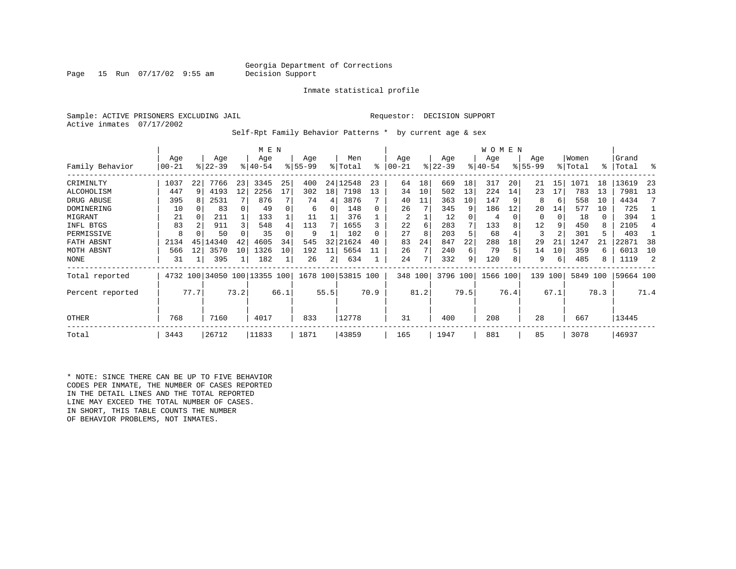#### Georgia Department of Corrections<br>Decision Support

Page 15 Run  $07/17/02$  9:55 am

Inmate statistical profile

Sample: ACTIVE PRISONERS EXCLUDING JAIL Requestor: DECISION SUPPORT Active inmates 07/17/2002

Self-Rpt Family Behavior Patterns \* by current age & sex

|                  |                  |      |                  |      | M E N                        |      |                 |      |                    |      |                 |      |                  |      | WOMEN           |      |                    |      |                  |      |                 |      |
|------------------|------------------|------|------------------|------|------------------------------|------|-----------------|------|--------------------|------|-----------------|------|------------------|------|-----------------|------|--------------------|------|------------------|------|-----------------|------|
| Family Behavior  | Age<br>$00 - 21$ |      | Age<br>$8 22-39$ |      | Age<br>$ 40-54 $             |      | Age<br>$ 55-99$ |      | Men<br>% Total     | ి    | Age<br>$ 00-21$ |      | Age<br>$ 22-39 $ |      | Age<br>$ 40-54$ |      | Age<br>$8155 - 99$ |      | Women<br>% Total | °≈   | Grand<br> Total | °    |
| CRIMINLTY        | 1037             | 22   | 7766             | 23   | 3345                         | 25   | 400             | 24   | 12548              | 23   | 64              | 18   | 669              | 18   | 317             | 20   | 21                 | 15   | 1071             | 18   | 13619           | 23   |
| ALCOHOLISM       | 447              | 9    | 4193             | 12   | 2256                         | 17   | 302             | 18   | 7198               | 13   | 34              | 10   | 502              | 13   | 224             | 14   | 23                 | 17   | 783              | 13   | 7981            | 13   |
| DRUG ABUSE       | 395              |      | 2531             |      | 876                          |      | 74              | 4    | 3876               |      | 40              | 11   | 363              | 10   | 147             |      | 8                  | 6    | 558              | 10   | 4434            |      |
| DOMINERING       | 10               |      | 83               |      | 49                           |      | 6               | 0    | 148                |      | 26              |      | 345              | 9    | 186             | 12   | 20                 | 14   | 577              | 10   | 725             |      |
| MIGRANT          | 21               |      | 211              |      | 133                          |      | 11              |      | 376                |      | 2               |      | 12               |      | 4               |      | 0                  | 0    | 18               | 0    | 394             |      |
| INFL BTGS        | 83               |      | 911              | 3    | 548                          |      | 113             |      | 1655               |      | 22              | 6    | 283              |      | 133             |      | 12                 | 9    | 450              | 8    | 2105            |      |
| PERMISSIVE       | 8                |      | 50               |      | 35                           |      | 9               |      | 102                |      | 27              | 8    | 203              | 5    | 68              |      | 3                  | 2    | 301              | 5    | 403             |      |
| FATH ABSNT       | 2134             | 45   | 14340            | 42   | 4605                         | 34   | 545             | 32   | 21624              | 40   | 83              | 24   | 847              | 22   | 288             | 18   | 29                 | 21   | 1247             |      | 22871           | 38   |
| MOTH ABSNT       | 566              | 12   | 3570             | 10   | 1326                         | 10   | 192             | 11   | 5654               |      | 26              | 7    | 240              | 6    | 79              |      | 14                 | 10   | 359              | 6    | 6013            | 10   |
| <b>NONE</b>      | 31               |      | 395              | 1    | 182                          |      | 26              | 2    | 634                |      | 24              | 7    | 332              | 9    | 120             |      | 9                  | 6    | 485              | 8    | 1119            |      |
| Total reported   |                  |      |                  |      | 4732 100 34050 100 13355 100 |      |                 |      | 1678 100 53815 100 |      | 348 100         |      | 3796 100         |      | 1566 100        |      | 139                | 100  | 5849             | 100  | 59664 100       |      |
| Percent reported |                  | 77.7 |                  | 73.2 |                              | 66.1 |                 | 55.5 |                    | 70.9 |                 | 81.2 |                  | 79.5 |                 | 76.4 |                    | 67.1 |                  | 78.3 |                 | 71.4 |
| OTHER            | 768              |      | 7160             |      | 4017                         |      | 833             |      | 12778              |      | 31              |      | 400              |      | 208             |      | 28                 |      | 667              |      | 13445           |      |
| Total            | 3443             |      | 26712            |      | 11833                        |      | 1871            |      | 43859              |      | 165             |      | 1947             |      | 881             |      | 85                 |      | 3078             |      | 46937           |      |

\* NOTE: SINCE THERE CAN BE UP TO FIVE BEHAVIOR CODES PER INMATE, THE NUMBER OF CASES REPORTED IN THE DETAIL LINES AND THE TOTAL REPORTED LINE MAY EXCEED THE TOTAL NUMBER OF CASES. IN SHORT, THIS TABLE COUNTS THE NUMBER OF BEHAVIOR PROBLEMS, NOT INMATES.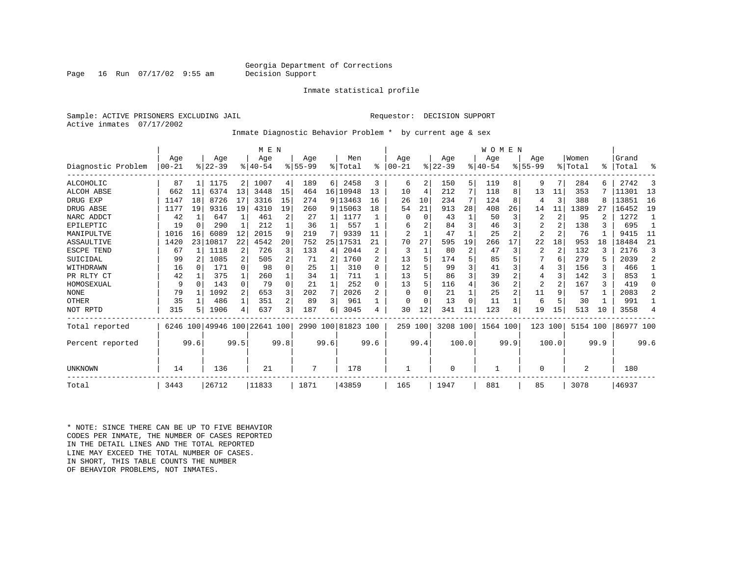#### Georgia Department of Corrections<br>Decision Support

Page 16 Run  $07/17/02$  9:55 am

Inmate statistical profile

Sample: ACTIVE PRISONERS EXCLUDING JAIL Requestor: DECISION SUPPORT Active inmates 07/17/2002

Inmate Diagnostic Behavior Problem \* by current age & sex

|                    |           |                 |           |              | M E N                        |                         |          |      |                    |              |                |          |          |       | WOMEN    |      |                |                |                |      |           |              |
|--------------------|-----------|-----------------|-----------|--------------|------------------------------|-------------------------|----------|------|--------------------|--------------|----------------|----------|----------|-------|----------|------|----------------|----------------|----------------|------|-----------|--------------|
|                    | Age       |                 | Age       |              | Age                          |                         | Age      |      | Men                |              | Age            |          | Age      |       | Age      |      | Age            |                | Women          |      | Grand     |              |
| Diagnostic Problem | $00 - 21$ |                 | $ 22-39 $ |              | $8 40-54$                    |                         | $ 55-99$ |      | % Total            | ៖            | $00 - 21$      |          | $ 22-39$ |       | $ 40-54$ |      | $8155 - 99$    |                | % Total        | ႜ    | Total     | ႜ            |
| <b>ALCOHOLIC</b>   | 87        |                 | 1175      | 2            | 1007                         | 4                       | 189      | 6    | 2458               | 3            | 6              | 2        | 150      | 5     | 119      | 8    | 9              | 7              | 284            |      | 2742      | 3            |
| <b>ALCOH ABSE</b>  | 662       | 11              | 6374      | 13           | 3448                         | 15                      | 464      |      | 16 10948           | 13           | 10             | 4        | 212      |       | 118      | 8    | 13             | 11             | 353            |      | 11301     | 13           |
| DRUG EXP           | 1147      | 18              | 8726      | 17           | 3316                         | 15                      | 274      | 9    | 13463              | 16           | 26             | 10       | 234      | 7     | 124      | 8    | 4              | 3              | 388            |      | 13851     | 16           |
| DRUG ABSE          | 1177      | 19              | 9316      | 19           | 4310                         | 19                      | 260      |      | 9 15063            | 18           | 54             | 21       | 913      | 28    | 408      | 26   | 14             | 11             | 1389           | 27   | 16452     | 19           |
| NARC ADDCT         | 42        |                 | 647       | $\mathbf{1}$ | 461                          | 2                       | 27       | 1    | 1177               |              |                | $\Omega$ | 43       |       | 50       | 3    | 2              | 2              | 95             |      | 1272      | $\mathbf{1}$ |
| EPILEPTIC          | 19        | $\Omega$        | 290       |              | 212                          |                         | 36       |      | 557                |              | 6              |          | 84       | 3     | 46       |      | $\overline{2}$ |                | 138            |      | 695       |              |
| MANIPULTVE         | 1016      | 16              | 6089      | 12           | 2015                         | 9                       | 219      | 7    | 9339               | 11           | $\overline{2}$ |          | 47       |       | 25       |      | $\overline{2}$ |                | 76             |      | 9415      | 11           |
| ASSAULTIVE         | 1420      | 23 <sup>1</sup> | 10817     | 22           | 4542                         | 20                      | 752      | 25   | 17531              | 21           | 70             | 27       | 595      | 19    | 266      | 17   | 22             | 18             | 953            | 18   | 18484     | 21           |
| ESCPE TEND         | 67        |                 | 1118      | 2            | 726                          | 3                       | 133      | 4    | 2044               |              | 3              |          | 80       | 2     | 47       | 3    | $\overline{2}$ | $\overline{2}$ | 132            |      | 2176      | 3            |
| SUICIDAL           | 99        |                 | 1085      | 2            | 505                          | 2                       | 71       | 2    | 1760               |              | 13             |          | 174      | 5     | 85       |      |                | 6              | 279            |      | 2039      | 2            |
| WITHDRAWN          | 16        |                 | 171       | 0            | 98                           | O                       | 25       |      | 310                | U            | 12             |          | 99       | 3     | 41       | 3    | 4              | 3              | 156            | 3    | 466       |              |
| PR RLTY CT         | 42        |                 | 375       | 1            | 260                          |                         | 34       |      | 711                |              | 13             |          | 86       | 3     | 39       |      | 4              | 3              | 142            | 3    | 853       |              |
| HOMOSEXUAL         | 9         | $\Omega$        | 143       | 0            | 79                           | $\Omega$                | 21       | 1    | 252                | <sup>0</sup> | 13             |          | 116      | 4     | 36       | 2    | 2              |                | 167            | 3    | 419       | $\Omega$     |
| <b>NONE</b>        | 79        |                 | 1092      | 2            | 653                          | 3                       | 202      | 7    | 2026               |              | ∩              |          | 21       |       | 25       | 2    | 11             | 9              | 57             |      | 2083      | 2            |
| OTHER              | 35        |                 | 486       | 1            | 351                          | 2                       | 89       | 3    | 961                |              | ∩              |          | 13       | O     | 11       |      | 6              | 5              | 30             |      | 991       |              |
| NOT RPTD           | 315       |                 | 1906      | 4            | 637                          | $\overline{\mathbf{3}}$ | 187      | 6    | 3045               |              | 30             | 12       | 341      | 11    | 123      | 8    | 19             | 15             | 513            | 10   | 3558      | 4            |
| Total reported     |           |                 |           |              | 6246 100 49946 100 22641 100 |                         |          |      | 2990 100 81823 100 |              | 259            | 100      | 3208 100 |       | 1564 100 |      | 123            | 100            | 5154 100       |      | 86977 100 |              |
| Percent reported   |           | 99.6            |           | 99.5         |                              | 99.8                    |          | 99.6 |                    | 99.6         |                | 99.4     |          | 100.0 |          | 99.9 |                | 100.0          |                | 99.9 |           | 99.6         |
|                    |           |                 |           |              |                              |                         |          |      |                    |              |                |          |          |       |          |      |                |                |                |      |           |              |
| UNKNOWN            | 14        |                 | 136       |              | 21                           |                         | 7        |      | 178                |              |                |          | 0        |       |          |      | 0              |                | $\overline{2}$ |      | 180       |              |
| Total              | 3443      |                 | 26712     |              | 11833                        |                         | 1871     |      | 43859              |              | 165            |          | 1947     |       | 881      |      | 85             |                | 3078           |      | 46937     |              |

\* NOTE: SINCE THERE CAN BE UP TO FIVE BEHAVIOR CODES PER INMATE, THE NUMBER OF CASES REPORTED IN THE DETAIL LINES AND THE TOTAL REPORTED LINE MAY EXCEED THE TOTAL NUMBER OF CASES.IN SHORT, THIS TABLE COUNTS THE NUMBER OF BEHAVIOR PROBLEMS, NOT INMATES.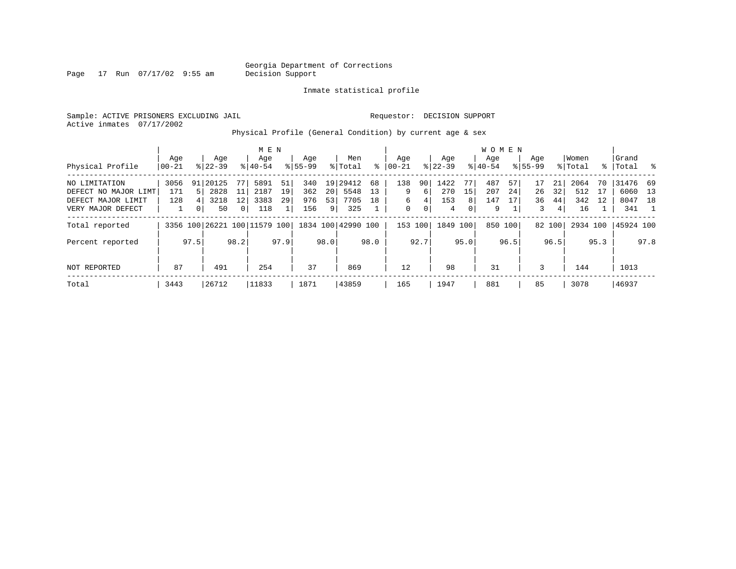Page 17 Run 07/17/02 9:55 am

Inmate statistical profile

Sample: ACTIVE PRISONERS EXCLUDING JAIL Requestor: DECISION SUPPORT Active inmates 07/17/2002

Physical Profile (General Condition) by current age & sex

|                      |       |      |           |                | M E N                        |      |             |      |                    |      |             |      |          |                | W O M E N |         |             |        |          |      |           |      |
|----------------------|-------|------|-----------|----------------|------------------------------|------|-------------|------|--------------------|------|-------------|------|----------|----------------|-----------|---------|-------------|--------|----------|------|-----------|------|
|                      | Aqe   |      | Age       |                | Age                          |      | Age         |      | Men                |      | Aqe         |      | Age      |                | Aqe       |         | Aqe         |        | Women    |      | Grand     |      |
| Physical Profile     | 00-21 |      | $8 22-39$ |                | $8 40-54$                    |      | $8155 - 99$ |      | % Total            | ႜ    | $ 00 - 21$  |      | $ 22-39$ |                | $8 40-54$ |         | $8155 - 99$ |        | % Total  | ႜ    | Total     | ိ    |
| NO LIMITATION        | 3056  | 91   | 20125     | 77             | 5891                         | 51   | 340         |      | 19 29412           | 68   | 138         | 90   | 1422     | 77             | 487       | 57      | 17          | 21     | 2064     | 70   | 31476 69  |      |
| DEFECT NO MAJOR LIMT | 171   | .5   | 2828      | 11             | 2187                         | 19   | 362         | 20   | 5548               | 13   | 9           | 6    | 270      | 15             | 207       | 24      | 26          | 32     | 512      | 17   | 6060      | 13   |
| DEFECT MAJOR LIMIT   | 128   | 4    | 3218      | 12             | 3383                         | 29   | 976         | 53   | 7705               | 18   | 6           | 4    | 153      | 8 <sup>1</sup> | 147       | 17      | 36          | 44     | 342      | 12   | 8047      | 18   |
| VERY MAJOR DEFECT    |       | 0    | 50        | 0 <sup>1</sup> | 118                          |      | 156         | 9 I  | 325                |      | $\mathbf 0$ | 0    | 4        | $\overline{0}$ | 9         |         | 3           | 4      | 16       |      | 341       |      |
| Total reported       |       |      |           |                | 3356 100 26221 100 11579 100 |      |             |      | 1834 100 42990 100 |      | 153 100     |      | 1849 100 |                |           | 850 100 |             | 82 100 | 2934 100 |      | 45924 100 |      |
| Percent reported     |       | 97.5 |           | 98.2           |                              | 97.9 |             | 98.0 |                    | 98.0 |             | 92.7 |          | 95.0           |           | 96.5    |             | 96.5   |          | 95.3 |           | 97.8 |
| NOT REPORTED         | 87    |      | 491       |                | 254                          |      | 37          |      | 869                |      | 12          |      | 98       |                | 31        |         | 3           |        | 144      |      | 1013      |      |
| Total                | 3443  |      | 26712     |                | 11833                        |      | 1871        |      | 43859              |      | 165         |      | 1947     |                | 881       |         | 85          |        | 3078     |      | 46937     |      |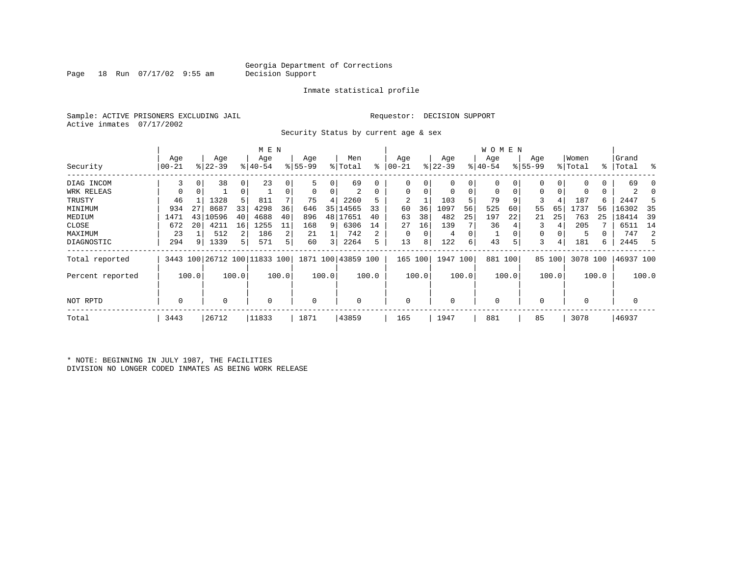Page 18 Run  $07/17/02$  9:55 am

#### Inmate statistical profile

Sample: ACTIVE PRISONERS EXCLUDING JAIL Requestor: DECISION SUPPORT Active inmates 07/17/2002

Security Status by current age & sex

|                  |       |       |           |             | M E N                        |       |          |                         |                    |       |           |       |             |       | W O M E N |       |             |        |             |       |           |       |
|------------------|-------|-------|-----------|-------------|------------------------------|-------|----------|-------------------------|--------------------|-------|-----------|-------|-------------|-------|-----------|-------|-------------|--------|-------------|-------|-----------|-------|
|                  | Age   |       | Age       |             | Age                          |       | Age      |                         | Men                |       | Age       |       | Age         |       | Age       |       | Age         |        | Women       |       | Grand     |       |
| Security         | 00-21 |       | $ 22-39 $ |             | $ 40-54$                     |       | $ 55-99$ |                         | % Total            | ి     | $00 - 21$ |       | $ 22 - 39 $ |       | $ 40-54$  |       | $8155 - 99$ |        | % Total     |       | %   Total | း     |
| DIAG INCOM       | 3     | 0     | 38        | $\mathbf 0$ | 23                           |       | 5        |                         | 69                 |       | 0         |       | 0           | 0     |           |       |             | 0      | $\Omega$    | 0     | 69        |       |
| WRK RELEAS       |       | 0     |           | 0           |                              |       | 0        |                         | 2                  | 0     | 0         |       | 0           | 0     |           | 0     | 0           | 0      | 0           | 0     | 2         |       |
| TRUSTY           | 46    |       | 1328      | 5           | 811                          |       | 75       | 4                       | 2260               |       |           |       | 103         | 5     | 79        |       |             | 4      | 187         | б.    | 2447      |       |
| MINIMUM          | 934   | 27    | 8687      | 33          | 4298                         | 36    | 646      | 35                      | 14565              | 33    | 60        | 36    | 1097        | 56    | 525       | 60    | 55          | 65     | 1737        | 56    | 16302     | 35    |
| MEDIUM           | 1471  | 43    | 10596     | 40          | 4688                         | 40    | 896      | 48                      | 17651              | 40    | 63        | 38    | 482         | 25    | 197       | 22    | 21          | 25     | 763         | 25    | 18414     | 39    |
| CLOSE            | 672   | 20    | 4211      | 16          | 1255                         | 11    | 168      | 9                       | 6306               | 14    | 27        | 16    | 139         |       | 36        |       |             |        | 205         |       | 6511      | 14    |
| MAXIMUM          | 23    |       | 512       |             | 186                          | 2     | 21       |                         | 742                | 2     | $\Omega$  |       | 4           | 0     |           |       | 0           |        | 5           |       | 747       | 2     |
| DIAGNOSTIC       | 294   | 9     | 1339      | 5           | 571                          | 5     | 60       | $\overline{\mathsf{3}}$ | 2264               | 5     | 13        | 8     | 122         | 6     | 43        | 5     | 3           | 4      | 181         | б.    | 2445      | 5     |
| Total reported   |       |       |           |             | 3443 100 26712 100 11833 100 |       |          |                         | 1871 100 43859 100 |       | 165       | 100   | 1947 100    |       | 881 100   |       |             | 85 100 | 3078 100    |       | 46937 100 |       |
| Percent reported |       | 100.0 |           | 100.0       |                              | 100.0 |          | 100.0                   |                    | 100.0 |           | 100.0 |             | 100.0 |           | 100.0 |             | 100.0  |             | 100.0 |           | 100.0 |
| NOT RPTD         | 0     |       | 0         |             | $\Omega$                     |       | 0        |                         |                    |       | $\Omega$  |       | $\Omega$    |       | $\Omega$  |       |             |        | $\mathbf 0$ |       |           |       |
| Total            | 3443  |       | 26712     |             | 11833                        |       | 1871     |                         | 43859              |       | 165       |       | 1947        |       | 881       |       | 85          |        | 3078        |       | 46937     |       |

\* NOTE: BEGINNING IN JULY 1987, THE FACILITIES DIVISION NO LONGER CODED INMATES AS BEING WORK RELEASE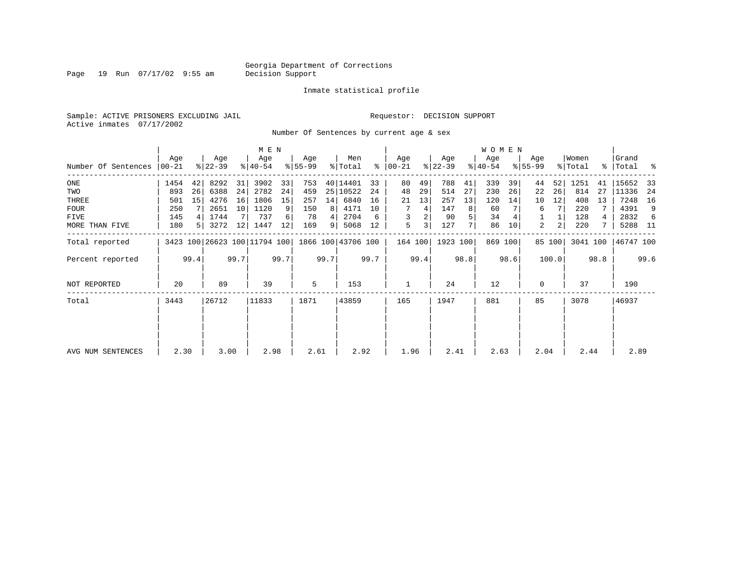Page 19 Run 07/17/02 9:55 am

#### Inmate statistical profile

Sample: ACTIVE PRISONERS EXCLUDING JAIL Requestor: DECISION SUPPORT Active inmates 07/17/2002

Number Of Sentences by current age & sex

|                     |       |                |           |      | M E N                        |      |           |      |                    |      |               |         |           |      | WOMEN     |         |             |                |          |      |           |      |
|---------------------|-------|----------------|-----------|------|------------------------------|------|-----------|------|--------------------|------|---------------|---------|-----------|------|-----------|---------|-------------|----------------|----------|------|-----------|------|
|                     | Age   |                | Age       |      | Age                          |      | Age       |      | Men                |      | Age           |         | Age       |      | Age       |         | Age         |                | Women    |      | Grand     |      |
| Number Of Sentences | 00-21 |                | $8 22-39$ |      | $8140 - 54$                  |      | $8 55-99$ |      | % Total            |      | $8   00 - 21$ |         | $ 22-39 $ |      | $ 40-54 $ |         | $8155 - 99$ |                | % Total  |      | %   Total | ႜ    |
| $_{\rm ONE}$        | 1454  | 42             | 8292      | 31   | 3902                         | 33   | 753       |      | 40 14401           | 33   | 80            | 49      | 788       | 41   | 339       | 39      | 44          | 52             | 1251     | 41   | 15652     | 33   |
| TWO                 | 893   | 26             | 6388      | 24   | 2782                         | 24   | 459       |      | 25 10522           | 24   | 48            | 29      | 514       | 27   | 230       | 26      | 22          | 26             | 814      | 27   | 11336     | -24  |
| THREE               | 501   | 15             | 4276      | 16   | 1806                         | 15   | 257       | 14   | 6840               | 16   | 21            | 13      | 257       | 13   | 120       | 14      | 10          | 12             | 408      | 13   | 7248      | 16   |
| <b>FOUR</b>         | 250   |                | 2651      | 10   | 1120                         | 9    | 150       | 8    | 4171               | 10   |               | 4       | 147       | 8    | 60        |         | 6           | 7              | 220      |      | 4391      | 9    |
| FIVE                | 145   | 4              | 1744      |      | 737                          | 6    | 78        |      | 2704               | 6    | 3             | 2       | 90        | 5    | 34        |         |             |                | 128      | 4    | 2832      | 6    |
| MORE THAN FIVE      | 180   | 5 <sup>1</sup> | 3272      | 12   | 1447                         | 12   | 169       | 9    | 5068               | 12   | 5             | 3       | 127       | 7    | 86        | 10      | 2           | $\overline{a}$ | 220      |      | 5288      | - 11 |
| Total reported      |       |                |           |      | 3423 100 26623 100 11794 100 |      |           |      | 1866 100 43706 100 |      |               | 164 100 | 1923 100  |      |           | 869 100 |             | 85 100         | 3041 100 |      | 46747 100 |      |
| Percent reported    |       | 99.4           |           | 99.7 |                              | 99.7 |           | 99.7 |                    | 99.7 |               | 99.4    |           | 98.8 |           | 98.6    |             | 100.0          |          | 98.8 |           | 99.6 |
| NOT REPORTED        | 20    |                | 89        |      | 39                           |      | 5         |      | 153                |      |               |         | 24        |      | 12        |         | $\Omega$    |                | 37       |      | 190       |      |
| Total               | 3443  |                | 26712     |      | 11833                        |      | 1871      |      | 43859              |      | 165           |         | 1947      |      | 881       |         | 85          |                | 3078     |      | 46937     |      |
|                     |       |                |           |      |                              |      |           |      |                    |      |               |         |           |      |           |         |             |                |          |      |           |      |
| AVG NUM SENTENCES   | 2.30  |                | 3.00      |      | 2.98                         |      | 2.61      |      | 2.92               |      | 1.96          |         | 2.41      |      | 2.63      |         | 2.04        |                | 2.44     |      | 2.89      |      |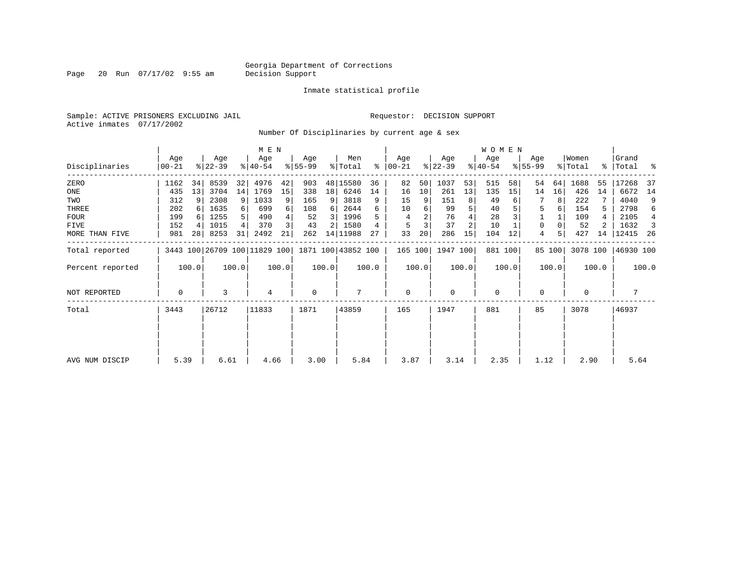Page 20 Run 07/17/02 9:55 am

Inmate statistical profile

Sample: ACTIVE PRISONERS EXCLUDING JAIL Requestor: DECISION SUPPORT Active inmates 07/17/2002

Number Of Disciplinaries by current age & sex

|                  |                  |                |                              |                | M E N            |       |                  |       |                    |       |                 |       |                  |                | W O M E N        |         |                  |        |                  |       |                      |       |
|------------------|------------------|----------------|------------------------------|----------------|------------------|-------|------------------|-------|--------------------|-------|-----------------|-------|------------------|----------------|------------------|---------|------------------|--------|------------------|-------|----------------------|-------|
| Disciplinaries   | Age<br>$00 - 21$ |                | Age<br>$ 22-39 $             |                | Age<br>$ 40-54 $ |       | Age<br>$8 55-99$ |       | Men<br>% Total     | ႜ     | Age<br>$ 00-21$ |       | Age<br>$ 22-39 $ |                | Age<br>$ 40-54 $ |         | Age<br>$8 55-99$ |        | Women<br>% Total |       | Grand<br>%   Total % |       |
| ZERO             | 1162             | 34             | 8539                         | 32             | 4976             | 42    | 903              |       | 48 15580           | 36    | 82              | 50    | 1037             | 53             | 515              | 58      | 54               | 64     | 1688             | 55    | 17268                | -37   |
| ONE              | 435              | 13             | 3704                         | 14             | 1769             | 15    | 338              | 18    | 6246               | 14    | 16              | 10    | 261              | 13             | 135              | 15      | 14               | 16     | 426              | 14    | 6672                 | 14    |
| TWO              | 312              | 9              | 2308                         | 9 <sup>1</sup> | 1033             | 9     | 165              | 9     | 3818               | 9     | 15              | 9     | 151              | 8              | 49               |         |                  | 8      | 222              |       | 4040                 | 9     |
| THREE            | 202              |                | 1635                         | $6 \mid$       | 699              | 6     | 108              | 6     | 2644               | 6     | 10              | 6     | 99               |                | 40               |         | 5                |        | 154              | 5.    | 2798                 | 6     |
| <b>FOUR</b>      | 199              |                | 1255                         | 5              | 490              |       | 52               | 3     | 1996               | 5     | 4               |       | 76               |                | 28               |         |                  |        | 109              | 4     | 2105                 | 4     |
| FIVE             | 152              | $\overline{4}$ | 1015                         | 4              | 370              | 3     | 43               | 2     | 1580               |       | 5               |       | 37               | $\overline{c}$ | 10               |         | 0                |        | 52               |       | 1632                 | -3    |
| MORE THAN FIVE   | 981              | 28             | 8253                         | 31             | 2492             | 21    | 262              |       | 14   11988         | 27    | 33              | 20    | 286              | 15             | 104              | 12      | 4                |        | 427              | 14    | 12415                | -26   |
| Total reported   |                  |                | 3443 100 26709 100 11829 100 |                |                  |       |                  |       | 1871 100 43852 100 |       | 165 100         |       | 1947 100         |                |                  | 881 100 |                  | 85 100 | 3078 100         |       | 46930 100            |       |
| Percent reported |                  | 100.0          |                              | 100.0          |                  | 100.0 |                  | 100.0 |                    | 100.0 |                 | 100.0 |                  | 100.0          |                  | 100.0   |                  | 100.0  |                  | 100.0 |                      | 100.0 |
| NOT REPORTED     | 0                |                | 3                            |                | 4                |       | $\mathbf 0$      |       |                    |       | $\mathbf 0$     |       | 0                |                | 0                |         | 0                |        | 0                |       |                      |       |
| Total            | 3443             |                | 26712                        |                | 11833            |       | 1871             |       | 43859              |       | 165             |       | 1947             |                | 881              |         | 85               |        | 3078             |       | 46937                |       |
| AVG NUM DISCIP   | 5.39             |                | 6.61                         |                | 4.66             |       | 3.00             |       | 5.84               |       | 3.87            |       | 3.14             |                | 2.35             |         | 1.12             |        | 2.90             |       | 5.64                 |       |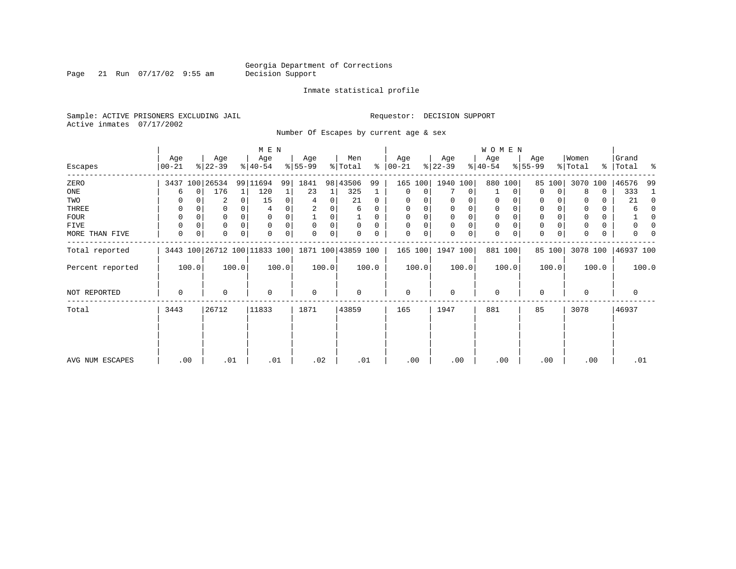Page 21 Run 07/17/02 9:55 am

#### Inmate statistical profile

Sample: ACTIVE PRISONERS EXCLUDING JAIL Requestor: DECISION SUPPORT Active inmates 07/17/2002

Number Of Escapes by current age & sex

|                  |                |          |                  |          | M E N                                           |          |                  |       |                |          |                  |       |                  |             | <b>WOMEN</b>     |          |                  |        |                  |       |                    |              |
|------------------|----------------|----------|------------------|----------|-------------------------------------------------|----------|------------------|-------|----------------|----------|------------------|-------|------------------|-------------|------------------|----------|------------------|--------|------------------|-------|--------------------|--------------|
| Escapes          | Age<br>  00-21 |          | Age<br>$ 22-39 $ |          | Age<br>$8 40-54$                                |          | Age<br>$ 55-99 $ |       | Men<br>% Total | ៖        | Age<br>$ 00-21 $ |       | Age<br>$ 22-39 $ |             | Age<br>$ 40-54 $ |          | Age<br>$8 55-99$ |        | Women<br>% Total |       | Grand<br>% Total % |              |
|                  |                |          |                  |          |                                                 |          |                  |       |                |          |                  |       |                  |             |                  |          |                  |        |                  |       |                    |              |
| ZERO             |                |          | 3437 100 26534   |          | 99 11694                                        | 99       | 1841             | 98    | 43506          | 99       | 165              | 100   | 1940 100         |             |                  | 880 100  | 85               | 100    | 3070             | 100   | 46576              | -99          |
| ONE              | 6              | $\Omega$ | 176              |          | 120                                             |          | 23               |       | 325            |          | $\Omega$         | 0     |                  | 0           |                  | 0        | $\Omega$         | 0      | 8                | 0     | 333                | 1            |
| TWO              |                |          | 2                | $\Omega$ | 15                                              | $\Omega$ | 4                | 0     | 21             | 0        | U                |       | 0                | 0           | 0                | $\Omega$ | $\Omega$         |        |                  | U     | 21                 | $\Omega$     |
| THREE            | 0              |          | 0                |          |                                                 |          |                  |       | 6              | 0        | 0                |       | 0                | 0           | 0                |          | 0                |        |                  | 0     |                    | <sup>0</sup> |
| <b>FOUR</b>      | 0              |          | 0                | $\Omega$ |                                                 |          |                  |       |                | $\Omega$ |                  |       | $\Omega$         | 0           | $\mathbf 0$      |          | $\Omega$         |        |                  | 0     |                    | n            |
| FIVE             | 0              |          | $\Omega$         | $\Omega$ | $\Omega$                                        |          | $\Omega$         | 0     | $\Omega$       | $\Omega$ |                  | 0     | $\mathbf 0$      | $\mathbf 0$ | $\mathbf 0$      | $\Omega$ | 0                |        |                  | 0     |                    | n            |
| MORE THAN FIVE   | 0              | 0        | 0                | $\Omega$ | $\Omega$                                        |          | 0                | 0     |                | 0        | $\Omega$         | 0     | $\Omega$         | 0           | $\mathbf 0$      | 0        | $\Omega$         | 0      | <sup>0</sup>     | 0     |                    |              |
| Total reported   |                |          |                  |          | 3443 100 26712 100 11833 100 1871 100 43859 100 |          |                  |       |                |          | 165 100          |       | 1947 100         |             |                  | 881 100  |                  | 85 100 | 3078 100         |       | 46937 100          |              |
| Percent reported |                | 100.0    |                  | 100.0    |                                                 | 100.0    |                  | 100.0 |                | 100.0    |                  | 100.0 |                  | 100.0       |                  | 100.0    |                  | 100.0  |                  | 100.0 |                    | 100.0        |
| NOT REPORTED     | 0              |          | 0                |          | $\Omega$                                        |          | $\mathbf 0$      |       | $\mathbf 0$    |          | $\mathbf 0$      |       | $\mathbf 0$      |             | $\mathbf 0$      |          | 0                |        | $\Omega$         |       | 0                  |              |
| Total            | 3443           |          | 26712            |          | 11833                                           |          | 1871             |       | 43859          |          | 165              |       | 1947             |             | 881              |          | 85               |        | 3078             |       | 46937              |              |
|                  |                |          |                  |          |                                                 |          |                  |       |                |          |                  |       |                  |             |                  |          |                  |        |                  |       |                    |              |
|                  |                |          |                  |          |                                                 |          |                  |       |                |          |                  |       |                  |             |                  |          |                  |        |                  |       |                    |              |
| AVG NUM ESCAPES  | .00            |          | .01              |          | .01                                             |          | .02              |       | .01            |          | .00              |       | .00              |             |                  | .00      |                  | .00    | .00              |       | .01                |              |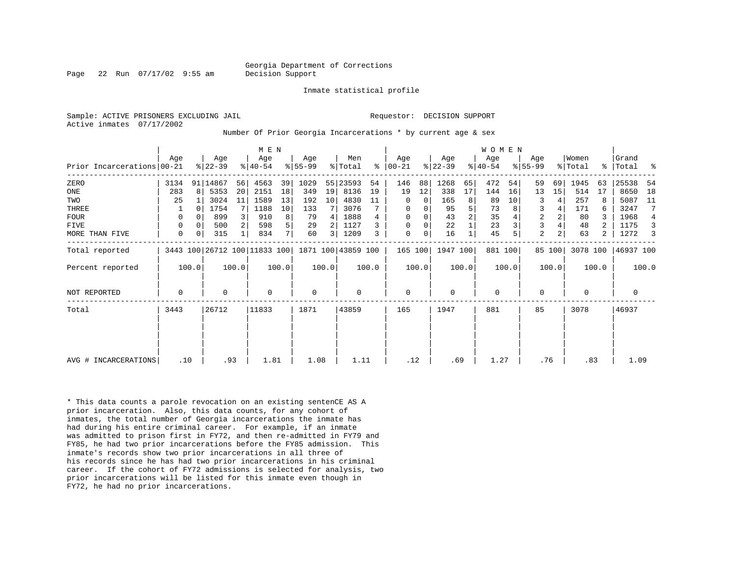Page 22 Run 07/17/02 9:55 am Decision Support

Inmate statistical profile

Active inmates 07/17/2002

Sample: ACTIVE PRISONERS EXCLUDING JAIL **Requestor: DECISION SUPPORT** 

Number Of Prior Georgia Incarcerations \* by current age & sex

|                            |             |       |                  |       | M E N                                           |                |                  |       |                |       |                      |       |                  |       | W O M E N        |         |                    |                |                  |       |                 |                |
|----------------------------|-------------|-------|------------------|-------|-------------------------------------------------|----------------|------------------|-------|----------------|-------|----------------------|-------|------------------|-------|------------------|---------|--------------------|----------------|------------------|-------|-----------------|----------------|
| Prior Incarcerations 00-21 | Age         |       | Age<br>$ 22-39 $ |       | Age<br>$ 40-54 $                                |                | Age<br>$8 55-99$ |       | Men<br>% Total |       | Age<br>$8   00 - 21$ |       | Age<br>$ 22-39 $ |       | Age<br>$8 40-54$ |         | Age<br>$8155 - 99$ |                | Women<br>% Total | ွေ    | Grand<br> Total | ႜ              |
| ZERO                       | 3134        |       | 91 14867         | 56    | 4563                                            | 39             | 1029             |       | 55 23593       | 54    | 146                  | 88    | 1268             | 65    | 472              | 54      | 59                 | 69             | 1945             | 63    | 25538           | 54             |
| ONE                        | 283         | 8     | 5353             | 20    | 2151                                            | 18             | 349              | 19    | 8136           | 19    | 19                   | 12    | 338              | 17    | 144              | 16      | 13                 | 15             | 514              | 17    | 8650            | 18             |
| TWO                        | 25          |       | 3024             | 11    | 1589                                            | 13             | 192              | 10    | 4830           | 11    | 0                    | 0     | 165              |       | 89               | 10      | 3                  | 4              | 257              |       | 5087            | 11             |
| <b>THREE</b>               |             |       | 1754             | 7     | 1188                                            | 10             | 133              |       | 3076           |       | 0                    | 0     | 95               |       | 73               |         | 3                  |                | 171              |       | 3247            | 7              |
| <b>FOUR</b>                | $\Omega$    |       | 899              |       | 910                                             | 8              | 79               | 4     | 1888           |       | $\Omega$             |       | 43               |       | 35               |         | $\overline{2}$     | 2              | 80               |       | 1968            | $\overline{4}$ |
| FIVE                       | 0           |       | 500              |       | 598                                             | 5              | 29               |       | 1127           |       | $\Omega$             | 0     | 22               |       | 23               |         | $\overline{3}$     |                | 48               |       | 1175            | 3              |
| MORE THAN FIVE             | $\mathbf 0$ | 0     | 315              |       | 834                                             | 7 <sub>1</sub> | 60               | 3     | 1209           | 3     | $\mathbf 0$          | 0     | 16               |       | 45               |         | $\overline{a}$     | 2 <sub>1</sub> | 63               | 2     | 1272            | 3              |
| Total reported             |             |       |                  |       | 3443 100 26712 100 11833 100 1871 100 43859 100 |                |                  |       |                |       | 165 100              |       | 1947 100         |       |                  | 881 100 |                    | 85 100         | 3078 100         |       | 46937 100       |                |
| Percent reported           |             | 100.0 |                  | 100.0 |                                                 | 100.0          |                  | 100.0 |                | 100.0 |                      | 100.0 |                  | 100.0 |                  | 100.0   |                    | 100.0          |                  | 100.0 |                 | 100.0          |
| NOT REPORTED               | 0           |       | 0                |       | $\Omega$                                        |                | 0                |       | 0              |       | $\mathbf 0$          |       | $\Omega$         |       | $\mathbf 0$      |         | $\Omega$           |                | $\Omega$         |       | 0               |                |
| Total                      | 3443        | 26712 |                  | 11833 |                                                 | 1871           |                  | 43859 |                | 165   |                      | 1947  |                  | 881   |                  | 85      |                    | 3078           |                  | 46937 |                 |                |
|                            |             |       |                  |       |                                                 |                |                  |       |                |       |                      |       |                  |       |                  |         |                    |                |                  |       |                 |                |
|                            |             |       |                  |       |                                                 |                |                  |       |                |       |                      |       |                  |       |                  |         |                    |                |                  |       |                 |                |
| AVG # INCARCERATIONS       | .10         |       |                  | .93   | 1.81                                            |                | 1.08             |       | 1.11           |       | .12                  |       | .69              |       | 1.27             |         | .76                |                | .83              |       | 1.09            |                |

\* This data counts a parole revocation on an existing sentenCE AS A prior incarceration. Also, this data counts, for any cohort of inmates, the total number of Georgia incarcerations the inmate has had during his entire criminal career. For example, if an inmate was admitted to prison first in FY72, and then re-admitted in FY79 and FY85, he had two prior incarcerations before the FY85 admission. This inmate's records show two prior incarcerations in all three of his records since he has had two prior incarcerations in his criminal career. If the cohort of FY72 admissions is selected for analysis, two prior incarcerations will be listed for this inmate even though in FY72, he had no prior incarcerations.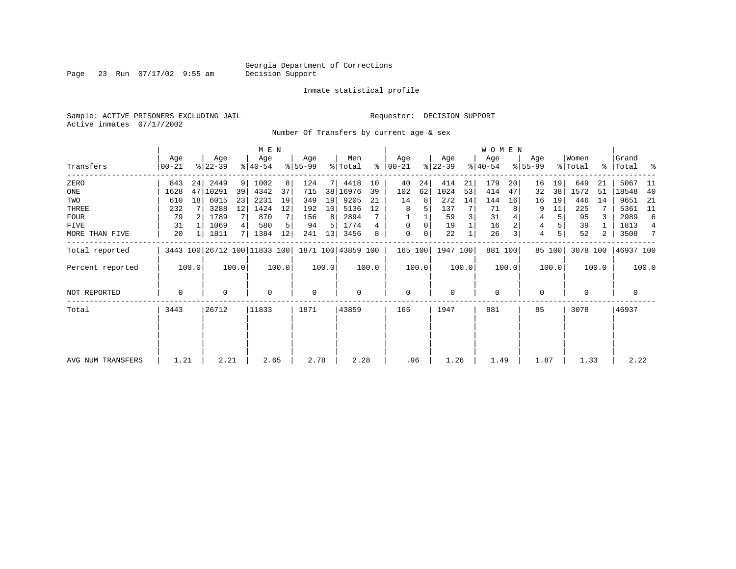Page 23 Run 07/17/02 9:55 am

#### Inmate statistical profile

Sample: ACTIVE PRISONERS EXCLUDING JAIL Requestor: DECISION SUPPORT Active inmates 07/17/2002

Number Of Transfers by current age & sex

|                   |                |                 |                  |       | M E N            |       |                  |       |                                                 |       |                  |       |                  |       | W O M E N        |         |                  |        |                  |       |                      |                |
|-------------------|----------------|-----------------|------------------|-------|------------------|-------|------------------|-------|-------------------------------------------------|-------|------------------|-------|------------------|-------|------------------|---------|------------------|--------|------------------|-------|----------------------|----------------|
| Transfers         | Age<br>  00-21 |                 | Age<br>$ 22-39 $ |       | Age<br>$8 40-54$ |       | Age<br>$8 55-99$ |       | Men<br>% Total                                  | ႜ     | Aqe<br>$ 00-21 $ |       | Age<br>$ 22-39 $ |       | Age<br>$ 40-54 $ |         | Age<br>$8 55-99$ |        | Women<br>% Total |       | Grand<br>%   Total % |                |
| ZERO              | 843            | 24              | 2449             | 9     | 1002             | 8     | 124              | 71    | 4418                                            | 10    | 40               | 24    | 414              | 21    | 179              | 20      | 16               | 19     | 649              | 21    | 5067                 | -11            |
| ONE               | 1628           |                 | 47   10291       | 39    | 4342             | 37    | 715              | 38    | 16976                                           | 39    | 102              | 62    | 1024             | 53    | 414              | 47      | 32               | 38     | 1572             | 51    | 18548                | 40             |
| TWO               | 610            | 18 <sup>1</sup> | 6015             | 23    | 2231             | 19    | 349              | 19    | 9205                                            | 21    | 14               | 8     | 272              | 14    | 144              | 16      | 16               | 19     | 446              | 14    | 9651                 | -21            |
| THREE             | 232            |                 | 3288             | 12    | 1424             | 12    | 192              | 10    | 5136                                            | 12    | 8                |       | 137              |       | 71               |         | 9                | 11     | 225              |       | 5361                 | - 11           |
| <b>FOUR</b>       | 79             |                 | 1789             | 7     | 870              |       | 156              | 8     | 2894                                            |       |                  |       | 59               |       | 31               |         | 4                |        | 95               |       | 2989                 | 6              |
| FIVE              | 31             |                 | 1069             | 4     | 580              |       | 94               | 5     | 1774                                            |       | $\Omega$         | 0     | 19               |       | 16               |         | 4                |        | 39               |       | 1813                 | $\overline{4}$ |
| MORE THAN FIVE    | 20             |                 | 1811             | 71    | 1384             | 12    | 241              | 13    | 3456                                            | 8     | $\mathbf 0$      | 0     | 22               |       | 26               |         | $\overline{4}$   |        | 52               | 2     | 3508                 | 7              |
| Total reported    |                |                 |                  |       |                  |       |                  |       | 3443 100 26712 100 11833 100 1871 100 43859 100 |       | 165 100          |       | 1947 100         |       |                  | 881 100 |                  | 85 100 | 3078 100         |       | 46937 100            |                |
| Percent reported  |                | 100.0           |                  | 100.0 |                  | 100.0 |                  | 100.0 |                                                 | 100.0 |                  | 100.0 |                  | 100.0 |                  | 100.0   |                  | 100.0  |                  | 100.0 |                      | 100.0          |
| NOT REPORTED      | 0              |                 | $\Omega$         |       | $\Omega$         |       | $\mathbf 0$      |       | $\mathbf 0$                                     |       | $\mathbf 0$      |       | $\mathbf 0$      |       | $\mathbf 0$      |         | $\mathbf 0$      |        | $\Omega$         |       | 0                    |                |
| Total             | 3443           |                 | 26712            |       | 11833            |       | 1871             |       | 43859                                           |       | 165              |       | 1947             |       | 881              |         | 85               |        | 3078             |       | 46937                |                |
|                   |                |                 |                  |       |                  |       |                  |       |                                                 |       |                  |       |                  |       |                  |         |                  |        |                  |       |                      |                |
|                   |                |                 |                  |       |                  |       |                  |       |                                                 |       |                  |       |                  |       |                  |         |                  |        |                  |       |                      |                |
| AVG NUM TRANSFERS | 1.21           |                 | 2.21             |       | 2.65             |       | 2.78             |       | 2.28                                            |       | .96              |       | 1.26             |       | 1.49             |         | 1.87             |        | 1.33             |       | 2.22                 |                |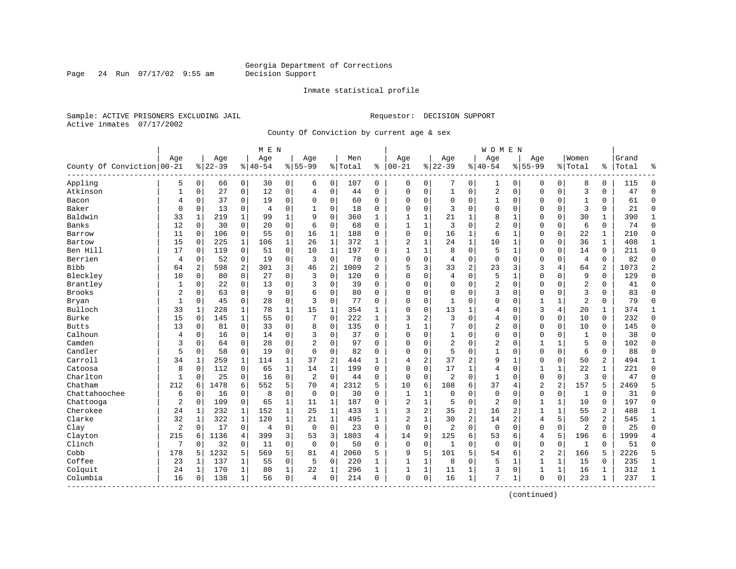Page 24 Run 07/17/02 9:55 am

#### Inmate statistical profile

Sample: ACTIVE PRISONERS EXCLUDING JAIL **Requestor: DECISION SUPPORT** Active inmates 07/17/2002

County Of Conviction by current age & sex

| Age<br>Women<br>Age<br>Age<br>Grand<br>Age<br>Age<br>Men<br>Age<br>Age<br>Aqe<br>County Of Conviction 00-21<br>$8 22-39$<br>$8 40-54$<br>$8 55-99$<br>%   Total<br>$100 - 21$<br>$8 22-39$<br>$8140 - 54$<br>$8155 - 99$<br>ႜ<br>% Total<br>Total<br>ి<br>٩,<br>Appling<br>$\overline{0}$<br>$\overline{0}$<br>0<br>$\mathbf 0$<br>8<br>5<br>30<br>0<br>6<br>0<br>107<br>0<br>0<br>0<br>1<br>0<br>0<br>0<br>115<br>$\Omega$<br>66<br>27<br>12<br>0<br>$\mathbf 1$<br>2<br>$\overline{3}$<br>Atkinson<br>$\mathbf{1}$<br>$\mathbf 0$<br>$\mathbf 0$<br>44<br>0<br>$\mathbf 0$<br>0<br>0<br>$\mathbf 0$<br>$\mathbf 0$<br>$\mathbf 0$<br>0<br>47<br>$\Omega$<br>0<br>4<br>19<br>37<br>0<br>0<br>$\Omega$<br>0<br>60<br>$\Omega$<br>0<br>$\mathbf 0$<br>0<br>1<br>0<br>0<br>61<br>$\Omega$<br>Bacon<br>4<br>0<br>0<br>$\mathbf 0$<br>1<br>0<br>$\Omega$<br>3<br>Baker<br>$\Omega$<br>$\Omega$<br>13<br>0<br>$\Omega$<br>$\Omega$<br>$\Omega$<br>3<br>$\Omega$<br>$\Omega$<br>$\Omega$<br>$\Omega$<br>$\Omega$<br>21<br>$\Omega$<br>0<br>4<br>$\mathbf{1}$<br>18<br>$\Omega$<br>Baldwin<br>33<br>219<br>$\mathbf{1}$<br>$\mathbf{1}$<br>9<br>$\Omega$<br>360<br>$\mathbf{1}$<br>21<br>8<br>$\Omega$<br>$\Omega$<br>30<br>$\mathbf{1}$<br>390<br>$\mathbf{1}$<br>1<br>99<br>$\mathbf{1}$<br>$\mathbf{1}$<br>1<br>$\mathbf{1}$<br>12<br>$\Omega$<br>3<br>$\Omega$<br>$\overline{2}$<br>6<br>Banks<br>30<br>20<br>0<br>6<br>$\mathbf 0$<br>68<br>$\mathbf{1}$<br>$\mathbf{1}$<br>$\mathbf 0$<br>$\Omega$<br>0<br>74<br>$\Omega$<br>$\Omega$<br>$\Omega$<br>$\Omega$<br>11<br>0<br>55<br>0<br>16<br>$\mathbf 1$<br>188<br>0<br>$\mathbf 0$<br>0<br>16<br>1<br>6<br>$\mathbf 0$<br>22<br>210<br>$\Omega$<br>0<br>106<br>1<br>$\Omega$<br>1<br>Barrow<br>$\overline{2}$<br>1<br>$\mathbf{1}$<br>15<br>225<br>$\mathbf{1}$<br>106<br>$\mathbf 1$<br>26<br>$\mathbf{1}$<br>372<br>$\mathbf{1}$<br>1<br>24<br>10<br>$\mathbf 1$<br>$\Omega$<br>$\Omega$<br>36<br>408<br>$\mathbf{1}$<br>Bartow<br>0<br>Ben Hill<br>17<br>119<br>$\mathbf 0$<br>51<br>0<br>10<br>$\mathbf{1}$<br>197<br>$\mathbf{1}$<br>8<br>$\mathbf 0$<br>5<br>$\mathbf 1$<br>$\Omega$<br>$\Omega$<br>14<br>$\mathbf 0$<br>211<br>$\Omega$<br>$\Omega$<br>$\Omega$<br>1<br>Berrien<br>0<br>$\mathbf 0$<br>78<br>$\Omega$<br>0<br>0<br>$\mathbf 0$<br>$\Omega$<br>$\overline{4}$<br>0<br>82<br>4<br>52<br>0<br>19<br>3<br>$\Omega$<br>4<br>$\mathbf 0$<br>$\Omega$<br>$\Omega$<br>0<br>3<br>$\overline{2}$<br>Bibb<br>2<br>2<br>301<br>46<br>2<br>1009<br>$\overline{2}$<br>5<br>3<br>33<br>23<br>3<br>2<br>1073<br>$\overline{2}$<br>64<br>598<br>3<br>4<br>64<br>Bleckley<br>$\Omega$<br>27<br>$\Omega$<br>3<br>$\Omega$<br>120<br>$\Omega$<br>5<br>9<br>129<br>10<br>$\Omega$<br>80<br>$\Omega$<br>$\Omega$<br>0<br>$\overline{4}$<br>$\mathbf{1}$<br>$\Omega$<br>$\Omega$<br>$\Omega$<br>$\Omega$<br>Brantley<br>$\mathbf 0$<br>0<br>0<br>2<br>$\overline{c}$<br>$\Omega$<br>22<br>13<br>3<br>$\mathbf 0$<br>39<br>$\Omega$<br>$\Omega$<br>$\Omega$<br>$\mathbf 0$<br>$\mathbf 0$<br>$\Omega$<br>$\Omega$<br>0<br>41<br>$\Omega$<br>1<br><b>Brooks</b><br>3<br>2<br>63<br>$\mathbf 0$<br>9<br>0<br>80<br>$\Omega$<br>$\mathbf 0$<br>$\Omega$<br>3<br>$\Omega$<br>83<br>$\Omega$<br>$\Omega$<br>6<br>$\Omega$<br>$\Omega$<br>O<br>$\Omega$<br>$\Omega$<br>$\Omega$<br>28<br>$\overline{2}$<br>79<br>Bryan<br>1<br>0<br>45<br>0<br>0<br>3<br>$\Omega$<br>77<br>$\Omega$<br>$\Omega$<br>0<br>$\mathbf{1}$<br>$\Omega$<br>0<br>$\Omega$<br>1<br>1<br>0<br>$\Omega$<br>Bulloch<br>3<br>4<br>33<br>228<br>78<br>$\mathbf 1$<br>15<br>$\mathbf 1$<br>354<br>$\Omega$<br>0<br>13<br>$\mathbf{1}$<br>20<br>$\mathbf 1$<br>374<br>1<br>1<br>$\mathbf{1}$<br>4<br>$\Omega$<br>$\mathbf{1}$<br>Burke<br>$\mathbf{3}$<br>$\Omega$<br>15<br>$\mathbf{1}$<br>55<br>0<br>7<br>$\Omega$<br>222<br>$\mathbf{1}$<br>3<br>2<br>$\Omega$<br>$\Omega$<br>$\Omega$<br>10<br>$\Omega$<br>232<br>$\Omega$<br>$\Omega$<br>145<br>4<br>$\overline{2}$<br>13<br>$\Omega$<br>33<br>0<br>8<br>$\Omega$<br>135<br>$\mathbf{1}$<br>7<br>$\Omega$<br>$\Omega$<br>$\Omega$<br>10<br>0<br>145<br><b>Butts</b><br>81<br>$\Omega$<br>1<br>$\Omega$<br>$\Omega$<br>0<br>Calhoun<br>$\mathbf 0$<br>0<br>3<br>$\mathbf 0$<br>37<br>0<br>$\mathbf{1}$<br>0<br>0<br>$\mathbf{1}$<br>38<br>$\Omega$<br>0<br>16<br>14<br>$\Omega$<br>$\Omega$<br>0<br>0<br>$\mathbf 0$<br>0<br>4<br>Camden<br>$\overline{2}$<br>5<br>3<br>28<br>$\overline{2}$<br>97<br>2<br>0<br>64<br>0<br>0<br>0<br>$\Omega$<br>$\Omega$<br>0<br>0<br>0<br>1<br>1<br>0<br>102<br>$\Omega$<br>Candler<br>5<br>58<br>$\mathbf 0$<br>19<br>0<br>$\Omega$<br>$\Omega$<br>82<br>$\Omega$<br>$\Omega$<br>5<br>$\Omega$<br>$\mathbf{1}$<br>$\Omega$<br>$\Omega$<br>6<br>$\mathbf 0$<br>88<br>$\Omega$<br>$\Omega$<br>$\mathbf 0$<br>$\Omega$<br>Carroll<br>34<br>259<br>114<br>$\mathbf 1$<br>2<br>2<br>37<br>2<br>9<br>0<br>50<br>2<br>494<br>1<br>1<br>37<br>444<br>4<br>1<br>0<br>$\mathbf{1}$<br>1<br>112<br>$\mathbf 0$<br>$\mathbf 1$<br>0<br>17<br>$\mathbf{1}$<br>$\mathbf 1$<br>22<br>1<br>221<br>Catoosa<br>8<br>0<br>65<br>14<br>$\mathbf{1}$<br>199<br>$\Omega$<br>$\Omega$<br>4<br>$\mathbf 0$<br>1<br>$\Omega$<br>Charlton<br>16<br>0<br>2<br>$\Omega$<br>$\overline{2}$<br>0<br>$\mathbf{1}$<br>$\mathbf 0$<br>$\mathbf 0$<br>3<br>1<br>25<br>0<br>44<br>0<br>$\mathbf 0$<br>0<br>$\mathbf 0$<br>0<br>47<br>0<br>$\Omega$<br>Chatham<br>212<br>6<br>552<br>5<br>2312<br>б.<br>6<br>37<br>2<br>2<br>157<br>1478<br>70<br>$\overline{4}$<br>5<br>10<br>108<br>5<br>2469<br>6<br>4<br>Chattahoochee<br>6<br>$\mathbf 0$<br>8<br>0<br>$\mathbf 0$<br>$\Omega$<br>30<br>$\mathbf{1}$<br>$\Omega$<br>$\mathbf 0$<br>$\mathbf 0$<br>$\mathbf 0$<br>$\Omega$<br>31<br>$\Omega$<br>0<br>16<br>$\Omega$<br>1<br>$\mathbf 0$<br>$\Omega$<br>1<br>Chattooga<br>2<br>109<br>$\mathbf 0$<br>65<br>$\mathbf 1$<br>187<br>$\overline{2}$<br>$\mathbf{1}$<br>$\Omega$<br>2<br>$\mathbf{1}$<br>10<br>197<br>$\Omega$<br>11<br>1<br>$\Omega$<br>5<br>$\mathbf 0$<br>1<br>0<br>0<br>Cherokee<br>152<br>3<br>2<br>2<br>488<br>24<br>232<br>1<br>1<br>25<br>$\mathbf{1}$<br>433<br>35<br>16<br>2<br>1<br>1<br>55<br>2<br>1<br>1<br>1<br>Clarke<br>32<br>$\overline{c}$<br>2<br>2<br>$\mathbf{1}$<br>322<br>$\mathbf{1}$<br>120<br>$\mathbf 1$<br>21<br>$\mathbf 1$<br>495<br>$\mathbf{1}$<br>30<br>$\overline{2}$<br>4<br>5<br>50<br>545<br>$\mathbf{1}$<br>14<br>1<br>$\overline{c}$<br>$\overline{2}$<br>$\overline{2}$<br>Clay<br>$\mathbf 0$<br>0<br>$\Omega$<br>23<br>$\mathbf 0$<br>$\Omega$<br>$\Omega$<br>$\mathbf 0$<br>$\Omega$<br>$\mathbf 0$<br>25<br>$\Omega$<br>17<br>$\Omega$<br>$\Omega$<br>$\Omega$<br>$\Omega$<br>$\Omega$<br>4<br>3 <sup>1</sup><br>215<br>4<br>3<br>1803<br>9<br>6<br>5<br>Clayton<br>1136<br>399<br>53<br>14<br>125<br>53<br>6<br>4<br>196<br>6<br>1999<br>6<br>4<br>Clinch<br>$\mathbf 0$<br>0<br>$\mathbf 0$<br>$\mathbf 0$<br>0<br>0<br>$\mathbf 0$<br>$\mathbf{0}$<br>7<br>0<br>32<br>11<br>$\mathbf 0$<br>50<br>$\Omega$<br>1<br>$\mathbf 0$<br>$\mathbf 0$<br>1<br>$\Omega$<br>51<br>$\Omega$<br>Cobb<br>178<br>5<br>5<br>5<br>5<br>$\overline{2}$<br>$\overline{c}$<br>5<br>2226<br>1232<br>569<br>2060<br>5<br>9<br>101<br>54<br>166<br>5<br>81<br>4<br>6<br>5<br>Coffee<br>23<br>55<br>0<br>220<br>0<br>5<br>$\mathbf{1}$<br>15<br>235<br>137<br>1<br>5<br>0<br>$\mathbf{1}$<br>1<br>8<br>1<br>1<br>0<br>1<br>1<br>1<br>Colquit<br>$\mathbf 1$<br>296<br>3<br>312<br>24<br>170<br>1<br>80<br>22<br>1<br>1<br>1<br>1<br>11<br>1<br>0<br>1<br>1<br>16<br>1<br>$\mathbf{1}$<br>1<br>7<br>Columbia<br>16<br>0<br>214<br>$\mathbf{0}$<br>0<br>$\Omega$<br>23<br>237<br>138<br>56<br>0<br>$\Omega$<br>16<br>$\mathbf 1$<br>0<br>$\mathbf 1$<br>$\mathbf{1}$<br>0<br>$\mathbf 1$<br>$\overline{4}$<br>1<br>--------- |  |  | M E N |  |  |  |  | W O M E N |  |  |  |  |
|-----------------------------------------------------------------------------------------------------------------------------------------------------------------------------------------------------------------------------------------------------------------------------------------------------------------------------------------------------------------------------------------------------------------------------------------------------------------------------------------------------------------------------------------------------------------------------------------------------------------------------------------------------------------------------------------------------------------------------------------------------------------------------------------------------------------------------------------------------------------------------------------------------------------------------------------------------------------------------------------------------------------------------------------------------------------------------------------------------------------------------------------------------------------------------------------------------------------------------------------------------------------------------------------------------------------------------------------------------------------------------------------------------------------------------------------------------------------------------------------------------------------------------------------------------------------------------------------------------------------------------------------------------------------------------------------------------------------------------------------------------------------------------------------------------------------------------------------------------------------------------------------------------------------------------------------------------------------------------------------------------------------------------------------------------------------------------------------------------------------------------------------------------------------------------------------------------------------------------------------------------------------------------------------------------------------------------------------------------------------------------------------------------------------------------------------------------------------------------------------------------------------------------------------------------------------------------------------------------------------------------------------------------------------------------------------------------------------------------------------------------------------------------------------------------------------------------------------------------------------------------------------------------------------------------------------------------------------------------------------------------------------------------------------------------------------------------------------------------------------------------------------------------------------------------------------------------------------------------------------------------------------------------------------------------------------------------------------------------------------------------------------------------------------------------------------------------------------------------------------------------------------------------------------------------------------------------------------------------------------------------------------------------------------------------------------------------------------------------------------------------------------------------------------------------------------------------------------------------------------------------------------------------------------------------------------------------------------------------------------------------------------------------------------------------------------------------------------------------------------------------------------------------------------------------------------------------------------------------------------------------------------------------------------------------------------------------------------------------------------------------------------------------------------------------------------------------------------------------------------------------------------------------------------------------------------------------------------------------------------------------------------------------------------------------------------------------------------------------------------------------------------------------------------------------------------------------------------------------------------------------------------------------------------------------------------------------------------------------------------------------------------------------------------------------------------------------------------------------------------------------------------------------------------------------------------------------------------------------------------------------------------------------------------------------------------------------------------------------------------------------------------------------------------------------------------------------------------------------------------------------------------------------------------------------------------------------------------------------------------------------------------------------------------------------------------------------------------------------------------------------------------------------------------------------------------------------------------------------------------------------------------------------------------------------------------------------------------------------------------------------------------------------------------------------------------------------------------------------------------------------------------------------------------------------------------------------------------------------------------------------------------------------------------------------------------------------------------------------------------------------------------------------------------------------------------------------------------------------------------------------------------------------------------------------------------------------------------------------------------------------------------------------------------------------------------------------------------------------------------------------------------------------------------------------------------------------------------------------------------------------------------------------------------------------------------------------------------------------------------------------------------------------------------------------------------------------------------------------------------------------------------------------------------------------------------------------------------------------------------------------------------------------------------------------------------------------------------------------------------------------------------------------------------------------------------------------------------------------------------------------------------------------------------------------------------------------------------------------------------------------------------------------------------------------------------------------------------------------------------------------------------------------------------------------------------------------|--|--|-------|--|--|--|--|-----------|--|--|--|--|
|                                                                                                                                                                                                                                                                                                                                                                                                                                                                                                                                                                                                                                                                                                                                                                                                                                                                                                                                                                                                                                                                                                                                                                                                                                                                                                                                                                                                                                                                                                                                                                                                                                                                                                                                                                                                                                                                                                                                                                                                                                                                                                                                                                                                                                                                                                                                                                                                                                                                                                                                                                                                                                                                                                                                                                                                                                                                                                                                                                                                                                                                                                                                                                                                                                                                                                                                                                                                                                                                                                                                                                                                                                                                                                                                                                                                                                                                                                                                                                                                                                                                                                                                                                                                                                                                                                                                                                                                                                                                                                                                                                                                                                                                                                                                                                                                                                                                                                                                                                                                                                                                                                                                                                                                                                                                                                                                                                                                                                                                                                                                                                                                                                                                                                                                                                                                                                                                                                                                                                                                                                                                                                                                                                                                                                                                                                                                                                                                                                                                                                                                                                                                                                                                                                                                                                                                                                                                                                                                                                                                                                                                                                                                                                                                                                                                                                                                                                                                                                                                                                                                                                                                                                                                                                                                                                                                                             |  |  |       |  |  |  |  |           |  |  |  |  |
|                                                                                                                                                                                                                                                                                                                                                                                                                                                                                                                                                                                                                                                                                                                                                                                                                                                                                                                                                                                                                                                                                                                                                                                                                                                                                                                                                                                                                                                                                                                                                                                                                                                                                                                                                                                                                                                                                                                                                                                                                                                                                                                                                                                                                                                                                                                                                                                                                                                                                                                                                                                                                                                                                                                                                                                                                                                                                                                                                                                                                                                                                                                                                                                                                                                                                                                                                                                                                                                                                                                                                                                                                                                                                                                                                                                                                                                                                                                                                                                                                                                                                                                                                                                                                                                                                                                                                                                                                                                                                                                                                                                                                                                                                                                                                                                                                                                                                                                                                                                                                                                                                                                                                                                                                                                                                                                                                                                                                                                                                                                                                                                                                                                                                                                                                                                                                                                                                                                                                                                                                                                                                                                                                                                                                                                                                                                                                                                                                                                                                                                                                                                                                                                                                                                                                                                                                                                                                                                                                                                                                                                                                                                                                                                                                                                                                                                                                                                                                                                                                                                                                                                                                                                                                                                                                                                                                             |  |  |       |  |  |  |  |           |  |  |  |  |
|                                                                                                                                                                                                                                                                                                                                                                                                                                                                                                                                                                                                                                                                                                                                                                                                                                                                                                                                                                                                                                                                                                                                                                                                                                                                                                                                                                                                                                                                                                                                                                                                                                                                                                                                                                                                                                                                                                                                                                                                                                                                                                                                                                                                                                                                                                                                                                                                                                                                                                                                                                                                                                                                                                                                                                                                                                                                                                                                                                                                                                                                                                                                                                                                                                                                                                                                                                                                                                                                                                                                                                                                                                                                                                                                                                                                                                                                                                                                                                                                                                                                                                                                                                                                                                                                                                                                                                                                                                                                                                                                                                                                                                                                                                                                                                                                                                                                                                                                                                                                                                                                                                                                                                                                                                                                                                                                                                                                                                                                                                                                                                                                                                                                                                                                                                                                                                                                                                                                                                                                                                                                                                                                                                                                                                                                                                                                                                                                                                                                                                                                                                                                                                                                                                                                                                                                                                                                                                                                                                                                                                                                                                                                                                                                                                                                                                                                                                                                                                                                                                                                                                                                                                                                                                                                                                                                                             |  |  |       |  |  |  |  |           |  |  |  |  |
|                                                                                                                                                                                                                                                                                                                                                                                                                                                                                                                                                                                                                                                                                                                                                                                                                                                                                                                                                                                                                                                                                                                                                                                                                                                                                                                                                                                                                                                                                                                                                                                                                                                                                                                                                                                                                                                                                                                                                                                                                                                                                                                                                                                                                                                                                                                                                                                                                                                                                                                                                                                                                                                                                                                                                                                                                                                                                                                                                                                                                                                                                                                                                                                                                                                                                                                                                                                                                                                                                                                                                                                                                                                                                                                                                                                                                                                                                                                                                                                                                                                                                                                                                                                                                                                                                                                                                                                                                                                                                                                                                                                                                                                                                                                                                                                                                                                                                                                                                                                                                                                                                                                                                                                                                                                                                                                                                                                                                                                                                                                                                                                                                                                                                                                                                                                                                                                                                                                                                                                                                                                                                                                                                                                                                                                                                                                                                                                                                                                                                                                                                                                                                                                                                                                                                                                                                                                                                                                                                                                                                                                                                                                                                                                                                                                                                                                                                                                                                                                                                                                                                                                                                                                                                                                                                                                                                             |  |  |       |  |  |  |  |           |  |  |  |  |
|                                                                                                                                                                                                                                                                                                                                                                                                                                                                                                                                                                                                                                                                                                                                                                                                                                                                                                                                                                                                                                                                                                                                                                                                                                                                                                                                                                                                                                                                                                                                                                                                                                                                                                                                                                                                                                                                                                                                                                                                                                                                                                                                                                                                                                                                                                                                                                                                                                                                                                                                                                                                                                                                                                                                                                                                                                                                                                                                                                                                                                                                                                                                                                                                                                                                                                                                                                                                                                                                                                                                                                                                                                                                                                                                                                                                                                                                                                                                                                                                                                                                                                                                                                                                                                                                                                                                                                                                                                                                                                                                                                                                                                                                                                                                                                                                                                                                                                                                                                                                                                                                                                                                                                                                                                                                                                                                                                                                                                                                                                                                                                                                                                                                                                                                                                                                                                                                                                                                                                                                                                                                                                                                                                                                                                                                                                                                                                                                                                                                                                                                                                                                                                                                                                                                                                                                                                                                                                                                                                                                                                                                                                                                                                                                                                                                                                                                                                                                                                                                                                                                                                                                                                                                                                                                                                                                                             |  |  |       |  |  |  |  |           |  |  |  |  |
|                                                                                                                                                                                                                                                                                                                                                                                                                                                                                                                                                                                                                                                                                                                                                                                                                                                                                                                                                                                                                                                                                                                                                                                                                                                                                                                                                                                                                                                                                                                                                                                                                                                                                                                                                                                                                                                                                                                                                                                                                                                                                                                                                                                                                                                                                                                                                                                                                                                                                                                                                                                                                                                                                                                                                                                                                                                                                                                                                                                                                                                                                                                                                                                                                                                                                                                                                                                                                                                                                                                                                                                                                                                                                                                                                                                                                                                                                                                                                                                                                                                                                                                                                                                                                                                                                                                                                                                                                                                                                                                                                                                                                                                                                                                                                                                                                                                                                                                                                                                                                                                                                                                                                                                                                                                                                                                                                                                                                                                                                                                                                                                                                                                                                                                                                                                                                                                                                                                                                                                                                                                                                                                                                                                                                                                                                                                                                                                                                                                                                                                                                                                                                                                                                                                                                                                                                                                                                                                                                                                                                                                                                                                                                                                                                                                                                                                                                                                                                                                                                                                                                                                                                                                                                                                                                                                                                             |  |  |       |  |  |  |  |           |  |  |  |  |
|                                                                                                                                                                                                                                                                                                                                                                                                                                                                                                                                                                                                                                                                                                                                                                                                                                                                                                                                                                                                                                                                                                                                                                                                                                                                                                                                                                                                                                                                                                                                                                                                                                                                                                                                                                                                                                                                                                                                                                                                                                                                                                                                                                                                                                                                                                                                                                                                                                                                                                                                                                                                                                                                                                                                                                                                                                                                                                                                                                                                                                                                                                                                                                                                                                                                                                                                                                                                                                                                                                                                                                                                                                                                                                                                                                                                                                                                                                                                                                                                                                                                                                                                                                                                                                                                                                                                                                                                                                                                                                                                                                                                                                                                                                                                                                                                                                                                                                                                                                                                                                                                                                                                                                                                                                                                                                                                                                                                                                                                                                                                                                                                                                                                                                                                                                                                                                                                                                                                                                                                                                                                                                                                                                                                                                                                                                                                                                                                                                                                                                                                                                                                                                                                                                                                                                                                                                                                                                                                                                                                                                                                                                                                                                                                                                                                                                                                                                                                                                                                                                                                                                                                                                                                                                                                                                                                                             |  |  |       |  |  |  |  |           |  |  |  |  |
|                                                                                                                                                                                                                                                                                                                                                                                                                                                                                                                                                                                                                                                                                                                                                                                                                                                                                                                                                                                                                                                                                                                                                                                                                                                                                                                                                                                                                                                                                                                                                                                                                                                                                                                                                                                                                                                                                                                                                                                                                                                                                                                                                                                                                                                                                                                                                                                                                                                                                                                                                                                                                                                                                                                                                                                                                                                                                                                                                                                                                                                                                                                                                                                                                                                                                                                                                                                                                                                                                                                                                                                                                                                                                                                                                                                                                                                                                                                                                                                                                                                                                                                                                                                                                                                                                                                                                                                                                                                                                                                                                                                                                                                                                                                                                                                                                                                                                                                                                                                                                                                                                                                                                                                                                                                                                                                                                                                                                                                                                                                                                                                                                                                                                                                                                                                                                                                                                                                                                                                                                                                                                                                                                                                                                                                                                                                                                                                                                                                                                                                                                                                                                                                                                                                                                                                                                                                                                                                                                                                                                                                                                                                                                                                                                                                                                                                                                                                                                                                                                                                                                                                                                                                                                                                                                                                                                             |  |  |       |  |  |  |  |           |  |  |  |  |
|                                                                                                                                                                                                                                                                                                                                                                                                                                                                                                                                                                                                                                                                                                                                                                                                                                                                                                                                                                                                                                                                                                                                                                                                                                                                                                                                                                                                                                                                                                                                                                                                                                                                                                                                                                                                                                                                                                                                                                                                                                                                                                                                                                                                                                                                                                                                                                                                                                                                                                                                                                                                                                                                                                                                                                                                                                                                                                                                                                                                                                                                                                                                                                                                                                                                                                                                                                                                                                                                                                                                                                                                                                                                                                                                                                                                                                                                                                                                                                                                                                                                                                                                                                                                                                                                                                                                                                                                                                                                                                                                                                                                                                                                                                                                                                                                                                                                                                                                                                                                                                                                                                                                                                                                                                                                                                                                                                                                                                                                                                                                                                                                                                                                                                                                                                                                                                                                                                                                                                                                                                                                                                                                                                                                                                                                                                                                                                                                                                                                                                                                                                                                                                                                                                                                                                                                                                                                                                                                                                                                                                                                                                                                                                                                                                                                                                                                                                                                                                                                                                                                                                                                                                                                                                                                                                                                                             |  |  |       |  |  |  |  |           |  |  |  |  |
|                                                                                                                                                                                                                                                                                                                                                                                                                                                                                                                                                                                                                                                                                                                                                                                                                                                                                                                                                                                                                                                                                                                                                                                                                                                                                                                                                                                                                                                                                                                                                                                                                                                                                                                                                                                                                                                                                                                                                                                                                                                                                                                                                                                                                                                                                                                                                                                                                                                                                                                                                                                                                                                                                                                                                                                                                                                                                                                                                                                                                                                                                                                                                                                                                                                                                                                                                                                                                                                                                                                                                                                                                                                                                                                                                                                                                                                                                                                                                                                                                                                                                                                                                                                                                                                                                                                                                                                                                                                                                                                                                                                                                                                                                                                                                                                                                                                                                                                                                                                                                                                                                                                                                                                                                                                                                                                                                                                                                                                                                                                                                                                                                                                                                                                                                                                                                                                                                                                                                                                                                                                                                                                                                                                                                                                                                                                                                                                                                                                                                                                                                                                                                                                                                                                                                                                                                                                                                                                                                                                                                                                                                                                                                                                                                                                                                                                                                                                                                                                                                                                                                                                                                                                                                                                                                                                                                             |  |  |       |  |  |  |  |           |  |  |  |  |
|                                                                                                                                                                                                                                                                                                                                                                                                                                                                                                                                                                                                                                                                                                                                                                                                                                                                                                                                                                                                                                                                                                                                                                                                                                                                                                                                                                                                                                                                                                                                                                                                                                                                                                                                                                                                                                                                                                                                                                                                                                                                                                                                                                                                                                                                                                                                                                                                                                                                                                                                                                                                                                                                                                                                                                                                                                                                                                                                                                                                                                                                                                                                                                                                                                                                                                                                                                                                                                                                                                                                                                                                                                                                                                                                                                                                                                                                                                                                                                                                                                                                                                                                                                                                                                                                                                                                                                                                                                                                                                                                                                                                                                                                                                                                                                                                                                                                                                                                                                                                                                                                                                                                                                                                                                                                                                                                                                                                                                                                                                                                                                                                                                                                                                                                                                                                                                                                                                                                                                                                                                                                                                                                                                                                                                                                                                                                                                                                                                                                                                                                                                                                                                                                                                                                                                                                                                                                                                                                                                                                                                                                                                                                                                                                                                                                                                                                                                                                                                                                                                                                                                                                                                                                                                                                                                                                                             |  |  |       |  |  |  |  |           |  |  |  |  |
|                                                                                                                                                                                                                                                                                                                                                                                                                                                                                                                                                                                                                                                                                                                                                                                                                                                                                                                                                                                                                                                                                                                                                                                                                                                                                                                                                                                                                                                                                                                                                                                                                                                                                                                                                                                                                                                                                                                                                                                                                                                                                                                                                                                                                                                                                                                                                                                                                                                                                                                                                                                                                                                                                                                                                                                                                                                                                                                                                                                                                                                                                                                                                                                                                                                                                                                                                                                                                                                                                                                                                                                                                                                                                                                                                                                                                                                                                                                                                                                                                                                                                                                                                                                                                                                                                                                                                                                                                                                                                                                                                                                                                                                                                                                                                                                                                                                                                                                                                                                                                                                                                                                                                                                                                                                                                                                                                                                                                                                                                                                                                                                                                                                                                                                                                                                                                                                                                                                                                                                                                                                                                                                                                                                                                                                                                                                                                                                                                                                                                                                                                                                                                                                                                                                                                                                                                                                                                                                                                                                                                                                                                                                                                                                                                                                                                                                                                                                                                                                                                                                                                                                                                                                                                                                                                                                                                             |  |  |       |  |  |  |  |           |  |  |  |  |
|                                                                                                                                                                                                                                                                                                                                                                                                                                                                                                                                                                                                                                                                                                                                                                                                                                                                                                                                                                                                                                                                                                                                                                                                                                                                                                                                                                                                                                                                                                                                                                                                                                                                                                                                                                                                                                                                                                                                                                                                                                                                                                                                                                                                                                                                                                                                                                                                                                                                                                                                                                                                                                                                                                                                                                                                                                                                                                                                                                                                                                                                                                                                                                                                                                                                                                                                                                                                                                                                                                                                                                                                                                                                                                                                                                                                                                                                                                                                                                                                                                                                                                                                                                                                                                                                                                                                                                                                                                                                                                                                                                                                                                                                                                                                                                                                                                                                                                                                                                                                                                                                                                                                                                                                                                                                                                                                                                                                                                                                                                                                                                                                                                                                                                                                                                                                                                                                                                                                                                                                                                                                                                                                                                                                                                                                                                                                                                                                                                                                                                                                                                                                                                                                                                                                                                                                                                                                                                                                                                                                                                                                                                                                                                                                                                                                                                                                                                                                                                                                                                                                                                                                                                                                                                                                                                                                                             |  |  |       |  |  |  |  |           |  |  |  |  |
|                                                                                                                                                                                                                                                                                                                                                                                                                                                                                                                                                                                                                                                                                                                                                                                                                                                                                                                                                                                                                                                                                                                                                                                                                                                                                                                                                                                                                                                                                                                                                                                                                                                                                                                                                                                                                                                                                                                                                                                                                                                                                                                                                                                                                                                                                                                                                                                                                                                                                                                                                                                                                                                                                                                                                                                                                                                                                                                                                                                                                                                                                                                                                                                                                                                                                                                                                                                                                                                                                                                                                                                                                                                                                                                                                                                                                                                                                                                                                                                                                                                                                                                                                                                                                                                                                                                                                                                                                                                                                                                                                                                                                                                                                                                                                                                                                                                                                                                                                                                                                                                                                                                                                                                                                                                                                                                                                                                                                                                                                                                                                                                                                                                                                                                                                                                                                                                                                                                                                                                                                                                                                                                                                                                                                                                                                                                                                                                                                                                                                                                                                                                                                                                                                                                                                                                                                                                                                                                                                                                                                                                                                                                                                                                                                                                                                                                                                                                                                                                                                                                                                                                                                                                                                                                                                                                                                             |  |  |       |  |  |  |  |           |  |  |  |  |
|                                                                                                                                                                                                                                                                                                                                                                                                                                                                                                                                                                                                                                                                                                                                                                                                                                                                                                                                                                                                                                                                                                                                                                                                                                                                                                                                                                                                                                                                                                                                                                                                                                                                                                                                                                                                                                                                                                                                                                                                                                                                                                                                                                                                                                                                                                                                                                                                                                                                                                                                                                                                                                                                                                                                                                                                                                                                                                                                                                                                                                                                                                                                                                                                                                                                                                                                                                                                                                                                                                                                                                                                                                                                                                                                                                                                                                                                                                                                                                                                                                                                                                                                                                                                                                                                                                                                                                                                                                                                                                                                                                                                                                                                                                                                                                                                                                                                                                                                                                                                                                                                                                                                                                                                                                                                                                                                                                                                                                                                                                                                                                                                                                                                                                                                                                                                                                                                                                                                                                                                                                                                                                                                                                                                                                                                                                                                                                                                                                                                                                                                                                                                                                                                                                                                                                                                                                                                                                                                                                                                                                                                                                                                                                                                                                                                                                                                                                                                                                                                                                                                                                                                                                                                                                                                                                                                                             |  |  |       |  |  |  |  |           |  |  |  |  |
|                                                                                                                                                                                                                                                                                                                                                                                                                                                                                                                                                                                                                                                                                                                                                                                                                                                                                                                                                                                                                                                                                                                                                                                                                                                                                                                                                                                                                                                                                                                                                                                                                                                                                                                                                                                                                                                                                                                                                                                                                                                                                                                                                                                                                                                                                                                                                                                                                                                                                                                                                                                                                                                                                                                                                                                                                                                                                                                                                                                                                                                                                                                                                                                                                                                                                                                                                                                                                                                                                                                                                                                                                                                                                                                                                                                                                                                                                                                                                                                                                                                                                                                                                                                                                                                                                                                                                                                                                                                                                                                                                                                                                                                                                                                                                                                                                                                                                                                                                                                                                                                                                                                                                                                                                                                                                                                                                                                                                                                                                                                                                                                                                                                                                                                                                                                                                                                                                                                                                                                                                                                                                                                                                                                                                                                                                                                                                                                                                                                                                                                                                                                                                                                                                                                                                                                                                                                                                                                                                                                                                                                                                                                                                                                                                                                                                                                                                                                                                                                                                                                                                                                                                                                                                                                                                                                                                             |  |  |       |  |  |  |  |           |  |  |  |  |
|                                                                                                                                                                                                                                                                                                                                                                                                                                                                                                                                                                                                                                                                                                                                                                                                                                                                                                                                                                                                                                                                                                                                                                                                                                                                                                                                                                                                                                                                                                                                                                                                                                                                                                                                                                                                                                                                                                                                                                                                                                                                                                                                                                                                                                                                                                                                                                                                                                                                                                                                                                                                                                                                                                                                                                                                                                                                                                                                                                                                                                                                                                                                                                                                                                                                                                                                                                                                                                                                                                                                                                                                                                                                                                                                                                                                                                                                                                                                                                                                                                                                                                                                                                                                                                                                                                                                                                                                                                                                                                                                                                                                                                                                                                                                                                                                                                                                                                                                                                                                                                                                                                                                                                                                                                                                                                                                                                                                                                                                                                                                                                                                                                                                                                                                                                                                                                                                                                                                                                                                                                                                                                                                                                                                                                                                                                                                                                                                                                                                                                                                                                                                                                                                                                                                                                                                                                                                                                                                                                                                                                                                                                                                                                                                                                                                                                                                                                                                                                                                                                                                                                                                                                                                                                                                                                                                                             |  |  |       |  |  |  |  |           |  |  |  |  |
|                                                                                                                                                                                                                                                                                                                                                                                                                                                                                                                                                                                                                                                                                                                                                                                                                                                                                                                                                                                                                                                                                                                                                                                                                                                                                                                                                                                                                                                                                                                                                                                                                                                                                                                                                                                                                                                                                                                                                                                                                                                                                                                                                                                                                                                                                                                                                                                                                                                                                                                                                                                                                                                                                                                                                                                                                                                                                                                                                                                                                                                                                                                                                                                                                                                                                                                                                                                                                                                                                                                                                                                                                                                                                                                                                                                                                                                                                                                                                                                                                                                                                                                                                                                                                                                                                                                                                                                                                                                                                                                                                                                                                                                                                                                                                                                                                                                                                                                                                                                                                                                                                                                                                                                                                                                                                                                                                                                                                                                                                                                                                                                                                                                                                                                                                                                                                                                                                                                                                                                                                                                                                                                                                                                                                                                                                                                                                                                                                                                                                                                                                                                                                                                                                                                                                                                                                                                                                                                                                                                                                                                                                                                                                                                                                                                                                                                                                                                                                                                                                                                                                                                                                                                                                                                                                                                                                             |  |  |       |  |  |  |  |           |  |  |  |  |
|                                                                                                                                                                                                                                                                                                                                                                                                                                                                                                                                                                                                                                                                                                                                                                                                                                                                                                                                                                                                                                                                                                                                                                                                                                                                                                                                                                                                                                                                                                                                                                                                                                                                                                                                                                                                                                                                                                                                                                                                                                                                                                                                                                                                                                                                                                                                                                                                                                                                                                                                                                                                                                                                                                                                                                                                                                                                                                                                                                                                                                                                                                                                                                                                                                                                                                                                                                                                                                                                                                                                                                                                                                                                                                                                                                                                                                                                                                                                                                                                                                                                                                                                                                                                                                                                                                                                                                                                                                                                                                                                                                                                                                                                                                                                                                                                                                                                                                                                                                                                                                                                                                                                                                                                                                                                                                                                                                                                                                                                                                                                                                                                                                                                                                                                                                                                                                                                                                                                                                                                                                                                                                                                                                                                                                                                                                                                                                                                                                                                                                                                                                                                                                                                                                                                                                                                                                                                                                                                                                                                                                                                                                                                                                                                                                                                                                                                                                                                                                                                                                                                                                                                                                                                                                                                                                                                                             |  |  |       |  |  |  |  |           |  |  |  |  |
|                                                                                                                                                                                                                                                                                                                                                                                                                                                                                                                                                                                                                                                                                                                                                                                                                                                                                                                                                                                                                                                                                                                                                                                                                                                                                                                                                                                                                                                                                                                                                                                                                                                                                                                                                                                                                                                                                                                                                                                                                                                                                                                                                                                                                                                                                                                                                                                                                                                                                                                                                                                                                                                                                                                                                                                                                                                                                                                                                                                                                                                                                                                                                                                                                                                                                                                                                                                                                                                                                                                                                                                                                                                                                                                                                                                                                                                                                                                                                                                                                                                                                                                                                                                                                                                                                                                                                                                                                                                                                                                                                                                                                                                                                                                                                                                                                                                                                                                                                                                                                                                                                                                                                                                                                                                                                                                                                                                                                                                                                                                                                                                                                                                                                                                                                                                                                                                                                                                                                                                                                                                                                                                                                                                                                                                                                                                                                                                                                                                                                                                                                                                                                                                                                                                                                                                                                                                                                                                                                                                                                                                                                                                                                                                                                                                                                                                                                                                                                                                                                                                                                                                                                                                                                                                                                                                                                             |  |  |       |  |  |  |  |           |  |  |  |  |
|                                                                                                                                                                                                                                                                                                                                                                                                                                                                                                                                                                                                                                                                                                                                                                                                                                                                                                                                                                                                                                                                                                                                                                                                                                                                                                                                                                                                                                                                                                                                                                                                                                                                                                                                                                                                                                                                                                                                                                                                                                                                                                                                                                                                                                                                                                                                                                                                                                                                                                                                                                                                                                                                                                                                                                                                                                                                                                                                                                                                                                                                                                                                                                                                                                                                                                                                                                                                                                                                                                                                                                                                                                                                                                                                                                                                                                                                                                                                                                                                                                                                                                                                                                                                                                                                                                                                                                                                                                                                                                                                                                                                                                                                                                                                                                                                                                                                                                                                                                                                                                                                                                                                                                                                                                                                                                                                                                                                                                                                                                                                                                                                                                                                                                                                                                                                                                                                                                                                                                                                                                                                                                                                                                                                                                                                                                                                                                                                                                                                                                                                                                                                                                                                                                                                                                                                                                                                                                                                                                                                                                                                                                                                                                                                                                                                                                                                                                                                                                                                                                                                                                                                                                                                                                                                                                                                                             |  |  |       |  |  |  |  |           |  |  |  |  |
|                                                                                                                                                                                                                                                                                                                                                                                                                                                                                                                                                                                                                                                                                                                                                                                                                                                                                                                                                                                                                                                                                                                                                                                                                                                                                                                                                                                                                                                                                                                                                                                                                                                                                                                                                                                                                                                                                                                                                                                                                                                                                                                                                                                                                                                                                                                                                                                                                                                                                                                                                                                                                                                                                                                                                                                                                                                                                                                                                                                                                                                                                                                                                                                                                                                                                                                                                                                                                                                                                                                                                                                                                                                                                                                                                                                                                                                                                                                                                                                                                                                                                                                                                                                                                                                                                                                                                                                                                                                                                                                                                                                                                                                                                                                                                                                                                                                                                                                                                                                                                                                                                                                                                                                                                                                                                                                                                                                                                                                                                                                                                                                                                                                                                                                                                                                                                                                                                                                                                                                                                                                                                                                                                                                                                                                                                                                                                                                                                                                                                                                                                                                                                                                                                                                                                                                                                                                                                                                                                                                                                                                                                                                                                                                                                                                                                                                                                                                                                                                                                                                                                                                                                                                                                                                                                                                                                             |  |  |       |  |  |  |  |           |  |  |  |  |
|                                                                                                                                                                                                                                                                                                                                                                                                                                                                                                                                                                                                                                                                                                                                                                                                                                                                                                                                                                                                                                                                                                                                                                                                                                                                                                                                                                                                                                                                                                                                                                                                                                                                                                                                                                                                                                                                                                                                                                                                                                                                                                                                                                                                                                                                                                                                                                                                                                                                                                                                                                                                                                                                                                                                                                                                                                                                                                                                                                                                                                                                                                                                                                                                                                                                                                                                                                                                                                                                                                                                                                                                                                                                                                                                                                                                                                                                                                                                                                                                                                                                                                                                                                                                                                                                                                                                                                                                                                                                                                                                                                                                                                                                                                                                                                                                                                                                                                                                                                                                                                                                                                                                                                                                                                                                                                                                                                                                                                                                                                                                                                                                                                                                                                                                                                                                                                                                                                                                                                                                                                                                                                                                                                                                                                                                                                                                                                                                                                                                                                                                                                                                                                                                                                                                                                                                                                                                                                                                                                                                                                                                                                                                                                                                                                                                                                                                                                                                                                                                                                                                                                                                                                                                                                                                                                                                                             |  |  |       |  |  |  |  |           |  |  |  |  |
|                                                                                                                                                                                                                                                                                                                                                                                                                                                                                                                                                                                                                                                                                                                                                                                                                                                                                                                                                                                                                                                                                                                                                                                                                                                                                                                                                                                                                                                                                                                                                                                                                                                                                                                                                                                                                                                                                                                                                                                                                                                                                                                                                                                                                                                                                                                                                                                                                                                                                                                                                                                                                                                                                                                                                                                                                                                                                                                                                                                                                                                                                                                                                                                                                                                                                                                                                                                                                                                                                                                                                                                                                                                                                                                                                                                                                                                                                                                                                                                                                                                                                                                                                                                                                                                                                                                                                                                                                                                                                                                                                                                                                                                                                                                                                                                                                                                                                                                                                                                                                                                                                                                                                                                                                                                                                                                                                                                                                                                                                                                                                                                                                                                                                                                                                                                                                                                                                                                                                                                                                                                                                                                                                                                                                                                                                                                                                                                                                                                                                                                                                                                                                                                                                                                                                                                                                                                                                                                                                                                                                                                                                                                                                                                                                                                                                                                                                                                                                                                                                                                                                                                                                                                                                                                                                                                                                             |  |  |       |  |  |  |  |           |  |  |  |  |
|                                                                                                                                                                                                                                                                                                                                                                                                                                                                                                                                                                                                                                                                                                                                                                                                                                                                                                                                                                                                                                                                                                                                                                                                                                                                                                                                                                                                                                                                                                                                                                                                                                                                                                                                                                                                                                                                                                                                                                                                                                                                                                                                                                                                                                                                                                                                                                                                                                                                                                                                                                                                                                                                                                                                                                                                                                                                                                                                                                                                                                                                                                                                                                                                                                                                                                                                                                                                                                                                                                                                                                                                                                                                                                                                                                                                                                                                                                                                                                                                                                                                                                                                                                                                                                                                                                                                                                                                                                                                                                                                                                                                                                                                                                                                                                                                                                                                                                                                                                                                                                                                                                                                                                                                                                                                                                                                                                                                                                                                                                                                                                                                                                                                                                                                                                                                                                                                                                                                                                                                                                                                                                                                                                                                                                                                                                                                                                                                                                                                                                                                                                                                                                                                                                                                                                                                                                                                                                                                                                                                                                                                                                                                                                                                                                                                                                                                                                                                                                                                                                                                                                                                                                                                                                                                                                                                                             |  |  |       |  |  |  |  |           |  |  |  |  |
|                                                                                                                                                                                                                                                                                                                                                                                                                                                                                                                                                                                                                                                                                                                                                                                                                                                                                                                                                                                                                                                                                                                                                                                                                                                                                                                                                                                                                                                                                                                                                                                                                                                                                                                                                                                                                                                                                                                                                                                                                                                                                                                                                                                                                                                                                                                                                                                                                                                                                                                                                                                                                                                                                                                                                                                                                                                                                                                                                                                                                                                                                                                                                                                                                                                                                                                                                                                                                                                                                                                                                                                                                                                                                                                                                                                                                                                                                                                                                                                                                                                                                                                                                                                                                                                                                                                                                                                                                                                                                                                                                                                                                                                                                                                                                                                                                                                                                                                                                                                                                                                                                                                                                                                                                                                                                                                                                                                                                                                                                                                                                                                                                                                                                                                                                                                                                                                                                                                                                                                                                                                                                                                                                                                                                                                                                                                                                                                                                                                                                                                                                                                                                                                                                                                                                                                                                                                                                                                                                                                                                                                                                                                                                                                                                                                                                                                                                                                                                                                                                                                                                                                                                                                                                                                                                                                                                             |  |  |       |  |  |  |  |           |  |  |  |  |
|                                                                                                                                                                                                                                                                                                                                                                                                                                                                                                                                                                                                                                                                                                                                                                                                                                                                                                                                                                                                                                                                                                                                                                                                                                                                                                                                                                                                                                                                                                                                                                                                                                                                                                                                                                                                                                                                                                                                                                                                                                                                                                                                                                                                                                                                                                                                                                                                                                                                                                                                                                                                                                                                                                                                                                                                                                                                                                                                                                                                                                                                                                                                                                                                                                                                                                                                                                                                                                                                                                                                                                                                                                                                                                                                                                                                                                                                                                                                                                                                                                                                                                                                                                                                                                                                                                                                                                                                                                                                                                                                                                                                                                                                                                                                                                                                                                                                                                                                                                                                                                                                                                                                                                                                                                                                                                                                                                                                                                                                                                                                                                                                                                                                                                                                                                                                                                                                                                                                                                                                                                                                                                                                                                                                                                                                                                                                                                                                                                                                                                                                                                                                                                                                                                                                                                                                                                                                                                                                                                                                                                                                                                                                                                                                                                                                                                                                                                                                                                                                                                                                                                                                                                                                                                                                                                                                                             |  |  |       |  |  |  |  |           |  |  |  |  |
|                                                                                                                                                                                                                                                                                                                                                                                                                                                                                                                                                                                                                                                                                                                                                                                                                                                                                                                                                                                                                                                                                                                                                                                                                                                                                                                                                                                                                                                                                                                                                                                                                                                                                                                                                                                                                                                                                                                                                                                                                                                                                                                                                                                                                                                                                                                                                                                                                                                                                                                                                                                                                                                                                                                                                                                                                                                                                                                                                                                                                                                                                                                                                                                                                                                                                                                                                                                                                                                                                                                                                                                                                                                                                                                                                                                                                                                                                                                                                                                                                                                                                                                                                                                                                                                                                                                                                                                                                                                                                                                                                                                                                                                                                                                                                                                                                                                                                                                                                                                                                                                                                                                                                                                                                                                                                                                                                                                                                                                                                                                                                                                                                                                                                                                                                                                                                                                                                                                                                                                                                                                                                                                                                                                                                                                                                                                                                                                                                                                                                                                                                                                                                                                                                                                                                                                                                                                                                                                                                                                                                                                                                                                                                                                                                                                                                                                                                                                                                                                                                                                                                                                                                                                                                                                                                                                                                             |  |  |       |  |  |  |  |           |  |  |  |  |
|                                                                                                                                                                                                                                                                                                                                                                                                                                                                                                                                                                                                                                                                                                                                                                                                                                                                                                                                                                                                                                                                                                                                                                                                                                                                                                                                                                                                                                                                                                                                                                                                                                                                                                                                                                                                                                                                                                                                                                                                                                                                                                                                                                                                                                                                                                                                                                                                                                                                                                                                                                                                                                                                                                                                                                                                                                                                                                                                                                                                                                                                                                                                                                                                                                                                                                                                                                                                                                                                                                                                                                                                                                                                                                                                                                                                                                                                                                                                                                                                                                                                                                                                                                                                                                                                                                                                                                                                                                                                                                                                                                                                                                                                                                                                                                                                                                                                                                                                                                                                                                                                                                                                                                                                                                                                                                                                                                                                                                                                                                                                                                                                                                                                                                                                                                                                                                                                                                                                                                                                                                                                                                                                                                                                                                                                                                                                                                                                                                                                                                                                                                                                                                                                                                                                                                                                                                                                                                                                                                                                                                                                                                                                                                                                                                                                                                                                                                                                                                                                                                                                                                                                                                                                                                                                                                                                                             |  |  |       |  |  |  |  |           |  |  |  |  |
|                                                                                                                                                                                                                                                                                                                                                                                                                                                                                                                                                                                                                                                                                                                                                                                                                                                                                                                                                                                                                                                                                                                                                                                                                                                                                                                                                                                                                                                                                                                                                                                                                                                                                                                                                                                                                                                                                                                                                                                                                                                                                                                                                                                                                                                                                                                                                                                                                                                                                                                                                                                                                                                                                                                                                                                                                                                                                                                                                                                                                                                                                                                                                                                                                                                                                                                                                                                                                                                                                                                                                                                                                                                                                                                                                                                                                                                                                                                                                                                                                                                                                                                                                                                                                                                                                                                                                                                                                                                                                                                                                                                                                                                                                                                                                                                                                                                                                                                                                                                                                                                                                                                                                                                                                                                                                                                                                                                                                                                                                                                                                                                                                                                                                                                                                                                                                                                                                                                                                                                                                                                                                                                                                                                                                                                                                                                                                                                                                                                                                                                                                                                                                                                                                                                                                                                                                                                                                                                                                                                                                                                                                                                                                                                                                                                                                                                                                                                                                                                                                                                                                                                                                                                                                                                                                                                                                             |  |  |       |  |  |  |  |           |  |  |  |  |
|                                                                                                                                                                                                                                                                                                                                                                                                                                                                                                                                                                                                                                                                                                                                                                                                                                                                                                                                                                                                                                                                                                                                                                                                                                                                                                                                                                                                                                                                                                                                                                                                                                                                                                                                                                                                                                                                                                                                                                                                                                                                                                                                                                                                                                                                                                                                                                                                                                                                                                                                                                                                                                                                                                                                                                                                                                                                                                                                                                                                                                                                                                                                                                                                                                                                                                                                                                                                                                                                                                                                                                                                                                                                                                                                                                                                                                                                                                                                                                                                                                                                                                                                                                                                                                                                                                                                                                                                                                                                                                                                                                                                                                                                                                                                                                                                                                                                                                                                                                                                                                                                                                                                                                                                                                                                                                                                                                                                                                                                                                                                                                                                                                                                                                                                                                                                                                                                                                                                                                                                                                                                                                                                                                                                                                                                                                                                                                                                                                                                                                                                                                                                                                                                                                                                                                                                                                                                                                                                                                                                                                                                                                                                                                                                                                                                                                                                                                                                                                                                                                                                                                                                                                                                                                                                                                                                                             |  |  |       |  |  |  |  |           |  |  |  |  |
|                                                                                                                                                                                                                                                                                                                                                                                                                                                                                                                                                                                                                                                                                                                                                                                                                                                                                                                                                                                                                                                                                                                                                                                                                                                                                                                                                                                                                                                                                                                                                                                                                                                                                                                                                                                                                                                                                                                                                                                                                                                                                                                                                                                                                                                                                                                                                                                                                                                                                                                                                                                                                                                                                                                                                                                                                                                                                                                                                                                                                                                                                                                                                                                                                                                                                                                                                                                                                                                                                                                                                                                                                                                                                                                                                                                                                                                                                                                                                                                                                                                                                                                                                                                                                                                                                                                                                                                                                                                                                                                                                                                                                                                                                                                                                                                                                                                                                                                                                                                                                                                                                                                                                                                                                                                                                                                                                                                                                                                                                                                                                                                                                                                                                                                                                                                                                                                                                                                                                                                                                                                                                                                                                                                                                                                                                                                                                                                                                                                                                                                                                                                                                                                                                                                                                                                                                                                                                                                                                                                                                                                                                                                                                                                                                                                                                                                                                                                                                                                                                                                                                                                                                                                                                                                                                                                                                             |  |  |       |  |  |  |  |           |  |  |  |  |
|                                                                                                                                                                                                                                                                                                                                                                                                                                                                                                                                                                                                                                                                                                                                                                                                                                                                                                                                                                                                                                                                                                                                                                                                                                                                                                                                                                                                                                                                                                                                                                                                                                                                                                                                                                                                                                                                                                                                                                                                                                                                                                                                                                                                                                                                                                                                                                                                                                                                                                                                                                                                                                                                                                                                                                                                                                                                                                                                                                                                                                                                                                                                                                                                                                                                                                                                                                                                                                                                                                                                                                                                                                                                                                                                                                                                                                                                                                                                                                                                                                                                                                                                                                                                                                                                                                                                                                                                                                                                                                                                                                                                                                                                                                                                                                                                                                                                                                                                                                                                                                                                                                                                                                                                                                                                                                                                                                                                                                                                                                                                                                                                                                                                                                                                                                                                                                                                                                                                                                                                                                                                                                                                                                                                                                                                                                                                                                                                                                                                                                                                                                                                                                                                                                                                                                                                                                                                                                                                                                                                                                                                                                                                                                                                                                                                                                                                                                                                                                                                                                                                                                                                                                                                                                                                                                                                                             |  |  |       |  |  |  |  |           |  |  |  |  |
|                                                                                                                                                                                                                                                                                                                                                                                                                                                                                                                                                                                                                                                                                                                                                                                                                                                                                                                                                                                                                                                                                                                                                                                                                                                                                                                                                                                                                                                                                                                                                                                                                                                                                                                                                                                                                                                                                                                                                                                                                                                                                                                                                                                                                                                                                                                                                                                                                                                                                                                                                                                                                                                                                                                                                                                                                                                                                                                                                                                                                                                                                                                                                                                                                                                                                                                                                                                                                                                                                                                                                                                                                                                                                                                                                                                                                                                                                                                                                                                                                                                                                                                                                                                                                                                                                                                                                                                                                                                                                                                                                                                                                                                                                                                                                                                                                                                                                                                                                                                                                                                                                                                                                                                                                                                                                                                                                                                                                                                                                                                                                                                                                                                                                                                                                                                                                                                                                                                                                                                                                                                                                                                                                                                                                                                                                                                                                                                                                                                                                                                                                                                                                                                                                                                                                                                                                                                                                                                                                                                                                                                                                                                                                                                                                                                                                                                                                                                                                                                                                                                                                                                                                                                                                                                                                                                                                             |  |  |       |  |  |  |  |           |  |  |  |  |
|                                                                                                                                                                                                                                                                                                                                                                                                                                                                                                                                                                                                                                                                                                                                                                                                                                                                                                                                                                                                                                                                                                                                                                                                                                                                                                                                                                                                                                                                                                                                                                                                                                                                                                                                                                                                                                                                                                                                                                                                                                                                                                                                                                                                                                                                                                                                                                                                                                                                                                                                                                                                                                                                                                                                                                                                                                                                                                                                                                                                                                                                                                                                                                                                                                                                                                                                                                                                                                                                                                                                                                                                                                                                                                                                                                                                                                                                                                                                                                                                                                                                                                                                                                                                                                                                                                                                                                                                                                                                                                                                                                                                                                                                                                                                                                                                                                                                                                                                                                                                                                                                                                                                                                                                                                                                                                                                                                                                                                                                                                                                                                                                                                                                                                                                                                                                                                                                                                                                                                                                                                                                                                                                                                                                                                                                                                                                                                                                                                                                                                                                                                                                                                                                                                                                                                                                                                                                                                                                                                                                                                                                                                                                                                                                                                                                                                                                                                                                                                                                                                                                                                                                                                                                                                                                                                                                                             |  |  |       |  |  |  |  |           |  |  |  |  |
|                                                                                                                                                                                                                                                                                                                                                                                                                                                                                                                                                                                                                                                                                                                                                                                                                                                                                                                                                                                                                                                                                                                                                                                                                                                                                                                                                                                                                                                                                                                                                                                                                                                                                                                                                                                                                                                                                                                                                                                                                                                                                                                                                                                                                                                                                                                                                                                                                                                                                                                                                                                                                                                                                                                                                                                                                                                                                                                                                                                                                                                                                                                                                                                                                                                                                                                                                                                                                                                                                                                                                                                                                                                                                                                                                                                                                                                                                                                                                                                                                                                                                                                                                                                                                                                                                                                                                                                                                                                                                                                                                                                                                                                                                                                                                                                                                                                                                                                                                                                                                                                                                                                                                                                                                                                                                                                                                                                                                                                                                                                                                                                                                                                                                                                                                                                                                                                                                                                                                                                                                                                                                                                                                                                                                                                                                                                                                                                                                                                                                                                                                                                                                                                                                                                                                                                                                                                                                                                                                                                                                                                                                                                                                                                                                                                                                                                                                                                                                                                                                                                                                                                                                                                                                                                                                                                                                             |  |  |       |  |  |  |  |           |  |  |  |  |
|                                                                                                                                                                                                                                                                                                                                                                                                                                                                                                                                                                                                                                                                                                                                                                                                                                                                                                                                                                                                                                                                                                                                                                                                                                                                                                                                                                                                                                                                                                                                                                                                                                                                                                                                                                                                                                                                                                                                                                                                                                                                                                                                                                                                                                                                                                                                                                                                                                                                                                                                                                                                                                                                                                                                                                                                                                                                                                                                                                                                                                                                                                                                                                                                                                                                                                                                                                                                                                                                                                                                                                                                                                                                                                                                                                                                                                                                                                                                                                                                                                                                                                                                                                                                                                                                                                                                                                                                                                                                                                                                                                                                                                                                                                                                                                                                                                                                                                                                                                                                                                                                                                                                                                                                                                                                                                                                                                                                                                                                                                                                                                                                                                                                                                                                                                                                                                                                                                                                                                                                                                                                                                                                                                                                                                                                                                                                                                                                                                                                                                                                                                                                                                                                                                                                                                                                                                                                                                                                                                                                                                                                                                                                                                                                                                                                                                                                                                                                                                                                                                                                                                                                                                                                                                                                                                                                                             |  |  |       |  |  |  |  |           |  |  |  |  |
|                                                                                                                                                                                                                                                                                                                                                                                                                                                                                                                                                                                                                                                                                                                                                                                                                                                                                                                                                                                                                                                                                                                                                                                                                                                                                                                                                                                                                                                                                                                                                                                                                                                                                                                                                                                                                                                                                                                                                                                                                                                                                                                                                                                                                                                                                                                                                                                                                                                                                                                                                                                                                                                                                                                                                                                                                                                                                                                                                                                                                                                                                                                                                                                                                                                                                                                                                                                                                                                                                                                                                                                                                                                                                                                                                                                                                                                                                                                                                                                                                                                                                                                                                                                                                                                                                                                                                                                                                                                                                                                                                                                                                                                                                                                                                                                                                                                                                                                                                                                                                                                                                                                                                                                                                                                                                                                                                                                                                                                                                                                                                                                                                                                                                                                                                                                                                                                                                                                                                                                                                                                                                                                                                                                                                                                                                                                                                                                                                                                                                                                                                                                                                                                                                                                                                                                                                                                                                                                                                                                                                                                                                                                                                                                                                                                                                                                                                                                                                                                                                                                                                                                                                                                                                                                                                                                                                             |  |  |       |  |  |  |  |           |  |  |  |  |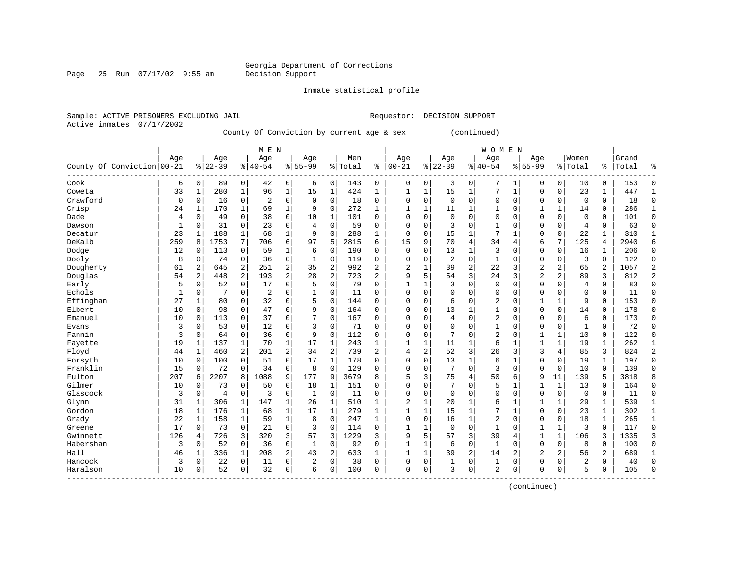Page 25 Run  $07/17/02$  9:55 am

Inmate statistical profile

Active inmates 07/17/2002

Sample: ACTIVE PRISONERS EXCLUDING JAIL Requestor: DECISION SUPPORT

County Of Conviction by current age & sex (continued)

|                            |             |                |                |                | M E N          |              |                |                |         |                |                |              |                |                | W O M E N      |                |                |                |                |                |       |                |
|----------------------------|-------------|----------------|----------------|----------------|----------------|--------------|----------------|----------------|---------|----------------|----------------|--------------|----------------|----------------|----------------|----------------|----------------|----------------|----------------|----------------|-------|----------------|
|                            | Age         |                | Age            |                | Age            |              | Age            |                | Men     |                | Age            |              | Age            |                | Age            |                | Age            |                | Women          |                | Grand |                |
| County Of Conviction 00-21 |             |                | $8 22-39$      |                | $ 40-54$       |              | $8155 - 99$    |                | % Total | ి              | $ 00 - 21$     |              | $8 22-39$      | $\frac{1}{6}$  | $ 40 - 54$     |                | $8155 - 99$    |                | % Total        | ႜၟ             | Total | န့             |
| Cook                       | 6           | 0              | 89             | 0              | 42             | 0            | 6              | 0              | 143     | 0              | $\mathbf 0$    | 0            | 3              | 0              | 7              | 1              | 0              | $\overline{0}$ | 10             | 0              | 153   | 0              |
| Coweta                     | 33          | 1              | 280            | $\mathbf{1}$   | 96             | $\mathbf{1}$ | 15             | $\mathbf{1}$   | 424     | 1              | 1              | $\mathbf{1}$ | 15             | $\mathbf{1}$   | 7              | $\mathbf{1}$   | 0              | 0              | 23             | 1              | 447   | $\mathbf{1}$   |
| Crawford                   | $\mathbf 0$ | $\Omega$       | 16             | 0              | $\overline{2}$ | $\mathbf 0$  | $\mathbf 0$    | $\mathbf 0$    | 18      | 0              | $\mathbf 0$    | $\mathbf 0$  | $\mathbf 0$    | $\mathbf 0$    | $\mathbf 0$    | $\mathbf 0$    | 0              | 0              | $\Omega$       | $\Omega$       | 18    | $\Omega$       |
| Crisp                      | 24          | 1              | 170            | 1              | 69             | $\mathbf{1}$ | 9              | $\mathbf 0$    | 272     | $\mathbf{1}$   | 1              | 1            | 11             | $\mathbf 1$    | 1              | $\mathbf 0$    |                | $\mathbf{1}$   | 14             | $\Omega$       | 286   | $\mathbf{1}$   |
| Dade                       | 4           | 0              | 49             | 0              | 38             | $\mathbf 0$  | 10             | 1              | 101     | $\Omega$       | $\Omega$       | $\mathbf 0$  | $\mathbf 0$    | $\mathbf 0$    | $\Omega$       | $\mathbf 0$    | 0              | 0              | $\Omega$       | $\Omega$       | 101   | $\Omega$       |
| Dawson                     | 1           | $\Omega$       | 31             | $\Omega$       | 23             | $\mathbf 0$  | $\overline{4}$ | $\Omega$       | 59      | $\Omega$       | $\Omega$       | $\Omega$     | 3              | $\Omega$       | $\mathbf{1}$   | $\Omega$       | 0              | 0              | $\overline{4}$ | $\Omega$       | 63    | $\mathbf 0$    |
| Decatur                    | 23          | 1              | 188            | 1              | 68             | $\mathbf{1}$ | 9              | 0              | 288     | 1              | $\mathbf 0$    | 0            | 15             | 1              | 7              | 1              | 0              | 0              | 22             | 1              | 310   | $\mathbf{1}$   |
| DeKalb                     | 259         | 8              | 1753           | 7              | 706            | 6            | 97             | 5              | 2815    | 6              | 15             | 9            | 70             | 4              | 34             | $\overline{4}$ | 6              | 7              | 125            | 4              | 2940  | 6              |
| Dodge                      | 12          | 0              | 113            | 0              | 59             | $\mathbf 1$  | 6              | $\mathbf 0$    | 190     | U              | $\mathbf 0$    | 0            | 13             | $\mathbf{1}$   | 3              | $\mathbf 0$    | $\Omega$       | 0              | 16             |                | 206   | $\mathbf 0$    |
| Dooly                      | 8           | 0              | 74             | $\mathbf 0$    | 36             | $\mathbf 0$  | $\mathbf{1}$   | $\mathbf 0$    | 119     | 0              | $\Omega$       | $\Omega$     | $\overline{2}$ | $\mathbf 0$    | $\mathbf{1}$   | $\mathbf 0$    | $\mathbf 0$    | 0              | 3              | $\Omega$       | 122   | $\mathbf 0$    |
| Dougherty                  | 61          | $\overline{2}$ | 645            | $\overline{a}$ | 251            | 2            | 35             | $\overline{2}$ | 992     | $\overline{2}$ | $\overline{c}$ | 1            | 39             | $\overline{a}$ | 22             | 3              | $\overline{2}$ | $\overline{a}$ | 65             | $\overline{a}$ | 1057  | $\overline{2}$ |
| Douglas                    | 54          | $\overline{a}$ | 448            | 2              | 193            | 2            | 28             | $\overline{2}$ | 723     | $\overline{2}$ | 9              | 5            | 54             | 3              | 24             | 3              | $\overline{2}$ | $\overline{a}$ | 89             | 3              | 812   | $\overline{2}$ |
| Early                      | 5           | $\Omega$       | 52             | $\mathbf 0$    | 17             | $\mathbf 0$  | 5              | $\Omega$       | 79      | $\Omega$       | 1              | 1            | 3              | $\mathbf 0$    | $\mathbf 0$    | $\Omega$       | 0              | $\Omega$       | $\overline{4}$ | $\Omega$       | 83    | $\Omega$       |
| Echols                     | 1           | 0              | 7              | 0              | $\overline{c}$ | $\mathbf 0$  | 1              | 0              | 11      | $\Omega$       | $\Omega$       | $\Omega$     | 0              | 0              | $\Omega$       | $\mathbf 0$    | 0              | 0              | $\Omega$       | $\Omega$       | 11    | $\Omega$       |
| Effingham                  | 27          | 1              | 80             | $\Omega$       | 32             | $\mathbf 0$  | 5              | $\Omega$       | 144     | $\Omega$       | $\Omega$       | $\Omega$     | 6              | $\Omega$       | $\overline{2}$ | 0              | 1              | $\mathbf 1$    | 9              | $\Omega$       | 153   | $\mathbf 0$    |
| Elbert                     | 10          | $\Omega$       | 98             | 0              | 47             | $\mathbf 0$  | 9              | 0              | 164     | $\Omega$       | $\mathbf 0$    | $\Omega$     | 13             | 1              | 1              | 0              | 0              | 0              | 14             | 0              | 178   | 0              |
| Emanuel                    | 10          | 0              | 113            | 0              | 37             | 0            | 7              | $\mathbf 0$    | 167     | $\Omega$       | $\Omega$       | 0            | 4              | $\mathbf 0$    | 2              | 0              | 0              | 0              | 6              | 0              | 173   | 0              |
| Evans                      | 3           | 0              | 53             | 0              | 12             | $\mathsf 0$  | 3              | $\mathbf 0$    | 71      | O              | $\Omega$       | $\Omega$     | 0              | $\Omega$       |                | $\mathbf 0$    | $\Omega$       | 0              | $\mathbf{1}$   | $\mathbf 0$    | 72    | 0              |
| Fannin                     | 3           | 0              | 64             | 0              | 36             | 0            | 9              | $\mathbf 0$    | 112     | $\Omega$       | $\mathbf 0$    | $\Omega$     | 7              | $\Omega$       | 2              | $\mathbf 0$    | $\mathbf{1}$   | $\mathbf{1}$   | 10             | $\Omega$       | 122   | $\Omega$       |
| Fayette                    | 19          | 1              | 137            | 1              | 70             | $\mathbf 1$  | 17             | 1              | 243     | 1              | 1              | $\mathbf{1}$ | 11             | 1              | 6              | 1              | $\mathbf{1}$   | $\mathbf{1}$   | 19             | 1              | 262   | $\mathbf{1}$   |
| Floyd                      | 44          | 1              | 460            | $\overline{a}$ | 201            | 2            | 34             | 2              | 739     | $\overline{2}$ | $\overline{4}$ | 2            | 52             | 3              | 26             | 3              | 3              | $\overline{4}$ | 85             | 3              | 824   | $\overline{2}$ |
| Forsyth                    | 10          | $\Omega$       | 100            | 0              | 51             | $\mathbf 0$  | 17             | $\mathbf{1}$   | 178     | $\Omega$       | $\Omega$       | $\Omega$     | 13             | $\mathbf{1}$   | 6              | $\mathbf{1}$   | 0              | $\Omega$       | 19             | 1              | 197   | $\mathbf 0$    |
| Franklin                   | 15          | 0              | 72             | 0              | 34             | 0            | 8              | $\mathbf 0$    | 129     | $\Omega$       | $\Omega$       | $\mathbf 0$  | 7              | $\mathbf 0$    | 3              | $\mathbf 0$    | $\mathbf 0$    | 0              | 10             | $\Omega$       | 139   | $\Omega$       |
| Fulton                     | 207         | 6              | 2207           | 8              | 1088           | 9            | 177            | 9              | 3679    | 8              | 5              | 3            | 75             | 4              | 50             | 6              | 9              | 11             | 139            | 5              | 3818  | 8              |
| Gilmer                     | 10          | 0              | 73             | $\mathbf 0$    | 50             | $\mathbf 0$  | 18             | 1              | 151     | $\Omega$       | $\Omega$       | $\Omega$     | 7              | $\Omega$       | 5              | 1              | $\mathbf{1}$   | 1              | 13             | $\Omega$       | 164   | $\mathbf 0$    |
| Glascock                   | 3           | 0              | $\overline{4}$ | $\mathbf 0$    | 3              | 0            | 1              | $\mathbf 0$    | 11      | $\Omega$       | $\Omega$       | 0            | $\mathbf 0$    | 0              | $\Omega$       | $\mathbf 0$    | 0              | 0              | $\mathbf 0$    | 0              | 11    | 0              |
| Glynn                      | 31          | 1              | 306            | 1              | 147            | $\mathbf{1}$ | 26             | 1              | 510     | 1              | $\overline{2}$ | 1            | 20             | 1              | б              | 1              |                | 1              | 29             | 1              | 539   | $\mathbf{1}$   |
| Gordon                     | 18          | 1              | 176            | 1              | 68             | $\mathbf{1}$ | 17             | $\mathbf{1}$   | 279     | 1              | 1              | $\mathbf 1$  | 15             | $\mathbf{1}$   | 7              | 1              | $\Omega$       | 0              | 23             | 1              | 302   | $\mathbf{1}$   |
| Grady                      | 22          | 1              | 158            | 1              | 59             | $\mathbf{1}$ | 8              | $\Omega$       | 247     | 1              | $\mathbf 0$    | $\Omega$     | 16             | $\mathbf{1}$   | $\overline{2}$ | $\Omega$       | 0              | 0              | 18             | $\mathbf{1}$   | 265   | $\mathbf{1}$   |
| Greene                     | 17          | 0              | 73             | 0              | 21             | $\mathbf 0$  | 3              | $\Omega$       | 114     | 0              | 1              | 1            | $\mathbf 0$    | $\mathbf 0$    | 1              | 0              | $\mathbf{1}$   | 1              | 3              | $\Omega$       | 117   | $\mathbf 0$    |
| Gwinnett                   | 126         | 4              | 726            | 3              | 320            | 3            | 57             | 3              | 1229    | 3              | 9              | 5            | 57             | 3              | 39             | 4              | 1              | $\mathbf{1}$   | 106            | 3              | 1335  | 3              |
| Habersham                  | 3           | 0              | 52             | 0              | 36             | 0            | 1              | $\mathbf 0$    | 92      | $\Omega$       | $\mathbf{1}$   | 1            | 6              | $\mathbf 0$    | $\mathbf{1}$   | $\mathbf 0$    | $\mathbf 0$    | 0              | 8              | $\Omega$       | 100   | $\mathbf 0$    |
| Hall                       | 46          | 1              | 336            | $\mathbf{1}$   | 208            | 2            | 43             | 2              | 633     | $\mathbf{1}$   | 1              | $\mathbf 1$  | 39             | 2              | 14             | 2              | $\overline{2}$ | $\overline{a}$ | 56             | $\overline{a}$ | 689   | $\mathbf{1}$   |
| Hancock                    | 3           | $\Omega$       | 22             | 0              | 11             | $\mathbf 0$  | $\overline{2}$ | 0              | 38      | $\Omega$       | $\Omega$       | 0            | $\mathbf{1}$   | 0              | 1              | 0              | 0              | 0              | $\overline{c}$ | $\Omega$       | 40    | $\Omega$       |
| Haralson                   | 10          | 0              | 52             | 0              | 32             | 0            | 6              | 0              | 100     | $\Omega$       | $\Omega$       | 0            | 3              | 0              | 2              | 0              | U              | 0              | 5              | 0              | 105   | $\Omega$       |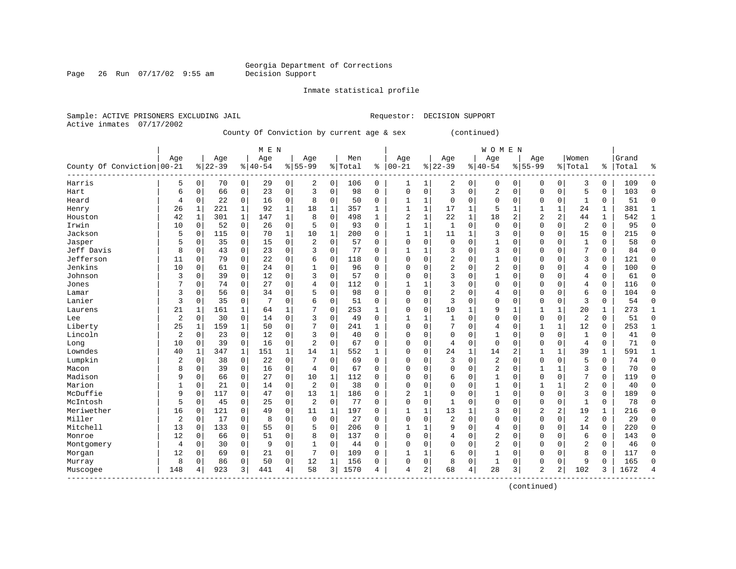Page 26 Run  $07/17/02$  9:55 am

Inmate statistical profile

Active inmates 07/17/2002

Sample: ACTIVE PRISONERS EXCLUDING JAIL Requestor: DECISION SUPPORT

County Of Conviction by current age & sex (continued)

|                            |     |              |           |              | M E N     |             |                |              |         |              |              |              |                |          | <b>WOMEN</b> |                |                |              |                |             |       |              |
|----------------------------|-----|--------------|-----------|--------------|-----------|-------------|----------------|--------------|---------|--------------|--------------|--------------|----------------|----------|--------------|----------------|----------------|--------------|----------------|-------------|-------|--------------|
|                            | Age |              | Age       |              | Age       |             | Age            |              | Men     |              | Age          |              | Age            |          | Age          |                | Age            |              | Women          |             | Grand |              |
| County Of Conviction 00-21 |     |              | $8 22-39$ |              | $8 40-54$ |             | $8 55-99$      |              | % Total | ి            | $ 00 - 21$   |              | $ 22-39$       |          | $8 40-54$    |                | $8 55-99$      |              | % Total        | %           | Total | ႜ            |
| Harris                     | 5   | 0            | 70        | $\circ$      | 29        | 0           | 2              | $\Omega$     | 106     | 0            | 1            | 1            | 2              | 0        | 0            | 0              | $\Omega$       | 0            | 3              | 0           | 109   | O            |
| Hart                       | 6   | 0            | 66        | 0            | 23        | 0           | 3              | 0            | 98      | $\Omega$     | $\Omega$     | 0            | 3              | 0        | 2            | $\mathbf 0$    | $\Omega$       | $\mathbf 0$  | 5              | 0           | 103   | $\Omega$     |
| Heard                      | 4   | 0            | 22        | $\mathbf 0$  | 16        | 0           | 8              | $\mathbf 0$  | 50      | 0            | 1            | 1            | $\mathbf 0$    | 0        | 0            | $\mathbf 0$    | $\Omega$       | $\mathbf 0$  | 1              | 0           | 51    | $\Omega$     |
| Henry                      | 26  | 1            | 221       | $\mathbf{1}$ | 92        | $\mathbf 1$ | 18             | $\mathbf 1$  | 357     | 1            | $\mathbf{1}$ | 1            | 17             | 1        | 5            | $\mathbf{1}$   |                | 1            | 24             | 1           | 381   |              |
| Houston                    | 42  | $\mathbf{1}$ | 301       | $\mathbf{1}$ | 147       | $\mathbf 1$ | 8              | $\mathbf 0$  | 498     | $\mathbf{1}$ | 2            | 1            | 22             | 1        | 18           | $\overline{a}$ | 2              | 2            | 44             | $\mathbf 1$ | 542   | $\mathbf{1}$ |
| Irwin                      | 10  | 0            | 52        | 0            | 26        | 0           | 5              | 0            | 93      | $\Omega$     | $\mathbf{1}$ | 1            | $\mathbf{1}$   | 0        | $\mathbf 0$  | $\Omega$       | $\Omega$       | 0            | $\overline{2}$ | $\mathbf 0$ | 95    | $\Omega$     |
| Jackson                    | 5   | 0            | 115       | 0            | 70        | $\mathbf 1$ | 10             | 1            | 200     | 0            | $\mathbf{1}$ | 1            | 11             | 1        | 3            | $\Omega$       | $\Omega$       | 0            | 15             | 0           | 215   | $\Omega$     |
| Jasper                     | 5   | 0            | 35        | 0            | 15        | 0           | 2              | 0            | 57      | U            | $\Omega$     | 0            | $\mathbf 0$    | $\Omega$ | 1            | 0              | 0              | 0            | $\mathbf{1}$   | 0           | 58    | $\Omega$     |
| Jeff Davis                 | 8   | 0            | 43        | 0            | 23        | 0           | 3              | 0            | 77      | $\Omega$     | $\mathbf{1}$ |              | 3              | 0        | 3            | 0              | $\Omega$       | 0            | 7              | 0           | 84    | $\Omega$     |
| Jefferson                  | 11  | 0            | 79        | 0            | 22        | 0           | 6              | $\Omega$     | 118     | 0            | $\Omega$     | O            | $\overline{2}$ | O        | 1            | $\Omega$       | $\Omega$       | O            | 3              | 0           | 121   | ∩            |
| Jenkins                    | 10  | 0            | 61        | 0            | 24        | 0           |                | $\Omega$     | 96      | 0            | $\Omega$     | O            | $\overline{2}$ | O        | 2            | $\Omega$       | $\Omega$       | $\Omega$     | 4              | 0           | 100   | ∩            |
| Johnson                    | 3   | 0            | 39        | $\mathbf 0$  | 12        | 0           | 3              | 0            | 57      | $\Omega$     | 0            | O            | 3              | $\Omega$ | 1            | $\Omega$       | $\Omega$       | $\Omega$     | 4              | 0           | 61    | ∩            |
| Jones                      |     | 0            | 74        | 0            | 27        | 0           |                | $\mathbf 0$  | 112     | 0            |              | 1            | 3              | 0        | 0            | 0              | $\Omega$       | 0            | 4              | 0           | 116   | $\Omega$     |
| Lamar                      | 3   | 0            | 56        | 0            | 34        | 0           | 5              | 0            | 98      | $\Omega$     | $\Omega$     | 0            | $\overline{2}$ | 0        | 4            | 0              | $\Omega$       | 0            | 6              | 0           | 104   | $\Omega$     |
| Lanier                     | 3   | 0            | 35        | 0            | 7         | 0           | б              | 0            | 51      | 0            | $\Omega$     | 0            | 3              | $\Omega$ | $\Omega$     | $\mathbf 0$    | $\mathbf 0$    | $\mathbf 0$  | 3              | 0           | 54    | $\Omega$     |
| Laurens                    | 21  | 1            | 161       | 1            | 64        | 1           | 7              | $\Omega$     | 253     | 1            | $\Omega$     | 0            | 10             | 1        | 9            | 1              | 1              | 1            | 20             | 1           | 273   | 1            |
| Lee                        | 2   | 0            | 30        | 0            | 14        | 0           | 3              | $\Omega$     | 49      | 0            | 1            |              |                | $\Omega$ | 0            | $\Omega$       | $\Omega$       | $\mathbf 0$  | $\overline{2}$ | 0           | 51    | $\Omega$     |
| Liberty                    | 25  | 1            | 159       | 1            | 50        | 0           |                | $\Omega$     | 241     | 1            | $\Omega$     | 0            |                | O        | 4            | $\Omega$       | 1              | $\mathbf{1}$ | 12             | 0           | 253   | 1            |
| Lincoln                    | 2   | 0            | 23        | $\Omega$     | 12        | 0           | 3              | $\Omega$     | 40      | $\Omega$     | $\Omega$     | 0            | $\Omega$       | 0        | $\mathbf{1}$ | $\Omega$       | $\Omega$       | $\Omega$     | $\mathbf{1}$   | $\Omega$    | 41    | ∩            |
| Long                       | 10  | 0            | 39        | $\Omega$     | 16        | 0           | $\overline{2}$ | $\Omega$     | 67      | $\Omega$     | 0            | 0            | 4              | $\Omega$ | $\mathbf{0}$ | $\Omega$       | $\Omega$       | $\Omega$     | $\overline{4}$ | 0           | 71    | ∩            |
| Lowndes                    | 40  | 1            | 347       | 1            | 151       | 1           | 14             | 1            | 552     | 1            | 0            | 0            | 24             | 1        | 14           | $\overline{2}$ | 1              | 1            | 39             | 1           | 591   |              |
| Lumpkin                    | 2   | 0            | 38        | $\mathbf 0$  | 22        | 0           |                | $\mathbf 0$  | 69      | $\Omega$     | 0            | 0            | 3              | 0        | 2            | $\Omega$       | 0              | 0            | 5              | 0           | 74    | $\Omega$     |
| Macon                      | 8   | 0            | 39        | 0            | 16        | 0           | $\overline{4}$ | $\Omega$     | 67      | $\Omega$     | $\Omega$     | O            | $\Omega$       | $\Omega$ | 2            | $\Omega$       | 1              | 1            | 3              | 0           | 70    | $\Omega$     |
| Madison                    | 9   | $\Omega$     | 66        | 0            | 27        | 0           | 10             | 1            | 112     | $\Omega$     | $\Omega$     | O            | 6              | $\Omega$ | 1            | $\Omega$       | $\mathbf 0$    | $\Omega$     | 7              | 0           | 119   | $\Omega$     |
| Marion                     |     | 0            | 21        | 0            | 14        | 0           | 2              | $\Omega$     | 38      | $\Omega$     | $\Omega$     | 0            | $\Omega$       | $\Omega$ | 1            | $\Omega$       | 1              |              | 2              | 0           | 40    | $\Omega$     |
| McDuffie                   | 9   | 0            | 117       | 0            | 47        | 0           | 13             | $\mathbf{1}$ | 186     | O            | 2            | 1            | $\mathbf 0$    | $\Omega$ | 1            | $\Omega$       | $\Omega$       | 0            | 3              | 0           | 189   | $\Omega$     |
| McIntosh                   | 5   | 0            | 45        | 0            | 25        | 0           | 2              | $\Omega$     | 77      | O            | $\Omega$     | 0            | $\mathbf{1}$   | $\Omega$ | $\Omega$     | $\Omega$       | $\Omega$       | $\Omega$     | $\mathbf{1}$   | 0           | 78    | $\Omega$     |
| Meriwether                 | 16  | 0            | 121       | $\Omega$     | 49        | 0           | 11             | $\mathbf{1}$ | 197     | 0            | $\mathbf{1}$ | $\mathbf{1}$ | 13             | 1        | 3            | $\Omega$       | 2              | 2            | 19             | 1           | 216   | ∩            |
| Miller                     | 2   | $\Omega$     | 17        | 0            | 8         | 0           | $\mathbf 0$    | $\Omega$     | 27      | $\Omega$     | $\Omega$     | O            | $\overline{c}$ | $\Omega$ | $\Omega$     | $\Omega$       | $\Omega$       | 0            | $\overline{2}$ | 0           | 29    | ∩            |
| Mitchell                   | 13  | 0            | 133       | $\mathbf 0$  | 55        | 0           | 5              | $\mathbf 0$  | 206     | $\Omega$     | 1            | 1            | 9              | $\Omega$ | 4            | $\Omega$       | $\Omega$       | $\mathbf 0$  | 14             | 0           | 220   | ∩            |
| Monroe                     | 12  | 0            | 66        | $\mathbf 0$  | 51        | 0           | 8              | 0            | 137     | 0            | $\Omega$     | 0            | 4              | $\Omega$ | 2            | 0              | $\Omega$       | 0            | 6              | 0           | 143   |              |
| Montgomery                 | 4   | 0            | 30        | $\mathbf 0$  | 9         | 0           | $\mathbf{1}$   | 0            | 44      | $\Omega$     | $\Omega$     | 0            | $\Omega$       | $\Omega$ | 2            | 0              | $\Omega$       | $\Omega$     | $\overline{2}$ | 0           | 46    | ∩            |
| Morgan                     | 12  | 0            | 69        | 0            | 21        | 0           | 7              | 0            | 109     | 0            | 1            | 1            | 6              | 0        | 1            | 0              | 0              | 0            | 8              | 0           | 117   | $\Omega$     |
| Murray                     | 8   | 0            | 86        | 0            | 50        | 0           | 12             | 1            | 156     | 0            | $\Omega$     | 0            | 8              | 0        | 1            | 0              | $\Omega$       | 0            | 9              | 0           | 165   | ∩            |
| Muscogee                   | 148 |              | 923       | 3            | 441       | 4           | 58             | 3            | 1570    | 4            | 4            | 2            | 68             | 4        | 28           | 3              | $\overline{2}$ | 2            | 102            | 3           | 1672  |              |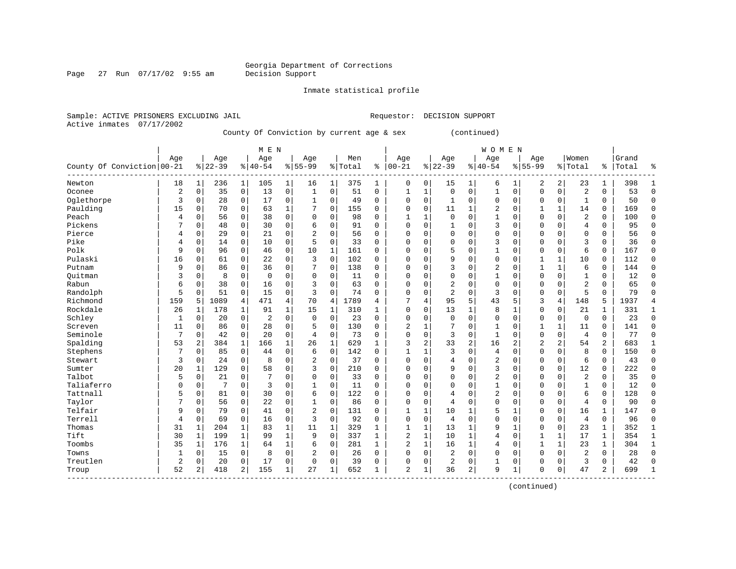Page 27 Run  $07/17/02$  9:55 am

Inmate statistical profile

Active inmates 07/17/2002

Sample: ACTIVE PRISONERS EXCLUDING JAIL Requestor: DECISION SUPPORT

County Of Conviction by current age & sex (continued)

|                            |                |              |           |              | M E N    |                |                |              |         |              |                |              |                |                | <b>WOMEN</b>   |                |                |              |                |               |       |                |
|----------------------------|----------------|--------------|-----------|--------------|----------|----------------|----------------|--------------|---------|--------------|----------------|--------------|----------------|----------------|----------------|----------------|----------------|--------------|----------------|---------------|-------|----------------|
|                            | Age            |              | Age       |              | Age      |                | Age            |              | Men     |              | Age            |              | Age            |                | Age            |                | Age            |              | Women          |               | Grand |                |
| County Of Conviction 00-21 |                |              | $8 22-39$ |              | $ 40-54$ |                | $8155 - 99$    |              | % Total | ႜ            | $ 00 - 21$     |              | $ 22-39$       |                | $8140 - 54$    |                | $8155 - 99$    |              | % Total        | $\frac{1}{6}$ | Total | ႜ              |
| Newton                     | 18             | $\mathbf 1$  | 236       | $\mathbf 1$  | 105      | $\mathbf 1$    | 16             | 1            | 375     | 1            | 0              | 0            | 15             | 1              | 6              |                | 2              | 2            | 23             | 1             | 398   | 1              |
| Oconee                     | $\overline{2}$ | $\mathbf 0$  | 35        | 0            | 13       | 0              | $\mathbf{1}$   | $\mathbf 0$  | 51      | 0            | 1              | 1            | $\mathbf 0$    | 0              | $\mathbf{1}$   | $\mathbf 0$    | $\Omega$       | 0            | $\overline{c}$ | 0             | 53    | $\Omega$       |
| Oglethorpe                 | 3              | 0            | 28        | 0            | 17       | $\mathbf 0$    | 1              | 0            | 49      | 0            | $\Omega$       | 0            | 1              | 0              | 0              | $\mathbf 0$    | $\Omega$       | 0            | 1              | 0             | 50    | $\Omega$       |
| Paulding                   | 15             | 0            | 70        | $\mathbf 0$  | 63       | $\mathbf{1}$   | 7              | $\mathbf 0$  | 155     | 0            | 0              | 0            | 11             | 1              | 2              | $\mathbf 0$    | 1              | 1            | 14             | 0             | 169   | $\Omega$       |
| Peach                      | 4              | $\mathbf 0$  | 56        | 0            | 38       | $\mathbf 0$    | $\mathbf 0$    | $\mathbf 0$  | 98      | 0            | $\mathbf{1}$   | 1            | $\Omega$       | 0              | $\mathbf{1}$   | 0              | $\mathbf 0$    | 0            | $\overline{2}$ | 0             | 100   | $\Omega$       |
| Pickens                    | 7              | 0            | 48        | $\mathbf 0$  | 30       | $\mathbf 0$    | б              | $\mathbf 0$  | 91      | $\Omega$     | $\Omega$       | 0            | 1              | $\Omega$       | 3              | 0              | 0              | 0            | $\overline{4}$ | 0             | 95    | $\Omega$       |
| Pierce                     | 4              | 0            | 29        | 0            | 21       | $\mathbf 0$    | $\overline{2}$ | 0            | 56      | 0            | $\Omega$       | 0            | $\Omega$       | $\Omega$       | 0              | $\mathbf 0$    | 0              | 0            | $\mathbf 0$    | 0             | 56    | $\Omega$       |
| Pike                       | 4              | 0            | 14        | $\mathbf 0$  | 10       | $\mathbf 0$    | 5              | $\mathbf 0$  | 33      | $\Omega$     | 0              | 0            | $\Omega$       | $\Omega$       | 3              | $\Omega$       | $\Omega$       | $\Omega$     | 3              | 0             | 36    | $\Omega$       |
| Polk                       | 9              | $\Omega$     | 96        | 0            | 46       | $\mathsf 0$    | 10             | 1            | 161     | 0            | 0              | 0            | 5              | $\Omega$       | 1              | 0              | $\Omega$       | $\Omega$     | 6              | $\Omega$      | 167   | $\Omega$       |
| Pulaski                    | 16             | $\Omega$     | 61        | 0            | 22       | $\mathbf 0$    | 3              | $\mathbf 0$  | 102     | 0            | 0              | 0            | 9              | $\Omega$       | $\Omega$       | $\Omega$       | $\mathbf{1}$   | $\mathbf{1}$ | 10             | 0             | 112   | $\Omega$       |
| Putnam                     | 9              | $\Omega$     | 86        | $\Omega$     | 36       | $\mathbf 0$    | 7              | $\mathbf 0$  | 138     | $\Omega$     | 0              | 0            | 3              | $\Omega$       | 2              | $\Omega$       | $\mathbf{1}$   | $\mathbf{1}$ | 6              | $\Omega$      | 144   | $\Omega$       |
| Ouitman                    | 3              | $\Omega$     | 8         | $\mathbf 0$  | 0        | $\mathbf 0$    | $\Omega$       | 0            | 11      | $\Omega$     | 0              | 0            | $\Omega$       | $\Omega$       | $\mathbf{1}$   | $\Omega$       | $\Omega$       | $\Omega$     | $\mathbf{1}$   | 0             | 12    | $\Omega$       |
| Rabun                      | 6              | 0            | 38        | $\mathbf 0$  | 16       | 0              | 3              | $\mathbf 0$  | 63      | 0            | 0              | 0            | 2              | $\Omega$       | 0              | 0              | $\Omega$       | $\Omega$     | $\overline{2}$ | 0             | 65    | $\Omega$       |
| Randolph                   | 5              | 0            | 51        | $\mathbf 0$  | 15       | 0              | 3              | $\mathbf 0$  | 74      | $\Omega$     | 0              | 0            | $\overline{2}$ | $\Omega$       | 3              | $\Omega$       | $\Omega$       | 0            | 5              | $\Omega$      | 79    | $\Omega$       |
| Richmond                   | 159            | 5            | 1089      | 4            | 471      | $\overline{4}$ | 70             | 4.           | 1789    | 4            | 7              | 4            | 95             | 5              | 43             | 5              | 3              | 4            | 148            | 5             | 1937  | $\overline{4}$ |
| Rockdale                   | 26             | 1            | 178       | 1            | 91       | 1              | 15             | $\mathbf{1}$ | 310     | $\mathbf{1}$ | $\Omega$       | 0            | 13             | 1              | 8              | 1              | $\Omega$       | 0            | 21             | 1             | 331   | $\mathbf{1}$   |
| Schley                     | 1              | 0            | 20        | 0            | 2        | 0              | $\mathbf 0$    | 0            | 23      | $\Omega$     | $\Omega$       | 0            | $\mathbf 0$    | 0              | 0              | $\mathbf 0$    | $\Omega$       | 0            | 0              | 0             | 23    | $\Omega$       |
| Screven                    | 11             | 0            | 86        | 0            | 28       | 0              | 5              | 0            | 130     | O            | 2              | 1            |                | $\Omega$       | 1              | $\Omega$       | 1              | 1            | 11             | 0             | 141   | $\Omega$       |
| Seminole                   | 7              | $\Omega$     | 42        | $\mathbf 0$  | 20       | $\mathbf 0$    | 4              | $\mathbf 0$  | 73      | 0            | $\Omega$       | 0            | 3              | $\Omega$       | $\mathbf{1}$   | $\Omega$       | $\Omega$       | $\Omega$     | $\overline{4}$ | 0             | 77    | $\Omega$       |
| Spalding                   | 53             | 2            | 384       | 1            | 166      | $\mathbf{1}$   | 26             | 1            | 629     | $\mathbf{1}$ | 3              | 2            | 33             | $\overline{2}$ | 16             | $\overline{c}$ | $\overline{2}$ | 2            | 54             | 2             | 683   | $\mathbf{1}$   |
| Stephens                   | 7              | 0            | 85        | $\mathbf 0$  | 44       | 0              | 6              | $\mathbf 0$  | 142     | $\Omega$     | 1              | 1            | 3              | $\Omega$       | $\overline{4}$ | $\mathbf 0$    | $\Omega$       | $\Omega$     | 8              | 0             | 150   | $\Omega$       |
| Stewart                    | 3              | 0            | 24        | $\mathbf 0$  | 8        | 0              | 2              | $\mathbf 0$  | 37      | 0            | 0              | 0            | 4              | 0              | 2              | $\mathbf 0$    | 0              | 0            | 6              | 0             | 43    | $\Omega$       |
| Sumter                     | 20             | $\mathbf{1}$ | 129       | 0            | 58       | 0              | 3              | $\mathbf 0$  | 210     | 0            | 0              | 0            | 9              | 0              | 3              | 0              | $\Omega$       | 0            | 12             | 0             | 222   | $\Omega$       |
| Talbot                     | 5              | 0            | 21        | 0            | 7        | $\mathbf 0$    | $\Omega$       | $\mathbf 0$  | 33      | $\Omega$     | 0              | 0            | $\Omega$       | $\Omega$       | 2              | 0              | $\Omega$       | 0            | $\overline{2}$ | 0             | 35    | $\Omega$       |
| Taliaferro                 | $\Omega$       | 0            | 7         | $\mathbf 0$  | 3        | $\mathbf 0$    | 1              | $\mathbf 0$  | 11      | 0            | $\Omega$       | 0            | $\Omega$       | $\Omega$       | $\mathbf{1}$   | $\Omega$       | $\Omega$       | 0            | $\mathbf{1}$   | 0             | 12    | $\Omega$       |
| Tattnall                   | 5              | 0            | 81        | 0            | 30       | 0              | 6              | $\mathbf 0$  | 122     | 0            | 0              | 0            | 4              | $\Omega$       | 2              | 0              | 0              | 0            | 6              | 0             | 128   | $\Omega$       |
| Taylor                     | 7              | 0            | 56        | 0            | 22       | $\mathsf 0$    | $\mathbf{1}$   | $\mathbf 0$  | 86      | 0            | $\Omega$       | 0            | 4              | $\Omega$       | 0              | $\Omega$       | $\Omega$       | 0            | $\overline{4}$ | 0             | 90    | $\Omega$       |
| Telfair                    | 9              | 0            | 79        | 0            | 41       | $\mathbf 0$    | $\overline{2}$ | $\mathbf 0$  | 131     | O            | $\mathbf{1}$   | 1            | 10             | 1              | 5              | $\mathbf{1}$   | $\Omega$       | $\Omega$     | 16             | 1             | 147   | $\Omega$       |
| Terrell                    | 4              | $\Omega$     | 69        | $\mathbf 0$  | 16       | $\mathbf 0$    | 3              | $\mathbf 0$  | 92      | 0            | $\Omega$       | 0            | 4              | $\Omega$       | $\Omega$       | $\Omega$       | $\Omega$       | 0            | $\overline{4}$ | 0             | 96    | $\Omega$       |
| Thomas                     | 31             | 1            | 204       | $\mathbf{1}$ | 83       | $\mathbf{1}$   | 11             | 1            | 329     | $\mathbf{1}$ | 1              | $\mathbf{1}$ | 13             | 1              | 9              | $\mathbf{1}$   | $\Omega$       | $\mathbf 0$  | 23             | $\mathbf{1}$  | 352   | 1              |
| Tift                       | 30             | $\mathbf{1}$ | 199       | $\mathbf 1$  | 99       | $\mathbf{1}$   | 9              | $\mathbf 0$  | 337     | $\mathbf{1}$ | 2              | $\mathbf 1$  | 10             | $\mathbf{1}$   | 4              | $\mathbf 0$    | $\mathbf{1}$   | 1            | 17             | $\mathbf{1}$  | 354   | 1              |
| Toombs                     | 35             | $\mathbf{1}$ | 176       | $\mathbf 1$  | 64       | $\mathbf 1$    | 6              | $\mathbf 0$  | 281     | $\mathbf{1}$ | $\overline{2}$ | 1            | 16             | 1              | 4              | 0              | $\mathbf{1}$   | $\mathbf{1}$ | 23             | $\mathbf{1}$  | 304   | $\mathbf{1}$   |
| Towns                      | 1              | 0            | 15        | $\mathbf 0$  | 8        | 0              | 2              | 0            | 26      | $\Omega$     | 0              | 0            | 2              | $\Omega$       | 0              | $\Omega$       | $\Omega$       | $\Omega$     | $\overline{c}$ | $\Omega$      | 28    | $\Omega$       |
| Treutlen                   | $\overline{c}$ | $\Omega$     | 20        | 0            | 17       | 0              | $\Omega$       | $\mathbf 0$  | 39      | 0            | $\Omega$       | 0            | $\overline{2}$ | 0              | 1              | 0              | $\Omega$       | 0            | 3              | 0             | 42    | $\Omega$       |
| Troup                      | 52             | 2            | 418       | 2            | 155      | 1              | 27             | 1            | 652     | 1            | 2              | 1            | 36             | 2              | 9              | 1              | $\Omega$       | 0            | 47             | 2             | 699   | 1              |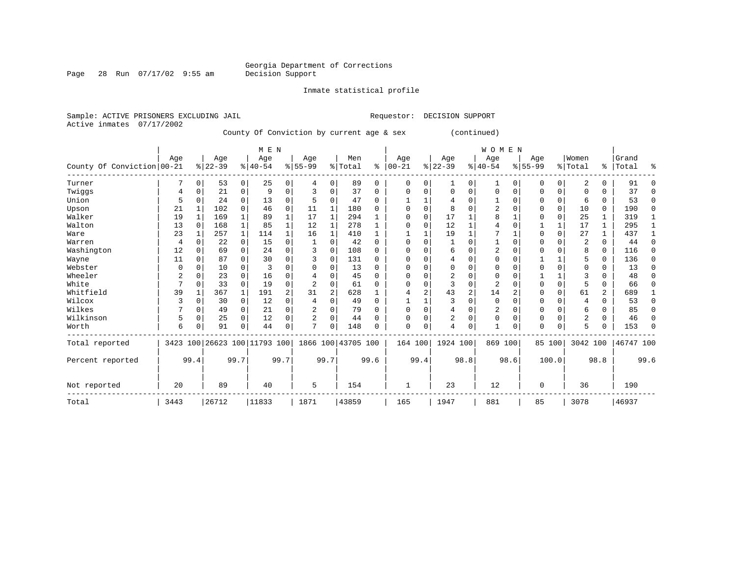Page 28 Run 07/17/02 9:55 am

Inmate statistical profile

Active inmates 07/17/2002

Sample: ACTIVE PRISONERS EXCLUDING JAIL **Requestor: DECISION SUPPORT** 

County Of Conviction by current age & sex (continued)

|                            |      |          |          |              | M E N                        |      |                |          |                    |          |              |             |                |                | W O M E N      |          |           |              |                         |          |           |          |
|----------------------------|------|----------|----------|--------------|------------------------------|------|----------------|----------|--------------------|----------|--------------|-------------|----------------|----------------|----------------|----------|-----------|--------------|-------------------------|----------|-----------|----------|
|                            | Age  |          | Age      |              | Age                          |      | Age            |          | Men                |          | Age          |             | Age            |                | Age            |          | Age       |              | Women                   |          | Grand     |          |
| County Of Conviction 00-21 |      |          | $ 22-39$ |              | $ 40-54$                     |      | $8 55-99$      |          | % Total            | ి        | $00 - 21$    |             | $ 22-39$       |                | $ 40-54$       |          | $8 55-99$ |              | % Total                 | ွေ       | Total     | ៖        |
| Turner                     |      | $\Omega$ | 53       | 0            | 25                           | 0    | 4              | 0        | 89                 | 0        | $\Omega$     | 0           | 1              | 0              | 1              | $\Omega$ | 0         | 0            | 2                       | $\Omega$ | 91        | $\Omega$ |
| Twiggs                     | 4    | 0        | 21       | 0            | 9                            | 0    | 3              | 0        | 37                 | 0        | 0            | 0           | $\Omega$       | 0              | $\Omega$       | $\Omega$ | 0         | 0            | 0                       | 0        | 37        | $\Omega$ |
| Union                      | 5    | $\Omega$ | 24       | $\Omega$     | 13                           | 0    |                | 0        | 47                 | 0        |              |             |                | U              |                | $\Omega$ | U         | 0            | 6                       | 0        | 53        | $\Omega$ |
| Upson                      | 21   |          | 102      | $\Omega$     | 46                           | 0    | 11             |          | 180                | U        | <sup>0</sup> | $\Omega$    | 8              | U              | $\overline{2}$ | $\Omega$ |           | $\mathbf 0$  | 10                      | $\Omega$ | 190       | $\Omega$ |
| Walker                     | 19   |          | 169      |              | 89                           | 1    | 17             |          | 294                |          | $\Omega$     | $\Omega$    | 17             |                | 8              |          | O         | $\mathbf 0$  | 25                      |          | 319       |          |
| Walton                     | 13   | $\Omega$ | 168      |              | 85                           |      | 12             |          | 278                |          |              | O           | 12             |                |                |          |           | $\mathbf{1}$ | 17                      | 1        | 295       | 1        |
| Ware                       | 23   |          | 257      | $\mathbf{1}$ | 114                          |      | 16             |          | 410                |          |              |             | 19             |                |                |          | U         | $\Omega$     | 27                      |          | 437       |          |
| Warren                     | 4    | $\Omega$ | 22       | $\Omega$     | 15                           | 0    |                | $\Omega$ | 42                 | 0        | <sup>0</sup> | 0           |                | O              |                | $\Omega$ |           | 0            | $\overline{\mathbf{c}}$ | $\Omega$ | 44        | $\Omega$ |
| Washington                 | 12   | $\Omega$ | 69       | $\Omega$     | 24                           | 0    | 3              | $\Omega$ | 108                | 0        |              | $\Omega$    | 6              | 0              | $\overline{2}$ | $\Omega$ |           | 0            | 8                       | $\Omega$ | 116       | $\Omega$ |
| Wayne                      | 11   | n        | 87       | $\Omega$     | 30                           | 0    |                | $\Omega$ | 131                | U        | ∩            | $\Omega$    | 4              | $\Omega$       | $\Omega$       | $\Omega$ |           | 1            |                         | $\Omega$ | 136       | $\Omega$ |
| Webster                    | U    | n        | 10       |              | 3                            | 0    |                | $\Omega$ | 13                 | 0        |              | 0           | $\Omega$       | 0              | $\Omega$       | $\Omega$ |           | 0            | 0                       | $\Omega$ | 13        | $\Omega$ |
| Wheeler                    | 2    | n        | 23       | $\Omega$     | 16                           | 0    |                | $\Omega$ | 45                 | 0        | <sup>0</sup> | O           | 2              | O              | $\Omega$       | $\Omega$ |           |              | 3                       | U        | 48        | $\Omega$ |
| White                      |      | $\Omega$ | 33       | $\Omega$     | 19                           | 0    | $\overline{2}$ | $\Omega$ | 61                 | U        |              | 0           | 3              | 0              | $\overline{2}$ |          |           | $\mathbf 0$  | 5                       | 0        | 66        | $\Omega$ |
| Whitfield                  | 39   |          | 367      |              | 191                          | 2    | 31             | 2        | 628                |          |              | 2           | 43             | $\overline{2}$ | 14             | 2        | U         | $\Omega$     | 61                      | 2        | 689       |          |
| Wilcox                     | 3    | $\Omega$ | 30       | 0            | 12                           | 0    | 4              | 0        | 49                 | $\Omega$ |              |             | 3              | 0              | $\Omega$       | $\Omega$ | U         | 0            | $\overline{4}$          | $\Omega$ | 53        | 0        |
| Wilkes                     |      | $\Omega$ | 49       | 0            | 21                           | 0    | 2              | 0        | 79                 | $\Omega$ | $\Omega$     | $\Omega$    | 4              | 0              | $\overline{2}$ | $\Omega$ | 0         | $\mathbf 0$  | 6                       | $\Omega$ | 85        | $\Omega$ |
| Wilkinson                  | 5    | $\Omega$ | 25       | $\Omega$     | 12                           | 0    | 2              | $\Omega$ | 44                 | $\Omega$ | 0            | $\mathbf 0$ | $\overline{2}$ | 0              | $\Omega$       | $\Omega$ | 0         | $\Omega$     | $\overline{2}$          | $\Omega$ | 46        | $\Omega$ |
| Worth                      | 6    | 0        | 91       | $\Omega$     | 44                           | 0    | $\mathcal{L}$  | $\Omega$ | 148                | 0        | $\Omega$     | 0           | 4              | 0              |                | 0        | 0         | 0            | 5                       | U        | 153       | $\Omega$ |
| Total reported             |      |          |          |              | 3423 100 26623 100 11793 100 |      |                |          | 1866 100 43705 100 |          | 164 100      |             | 1924 100       |                | 869 100        |          |           | 85 100       | 3042 100                |          | 46747 100 |          |
| Percent reported           |      | 99.4     |          | 99.7         |                              | 99.7 |                | 99.7     |                    | 99.6     |              | 99.4        |                | 98.8           |                | 98.6     |           | 100.0        |                         | 98.8     |           | 99.6     |
| Not reported               | 20   |          | 89       |              | 40                           |      | 5              |          | 154                |          |              |             | 23             |                | 12             |          | $\Omega$  |              | 36                      |          | 190       |          |
| Total                      | 3443 |          | 26712    |              | 11833                        |      | 1871           |          | 43859              |          | 165          |             | 1947           |                | 881            |          | 85        |              | 3078                    |          | 46937     |          |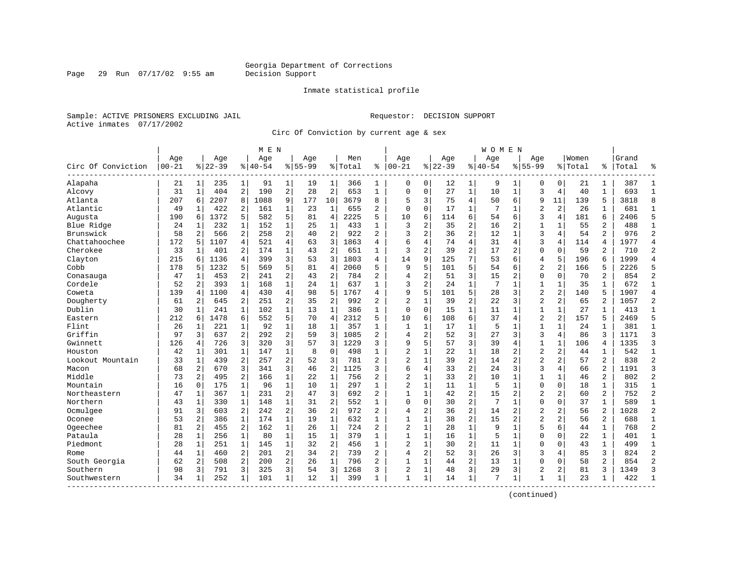#### Inmate statistical profile

Sample: ACTIVE PRISONERS EXCLUDING JAIL Requestor: DECISION SUPPORT Active inmates 07/17/2002

Page 29 Run  $07/17/02$  9:55 am

Circ Of Conviction by current age & sex

| Age<br>Age<br>Age<br>Age<br>Men<br>Age<br>$ 00 - 21$<br>$8 22-39$<br>$8 40-54$<br>$8155 - 99$<br>$00 - 21$<br>$8 22-39$<br>Circ Of Conviction<br>% Total<br>ి<br>Alapaha<br>$1\vert$<br>91<br>$\mathbf{1}$<br>366<br>0<br>21<br>$1\vert$<br>235<br>19<br>1<br>1<br>$\mathbf 0$<br>190<br>$\overline{2}$<br>$\overline{2}$<br>653<br>31<br>$\mathbf{1}$<br>404<br>2<br>28<br>$\mathbf{1}$<br>$\Omega$<br>$\mathbf 0$<br>Alcovy<br>Atlanta<br>2207<br>8<br>1088<br>9<br>177<br>10<br>3679<br>8<br>5<br>3<br>207<br>6<br>Atlantic<br>49<br>422<br>2<br>161<br>1<br>23<br>$\mathbf 1$<br>655<br>2<br>$\mathbf 0$<br>0<br>$\mathbf{1}$<br>1372<br>5<br>582<br>5<br>2225<br>5.<br>10<br>6<br>Augusta<br>190<br>81<br>4<br>6<br>$\mathbf 1$<br>3<br>$\overline{2}$<br>$\mathbf 1$<br>$\mathbf{1}$<br>$\mathbf{1}$<br>Blue Ridge<br>24<br>1<br>232<br>152<br>25<br>433<br>$\overline{c}$<br>Brunswick<br>2<br>$\overline{a}$<br>$\overline{2}$<br>$\overline{2}$<br>$\overline{2}$<br>58<br>922<br>3<br>566<br>258<br>40<br>Chattahoochee<br>4<br>3<br>6<br>172<br>4<br>521<br>1863<br>4<br>4<br>5<br>1107<br>63<br>Cherokee<br>$\mathbf 1$<br>$\mathbf{z}$<br>$\overline{a}$<br>33<br>401<br>2<br>174<br>43<br>2<br>651<br>1<br>1<br>3<br>Clayton<br>215<br>1136<br>4<br>399<br>3<br>1803<br>14<br>9<br>53<br>4<br>6<br>Cobb<br>5<br>178<br>1232<br>5<br>5<br>81<br>$\overline{4}$<br>2060<br>5<br>9<br>569<br>5<br>2<br>2<br>$\overline{c}$<br>2<br>$\overline{a}$<br>784<br>$\overline{4}$<br>47<br>1<br>453<br>241<br>43<br>Conasauga<br>$\mathbf{1}$<br>$\mathbf{1}$<br>$\mathbf 1$<br>$\mathbf{1}$<br>3<br>$\overline{a}$<br>Cordele<br>52<br>2<br>393<br>168<br>637<br>24<br>9<br>5<br>139<br>1100<br>4<br>430<br>4<br>98<br>5<br>1767<br>Coweta<br>4<br>4<br>$\overline{2}$<br>Dougherty<br>2<br>2<br>2<br>992<br>61<br>2<br>645<br>251<br>35<br>$\overline{a}$<br>$\mathbf{1}$<br>Dublin<br>$\mathbf 1$<br>30<br>$\mathbf 1$<br>102<br>13<br>$\mathbf{1}$<br>386<br>$\mathbf{1}$<br>$\Omega$<br>$\mathbf 0$<br>1<br>241<br>5<br>5<br>6<br>212<br>1478<br>6<br>552<br>70<br>$\overline{4}$<br>2312<br>10<br>Eastern<br>$\sqrt{2}$<br>$\mathbf 1$<br>Flint<br>1<br>92<br>$\mathbf{1}$<br>357<br>$\mathbf{1}$<br>1<br>26<br>1<br>221<br>18<br>1<br>2<br>Griffin<br>3<br>$\overline{a}$<br>3<br>$\overline{2}$<br>$\overline{a}$<br>97<br>637<br>292<br>1085<br>$\overline{4}$<br>59<br>3<br>Gwinnett<br>126<br>726<br>3<br>320<br>3<br>1229<br>3<br>9<br>5<br>57<br>4<br>$\overline{2}$<br>42<br>$\mathbf 1$<br>1<br>0<br>498<br>Houston<br>301<br>147<br>8<br>1<br>1<br>1<br>$\overline{c}$<br>2<br>$\overline{a}$<br>Lookout Mountain<br>33<br>$\mathbf{1}$<br>439<br>257<br>3<br>781<br>$\overline{a}$<br>$\mathbf{1}$<br>52 | Women<br>Age<br>Grand<br>Age<br>Age<br>$8140 - 54$<br>$8155 - 99$<br>% Total<br>Total<br>ႜ<br>12<br>1<br>9<br>0<br>21<br>387<br>1<br>0<br>1<br>27<br>$\mathbf 1$<br>10<br>$\mathbf{1}$<br>3<br>4<br>40<br>$\mathbf{1}$<br>693<br>$\overline{4}$<br>75<br>50<br>6<br>9<br>11<br>139<br>5<br>3818<br>$\overline{2}$<br>17<br>$\mathbf{1}$<br>7<br>$\overline{2}$<br>26<br>681<br>1<br>1<br>6<br>3<br>4<br>181<br>6<br>2406<br>114<br>54<br>6<br>$\overline{c}$<br>2<br>35<br>16<br>2<br>1<br>55<br>488<br>1<br>$\overline{2}$<br>3<br>$\overline{2}$<br>36<br>12<br>$\mathbf{1}$<br>54<br>976<br>4<br>74<br>$\overline{4}$<br>3<br>1977<br>31<br>$\overline{4}$<br>4<br>114<br>4<br>$\overline{2}$<br>39<br>17<br>$\overline{2}$<br>$\mathbf 0$<br>$\Omega$<br>59<br>2<br>710<br>7<br>125<br>53<br>$\overline{4}$<br>5<br>196<br>б<br>1999<br>6 | °<br>$\mathbf{1}$<br>$\mathbf{1}$<br>8<br>$\mathbf{1}$<br>5<br>$\mathbf{1}$<br>$\overline{2}$<br>$\overline{4}$<br>$\overline{2}$ |
|-------------------------------------------------------------------------------------------------------------------------------------------------------------------------------------------------------------------------------------------------------------------------------------------------------------------------------------------------------------------------------------------------------------------------------------------------------------------------------------------------------------------------------------------------------------------------------------------------------------------------------------------------------------------------------------------------------------------------------------------------------------------------------------------------------------------------------------------------------------------------------------------------------------------------------------------------------------------------------------------------------------------------------------------------------------------------------------------------------------------------------------------------------------------------------------------------------------------------------------------------------------------------------------------------------------------------------------------------------------------------------------------------------------------------------------------------------------------------------------------------------------------------------------------------------------------------------------------------------------------------------------------------------------------------------------------------------------------------------------------------------------------------------------------------------------------------------------------------------------------------------------------------------------------------------------------------------------------------------------------------------------------------------------------------------------------------------------------------------------------------------------------------------------------------------------------------------------------------------------------------------------------------------------------------------------------------------------------------------------------------------------------------------------------------------------------------------------------------------------------------------------------------------------------------------------------------------------------------------------------------------------------------------------------------------------------------------------------------------|-----------------------------------------------------------------------------------------------------------------------------------------------------------------------------------------------------------------------------------------------------------------------------------------------------------------------------------------------------------------------------------------------------------------------------------------------------------------------------------------------------------------------------------------------------------------------------------------------------------------------------------------------------------------------------------------------------------------------------------------------------------------------------------------------------------------------------------------------|-----------------------------------------------------------------------------------------------------------------------------------|
|                                                                                                                                                                                                                                                                                                                                                                                                                                                                                                                                                                                                                                                                                                                                                                                                                                                                                                                                                                                                                                                                                                                                                                                                                                                                                                                                                                                                                                                                                                                                                                                                                                                                                                                                                                                                                                                                                                                                                                                                                                                                                                                                                                                                                                                                                                                                                                                                                                                                                                                                                                                                                                                                                                                               |                                                                                                                                                                                                                                                                                                                                                                                                                                                                                                                                                                                                                                                                                                                                                                                                                                               |                                                                                                                                   |
|                                                                                                                                                                                                                                                                                                                                                                                                                                                                                                                                                                                                                                                                                                                                                                                                                                                                                                                                                                                                                                                                                                                                                                                                                                                                                                                                                                                                                                                                                                                                                                                                                                                                                                                                                                                                                                                                                                                                                                                                                                                                                                                                                                                                                                                                                                                                                                                                                                                                                                                                                                                                                                                                                                                               |                                                                                                                                                                                                                                                                                                                                                                                                                                                                                                                                                                                                                                                                                                                                                                                                                                               |                                                                                                                                   |
|                                                                                                                                                                                                                                                                                                                                                                                                                                                                                                                                                                                                                                                                                                                                                                                                                                                                                                                                                                                                                                                                                                                                                                                                                                                                                                                                                                                                                                                                                                                                                                                                                                                                                                                                                                                                                                                                                                                                                                                                                                                                                                                                                                                                                                                                                                                                                                                                                                                                                                                                                                                                                                                                                                                               |                                                                                                                                                                                                                                                                                                                                                                                                                                                                                                                                                                                                                                                                                                                                                                                                                                               |                                                                                                                                   |
|                                                                                                                                                                                                                                                                                                                                                                                                                                                                                                                                                                                                                                                                                                                                                                                                                                                                                                                                                                                                                                                                                                                                                                                                                                                                                                                                                                                                                                                                                                                                                                                                                                                                                                                                                                                                                                                                                                                                                                                                                                                                                                                                                                                                                                                                                                                                                                                                                                                                                                                                                                                                                                                                                                                               |                                                                                                                                                                                                                                                                                                                                                                                                                                                                                                                                                                                                                                                                                                                                                                                                                                               |                                                                                                                                   |
|                                                                                                                                                                                                                                                                                                                                                                                                                                                                                                                                                                                                                                                                                                                                                                                                                                                                                                                                                                                                                                                                                                                                                                                                                                                                                                                                                                                                                                                                                                                                                                                                                                                                                                                                                                                                                                                                                                                                                                                                                                                                                                                                                                                                                                                                                                                                                                                                                                                                                                                                                                                                                                                                                                                               |                                                                                                                                                                                                                                                                                                                                                                                                                                                                                                                                                                                                                                                                                                                                                                                                                                               |                                                                                                                                   |
|                                                                                                                                                                                                                                                                                                                                                                                                                                                                                                                                                                                                                                                                                                                                                                                                                                                                                                                                                                                                                                                                                                                                                                                                                                                                                                                                                                                                                                                                                                                                                                                                                                                                                                                                                                                                                                                                                                                                                                                                                                                                                                                                                                                                                                                                                                                                                                                                                                                                                                                                                                                                                                                                                                                               |                                                                                                                                                                                                                                                                                                                                                                                                                                                                                                                                                                                                                                                                                                                                                                                                                                               |                                                                                                                                   |
|                                                                                                                                                                                                                                                                                                                                                                                                                                                                                                                                                                                                                                                                                                                                                                                                                                                                                                                                                                                                                                                                                                                                                                                                                                                                                                                                                                                                                                                                                                                                                                                                                                                                                                                                                                                                                                                                                                                                                                                                                                                                                                                                                                                                                                                                                                                                                                                                                                                                                                                                                                                                                                                                                                                               |                                                                                                                                                                                                                                                                                                                                                                                                                                                                                                                                                                                                                                                                                                                                                                                                                                               |                                                                                                                                   |
|                                                                                                                                                                                                                                                                                                                                                                                                                                                                                                                                                                                                                                                                                                                                                                                                                                                                                                                                                                                                                                                                                                                                                                                                                                                                                                                                                                                                                                                                                                                                                                                                                                                                                                                                                                                                                                                                                                                                                                                                                                                                                                                                                                                                                                                                                                                                                                                                                                                                                                                                                                                                                                                                                                                               |                                                                                                                                                                                                                                                                                                                                                                                                                                                                                                                                                                                                                                                                                                                                                                                                                                               |                                                                                                                                   |
|                                                                                                                                                                                                                                                                                                                                                                                                                                                                                                                                                                                                                                                                                                                                                                                                                                                                                                                                                                                                                                                                                                                                                                                                                                                                                                                                                                                                                                                                                                                                                                                                                                                                                                                                                                                                                                                                                                                                                                                                                                                                                                                                                                                                                                                                                                                                                                                                                                                                                                                                                                                                                                                                                                                               |                                                                                                                                                                                                                                                                                                                                                                                                                                                                                                                                                                                                                                                                                                                                                                                                                                               |                                                                                                                                   |
|                                                                                                                                                                                                                                                                                                                                                                                                                                                                                                                                                                                                                                                                                                                                                                                                                                                                                                                                                                                                                                                                                                                                                                                                                                                                                                                                                                                                                                                                                                                                                                                                                                                                                                                                                                                                                                                                                                                                                                                                                                                                                                                                                                                                                                                                                                                                                                                                                                                                                                                                                                                                                                                                                                                               |                                                                                                                                                                                                                                                                                                                                                                                                                                                                                                                                                                                                                                                                                                                                                                                                                                               |                                                                                                                                   |
|                                                                                                                                                                                                                                                                                                                                                                                                                                                                                                                                                                                                                                                                                                                                                                                                                                                                                                                                                                                                                                                                                                                                                                                                                                                                                                                                                                                                                                                                                                                                                                                                                                                                                                                                                                                                                                                                                                                                                                                                                                                                                                                                                                                                                                                                                                                                                                                                                                                                                                                                                                                                                                                                                                                               |                                                                                                                                                                                                                                                                                                                                                                                                                                                                                                                                                                                                                                                                                                                                                                                                                                               | $\overline{4}$                                                                                                                    |
|                                                                                                                                                                                                                                                                                                                                                                                                                                                                                                                                                                                                                                                                                                                                                                                                                                                                                                                                                                                                                                                                                                                                                                                                                                                                                                                                                                                                                                                                                                                                                                                                                                                                                                                                                                                                                                                                                                                                                                                                                                                                                                                                                                                                                                                                                                                                                                                                                                                                                                                                                                                                                                                                                                                               | 5<br>$\overline{a}$<br>$\overline{a}$<br>2226<br>101<br>54<br>166<br>5<br>6                                                                                                                                                                                                                                                                                                                                                                                                                                                                                                                                                                                                                                                                                                                                                                   | 5                                                                                                                                 |
|                                                                                                                                                                                                                                                                                                                                                                                                                                                                                                                                                                                                                                                                                                                                                                                                                                                                                                                                                                                                                                                                                                                                                                                                                                                                                                                                                                                                                                                                                                                                                                                                                                                                                                                                                                                                                                                                                                                                                                                                                                                                                                                                                                                                                                                                                                                                                                                                                                                                                                                                                                                                                                                                                                                               | 3<br>$\mathbf 0$<br>2<br>51<br>15<br>$\overline{2}$<br>$\mathbf 0$<br>70<br>854                                                                                                                                                                                                                                                                                                                                                                                                                                                                                                                                                                                                                                                                                                                                                               | $\overline{c}$                                                                                                                    |
|                                                                                                                                                                                                                                                                                                                                                                                                                                                                                                                                                                                                                                                                                                                                                                                                                                                                                                                                                                                                                                                                                                                                                                                                                                                                                                                                                                                                                                                                                                                                                                                                                                                                                                                                                                                                                                                                                                                                                                                                                                                                                                                                                                                                                                                                                                                                                                                                                                                                                                                                                                                                                                                                                                                               | $\mathbf{1}$<br>24<br>7<br>$\mathbf{1}$<br>$\mathbf{1}$<br>$\mathbf{1}$<br>35<br>$\mathbf{1}$<br>672                                                                                                                                                                                                                                                                                                                                                                                                                                                                                                                                                                                                                                                                                                                                          | $\mathbf{1}$                                                                                                                      |
|                                                                                                                                                                                                                                                                                                                                                                                                                                                                                                                                                                                                                                                                                                                                                                                                                                                                                                                                                                                                                                                                                                                                                                                                                                                                                                                                                                                                                                                                                                                                                                                                                                                                                                                                                                                                                                                                                                                                                                                                                                                                                                                                                                                                                                                                                                                                                                                                                                                                                                                                                                                                                                                                                                                               | 5<br>$\overline{2}$<br>$\overline{2}$<br>101<br>28<br>140<br>5<br>1907<br>3                                                                                                                                                                                                                                                                                                                                                                                                                                                                                                                                                                                                                                                                                                                                                                   | $\overline{4}$                                                                                                                    |
|                                                                                                                                                                                                                                                                                                                                                                                                                                                                                                                                                                                                                                                                                                                                                                                                                                                                                                                                                                                                                                                                                                                                                                                                                                                                                                                                                                                                                                                                                                                                                                                                                                                                                                                                                                                                                                                                                                                                                                                                                                                                                                                                                                                                                                                                                                                                                                                                                                                                                                                                                                                                                                                                                                                               | $\overline{c}$<br>$\overline{2}$<br>39<br>3<br>2<br>65<br>2<br>1057<br>22                                                                                                                                                                                                                                                                                                                                                                                                                                                                                                                                                                                                                                                                                                                                                                     | $\overline{c}$                                                                                                                    |
|                                                                                                                                                                                                                                                                                                                                                                                                                                                                                                                                                                                                                                                                                                                                                                                                                                                                                                                                                                                                                                                                                                                                                                                                                                                                                                                                                                                                                                                                                                                                                                                                                                                                                                                                                                                                                                                                                                                                                                                                                                                                                                                                                                                                                                                                                                                                                                                                                                                                                                                                                                                                                                                                                                                               | $\mathbf{1}$<br>15<br>11<br>$\mathbf{1}$<br>$\mathbf{1}$<br>27<br>$\mathbf 1$<br>413<br>1                                                                                                                                                                                                                                                                                                                                                                                                                                                                                                                                                                                                                                                                                                                                                     | $\mathbf{1}$                                                                                                                      |
|                                                                                                                                                                                                                                                                                                                                                                                                                                                                                                                                                                                                                                                                                                                                                                                                                                                                                                                                                                                                                                                                                                                                                                                                                                                                                                                                                                                                                                                                                                                                                                                                                                                                                                                                                                                                                                                                                                                                                                                                                                                                                                                                                                                                                                                                                                                                                                                                                                                                                                                                                                                                                                                                                                                               | 6<br>$\overline{a}$<br>$\overline{2}$<br>108<br>37<br>157<br>5<br>2469<br>4                                                                                                                                                                                                                                                                                                                                                                                                                                                                                                                                                                                                                                                                                                                                                                   | 5                                                                                                                                 |
|                                                                                                                                                                                                                                                                                                                                                                                                                                                                                                                                                                                                                                                                                                                                                                                                                                                                                                                                                                                                                                                                                                                                                                                                                                                                                                                                                                                                                                                                                                                                                                                                                                                                                                                                                                                                                                                                                                                                                                                                                                                                                                                                                                                                                                                                                                                                                                                                                                                                                                                                                                                                                                                                                                                               | $\mathbf 1$<br>17<br>5<br>1<br>$\mathbf{1}$<br>24<br>381<br>1<br>1                                                                                                                                                                                                                                                                                                                                                                                                                                                                                                                                                                                                                                                                                                                                                                            | $\mathbf{1}$                                                                                                                      |
|                                                                                                                                                                                                                                                                                                                                                                                                                                                                                                                                                                                                                                                                                                                                                                                                                                                                                                                                                                                                                                                                                                                                                                                                                                                                                                                                                                                                                                                                                                                                                                                                                                                                                                                                                                                                                                                                                                                                                                                                                                                                                                                                                                                                                                                                                                                                                                                                                                                                                                                                                                                                                                                                                                                               | 3<br>3<br>3<br>3<br>52<br>27<br>4<br>86<br>1171                                                                                                                                                                                                                                                                                                                                                                                                                                                                                                                                                                                                                                                                                                                                                                                               | $\overline{3}$                                                                                                                    |
|                                                                                                                                                                                                                                                                                                                                                                                                                                                                                                                                                                                                                                                                                                                                                                                                                                                                                                                                                                                                                                                                                                                                                                                                                                                                                                                                                                                                                                                                                                                                                                                                                                                                                                                                                                                                                                                                                                                                                                                                                                                                                                                                                                                                                                                                                                                                                                                                                                                                                                                                                                                                                                                                                                                               | 3<br>57<br>39<br>$\mathbf{1}$<br>$\mathbf{1}$<br>106<br>1335<br>4<br>4                                                                                                                                                                                                                                                                                                                                                                                                                                                                                                                                                                                                                                                                                                                                                                        | 3                                                                                                                                 |
|                                                                                                                                                                                                                                                                                                                                                                                                                                                                                                                                                                                                                                                                                                                                                                                                                                                                                                                                                                                                                                                                                                                                                                                                                                                                                                                                                                                                                                                                                                                                                                                                                                                                                                                                                                                                                                                                                                                                                                                                                                                                                                                                                                                                                                                                                                                                                                                                                                                                                                                                                                                                                                                                                                                               | $\overline{2}$<br>$\overline{c}$<br>22<br>$\mathbf{1}$<br>$\overline{2}$<br>542<br>18<br>44<br>1                                                                                                                                                                                                                                                                                                                                                                                                                                                                                                                                                                                                                                                                                                                                              | 1                                                                                                                                 |
|                                                                                                                                                                                                                                                                                                                                                                                                                                                                                                                                                                                                                                                                                                                                                                                                                                                                                                                                                                                                                                                                                                                                                                                                                                                                                                                                                                                                                                                                                                                                                                                                                                                                                                                                                                                                                                                                                                                                                                                                                                                                                                                                                                                                                                                                                                                                                                                                                                                                                                                                                                                                                                                                                                                               | $\overline{c}$<br>$\overline{2}$<br>2<br>39<br>14<br>$\overline{2}$<br>2<br>57<br>838                                                                                                                                                                                                                                                                                                                                                                                                                                                                                                                                                                                                                                                                                                                                                         | $\overline{2}$                                                                                                                    |
| 3<br>$\overline{2}$<br>68<br>2<br>670<br>3<br>341<br>1125<br>3<br>6<br>4<br>Macon<br>46                                                                                                                                                                                                                                                                                                                                                                                                                                                                                                                                                                                                                                                                                                                                                                                                                                                                                                                                                                                                                                                                                                                                                                                                                                                                                                                                                                                                                                                                                                                                                                                                                                                                                                                                                                                                                                                                                                                                                                                                                                                                                                                                                                                                                                                                                                                                                                                                                                                                                                                                                                                                                                       | $\overline{a}$<br>33<br>3<br>24<br>3<br>4<br>66<br>2<br>1191                                                                                                                                                                                                                                                                                                                                                                                                                                                                                                                                                                                                                                                                                                                                                                                  | 3                                                                                                                                 |
| Middle<br>$\mathbf{2}$<br>2<br>$\mathbf 1$<br>$\mathbf{1}$<br>2<br>$\overline{c}$<br>$\mathbf 1$<br>73<br>166<br>495<br>22<br>756                                                                                                                                                                                                                                                                                                                                                                                                                                                                                                                                                                                                                                                                                                                                                                                                                                                                                                                                                                                                                                                                                                                                                                                                                                                                                                                                                                                                                                                                                                                                                                                                                                                                                                                                                                                                                                                                                                                                                                                                                                                                                                                                                                                                                                                                                                                                                                                                                                                                                                                                                                                             | $\overline{2}$<br>33<br>2<br>10<br>$\mathbf{1}$<br>1<br>$\mathbf 1$<br>46<br>802                                                                                                                                                                                                                                                                                                                                                                                                                                                                                                                                                                                                                                                                                                                                                              | $\overline{c}$                                                                                                                    |
| $\overline{2}$<br>$\mathbf{1}$<br>$\mathbf{1}$<br>$\mathbf 1$<br>$\mathbf{1}$<br>Mountain<br>16<br>$\mathbf 0$<br>96<br>297<br>$\mathbf{1}$<br>175<br>10                                                                                                                                                                                                                                                                                                                                                                                                                                                                                                                                                                                                                                                                                                                                                                                                                                                                                                                                                                                                                                                                                                                                                                                                                                                                                                                                                                                                                                                                                                                                                                                                                                                                                                                                                                                                                                                                                                                                                                                                                                                                                                                                                                                                                                                                                                                                                                                                                                                                                                                                                                      | $\mathbf{1}$<br>$\mathbf 0$<br>$\mathbf{1}$<br>11<br>5<br>$\mathbf{1}$<br>$\mathbf 0$<br>18<br>315                                                                                                                                                                                                                                                                                                                                                                                                                                                                                                                                                                                                                                                                                                                                            | $\mathbf{1}$                                                                                                                      |
| 2<br>3<br>Northeastern<br>47<br>367<br>$\mathbf{1}$<br>231<br>692<br>$\overline{a}$<br>$\mathbf{1}$<br>1<br>47<br>$\mathbf{1}$                                                                                                                                                                                                                                                                                                                                                                                                                                                                                                                                                                                                                                                                                                                                                                                                                                                                                                                                                                                                                                                                                                                                                                                                                                                                                                                                                                                                                                                                                                                                                                                                                                                                                                                                                                                                                                                                                                                                                                                                                                                                                                                                                                                                                                                                                                                                                                                                                                                                                                                                                                                                | $\overline{2}$<br>15<br>$\overline{c}$<br>752<br>42<br>$\overline{2}$<br>$\overline{2}$<br>60<br>2                                                                                                                                                                                                                                                                                                                                                                                                                                                                                                                                                                                                                                                                                                                                            | $\overline{2}$                                                                                                                    |
| $\overline{c}$<br>Northern<br>$\mathbf 1$<br>1<br>552<br>$\Omega$<br>$\mathbf 0$<br>43<br>1<br>330<br>148<br>31<br>1                                                                                                                                                                                                                                                                                                                                                                                                                                                                                                                                                                                                                                                                                                                                                                                                                                                                                                                                                                                                                                                                                                                                                                                                                                                                                                                                                                                                                                                                                                                                                                                                                                                                                                                                                                                                                                                                                                                                                                                                                                                                                                                                                                                                                                                                                                                                                                                                                                                                                                                                                                                                          | $\overline{c}$<br>$\mathbf 0$<br>30<br>7<br>0<br>37<br>589<br>1<br>1                                                                                                                                                                                                                                                                                                                                                                                                                                                                                                                                                                                                                                                                                                                                                                          | $\mathbf{1}$                                                                                                                      |
| Ocmulgee<br>$\overline{c}$<br>2<br>$\overline{c}$<br>91<br>3<br>603<br>242<br>36<br>972<br>2<br>2<br>4                                                                                                                                                                                                                                                                                                                                                                                                                                                                                                                                                                                                                                                                                                                                                                                                                                                                                                                                                                                                                                                                                                                                                                                                                                                                                                                                                                                                                                                                                                                                                                                                                                                                                                                                                                                                                                                                                                                                                                                                                                                                                                                                                                                                                                                                                                                                                                                                                                                                                                                                                                                                                        | $\overline{c}$<br>$\overline{2}$<br>2<br>36<br>14<br>$\overline{c}$<br>$\overline{a}$<br>56<br>1028                                                                                                                                                                                                                                                                                                                                                                                                                                                                                                                                                                                                                                                                                                                                           | $\overline{2}$                                                                                                                    |
| Oconee<br>53<br>$\overline{a}$<br>386<br>$\mathbf{1}$<br>174<br>$\mathbf{1}$<br>1<br>632<br>$\mathbf{1}$<br>$\mathbf{1}$<br>19<br>$\mathbf{1}$                                                                                                                                                                                                                                                                                                                                                                                                                                                                                                                                                                                                                                                                                                                                                                                                                                                                                                                                                                                                                                                                                                                                                                                                                                                                                                                                                                                                                                                                                                                                                                                                                                                                                                                                                                                                                                                                                                                                                                                                                                                                                                                                                                                                                                                                                                                                                                                                                                                                                                                                                                                | $\overline{a}$<br>$\overline{a}$<br>38<br>$\overline{2}$<br>$\overline{a}$<br>15<br>$\overline{2}$<br>56<br>688                                                                                                                                                                                                                                                                                                                                                                                                                                                                                                                                                                                                                                                                                                                               | $\mathbf{1}$                                                                                                                      |
| $\overline{c}$<br>2<br>$\mathbf 1$<br>$\mathbf{1}$<br>$\overline{2}$<br>$\overline{2}$<br>$\mathbf 1$<br>Ogeechee<br>162<br>724<br>81<br>455<br>26                                                                                                                                                                                                                                                                                                                                                                                                                                                                                                                                                                                                                                                                                                                                                                                                                                                                                                                                                                                                                                                                                                                                                                                                                                                                                                                                                                                                                                                                                                                                                                                                                                                                                                                                                                                                                                                                                                                                                                                                                                                                                                                                                                                                                                                                                                                                                                                                                                                                                                                                                                            | $\mathbf{1}$<br>5<br>6<br>28<br>9<br>$\mathbf{1}$<br>44<br>$\mathbf{1}$<br>768                                                                                                                                                                                                                                                                                                                                                                                                                                                                                                                                                                                                                                                                                                                                                                | $\overline{2}$                                                                                                                    |
| $\mathbf{1}$<br>$\mathbf{1}$<br>$\mathbf 1$<br>$\mathbf{1}$<br>Pataula<br>28<br>$\mathbf{1}$<br>80<br>379<br>$\mathbf{1}$<br>$\mathbf{1}$<br>256<br>15                                                                                                                                                                                                                                                                                                                                                                                                                                                                                                                                                                                                                                                                                                                                                                                                                                                                                                                                                                                                                                                                                                                                                                                                                                                                                                                                                                                                                                                                                                                                                                                                                                                                                                                                                                                                                                                                                                                                                                                                                                                                                                                                                                                                                                                                                                                                                                                                                                                                                                                                                                        | $\mathbf{1}$<br>5<br>16<br>$\mathbf{1}$<br>$\mathbf 0$<br>$\mathbf 0$<br>22<br>$\mathbf{1}$<br>401                                                                                                                                                                                                                                                                                                                                                                                                                                                                                                                                                                                                                                                                                                                                            | $\mathbf{1}$                                                                                                                      |
| $\overline{c}$<br>Piedmont<br>28<br>251<br>$\mathbf{1}$<br>145<br>$\mathbf{1}$<br>32<br>456<br>$\overline{2}$<br>$\mathbf{1}$<br>1<br>1                                                                                                                                                                                                                                                                                                                                                                                                                                                                                                                                                                                                                                                                                                                                                                                                                                                                                                                                                                                                                                                                                                                                                                                                                                                                                                                                                                                                                                                                                                                                                                                                                                                                                                                                                                                                                                                                                                                                                                                                                                                                                                                                                                                                                                                                                                                                                                                                                                                                                                                                                                                       | $\overline{2}$<br>30<br>11<br>$\mathbf 0$<br>$\mathbf 0$<br>43<br>$\mathbf{1}$<br>499<br>1                                                                                                                                                                                                                                                                                                                                                                                                                                                                                                                                                                                                                                                                                                                                                    | $\mathbf{1}$                                                                                                                      |
| 2<br>$\overline{a}$<br>2<br>2<br>44<br>$\mathbf{1}$<br>460<br>201<br>34<br>739<br>2<br>$\overline{4}$<br>Rome                                                                                                                                                                                                                                                                                                                                                                                                                                                                                                                                                                                                                                                                                                                                                                                                                                                                                                                                                                                                                                                                                                                                                                                                                                                                                                                                                                                                                                                                                                                                                                                                                                                                                                                                                                                                                                                                                                                                                                                                                                                                                                                                                                                                                                                                                                                                                                                                                                                                                                                                                                                                                 | 3<br>3<br>3<br>3<br>52<br>26<br>4<br>85<br>824                                                                                                                                                                                                                                                                                                                                                                                                                                                                                                                                                                                                                                                                                                                                                                                                | $\overline{c}$                                                                                                                    |
| 2<br>2<br>South Georgia<br>62<br>2<br>508<br>200<br>26<br>$\mathbf{1}$<br>796<br>2<br>$\mathbf{1}$<br>$\mathbf{1}$                                                                                                                                                                                                                                                                                                                                                                                                                                                                                                                                                                                                                                                                                                                                                                                                                                                                                                                                                                                                                                                                                                                                                                                                                                                                                                                                                                                                                                                                                                                                                                                                                                                                                                                                                                                                                                                                                                                                                                                                                                                                                                                                                                                                                                                                                                                                                                                                                                                                                                                                                                                                            | $\overline{c}$<br>$\mathbf 0$<br>58<br>2<br>13<br>$\mathbf{1}$<br>$\Omega$<br>854<br>44                                                                                                                                                                                                                                                                                                                                                                                                                                                                                                                                                                                                                                                                                                                                                       | $\overline{2}$                                                                                                                    |
| 3<br>3<br>Southern<br>98<br>791<br>3<br>325<br>1268<br>3<br>$\overline{2}$<br>3<br>54<br>1                                                                                                                                                                                                                                                                                                                                                                                                                                                                                                                                                                                                                                                                                                                                                                                                                                                                                                                                                                                                                                                                                                                                                                                                                                                                                                                                                                                                                                                                                                                                                                                                                                                                                                                                                                                                                                                                                                                                                                                                                                                                                                                                                                                                                                                                                                                                                                                                                                                                                                                                                                                                                                    | 3<br>$\overline{2}$<br>48<br>29<br>$\overline{a}$<br>81<br>3<br>3<br>1349                                                                                                                                                                                                                                                                                                                                                                                                                                                                                                                                                                                                                                                                                                                                                                     | 3                                                                                                                                 |
| $\mathbf 1$<br>34<br>101<br>12<br>1<br>399<br>$\mathbf{1}$<br>$\mathbf 1$<br>Southwestern<br>1<br>252<br>1<br>$\mathbf{1}$                                                                                                                                                                                                                                                                                                                                                                                                                                                                                                                                                                                                                                                                                                                                                                                                                                                                                                                                                                                                                                                                                                                                                                                                                                                                                                                                                                                                                                                                                                                                                                                                                                                                                                                                                                                                                                                                                                                                                                                                                                                                                                                                                                                                                                                                                                                                                                                                                                                                                                                                                                                                    | $\mathbf 1$<br>7<br>1<br>23<br>422<br>14<br>1<br>1<br>1                                                                                                                                                                                                                                                                                                                                                                                                                                                                                                                                                                                                                                                                                                                                                                                       | $\mathbf{1}$                                                                                                                      |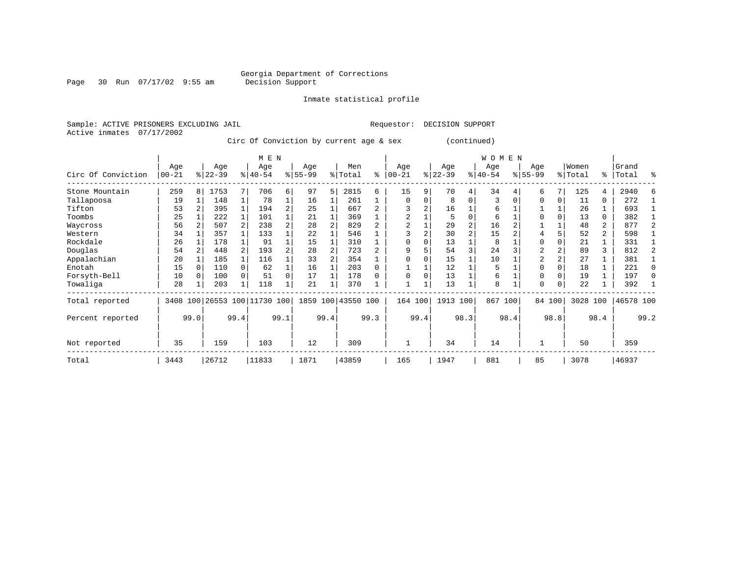Page 30 Run 07/17/02 9:55 am

Inmate statistical profile

Sample: ACTIVE PRISONERS EXCLUDING JAIL Requestor: DECISION SUPPORT Active inmates 07/17/2002

Circ Of Conviction by current age & sex (continued)

|                    |                  |                |                 |              | M E N                   |          |                  |      |                    |      |                  |      |                  |          | W O M E N       |      |                  |          |                  |                |                    |          |
|--------------------|------------------|----------------|-----------------|--------------|-------------------------|----------|------------------|------|--------------------|------|------------------|------|------------------|----------|-----------------|------|------------------|----------|------------------|----------------|--------------------|----------|
| Circ Of Conviction | Age<br>$00 - 21$ |                | Age<br>$ 22-39$ |              | Age<br>$8 40-54$        |          | Age<br>$8 55-99$ |      | Men<br>% Total     | ႜ    | Age<br>$00 - 21$ | %    | Age<br>$22 - 39$ |          | Age<br>$ 40-54$ |      | Age<br>$8 55-99$ |          | Women<br>% Total |                | Grand<br>%   Total | ႜ        |
| Stone Mountain     | 259              | 8 <sup>1</sup> | 1753            |              | 706                     | 6        | 97               | 5    | 2815               | 6    | 15               | 9    | 70               | 4        | 34              |      | 6                |          | 125              | 4              | 2940               |          |
| Tallapoosa         | 19               |                | 148             |              | 78                      |          | 16               |      | 261                |      | $\mathbf 0$      |      | 8                | $\Omega$ | 3               |      | $\Omega$         | $\Omega$ | 11               | 0              | 272                |          |
| Tifton             | 53               |                | 395             |              | 194                     | 2        | 25               |      | 667                |      |                  |      | 16               |          | 6               |      |                  |          | 26               |                | 693                |          |
| Toombs             | 25               |                | 222             |              | 101                     |          | 21               |      | 369                |      |                  |      | 5                | $\Omega$ | 6               |      | $\Omega$         |          | 13               | 0              | 382                |          |
| Waycross           | 56               |                | 507             |              | 238                     |          | 28               |      | 829                |      |                  |      | 29               |          | 16              |      |                  |          | 48               | 2              | 877                |          |
| Western            | 34               |                | 357             |              | 133                     |          | 22               |      | 546                |      |                  |      | 30               |          | 15              |      |                  |          | 52               | $\overline{a}$ | 598                |          |
| Rockdale           | 26               |                | 178             |              | 91                      |          | 15               |      | 310                |      | $\Omega$         |      | 13               |          | 8               |      | $\Omega$         |          | 21               |                | 331                |          |
| Douglas            | 54               |                | 448             |              | 193                     | 2        | 28               |      | 723                |      | 9                |      | 54               | 3        | 24              |      | 2                |          | 89               | 3              | 812                |          |
| Appalachian        | 20               |                | 185             |              | 116                     |          | 33               |      | 354                |      |                  |      | 15               |          | 10              |      | $\overline{2}$   |          | 27               |                | 381                |          |
| Enotah             | 15               |                | 110             | 0            | 62                      |          | 16               |      | 203                | 0    |                  |      | 12               |          | 5               |      | $\Omega$         |          | 18               |                | 221                | $\Omega$ |
| Forsyth-Bell       | 10               |                | 100             |              | 51                      | $\Omega$ | 17               |      | 178                | U    | $\Omega$         |      | 13               |          | 6               |      | $\Omega$         |          | 19               |                | 197                | $\Omega$ |
| Towaliga           | 28               |                | 203             | $\mathbf{1}$ | 118                     |          | 21               |      | 370                |      |                  |      | 13               |          | 8               |      | $\Omega$         | $\Omega$ | 22               |                | 392                |          |
| Total reported     | 3408             |                |                 |              | 100 26553 100 11730 100 |          |                  |      | 1859 100 43550 100 |      | 164 100          |      | 1913 100         |          | 867             | 100  |                  | 84 100   | 3028 100         |                | 46578 100          |          |
| Percent reported   |                  | 99.0           |                 | 99.4         |                         | 99.1     |                  | 99.4 |                    | 99.3 |                  | 99.4 |                  | 98.3     |                 | 98.4 |                  | 98.8     |                  | 98.4           |                    | 99.2     |
| Not reported       | 35               |                | 159             |              | 103                     |          | 12               |      | 309                |      |                  |      | 34               |          | 14              |      |                  |          | 50               |                | 359                |          |
| Total              | 3443             |                | 26712           |              | 11833                   |          | 1871             |      | 43859              |      | 165              |      | 1947             |          | 881             |      | 85               |          | 3078             |                | 46937              |          |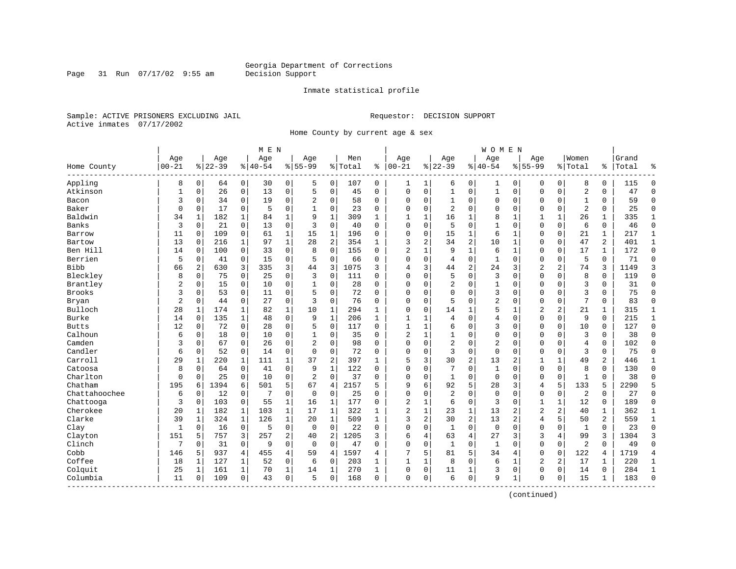#### Inmate statistical profile

Sample: ACTIVE PRISONERS EXCLUDING JAIL Requestor: DECISION SUPPORT Active inmates 07/17/2002

Page 31 Run 07/17/02 9:55 am

Home County by current age & sex

|               |              |                |           |                |          | M E N          |                |                |         |              |                |              |                |                | <b>WOMEN</b>   |                |                |                |                |              |       |                |
|---------------|--------------|----------------|-----------|----------------|----------|----------------|----------------|----------------|---------|--------------|----------------|--------------|----------------|----------------|----------------|----------------|----------------|----------------|----------------|--------------|-------|----------------|
|               | Age          |                | Age       |                | Age      |                | Age            |                | Men     |              | Age            |              | Age            |                | Age            |                | Aqe            |                | Women          |              | Grand |                |
| Home County   | $00 - 21$    |                | $8 22-39$ |                | $ 40-54$ |                | $8155 - 99$    |                | % Total | ి            | $ 00-21$       |              | $8 22-39$      |                | $8140 - 54$    |                | $8155 - 99$    |                | % Total        | ి            | Total | န္             |
| Appling       | 8            | $\overline{0}$ | 64        | $\overline{0}$ | 30       | $\overline{0}$ | 5              | 0              | 107     | 0            | 1              | $\mathbf 1$  | 6              | 0              | 1              | 0              | 0              | 0              | 8              | 0            | 115   | $\Omega$       |
| Atkinson      | $\mathbf{1}$ | 0              | 26        | $\mathsf{O}$   | 13       | 0              | 5              | $\mathbf 0$    | 45      | $\Omega$     | $\Omega$       | 0            | $\mathbf 1$    | $\mathbf 0$    | $\mathbf 1$    | $\mathbf 0$    | $\mathbf{0}$   | $\mathbf 0$    | $\overline{a}$ | 0            | 47    | $\Omega$       |
| Bacon         | 3            | 0              | 34        | 0              | 19       | 0              | 2              | 0              | 58      | 0            | $\Omega$       | 0            | 1              | 0              | 0              | 0              | $\Omega$       | $\mathbf 0$    | 1              | 0            | 59    | $\Omega$       |
| Baker         | 0            | 0              | 17        | 0              | 5        | 0              |                | $\mathbf 0$    | 23      | 0            | $\Omega$       | 0            | $\overline{2}$ | 0              | $\Omega$       | $\mathbf 0$    | $\Omega$       | $\mathbf 0$    | $\overline{2}$ | 0            | 25    | $\Omega$       |
| Baldwin       | 34           | $\mathbf{1}$   | 182       | $\mathbf{1}$   | 84       | $\mathbf{1}$   | 9              | $\mathbf{1}$   | 309     | $\mathbf{1}$ | $\mathbf{1}$   | $\mathbf{1}$ | 16             | 1              | 8              | $\mathbf{1}$   | $\mathbf{1}$   | $\mathbf{1}$   | 26             | $\mathbf{1}$ | 335   | 1              |
| Banks         | 3            | $\Omega$       | 21        | $\mathbf 0$    | 13       | 0              | 3              | $\Omega$       | 40      | $\Omega$     | $\Omega$       | $\Omega$     | 5              | $\Omega$       | $\mathbf{1}$   | $\Omega$       | $\Omega$       | $\Omega$       | 6              | 0            | 46    | $\Omega$       |
| Barrow        | 11           | 0              | 109       | $\overline{0}$ | 61       | 1              | 15             | $\mathbf 1$    | 196     | 0            | $\Omega$       | 0            | 15             | 1              | 6              | $\mathbf 1$    | $\Omega$       | $\mathbf 0$    | 21             | 1            | 217   | $\mathbf{1}$   |
| Bartow        | 13           | 0              | 216       | $\mathbf 1$    | 97       | $\mathbf{1}$   | 28             | 2              | 354     | 1            | 3              | 2            | 34             | $\overline{c}$ | 10             | $\mathbf 1$    | $\Omega$       | $\mathbf 0$    | 47             | 2            | 401   | 1              |
| Ben Hill      | 14           | 0              | 100       | $\overline{0}$ | 33       | 0              | 8              | $\mathbf 0$    | 155     | $\Omega$     | $\overline{c}$ | 1            | 9              | $\mathbf{1}$   | 6              | 1              | $\mathbf 0$    | $\mathbf 0$    | 17             | 1            | 172   | $\mathbf{0}$   |
| Berrien       | 5            | 0              | 41        | $\Omega$       | 15       | 0              | 5              | $\mathbf 0$    | 66      | $\Omega$     | $\Omega$       | $\Omega$     | 4              | $\Omega$       | $\mathbf{1}$   | $\mathbf 0$    | $\Omega$       | $\Omega$       | 5              | $\Omega$     | 71    | $\Omega$       |
| <b>Bibb</b>   | 66           | 2              | 630       | 3              | 335      | 3              | 44             | 3              | 1075    | 3            | 4              | 3            | 44             | $\overline{2}$ | 24             | 3              | $\overline{2}$ | $\overline{a}$ | 74             | 3            | 1149  | 3              |
| Bleckley      | 8            | $\Omega$       | 75        | $\Omega$       | 25       | 0              | 3              | $\Omega$       | 111     | $\Omega$     | $\Omega$       | 0            | 5              | $\Omega$       | 3              | $\Omega$       | $\Omega$       | $\Omega$       | 8              | $\mathbf 0$  | 119   | $\Omega$       |
| Brantley      | 2            | 0              | 15        | $\mathbf 0$    | 10       | 0              | 1              | $\mathbf 0$    | 28      | 0            | $\Omega$       | 0            | 2              | 0              | $\mathbf{1}$   | $\Omega$       | $\Omega$       | $\Omega$       | $\overline{3}$ | 0            | 31    | $\Omega$       |
| <b>Brooks</b> | 3            | 0              | 53        | 0              | 11       | 0              | 5              | 0              | 72      | $\Omega$     | $\Omega$       | 0            | $\Omega$       | $\Omega$       | 3              | $\Omega$       | $\Omega$       | $\Omega$       | 3              | 0            | 75    | $\Omega$       |
| Bryan         | 2            | 0              | 44        | 0              | 27       | 0              | 3              | 0              | 76      | $\Omega$     | $\Omega$       | 0            | 5              | $\Omega$       | $\overline{2}$ | $\Omega$       | $\Omega$       | $\Omega$       | 7              | 0            | 83    | $\Omega$       |
| Bulloch       | 28           | 1              | 174       | 1              | 82       | $\mathbf 1$    | 10             | $\mathbf 1$    | 294     | $\mathbf{1}$ | $\Omega$       | 0            | 14             | $\mathbf{1}$   | 5              | $\mathbf{1}$   | $\overline{2}$ | 2              | 21             | 1            | 315   | 1              |
| Burke         | 14           | $\Omega$       | 135       | $\mathbf{1}$   | 48       | 0              | 9              | $\mathbf{1}$   | 206     | $\mathbf{1}$ | $\mathbf{1}$   |              | 4              | $\Omega$       | 4              | $\Omega$       | $\Omega$       | $\Omega$       | 9              | $\Omega$     | 215   | $\mathbf{1}$   |
| <b>Butts</b>  | 12           | 0              | 72        | $\mathbf 0$    | 28       | 0              | 5              | $\Omega$       | 117     | $\Omega$     | $\mathbf{1}$   | 1            | 6              | $\Omega$       | 3              | $\Omega$       | $\Omega$       | $\Omega$       | 10             | 0            | 127   | $\Omega$       |
| Calhoun       | 6            | 0              | 18        | $\mathbf 0$    | 10       | 0              |                | $\mathbf 0$    | 35      | $\Omega$     | $\overline{2}$ | 1            | 1              | 0              | 0              | $\Omega$       | $\Omega$       | 0              | $\overline{3}$ | 0            | 38    | $\Omega$       |
| Camden        | 3            | 0              | 67        | 0              | 26       | 0              | $\overline{2}$ | 0              | 98      | $\Omega$     | $\Omega$       | 0            | $\overline{2}$ | 0              | 2              | 0              | $\Omega$       | 0              | $\overline{4}$ | 0            | 102   | $\Omega$       |
| Candler       | 6            | 0              | 52        | 0              | 14       | 0              | $\Omega$       | 0              | 72      | 0            | $\Omega$       | 0            | 3              | 0              | $\mathbf 0$    | $\mathbf 0$    | $\mathbf 0$    | 0              | 3              | 0            | 75    | $\Omega$       |
| Carroll       | 29           | 1              | 220       | 1              | 111      | $\mathbf 1$    | 37             | $\overline{2}$ | 397     | 1            | 5              | 3            | 30             | $\overline{c}$ | 13             | $\overline{2}$ | 1              | 1              | 49             | 2            | 446   | 1              |
| Catoosa       | 8            | $\Omega$       | 64        | $\mathbf 0$    | 41       | 0              | 9              | $\mathbf{1}$   | 122     | $\Omega$     | $\Omega$       | $\Omega$     | 7              | $\Omega$       | $\mathbf{1}$   | $\Omega$       | $\Omega$       | $\Omega$       | 8              | $\Omega$     | 130   | $\Omega$       |
| Charlton      | 0            | $\Omega$       | 25        | $\mathbf 0$    | 10       | 0              | $\overline{c}$ | $\Omega$       | 37      | 0            | $\Omega$       | 0            | 1              | 0              | $\mathbf 0$    | $\mathbf 0$    | $\Omega$       | $\mathbf 0$    | $\mathbf{1}$   | 0            | 38    | $\Omega$       |
| Chatham       | 195          | 6              | 1394      | 6              | 501      | 5              | 67             | 4              | 2157    | 5            | 9              | б.           | 92             | 5              | 28             | 3              | 4              | 5              | 133            | 5            | 2290  | 5              |
| Chattahoochee | 6            | 0              | 12        | 0              | 7        | 0              | $\mathbf 0$    | 0              | 25      | $\Omega$     | $\mathbf 0$    | 0            | $\overline{2}$ | 0              | $\mathbf 0$    | $\Omega$       | $\mathbf 0$    | 0              | $\overline{2}$ | 0            | 27    | $\Omega$       |
| Chattooga     | 3            | 0              | 103       | 0              | 55       | 1              | 16             | 1              | 177     | 0            | $\overline{2}$ | 1            | 6              | 0              | 3              | $\mathbf 0$    | 1              | 1              | 12             | 0            | 189   | $\Omega$       |
| Cherokee      | 20           | 1              | 182       | 1              | 103      | $\mathbf 1$    | 17             | 1              | 322     | 1            | $\overline{c}$ | 1            | 23             | 1              | 13             | 2              | $\overline{2}$ | 2              | 40             | 1            | 362   | 1              |
| Clarke        | 39           | 1              | 324       | $\mathbf{1}$   | 126      | $\mathbf 1$    | 20             | 1              | 509     | 1            | 3              | 2            | 30             | $\overline{c}$ | 13             | $\overline{2}$ | 4              | 5              | 50             | 2            | 559   | 1              |
| Clay          | 1            | 0              | 16        | 0              | 5        | 0              | $\mathbf 0$    | $\mathbf 0$    | 22      | 0            | $\mathbf 0$    | 0            | $\mathbf{1}$   | 0              | $\mathbf 0$    | $\mathbf 0$    | $\mathbf 0$    | 0              | 1              | 0            | 23    | $\Omega$       |
| Clayton       | 151          | 5              | 757       | 3              | 257      | 2              | 40             | 2              | 1205    | 3            | 6              | 4            | 63             | 4              | 27             | 3              | 3              | 4              | 99             | 3            | 1304  | 3              |
| Clinch        | 7            | 0              | 31        | $\mathbf 0$    | 9        | 0              | $\mathbf 0$    | $\mathbf 0$    | 47      | $\Omega$     | $\Omega$       | 0            | $\mathbf{1}$   | 0              | 1              | $\Omega$       | $\mathbf 0$    | $\mathbf 0$    | $\overline{2}$ | $\Omega$     | 49    | $\Omega$       |
| Cobb          | 146          | 5              | 937       | $\overline{4}$ | 455      | 4              | 59             | 4              | 1597    | 4            | 7              | 5            | 81             | 5              | 34             | 4              | $\mathbf 0$    | $\mathbf 0$    | 122            | 4            | 1719  | $\overline{4}$ |
| Coffee        | 18           | 1              | 127       | 1              | 52       | 0              | 6              | 0              | 203     | 1            | $\mathbf{1}$   | 1            | 8              | 0              | 6              | 1              | $\overline{2}$ | 2              | 17             | 1            | 220   | 1              |
| Colquit       | 25           | 1              | 161       | 1              | 70       | $\mathbf 1$    | 14             | 1              | 270     | 1            | $\Omega$       | 0            | 11             | 1              | 3              | 0              | $\mathbf 0$    | 0              | 14             | 0            | 284   | 1              |
| Columbia      | 11           | 0              | 109       | $\mathbf 0$    | 43       | 0              | 5              | 0              | 168     | 0            | $\mathbf 0$    | 0            | 6              | $\mathbf 0$    | 9              | 1              | $\Omega$       | $\mathbf 0$    | 15             | $\mathbf 1$  | 183   | $\Omega$       |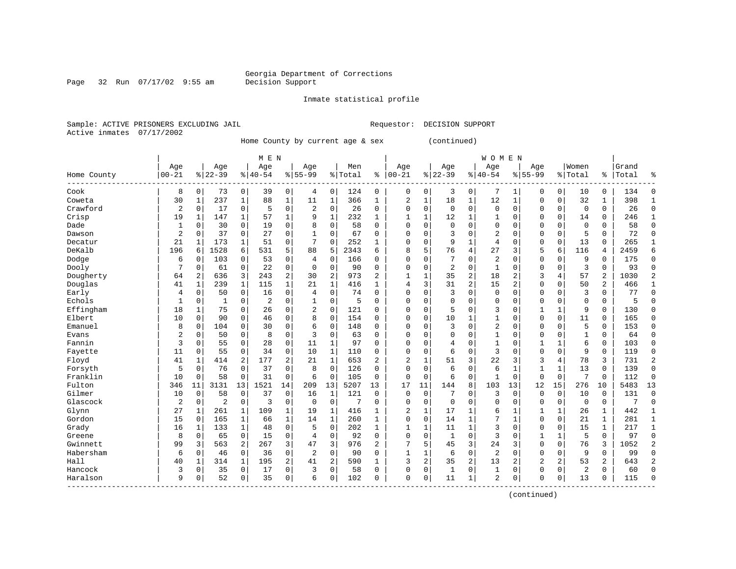Page 32 Run 07/17/02 9:55 am

Inmate statistical profile

Sample: ACTIVE PRISONERS EXCLUDING JAIL Requestor: DECISION SUPPORT Active inmates 07/17/2002

Home County by current age & sex (continued)

| Age<br>$00 - 21$<br>Home County | 8              |              | Age<br>$8 22-39$ |                | Age<br>$8 40-54$ |                | Age            |                | Men     |              | Age            |              | Age          |                | Age            |                | Age          |              | Women          |                | Grand |                |
|---------------------------------|----------------|--------------|------------------|----------------|------------------|----------------|----------------|----------------|---------|--------------|----------------|--------------|--------------|----------------|----------------|----------------|--------------|--------------|----------------|----------------|-------|----------------|
|                                 |                |              |                  |                |                  |                |                |                |         |              |                |              |              |                |                |                |              |              |                |                |       |                |
|                                 |                |              |                  |                |                  |                | $8155 - 99$    |                | % Total | ႜ            | $ 00 - 21$     |              | $ 22-39$     |                | $8140 - 54$    |                | $8155 - 99$  |              | % Total        | ႜ              | Total | ႜ              |
| Cook                            |                | 0            | 73               | $\overline{0}$ | 39               | $\overline{0}$ | 4              | 0              | 124     | $\mathbf 0$  | 0              | 0            | 3            | 0              | 7              | 1              | 0            | 0            | 10             | 0              | 134   | 0              |
| 30<br>Coweta                    |                | 1            | 237              | $\mathbf{1}$   | 88               | $\mathbf 1$    | 11             | $\mathbf{1}$   | 366     | 1            | 2              | $\mathbf 1$  | 18           | $\mathbf{1}$   | 12             | $\mathbf 1$    | 0            | 0            | 32             | 1              | 398   | $\mathbf{1}$   |
| Crawford                        | $\sqrt{2}$     | 0            | 17               | $\mathbf 0$    | 5                | 0              | 2              | $\mathbf 0$    | 26      | $\mathbf 0$  | $\mathbf 0$    | $\mathbf 0$  | $\mathbf 0$  | $\mathbf 0$    | $\mathbf{0}$   | $\mathbf 0$    | 0            | 0            | $\mathbf 0$    | $\Omega$       | 26    | 0              |
| Crisp                           | 19             | 1            | 147              | 1              | 57               | 1              | 9              | $\mathbf 1$    | 232     | $\mathbf{1}$ | $\mathbf{1}$   | 1            | 12           | 1              |                | $\mathbf 0$    | 0            | 0            | 14             | $\Omega$       | 246   | $\mathbf{1}$   |
| Dade                            | $\mathbf{1}$   | $\Omega$     | 30               | $\Omega$       | 19               | $\Omega$       | 8              | $\Omega$       | 58      | $\Omega$     | $\Omega$       | $\Omega$     | $\Omega$     | $\Omega$       | $\Omega$       | $\Omega$       | 0            | $\Omega$     | $\Omega$       | $\Omega$       | 58    | $\mathbf 0$    |
| Dawson                          | 2              | 0            | 37               | 0              | 27               | 0              | 1              | 0              | 67      | 0            | $\mathbf 0$    | 0            | 3            | 0              | $\overline{2}$ | $\mathbf 0$    | 0            | 0            | 5              | 0              | 72    | $\mathbf 0$    |
| Decatur                         | 21             | 1            | 173              | 1              | 51               | 0              | 7              | $\Omega$       | 252     | 1            | $\mathbf 0$    | $\mathbf 0$  | 9            | 1              | 4              | $\mathbf 0$    | 0            | 0            | 13             | $\Omega$       | 265   | 1              |
| DeKalb<br>196                   |                | 6            | 1528             | 6              | 531              | 5              | 88             | 5              | 2343    | 6            | 8              | 5            | 76           | 4              | 27             | 3              | 5            | 6            | 116            | 4              | 2459  | 6              |
| Dodge                           | 6              | 0            | 103              | 0              | 53               | 0              | 4              | $\Omega$       | 166     | 0            | $\Omega$       | $\Omega$     | 7            | 0              | $\overline{2}$ | $\Omega$       | 0            | $\Omega$     | 9              | $\Omega$       | 175   | $\mathbf 0$    |
| Dooly                           | 7              | $\Omega$     | 61               | $\mathbf 0$    | 22               | 0              | $\Omega$       | $\mathbf 0$    | 90      | $\Omega$     | $\mathbf 0$    | $\mathbf 0$  | 2            | $\Omega$       | $\mathbf{1}$   | $\Omega$       | 0            | $\Omega$     | 3              | $\Omega$       | 93    | $\Omega$       |
| Dougherty                       | 64             | 2            | 636              | 3              | 243              | 2              | 30             | $\overline{2}$ | 973     | 2            | $\mathbf{1}$   | $\mathbf{1}$ | 35           | $\overline{a}$ | 18             | $\overline{2}$ | 3            | 4            | 57             | $\overline{2}$ | 1030  | $\overline{2}$ |
| Douglas                         | 41             | $\mathbf{1}$ | 239              | $\mathbf{1}$   | 115              | $\mathbf{1}$   | 21             | $\mathbf{1}$   | 416     | $\mathbf{1}$ | 4              | 3            | 31           | 2              | 15             | 2              | 0            | $\Omega$     | 50             | 2              | 466   | $\mathbf{1}$   |
| Early                           | 4              | 0            | 50               | $\mathbf 0$    | 16               | 0              | 4              | $\mathbf 0$    | 74      | $\mathbf 0$  | $\mathbf 0$    | $\mathbf 0$  | 3            | $\mathbf 0$    | $\mathbf 0$    | $\mathbf 0$    | 0            | 0            | 3              | $\Omega$       | 77    | $\mathbf 0$    |
| Echols                          | 1              | 0            | 1                | 0              | 2                | 0              |                | 0              | 5       | 0            | $\mathbf 0$    | $\mathbf 0$  | $\Omega$     | $\mathbf 0$    | $\Omega$       | $\mathbf 0$    | 0            | 0            | $\Omega$       | 0              | 5     | 0              |
| Effingham                       | 18             | 1            | 75               | 0              | 26               | 0              | 2              | 0              | 121     | 0            | $\mathbf 0$    | $\mathbf 0$  | 5            | 0              | 3              | $\mathbf 0$    |              | 1            | 9              | $\Omega$       | 130   | $\mathbf 0$    |
| Elbert                          | 10             | 0            | 90               | $\mathbf 0$    | 46               | 0              | 8              | $\mathbf 0$    | 154     | 0            | $\mathbf 0$    | $\mathbf 0$  | 10           | $\mathbf{1}$   |                | $\mathbf 0$    | 0            | 0            | 11             | $\Omega$       | 165   | $\mathbf 0$    |
| Emanuel                         | 8              | 0            | 104              | $\Omega$       | 30               | 0              | 6              | $\Omega$       | 148     | $\Omega$     | $\mathbf 0$    | $\Omega$     | 3            | 0              | $\overline{2}$ | $\Omega$       | 0            | $\Omega$     | 5              | $\Omega$       | 153   | $\Omega$       |
| Evans                           | 2              | $\Omega$     | 50               | 0              | 8                | 0              | 3              | $\Omega$       | 63      | $\Omega$     | $\mathbf 0$    | $\Omega$     | 0            | $\Omega$       | $\mathbf{1}$   | $\Omega$       | 0            | $\Omega$     | $\mathbf{1}$   | $\Omega$       | 64    | $\Omega$       |
| Fannin                          | 3              | 0            | 55               | $\mathbf 0$    | 28               | 0              | 11             | 1              | 97      | 0            | $\mathbf 0$    | $\mathbf 0$  | 4            | 0              | 1              | $\mathbf 0$    | 1            | 1            | 6              | 0              | 103   | $\mathbf 0$    |
| 11<br>Fayette                   |                | 0            | 55               | $\mathbf 0$    | 34               | 0              | 10             | $\mathbf{1}$   | 110     | 0            | $\mathbf 0$    | $\mathbf 0$  | 6            | $\mathbf 0$    | 3              | $\mathbf 0$    | 0            | 0            | 9              | $\mathbf 0$    | 119   | $\mathbf 0$    |
| Floyd<br>41                     |                | 1            | 414              | 2              | 177              | 2              | 21             | $\mathbf{1}$   | 653     | 2            | $\overline{c}$ | $\mathbf{1}$ | 51           | 3              | 22             | 3              | 3            | 4            | 78             | 3              | 731   | $\overline{2}$ |
| Forsyth                         | 5              | 0            | 76               | 0              | 37               | 0              | 8              | $\mathbf 0$    | 126     | $\Omega$     | $\Omega$       | $\mathbf 0$  | 6            | $\mathbf 0$    | 6              | 1              | $\mathbf{1}$ | 1            | 13             | $\mathbf 0$    | 139   | $\mathsf 0$    |
| Franklin                        | 10             | 0            | 58               | $\mathbf 0$    | 31               | 0              | 6              | $\mathbf 0$    | 105     | 0            | $\mathbf 0$    | $\mathbf 0$  | 6            | $\mathbf 0$    |                | $\mathbf 0$    | $\Omega$     | 0            | 7              | $\Omega$       | 112   | 0              |
| Fulton<br>346                   |                | 11           | 3131             | 13             | 1521             | 14             | 209            | 13             | 5207    | 13           | 17             | 11           | 144          | 8              | 103            | 13             | 12           | 15           | 276            | 10             | 5483  | 13             |
| Gilmer<br>10                    |                | 0            | 58               | $\Omega$       | 37               | 0              | 16             | 1              | 121     | $\Omega$     | $\Omega$       | $\Omega$     | 7            | 0              | 3              | $\Omega$       | $\Omega$     | $\Omega$     | 10             | $\Omega$       | 131   | $\Omega$       |
| Glascock                        | $\overline{2}$ | 0            | $\overline{2}$   | $\mathbf 0$    | 3                | 0              | $\mathbf 0$    | $\mathbf 0$    | 7       | 0            | $\mathbf 0$    | $\mathbf 0$  | $\mathbf 0$  | $\mathbf 0$    | $\Omega$       | $\mathbf 0$    | 0            | 0            | $\mathbf 0$    | 0              | 7     | $\mathbf 0$    |
| Glynn                           | 27             | 1            | 261              | 1              | 109              | $\mathbf 1$    | 19             | 1              | 416     | 1            | 2              | $\mathbf{1}$ | 17           | 1              | 6              | 1              |              | 1            | 26             | 1              | 442   | 1              |
| Gordon                          | 15             | 0            | 165              | 1              | 66               | $\mathbf 1$    | 14             | 1              | 260     | 1            | $\mathbf 0$    | $\mathbf 0$  | 14           | $\mathbf{1}$   |                | $\mathbf{1}$   | 0            | 0            | 21             | $\mathbf{1}$   | 281   | $\mathbf{1}$   |
| Grady                           | 16             | 1            | 133              | $\mathbf{1}$   | 48               | 0              | 5              | $\mathbf 0$    | 202     | $\mathbf{1}$ | 1              | 1            | 11           | $\mathbf 1$    | 3              | $\Omega$       | 0            | 0            | 15             | $\mathbf{1}$   | 217   | $\mathbf{1}$   |
| Greene                          | 8              | 0            | 65               | $\mathbf 0$    | 15               | 0              | 4              | $\mathbf 0$    | 92      | $\Omega$     | $\mathbf 0$    | $\mathbf 0$  | $\mathbf{1}$ | $\mathbf 0$    | 3              | $\mathbf 0$    | 1            | $\mathbf{1}$ | 5              | $\Omega$       | 97    | $\mathbf 0$    |
| Gwinnett                        | 99             | 3            | 563              | 2              | 267              | 3              | 47             | 3              | 976     | 2            |                | 5            | 45           | 3              | 24             | 3              | 0            | 0            | 76             | 3              | 1052  | $\overline{2}$ |
| Habersham                       | 6              | 0            | 46               | 0              | 36               | 0              | $\overline{2}$ | $\mathbf 0$    | 90      | 0            | $\mathbf{1}$   | 1            | 6            | $\mathbf 0$    | $\overline{2}$ | $\mathbf 0$    | 0            | 0            | 9              | $\Omega$       | 99    | $\mathbf 0$    |
| Hall                            | 40             | 1            | 314              | 1              | 195              | $\overline{2}$ | 41             | $\overline{2}$ | 590     | $\mathbf{1}$ | 3              | 2            | 35           | 2              | 13             | 2              | 2            | 2            | 53             | 2              | 643   | $\overline{2}$ |
| Hancock                         | 3              | 0            | 35               | 0              | 17               | 0              | 3              | $\mathbf 0$    | 58      | 0            | $\mathbf 0$    | 0            | 1            | 0              | 1              | $\mathbf 0$    | 0            | 0            | $\overline{2}$ | 0              | 60    | $\mathbf 0$    |
| Haralson                        | 9              | 0            | 52               | $\mathbf 0$    | 35               | 0              | 6              | 0              | 102     | 0            | $\mathbf 0$    | $\mathsf 0$  | 11           | $\mathbf 1$    | $\overline{2}$ | 0              | 0            | 0            | 13             | 0              | 115   | $\Omega$       |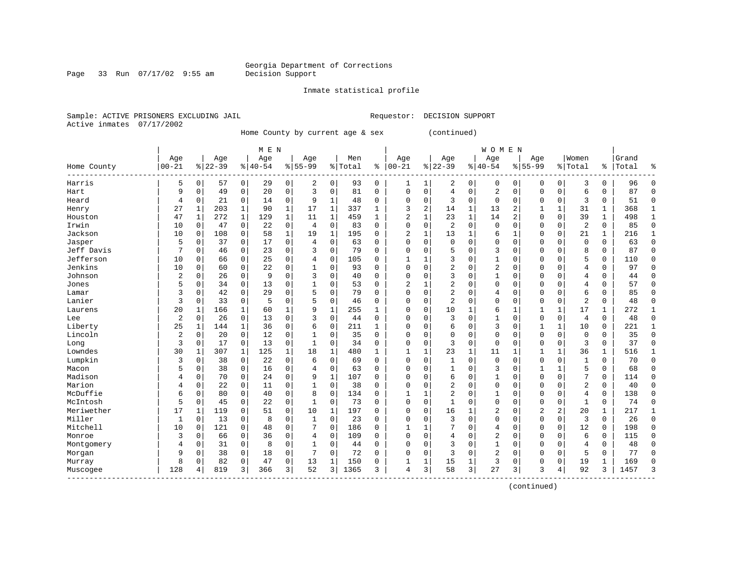Page 33 Run 07/17/02 9:55 am

#### Inmate statistical profile

Sample: ACTIVE PRISONERS EXCLUDING JAIL Requestor: DECISION SUPPORT Active inmates 07/17/2002

Home County by current age & sex (continued)

|                         |                |             |           |             | M E N     |              |             |              |         |              |                |              |                |             | <b>WOMEN</b>   |                |                |                |                |          |       |              |
|-------------------------|----------------|-------------|-----------|-------------|-----------|--------------|-------------|--------------|---------|--------------|----------------|--------------|----------------|-------------|----------------|----------------|----------------|----------------|----------------|----------|-------|--------------|
|                         | Age            |             | Age       |             | Age       |              | Age         |              | Men     |              | Age            |              | Age            |             | Age            |                | Age            |                | Women          |          | Grand |              |
| Home County<br>-------- | $00 - 21$      |             | $8 22-39$ |             | $8 40-54$ |              | $8155 - 99$ |              | % Total | ి            | $00 - 21$      |              | $8 22-39$      |             | $8 40-54$      |                | $8155 - 99$    |                | % Total        | ွေ       | Total | ٩,           |
| Harris                  | 5              | $\mathbf 0$ | 57        | 0           | 29        | 0            | 2           | 0            | 93      | 0            | 1              | 1            | 2              | 0           | 0              | 0              | 0              | 0              | 3              | 0        | 96    | ∩            |
| Hart                    | 9              | $\mathbf 0$ | 49        | 0           | 20        | 0            | 3           | $\mathbf 0$  | 81      | 0            | $\Omega$       | 0            | 4              | $\mathbf 0$ | $\overline{2}$ | $\Omega$       | $\Omega$       | $\mathbf 0$    | 6              | 0        | 87    | $\Omega$     |
| Heard                   | 4              | $\mathbf 0$ | 21        | 0           | 14        | 0            | 9           | $\mathbf{1}$ | 48      | $\Omega$     | $\Omega$       | 0            | 3              | $\Omega$    | 0              | $\Omega$       | $\Omega$       | $\Omega$       | 3              | $\Omega$ | 51    | ∩            |
| Henry                   | 27             | 1           | 203       | 1           | 90        | $\mathbf 1$  | 17          | 1            | 337     | 1            | 3              | 2            | 14             | 1           | 13             | 2              |                | 1              | 31             | 1        | 368   |              |
| Houston                 | 47             | 1           | 272       | 1           | 129       | 1            | 11          | $\mathbf{1}$ | 459     | $\mathbf{1}$ | $\overline{2}$ | $\mathbf{1}$ | 23             | 1           | 14             | $\overline{2}$ | $\Omega$       | $\mathbf 0$    | 39             | 1        | 498   |              |
| Irwin                   | 10             | 0           | 47        | 0           | 22        | 0            | 4           | $\mathbf 0$  | 83      | $\Omega$     | $\Omega$       | 0            | $\overline{2}$ | $\Omega$    | $\Omega$       | $\Omega$       | $\Omega$       | $\Omega$       | $\overline{2}$ | 0        | 85    | $\Omega$     |
| Jackson                 | 10             | 0           | 108       | 0           | 58        | $\mathbf{1}$ | 19          | 1            | 195     | $\Omega$     | $\overline{c}$ | 1            | 13             | 1           | 6              | -1             | $\Omega$       | $\Omega$       | 21             | 1        | 216   | $\mathbf{1}$ |
| Jasper                  | 5              | 0           | 37        | $\mathbf 0$ | 17        | 0            | 4           | $\mathbf 0$  | 63      | $\Omega$     | $\Omega$       | 0            | $\Omega$       | $\Omega$    | 0              | $\mathsf{C}$   | $\Omega$       | 0              | $\mathbf{0}$   | 0        | 63    | $\Omega$     |
| Jeff Davis              |                | 0           | 46        | 0           | 23        | 0            | 3           | $\mathbf 0$  | 79      | $\Omega$     | $\Omega$       | 0            | 5              | $\Omega$    | 3              | C              | $\Omega$       | $\Omega$       | 8              | 0        | 87    | $\mathbf 0$  |
| Jefferson               | 10             | 0           | 66        | 0           | 25        | 0            | 4           | $\Omega$     | 105     | $\Omega$     |                |              | 3              | $\Omega$    | 1              | $\sqrt{ }$     | $\Omega$       | $\Omega$       | 5              | 0        | 110   | $\Omega$     |
| Jenkins                 | 10             | $\mathbf 0$ | 60        | 0           | 22        | 0            |             | $\Omega$     | 93      | $\Omega$     | $\Omega$       | $\Omega$     | $\overline{2}$ | $\Omega$    | 2              | C              | $\Omega$       | $\Omega$       | 4              | 0        | 97    | $\cap$       |
| Johnson                 | $\overline{2}$ | $\mathbf 0$ | 26        | $\mathbf 0$ | 9         | 0            | 3           | $\mathbf 0$  | 40      | 0            | $\Omega$       | $\Omega$     | 3              | $\Omega$    | 1              | C              | $\Omega$       | $\Omega$       | 4              | 0        | 44    | ∩            |
| Jones                   | 5              | 0           | 34        | $\mathbf 0$ | 13        | 0            |             | $\mathbf 0$  | 53      | 0            | 2              | 1            | 2              | 0           | 0              | $\Omega$       | $\Omega$       | $\Omega$       | 4              | 0        | 57    | <sup>0</sup> |
| Lamar                   | 3              | 0           | 42        | 0           | 29        | 0            |             | $\mathbf 0$  | 79      | 0            | $\Omega$       | 0            | $\overline{2}$ | $\Omega$    | 4              | $\Omega$       | $\Omega$       | $\mathbf 0$    | 6              | 0        | 85    | U            |
| Lanier                  | 3              | $\mathbf 0$ | 33        | $\mathbf 0$ | 5         | 0            | 5           | $\mathbf 0$  | 46      | $\Omega$     | $\Omega$       | 0            | $\overline{2}$ | $\Omega$    | 0              | $\Omega$       | $\Omega$       | $\mathbf 0$    | $\overline{2}$ | 0        | 48    | $\Omega$     |
| Laurens                 | 20             | 1           | 166       | 1           | 60        | 1            | 9           | $\mathbf{1}$ | 255     | 1            | $\Omega$       | 0            | 10             | 1           | 6              | 1              | 1              | $\mathbf{1}$   | 17             | 1        | 272   | $\mathbf{1}$ |
| Lee                     | $\overline{c}$ | $\mathbf 0$ | 26        | $\mathbf 0$ | 13        | 0            | 3           | $\Omega$     | 44      | $\Omega$     | $\Omega$       | 0            | 3              | $\Omega$    | 1              | $\Omega$       | $\Omega$       | $\mathbf 0$    | 4              | 0        | 48    | $\Omega$     |
| Liberty                 | 25             | 1           | 144       | 1           | 36        | 0            | 6           | $\Omega$     | 211     | 1            | 0              | 0            | 6              | $\Omega$    | 3              | C              |                | $\mathbf{1}$   | 10             | 0        | 221   |              |
| Lincoln                 | 2              | 0           | 20        | 0           | 12        | 0            |             | $\Omega$     | 35      | $\Omega$     | $\Omega$       | 0            | $\Omega$       | $\Omega$    | $\Omega$       | C              | $\Omega$       | $\Omega$       | $\mathbf 0$    | 0        | 35    | $\Omega$     |
| Long                    | 3              | $\mathbf 0$ | 17        | $\Omega$    | 13        | 0            | 1           | $\Omega$     | 34      | 0            | $\Omega$       | 0            | 3              | $\Omega$    | 0              | C              | $\Omega$       | $\Omega$       | 3              | $\Omega$ | 37    | <sup>0</sup> |
| Lowndes                 | 30             | 1           | 307       | 1           | 125       | 1            | 18          | $\mathbf{1}$ | 480     | -1           | $\mathbf{1}$   | 1            | 23             | 1           | 11             |                |                | $\mathbf{1}$   | 36             | 1        | 516   |              |
| Lumpkin                 | 3              | $\mathbf 0$ | 38        | $\mathbf 0$ | 22        | 0            | 6           | $\mathbf 0$  | 69      | 0            | $\Omega$       | 0            | $\mathbf{1}$   | $\mathbf 0$ | 0              | $\Omega$       | $\Omega$       | $\Omega$       | $\mathbf{1}$   | 0        | 70    | $\Omega$     |
| Macon                   | 5              | $\mathbf 0$ | 38        | 0           | 16        | 0            | 4           | $\mathbf 0$  | 63      | 0            | $\Omega$       | 0            | $\mathbf{1}$   | $\mathbf 0$ | 3              | $\Omega$       |                | 1              | 5              | 0        | 68    | $\cap$       |
| Madison                 | 4              | $\mathbf 0$ | 70        | $\mathbf 0$ | 24        | 0            | 9           | $\mathbf{1}$ | 107     | $\Omega$     | $\Omega$       | $\Omega$     | 6              | $\Omega$    | $\mathbf{1}$   | C              | $\Omega$       | $\Omega$       | 7              | 0        | 114   | $\Omega$     |
| Marion                  | 4              | $\mathbf 0$ | 22        | $\mathbf 0$ | 11        | 0            | 1           | $\mathbf 0$  | 38      | $\Omega$     | $\Omega$       | 0            | $\overline{2}$ | $\Omega$    | $\Omega$       | $\sqrt{ }$     | $\Omega$       | $\Omega$       | $\overline{2}$ | 0        | 40    | $\Omega$     |
| McDuffie                | б              | $\mathbf 0$ | 80        | $\mathbf 0$ | 40        | 0            | 8           | $\mathbf 0$  | 134     | 0            |                |              | $\overline{2}$ | $\Omega$    | 1              | C              | $\Omega$       | 0              | 4              | 0        | 138   | $\Omega$     |
| McIntosh                | 5              | $\mathbf 0$ | 45        | 0           | 22        | 0            |             | $\mathbf 0$  | 73      | 0            | $\Omega$       | 0            | $\mathbf{1}$   | $\Omega$    | 0              | C              | $\Omega$       | $\mathbf 0$    | $\mathbf{1}$   | 0        | 74    | $\Omega$     |
| Meriwether              | 17             | 1           | 119       | 0           | 51        | 0            | 10          | 1            | 197     | 0            | $\Omega$       | 0            | 16             |             | 2              | C              | $\overline{2}$ | $\overline{a}$ | 20             | 1        | 217   | -1           |
| Miller                  | 1              | $\Omega$    | 13        | 0           | 8         | 0            | 1           | $\Omega$     | 23      | 0            | $\Omega$       | O            | 3              | $\Omega$    | $\Omega$       | C              | $\Omega$       | $\Omega$       | 3              | 0        | 26    | $\Omega$     |
| Mitchell                | 10             | 0           | 121       | $\Omega$    | 48        | 0            | 7           | $\Omega$     | 186     | 0            | 1              | $\mathbf{1}$ |                | $\Omega$    | 4              | $\Omega$       | $\Omega$       | $\Omega$       | 12             | 0        | 198   | ∩            |
| Monroe                  | 3              | 0           | 66        | $\mathbf 0$ | 36        | 0            | 4           | $\mathbf 0$  | 109     | $\Omega$     | $\Omega$       | 0            | 4              | $\Omega$    | $\overline{2}$ | $\Omega$       | 0              | $\Omega$       | 6              | 0        | 115   | 0            |
| Montgomery              | 4              | 0           | 31        | $\mathbf 0$ | 8         | 0            |             | $\mathbf 0$  | 44      | $\Omega$     | 0              | 0            | 3              | $\Omega$    | 1              | 0              | $\Omega$       | $\Omega$       | 4              | 0        | 48    | $\Omega$     |
| Morgan                  | 9              | 0           | 38        | 0           | 18        | 0            |             | 0            | 72      | $\Omega$     | $\Omega$       | 0            | 3              | $\Omega$    | $\overline{2}$ | $\mathsf{C}$   | $\Omega$       | $\Omega$       | 5              | 0        | 77    | $\sqrt{ }$   |
| Murray                  | 8              | $\mathbf 0$ | 82        | 0           | 47        | 0            | 13          | 1            | 150     | $\Omega$     | $\mathbf{1}$   | $\mathbf 1$  | 15             | 1           | 3              | $\mathsf{C}$   | $\Omega$       | 0              | 19             | 1        | 169   | $\sqrt{ }$   |
| Muscogee                | 128            | 4           | 819       | 3           | 366       | 3            | 52          | 3            | 1365    | 3            | 4              | 3            | 58             | 3           | 27             | 3              | 3              | 4              | 92             | 3        | 1457  | p            |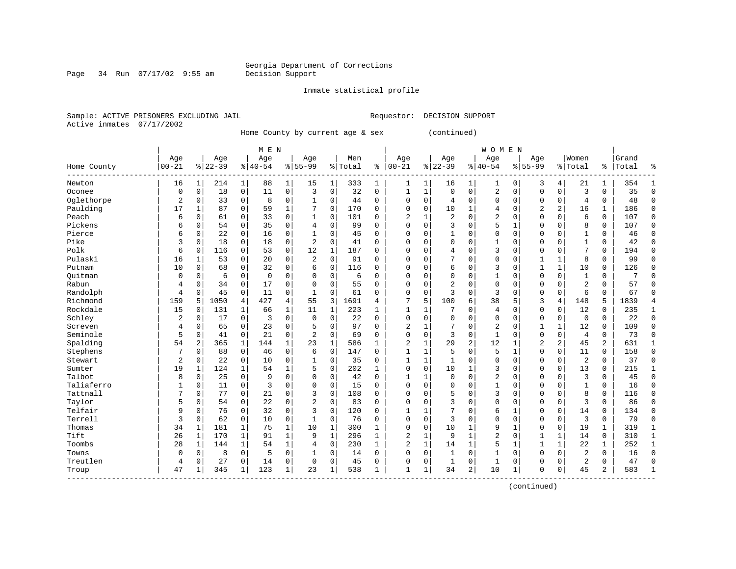Page 34 Run 07/17/02 9:55 am

#### Inmate statistical profile

Sample: ACTIVE PRISONERS EXCLUDING JAIL Requestor: DECISION SUPPORT Active inmates 07/17/2002

Home County by current age & sex (continued)

|             |                |              |           |              | M E N       |              |                |              |         |              |                |              |                |                | <b>WOMEN</b>   |              |                |                |                |              |       |              |
|-------------|----------------|--------------|-----------|--------------|-------------|--------------|----------------|--------------|---------|--------------|----------------|--------------|----------------|----------------|----------------|--------------|----------------|----------------|----------------|--------------|-------|--------------|
|             | Age            |              | Age       |              | Age         |              | Age            |              | Men     |              | Age            |              | Age            |                | Age            |              | Age            |                | Women          |              | Grand |              |
| Home County | $00 - 21$      |              | $8 22-39$ |              | $8 40-54$   |              | $8155 - 99$    |              | % Total | ి            | $00 - 21$      |              | $8 22-39$      |                | $8 40-54$      |              | $8155 - 99$    |                | % Total        | ి            | Total | ႜ            |
| Newton      | 16             | 1            | 214       | 1            | 88          | 1            | 15             | 1            | 333     | 1            | 1              | 1            | 16             | 1              | 1              | $\mathbf 0$  | 3              | 4              | 21             | 1            | 354   | -1           |
| Oconee      | $\mathbf 0$    | $\mathbf 0$  | 18        | $\mathbf 0$  | 11          | 0            | 3              | $\mathbf 0$  | 32      | $\mathbf 0$  | 1              | $\mathbf{1}$ | $\mathbf 0$    | $\mathbf 0$    | 2              | $\mathbf 0$  | $\Omega$       | 0              | 3              | 0            | 35    | $\mathbf 0$  |
| Oglethorpe  | 2              | $\mathbf 0$  | 33        | $\mathbf 0$  | 8           | 0            | 1              | $\mathbf 0$  | 44      | 0            | $\mathbf 0$    | $\Omega$     | 4              | $\mathbf 0$    | $\Omega$       | $\mathbf 0$  | $\Omega$       | 0              | $\overline{4}$ | 0            | 48    | $\Omega$     |
| Paulding    | 17             | $\mathbf{1}$ | 87        | $\mathbf 0$  | 59          | 1            |                | $\mathbf 0$  | 170     | 0            | $\Omega$       | $\mathbf 0$  | 10             | 1              | 4              | $\Omega$     | $\overline{2}$ | 2              | 16             | $\mathbf{1}$ | 186   | $\Omega$     |
| Peach       | 6              | $\mathbf 0$  | 61        | 0            | 33          | $\Omega$     | 1              | 0            | 101     | O            | $\overline{2}$ | 1            | $\overline{a}$ | $\Omega$       | 2              | $\Omega$     | $\Omega$       | $\Omega$       | 6              | $\Omega$     | 107   | $\Omega$     |
| Pickens     | 6              | $\mathbf 0$  | 54        | 0            | 35          | 0            | 4              | $\mathbf 0$  | 99      | $\Omega$     | $\Omega$       | $\Omega$     | 3              | $\mathbf 0$    | 5              | 1            | $\Omega$       | $\Omega$       | 8              | 0            | 107   | $\mathbf 0$  |
| Pierce      | 6              | 0            | 22        | 0            | 16          | 0            |                | 0            | 45      | 0            | $\mathbf 0$    | $\Omega$     | $\mathbf{1}$   | $\Omega$       | 0              | $\Omega$     | $\Omega$       | $\Omega$       |                | 0            | 46    | $\mathbf 0$  |
| Pike        | 3              | 0            | 18        | 0            | 18          | 0            | 2              | 0            | 41      | 0            | $\Omega$       | $\Omega$     | 0              | 0              | 1              | $\Omega$     | 0              | $\Omega$       | $\mathbf{1}$   | 0            | 42    | $\mathbf 0$  |
| Polk        | 6              | $\mathbf 0$  | 116       | 0            | 53          | 0            | 12             | $\mathbf{1}$ | 187     | 0            | $\Omega$       | $\Omega$     | 4              | $\Omega$       | 3              | $\Omega$     | $\Omega$       | 0              | 7              | 0            | 194   | $\mathbf 0$  |
| Pulaski     | 16             | 1            | 53        | $\Omega$     | 20          | $\Omega$     | 2              | $\Omega$     | 91      | O            | $\Omega$       | O            | 7              | $\Omega$       | $\Omega$       | $\Omega$     | $\mathbf{1}$   | $\mathbf{1}$   | 8              | 0            | 99    | $\Omega$     |
| Putnam      | 10             | $\Omega$     | 68        | $\Omega$     | 32          | $\Omega$     | 6              | $\Omega$     | 116     | 0            | $\Omega$       | $\Omega$     | 6              | $\Omega$       | 3              | $\Omega$     | $\mathbf{1}$   | $\mathbf{1}$   | 10             | $\Omega$     | 126   | $\Omega$     |
| Ouitman     | $\Omega$       | $\mathbf 0$  | 6         | $\Omega$     | $\mathbf 0$ | 0            | 0              | 0            | 6       | 0            | $\Omega$       | $\Omega$     | $\Omega$       | $\Omega$       | 1              | $\Omega$     | $\Omega$       | $\Omega$       | $\mathbf{1}$   | 0            |       | C            |
| Rabun       | 4              | $\mathbf 0$  | 34        | $\mathbf 0$  | 17          | 0            | $\Omega$       | 0            | 55      | O            | $\Omega$       | $\mathbf 0$  | 2              | $\Omega$       | $\Omega$       | $\Omega$     | $\Omega$       | $\Omega$       | $\overline{2}$ | 0            | 57    | $\cap$       |
| Randolph    | 4              | $\mathbf 0$  | 45        | $\mathbf 0$  | 11          | 0            | $\mathbf{1}$   | 0            | 61      | $\Omega$     | $\mathbf 0$    | 0            | 3              | $\Omega$       | 3              | $\Omega$     | $\Omega$       | 0              | 6              | 0            | 67    | $\bigcap$    |
| Richmond    | 159            | 5            | 1050      | 4            | 427         | 4            | 55             | 3            | 1691    | 4            | 7              | 5            | 100            | 6              | 38             | 5            | 3              | 4              | 148            | 5            | 1839  | 4            |
| Rockdale    | 15             | $\mathbf 0$  | 131       | 1            | 66          | $\mathbf 1$  | 11             | 1            | 223     | 1            | 1              | 1            | 7              | 0              | 4              | 0            | $\Omega$       | 0              | 12             | 0            | 235   | 1            |
| Schley      | 2              | 0            | 17        | 0            | 3           | 0            | $\mathbf 0$    | 0            | 22      | 0            | $\mathbf 0$    | 0            | 0              | $\Omega$       | 0              | $\mathbf 0$  | 0              | 0              | 0              | 0            | 22    | $\mathbf 0$  |
| Screven     | 4              | 0            | 65        | $\Omega$     | 23          | 0            | 5              | $\Omega$     | 97      | 0            | $\overline{2}$ | 1            |                | $\Omega$       | $\overline{a}$ | $\Omega$     | $\mathbf{1}$   | $\mathbf{1}$   | 12             | 0            | 109   | $\Omega$     |
| Seminole    | 5              | $\mathbf 0$  | 41        | $\Omega$     | 21          | $\Omega$     | $\overline{a}$ | $\Omega$     | 69      | $\Omega$     | $\Omega$       | $\Omega$     | 3              | $\Omega$       | $\mathbf{1}$   | $\Omega$     | $\Omega$       | $\Omega$       | $\overline{4}$ | 0            | 73    | $\cap$       |
| Spalding    | 54             | 2            | 365       | $\mathbf{1}$ | 144         | $\mathbf{1}$ | 23             | $\mathbf{1}$ | 586     | $\mathbf{1}$ | $\overline{2}$ | $\mathbf{1}$ | 29             | $\overline{2}$ | 12             | -1           | $\overline{2}$ | $\overline{a}$ | 45             | 2            | 631   | -1           |
| Stephens    |                | $\mathbf 0$  | 88        | $\mathbf 0$  | 46          | 0            | 6              | $\mathbf 0$  | 147     | 0            | $\mathbf{1}$   | $\mathbf{1}$ | 5              | $\Omega$       | 5              | $\mathbf{1}$ | $\Omega$       | $\Omega$       | 11             | 0            | 158   | $\Omega$     |
| Stewart     | $\overline{a}$ | $\mathbf 0$  | 22        | 0            | 10          | 0            |                | $\mathbf 0$  | 35      | 0            | 1              | $\mathbf 1$  | 1              | 0              | 0              | $\mathbf 0$  | $\Omega$       | 0              | 2              | 0            | 37    | $\mathbf 0$  |
| Sumter      | 19             | $\mathbf{1}$ | 124       | $\mathbf{1}$ | 54          | 1            | 5              | 0            | 202     | $\mathbf{1}$ | $\mathbf 0$    | $\mathbf 0$  | 10             | 1              | 3              | 0            | $\Omega$       | 0              | 13             | 0            | 215   | $\mathbf{1}$ |
| Talbot      | 8              | $\mathbf 0$  | 25        | $\mathbf 0$  | 9           | 0            | $\Omega$       | 0            | 42      | $\mathbf 0$  | $\mathbf{1}$   | 1            | $\mathbf 0$    | $\mathbf 0$    | $\overline{2}$ | 0            | $\Omega$       | 0              | $\overline{3}$ | 0            | 45    | $\mathbf 0$  |
| Taliaferro  | 1              | $\mathbf 0$  | 11        | $\mathbf 0$  | 3           | 0            | $\Omega$       | $\mathbf 0$  | 15      | 0            | $\mathbf 0$    | 0            | 0              | $\Omega$       | 1              | $\Omega$     | $\Omega$       | 0              | 1              | 0            | 16    | $\mathbf 0$  |
| Tattnall    |                | $\mathbf 0$  | 77        | $\Omega$     | 21          | 0            | 3              | $\Omega$     | 108     | $\Omega$     | $\Omega$       | $\Omega$     | 5              | $\Omega$       | 3              | $\Omega$     | $\Omega$       | $\Omega$       | 8              | 0            | 116   | $\Omega$     |
| Taylor      | 5              | $\mathbf 0$  | 54        | 0            | 22          | 0            | $\overline{a}$ | 0            | 83      | 0            | $\Omega$       | $\Omega$     | 3              | $\Omega$       | $\Omega$       | $\Omega$     | $\Omega$       | $\Omega$       | 3              | 0            | 86    | $\Omega$     |
| Telfair     | 9              | 0            | 76        | 0            | 32          | 0            | 3              | $\Omega$     | 120     | O            | $\mathbf{1}$   | 1            | 7              | $\Omega$       | 6              | 1            | $\Omega$       | $\Omega$       | 14             | 0            | 134   | $\Omega$     |
| Terrell     | 3              | $\mathbf 0$  | 62        | $\mathbf 0$  | 10          | 0            | $\mathbf{1}$   | 0            | 76      | 0            | $\Omega$       | $\Omega$     | 3              | $\Omega$       | $\Omega$       | $\Omega$     | $\Omega$       | $\Omega$       | 3              | 0            | 79    | $\Omega$     |
| Thomas      | 34             | 1            | 181       | $\mathbf 1$  | 75          | $\mathbf 1$  | 10             | $\mathbf{1}$ | 300     | $\mathbf{1}$ | $\mathbf 0$    | $\mathbf 0$  | 10             | 1              | 9              | $\mathbf{1}$ | $\Omega$       | 0              | 19             | 1            | 319   | 1            |
| Tift        | 26             | 1            | 170       | $\mathbf{1}$ | 91          | 1            | 9              | 1            | 296     | 1            | $\overline{2}$ | $\mathbf{1}$ | 9              | $\mathbf{1}$   | 2              | $\mathbf 0$  | 1              | $\mathbf{1}$   | 14             | 0            | 310   | 1            |
| Toombs      | 28             | 1            | 144       | $\mathbf 1$  | 54          | 1            | 4              | 0            | 230     | $\mathbf{1}$ | $\overline{c}$ | $\mathbf{1}$ | 14             | 1              | 5              | $\mathbf{1}$ | $\mathbf{1}$   | $\mathbf{1}$   | 22             | $\mathbf{1}$ | 252   | $\mathbf{1}$ |
| Towns       | $\Omega$       | 0            | 8         | $\mathbf 0$  | 5           | 0            |                | 0            | 14      | 0            | $\Omega$       | $\mathbf 0$  | $\mathbf{1}$   | $\mathbf 0$    | $\mathbf{1}$   | $\Omega$     | $\Omega$       | $\Omega$       | 2              | 0            | 16    | $\Omega$     |
| Treutlen    | $\overline{4}$ | $\mathbf 0$  | 27        | 0            | 14          | 0            | $\Omega$       | 0            | 45      | 0            | $\mathbf 0$    | 0            | 1              | 0              | 1              | $\Omega$     | $\Omega$       | $\Omega$       | 2              | 0            | 47    | $\bigcap$    |
| Troup       | 47             | 1            | 345       | $\mathbf{1}$ | 123         | 1            | 23             | 1            | 538     | -1           | $\mathbf{1}$   | 1            | 34             | 2              | 10             | 1            | $\Omega$       | 0              | 45             | 2            | 583   | $\mathbf{1}$ |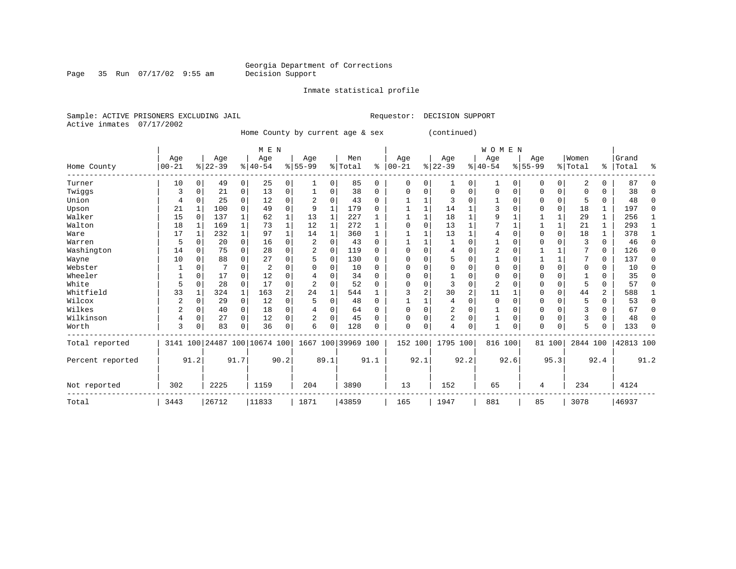Page 35 Run 07/17/02 9:55 am

Inmate statistical profile

Sample: ACTIVE PRISONERS EXCLUDING JAIL Requestor: DECISION SUPPORT Active inmates 07/17/2002

Home County by current age & sex (continued)

|                  |                |              |          |              | M E N                        |                |             |              |                    |          |              |          |                |          | WOMEN          |          |             |          |          |               |           |          |
|------------------|----------------|--------------|----------|--------------|------------------------------|----------------|-------------|--------------|--------------------|----------|--------------|----------|----------------|----------|----------------|----------|-------------|----------|----------|---------------|-----------|----------|
|                  | Age            |              | Age      |              | Age                          |                | Age         |              | Men                |          | Age          |          | Age            |          | Age            |          | Age         |          | Women    |               | Grand     |          |
| Home County      | $00 - 21$      |              | $ 22-39$ |              | $8 40-54$                    |                | $8155 - 99$ |              | % Total            | ៖        | $ 00 - 21$   |          | $ 22-39 $      |          | $8 40-54$      |          | $8155 - 99$ |          | % Total  | $\frac{1}{6}$ | Total     | ៖        |
| Turner           | 10             | $\mathbf{0}$ | 49       | 0            | 25                           | 0              | 1           | 0            | 85                 | 0        | $\Omega$     | $\Omega$ | 1              | 0        | 1              | $\Omega$ | 0           | 0        | 2        | 0             | 87        | $\Omega$ |
| Twiggs           | 3              | 0            | 21       | 0            | 13                           | 0              |             | 0            | 38                 | $\Omega$ | <sup>0</sup> |          | $\Omega$       | O        | $\mathbf 0$    | $\Omega$ | U           | 0        | O        | U             | 38        | $\Omega$ |
| Union            | 4              |              | 25       | 0            | 12                           | 0              |             | 0            | 43                 | $\Omega$ |              |          | 3              | U        |                |          |             | 0        | 5        | U             | 48        | $\Omega$ |
| Upson            | 21             |              | 100      | $\Omega$     | 49                           | 0              | 9           | 1            | 179                | $\Omega$ |              |          | 14             |          |                |          |             | 0        | 18       | 1             | 197       | $\Omega$ |
| Walker           | 15             | $\Omega$     | 137      | $\mathbf{1}$ | 62                           | 1              | 13          | $\mathbf{1}$ | 227                |          |              |          | 18             |          | q              |          |             |          | 29       | 1             | 256       |          |
| Walton           | 18             |              | 169      | $\mathbf{1}$ | 73                           | $\mathbf 1$    | 12          | 1            | 272                | 1        |              |          | 13             |          |                |          |             | 1        | 21       | 1             | 293       | 1        |
| Ware             | 17             | $\mathbf{1}$ | 232      | $\mathbf{1}$ | 97                           |                | 14          | 1            | 360                | 1        |              |          | 13             |          |                |          | U           | $\Omega$ | 18       |               | 378       | 1        |
| Warren           | 5              | O            | 20       | 0            | 16                           | 0              | 2           | 0            | 43                 | $\Omega$ |              |          |                |          |                |          |             |          | 3        | $\Omega$      | 46        | $\Omega$ |
| Washington       | 14             | 0            | 75       | $\Omega$     | 28                           | 0              |             | $\Omega$     | 119                | $\Omega$ |              |          | 4              | O        | 2              |          |             |          |          | 0             | 126       | $\Omega$ |
| Wayne            | 10             | 0            | 88       | $\Omega$     | 27                           | 0              | 5           | 0            | 130                | $\Omega$ |              |          | 5              | U        |                |          |             | 1        |          | 0             | 137       | $\Omega$ |
| Webster          |                |              |          | 0            | $\overline{2}$               | U              |             | 0            | 10                 | $\Omega$ |              |          | O              | U        |                |          |             | 0        | O        | O             | 10        | $\Omega$ |
| Wheeler          |                | O            | 17       | $\Omega$     | 12                           | U              |             | O            | 34                 | $\Omega$ |              |          |                |          | O              |          | U           | 0        |          | U             | 35        | $\Omega$ |
| White            | 5              | 0            | 28       | $\Omega$     | 17                           | 0              | 2           | 0            | 52                 | $\Omega$ |              |          | 3              | 0        | $\overline{2}$ |          |             | 0        | 5        | U             | 57        | $\Omega$ |
| Whitfield        | 33             |              | 324      | $\mathbf{1}$ | 163                          | $\overline{2}$ | 24          | $\mathbf{1}$ | 544                |          |              |          | 30             | 2        | 11             |          |             | $\Omega$ | 44       | 2             | 588       |          |
| Wilcox           | $\overline{c}$ | $\Omega$     | 29       | $\mathbf 0$  | 12                           | $\mathbf 0$    | 5           | $\Omega$     | 48                 | $\Omega$ |              |          | 4              | $\Omega$ | $\Omega$       |          | O           | 0        | 5        | O             | 53        | $\Omega$ |
| Wilkes           | 2              | $\Omega$     | 40       | 0            | 18                           | 0              |             | 0            | 64                 | 0        |              |          | $\overline{c}$ | O        |                |          | 0           | 0        |          |               | 67        | $\Omega$ |
| Wilkinson        | 4              | 0            | 27       | $\Omega$     | 12                           | 0              | 2           | 0            | 45                 | $\Omega$ | <sup>0</sup> |          | 2              | 0        |                | $\Omega$ | 0           | $\Omega$ | 3        | $\Omega$      | 48        | $\Omega$ |
| Worth            | 3              | 0            | 83       | 0            | 36                           | 0              | 6           | 0            | 128                | $\Omega$ | $\Omega$     | $\Omega$ | 4              | 0        | $\mathbf{1}$   | 0        | 0           | 0        | 5        |               | 133       | $\Omega$ |
| Total reported   |                |              |          |              | 3141 100 24487 100 10674 100 |                |             |              | 1667 100 39969 100 |          | 152 100      |          | 1795 100       |          | 816 100        |          |             | 81 100   | 2844 100 |               | 42813 100 |          |
| Percent reported |                | 91.2         |          | 91.7         |                              | 90.2           |             | 89.1         |                    | 91.1     |              | 92.1     |                | 92.2     |                | 92.6     |             | 95.3     |          | 92.4          |           | 91.2     |
| Not reported     | 302            |              | 2225     |              | 1159                         |                | 204         |              | 3890               |          | 13           |          | 152            |          | 65             |          | 4           |          | 234      |               | 4124      |          |
| Total            | 3443           |              | 26712    |              | 11833                        |                | 1871        |              | 43859              |          | 165          |          | 1947           |          | 881            |          | 85          |          | 3078     |               | 46937     |          |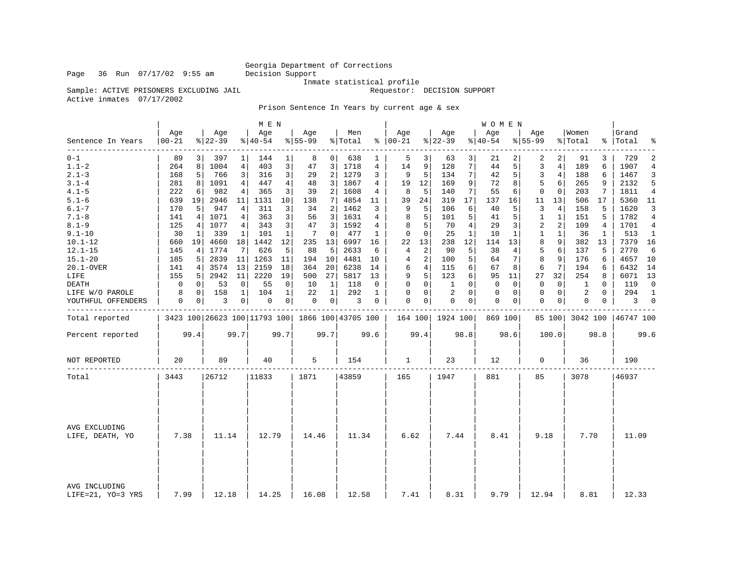### Georgia Department of Corrections<br>Decision Support

Inmate statistical profile

Sample: ACTIVE PRISONERS EXCLUDING JAIL **Requestor:** DECISION SUPPORT

Active inmates 07/17/2002

Prison Sentence In Years by current age & sex

|                                    |                  |             |                  |                | M E N                                           |              |                  |                |                |              |                      |                |                  |                   | WOMEN            |          |                 |                |                  |                |                    |                |
|------------------------------------|------------------|-------------|------------------|----------------|-------------------------------------------------|--------------|------------------|----------------|----------------|--------------|----------------------|----------------|------------------|-------------------|------------------|----------|-----------------|----------------|------------------|----------------|--------------------|----------------|
| Sentence In Years                  | Age<br>$00 - 21$ |             | Aqe<br>$8 22-39$ |                | Age<br>$ 40-54 $                                |              | Age<br>$8 55-99$ |                | Men<br>% Total |              | Aqe<br>$8   00 - 21$ |                | Aqe<br>$ 22-39 $ |                   | Aqe<br>$8 40-54$ |          | Aqe<br>$ 55-99$ |                | Women<br>% Total |                | Grand<br>%   Total | ್ಠಿ            |
| --------<br>$0 - 1$                | 89               | 3           | 397              | 1              | 144                                             | 1            | 8                | 0 <sup>1</sup> | 638            | 1            | 5                    | 3              | 63               | 3                 | 21               | 2        | 2               | 2              | 91               | 3              | 729                | $\overline{2}$ |
| $1.1 - 2$                          | 264              | 8           | 1004             | 4              | 403                                             | 3            | 47               | 3              | 1718           | 4            | 14                   | 9              | 128              | $7\phantom{.}$    | 44               | 5        | 3               | $\overline{4}$ | 189              | 6              | 1907               | $\overline{4}$ |
| $2.1 - 3$                          | 168              | 5           | 766              | 3              | 316                                             | 3            | 29               | 2              | 1279           | 3            | 9                    | 5              | 134              | $7\phantom{.}$    | 42               | 5        | $\overline{3}$  | $\overline{4}$ | 188              | 6              | 1467               | 3              |
| $3.1 - 4$                          | 281              | 8           | 1091             | 4              | 447                                             | 4            | 48               | 3              | 1867           | 4            | 19                   | 12             | 169              | 9                 | 72               | 8        | 5               | 6              | 265              | 9              | 2132               | 5              |
| $4.1 - 5$                          | 222              | 6           | 982              | 4              | 365                                             | 3            | 39               | 2              | 1608           | 4            | 8                    | 5              | 140              | 7                 | 55               | 6        | $\mathbf 0$     | $\mathbf 0$    | 203              | 7              | 1811               | $\overline{4}$ |
| $5.1 - 6$                          | 639              | 19          | 2946             | 11             | 1131                                            | 10           | 138              | 7              | 4854           | 11           | 39                   | 24             | 319              | 17                | 137              | 16       | 11              | 13             | 506              | 17             | 5360               | 11             |
| $6.1 - 7$                          | 170              | 5           | 947              | $\overline{4}$ | 311                                             | 3            | 34               | 2              | 1462           | 3            | 9                    | 5              | 106              | 6                 | 40               | 5        | 3               | 4              | 158              | 5              | 1620               | 3              |
| $7.1 - 8$                          | 141              | 4           | 1071             | 4              | 363                                             | 3            | 56               | 3              | 1631           | 4            | 8                    | 5              | 101              | 5                 | 41               | 5        | $\mathbf{1}$    | $\mathbf{1}$   | 151              | 5              | 1782               | 4              |
| $8.1 - 9$                          | 125              | 4           | 1077             | 4              | 343                                             | 3            | 47               | 3              | 1592           | 4            | 8                    | 5              | 70               | $\overline{4}$    | 29               | 3        | 2               | 2              | 109              | $\overline{4}$ | 1701               | $\overline{4}$ |
| $9.1 - 10$                         | 30               | 1           | 339              | 1              | 101                                             | $\mathbf 1$  | 7                | 0              | 477            | 1            | 0                    | $\mathbf 0$    | 25               | $\mathbf 1$       | 10               | 1        | 1               | $\mathbf 1$    | 36               | 1              | 513                | 1              |
| $10.1 - 12$                        | 660              | 19          | 4660             | 18             | 1442                                            | 12           | 235              | 13             | 6997           | 16           | 22                   | 13             | 238              | $12 \overline{ }$ | 114              | 13       | 8               | 9              | 382              | 13             | 7379               | 16             |
| $12.1 - 15$                        | 145              | 4           | 1774             | 7              | 626                                             | 5            | 88               | 5              | 2633           | 6            | 4                    | $\overline{a}$ | 90               | 5                 | 38               | 4        | 5               | 6              | 137              | 5              | 2770               | 6              |
| $15.1 - 20$                        | 185              | 5           | 2839             | 11             | 1263                                            | 11           | 194              | 10             | 4481           | 10           | 4                    | 2              | 100              | 5                 | 64               | 7        | 8               | 9              | 176              | 6              | 4657 10            |                |
| 20.1-OVER                          | 141              | 4           | 3574             | 13             | 2159                                            | 18           | 364              | 20             | 6238           | 14           | 6                    | $\overline{4}$ | 115              | 6                 | 67               | 8        | 6               | 7              | 194              | 6              | 6432               | 14             |
| LIFE                               | 155              | 5           | 2942             | 11             | 2220                                            | 19           | 500              | 27             | 5817           | 13           | 9                    | 5              | 123              | 6                 | 95               | 11       | 27              | 32             | 254              | 8              | 6071 13            |                |
| DEATH                              | 0                | $\mathbf 0$ | 53               | 0              | 55                                              | 0            | 10               | 1              | 118            | 0            | 0                    | $\mathbf 0$    | 1                | $\Omega$          | 0                | 0        | 0               | 0              | 1                | $\mathbf 0$    | 119                | $\mathbf 0$    |
| LIFE W/O PAROLE                    | 8                | $\Omega$    | 158              | $\mathbf{1}$   | 104                                             | $\mathbf{1}$ | 22               | $\mathbf{1}$   | 292            | $\mathbf{1}$ | $\Omega$             | $\Omega$       | 2                | $\Omega$          | $\Omega$         | $\Omega$ | $\Omega$        | $\mathbf 0$    | 2                | $\Omega$       | 294                | $\mathbf{1}$   |
| YOUTHFUL OFFENDERS                 | 0                | 0           | 3                | 0              | 0                                               | 0            | 0                | 0 <sup>1</sup> | 3              | 0            | $\mathbf 0$          | 0              | $\mathbf 0$      | 0                 | 0                | 0        | $\mathbf 0$     | 0              | 0                | 0              | 3                  | $\overline{0}$ |
| Total reported                     |                  |             |                  |                | 3423 100 26623 100 11793 100 1866 100 43705 100 |              |                  |                |                |              |                      |                | 164 100 1924 100 |                   | 869 100          |          |                 | 85 100         | 3042 100         |                | 46747 100          |                |
| Percent reported                   |                  | 99.4        |                  | 99.7           |                                                 | 99.7         |                  | 99.7           |                | 99.6         |                      | 99.4           |                  | 98.8              |                  | 98.6     |                 | 100.0          |                  | 98.8           |                    | 99.6           |
| NOT REPORTED                       | 20               |             | 89               |                | 40                                              |              | 5                |                | 154            |              | 1                    |                | 23               |                   | 12               |          | 0               |                | 36               |                | 190                |                |
| Total                              | 3443             |             | 26712            |                | 11833                                           |              | 1871             |                | 43859          |              | 165                  |                | 1947             |                   | 881              |          | 85              |                | 3078             |                | 46937              |                |
|                                    |                  |             |                  |                |                                                 |              |                  |                |                |              |                      |                |                  |                   |                  |          |                 |                |                  |                |                    |                |
|                                    |                  |             |                  |                |                                                 |              |                  |                |                |              |                      |                |                  |                   |                  |          |                 |                |                  |                |                    |                |
| AVG EXCLUDING<br>LIFE, DEATH, YO   | 7.38             |             | 11.14            |                | 12.79                                           |              | 14.46            |                | 11.34          |              | 6.62                 |                | 7.44             |                   | 8.41             |          | 9.18            |                | 7.70             |                | 11.09              |                |
| AVG INCLUDING<br>LIFE=21, YO=3 YRS | 7.99             |             | 12.18            |                | 14.25                                           |              | 16.08            |                | 12.58          |              | 7.41                 |                | 8.31             |                   | 9.79             |          | 12.94           |                | 8.81             |                | 12.33              |                |

Page 36 Run 07/17/02 9:55 am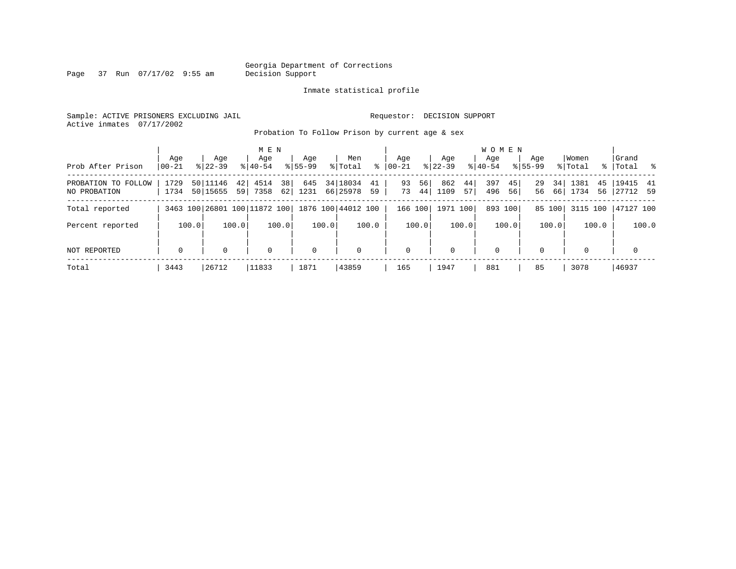Page 37 Run 07/17/02 9:55 am

#### Inmate statistical profile

Sample: ACTIVE PRISONERS EXCLUDING JAIL Requestor: DECISION SUPPORT Active inmates 07/17/2002

Probation To Follow Prison by current age & sex

| Prob After Prison                   | Age<br>$00 - 21$ | Aqe<br>$8122 - 39$   | M E N<br>Age<br>$8140 - 54$  | Aqe<br>$8155 - 99$       |             | Men<br>% Total       | ွေ       | Aqe<br>$ 00-21 $ |          | Aqe<br>$8122 - 39$ |          | <b>WOMEN</b><br>Aqe<br>$8140 - 54$ |           | Aqe<br>$8155 - 99$ |          | Women<br>% Total |          | Grand<br>% Total %    |       |
|-------------------------------------|------------------|----------------------|------------------------------|--------------------------|-------------|----------------------|----------|------------------|----------|--------------------|----------|------------------------------------|-----------|--------------------|----------|------------------|----------|-----------------------|-------|
| PROBATION TO FOLLOW<br>NO PROBATION | 1729<br>1734     | 50 11146<br>50 15655 | 4514<br>421<br>7358<br>59    | 38<br>645<br>62 <br>1231 |             | 34 18034<br>66 25978 | 41<br>59 | 93<br>73         | 56<br>44 | 862<br>1109        | 44<br>57 | 397<br>496                         | 45 <br>56 | 29<br>56           | 34<br>66 | 1381<br>1734     | 45<br>56 | 19415 41<br> 27712 59 |       |
| Total reported                      |                  |                      | 3463 100 26801 100 11872 100 |                          |             | 1876 100 44012 100   |          | 166 100          |          | 1971 100           |          | 893 100                            |           |                    | 85 100   | 3115 100         |          | 47127 100             |       |
| Percent reported                    | 100.0            |                      | 100.0                        | 100.0                    | 100.0       |                      | 100.0    |                  | 100.0    |                    | 100.0    |                                    | 100.0     |                    | 100.0    |                  | 100.0    |                       | 100.0 |
| NOT REPORTED                        | $\mathbf 0$      | 0                    | $\mathbf 0$                  |                          | $\mathbf 0$ | $\mathbf 0$          |          | 0                |          | 0                  |          | $\mathbf 0$                        |           | $\Omega$           |          | $\Omega$         |          | $\mathbf 0$           |       |
| Total                               | 3443             | 26712                | 11833                        | 1871                     |             | 43859                |          | 165              |          | 1947               |          | 881                                |           | 85                 |          | 3078             |          | 46937                 |       |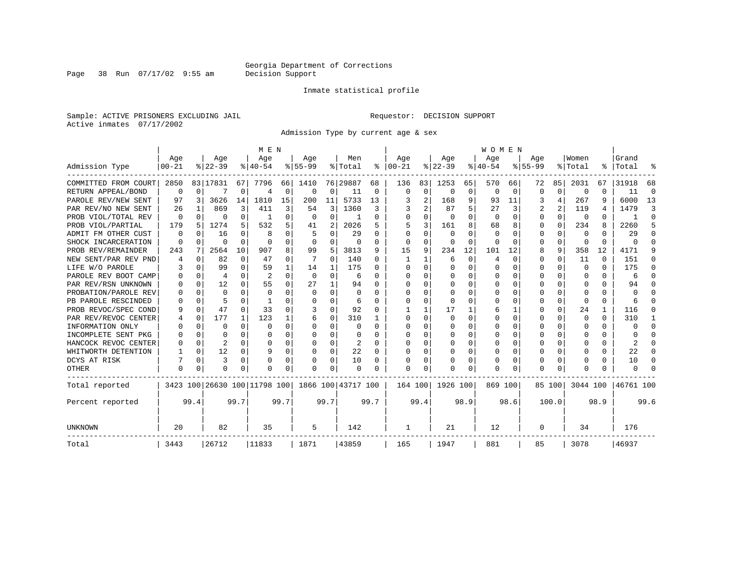Inmate statistical profile

Sample: ACTIVE PRISONERS EXCLUDING JAIL Requestor: DECISION SUPPORT Active inmates 07/17/2002

Admission Type by current age & sex

|                      |           |          |           |             |                              | M E N    |           |          |                    |          |          |          |           |          | WOMEN     |              |           |          |          |              |           |          |
|----------------------|-----------|----------|-----------|-------------|------------------------------|----------|-----------|----------|--------------------|----------|----------|----------|-----------|----------|-----------|--------------|-----------|----------|----------|--------------|-----------|----------|
|                      | Age       |          | Age       |             | Age                          |          | Age       |          | Men                |          | Age      |          | Age       |          | Age       |              | Age       |          | Women    |              | Grand     |          |
| Admission Type       | $00 - 21$ |          | $ 22-39 $ |             | $8 40-54$                    |          | $8 55-99$ |          | % Total            | ႜ        | $ 00-21$ |          | $ 22-39 $ |          | $8 40-54$ |              | $8 55-99$ |          | % Total  |              | %   Total | ႜ        |
| COMMITTED FROM COURT | 2850      |          | 83 17831  | 67          | 7796                         | 66       | 1410      |          | 76 29887           | 68       | 136      | 83       | 1253      | 65       | 570       | 66           | 72        | 85       | 2031     | 67           | 31918     | 68       |
| RETURN APPEAL/BOND   | 0         | 0        |           | $\Omega$    | 4                            | $\Omega$ | $\Omega$  | 0        | 11                 | $\Omega$ | $\Omega$ | 0        | 0         | 0        | $\Omega$  | $\Omega$     | O         | $\Omega$ | O        | $\Omega$     | 11        | $\Omega$ |
| PAROLE REV/NEW SENT  | 97        | 3        | 3626      | 14          | 1810                         | 15       | 200       | 11       | 5733               | 13       |          | 2        | 168       | 9        | 93        | 11           | 3         | 4        | 267      | 9            | 6000      | 13       |
| PAR REV/NO NEW SENT  | 26        | 1        | 869       | 3           | 411                          | 3        | 54        | 3        | 1360               | 3        |          |          | 87        | 5        | 27        | 3            | 2         | 2        | 119      | 4            | 1479      | 3        |
| PROB VIOL/TOTAL REV  | $\Omega$  | $\Omega$ | 0         | $\Omega$    |                              | 0        | 0         | 0        |                    | U        | $\Omega$ |          | 0         | $\Omega$ | 0         | 0            | 0         | $\Omega$ | 0        | 0            |           | $\Omega$ |
| PROB VIOL/PARTIAL    | 179       | 5        | 1274      | 5           | 532                          | 5        | 41        | 2        | 2026               | 5        |          | 3        | 161       | 8        | 68        | 8            | 0         | $\Omega$ | 234      | 8            | 2260      | 5        |
| ADMIT FM OTHER CUST  | $\Omega$  | 0        | 16        | $\Omega$    | 8                            | 0        |           | 0        | 29                 | n        | ∩        | $\Omega$ | 0         | O        | $\Omega$  | <sup>0</sup> | 0         | $\Omega$ | 0        | <sup>0</sup> | 29        | ∩        |
| SHOCK INCARCERATION  | 0         | 0        | U         | $\Omega$    | $\Omega$                     | $\Omega$ | $\Omega$  | 0        | $\Omega$           | O        | $\Omega$ | $\Omega$ | $\cap$    | 0        | $\Omega$  |              | U         | $\Omega$ | 0        | $\Omega$     |           | ∩        |
| PROB REV/REMAINDER   | 243       | 7        | 2564      | 10          | 907                          | 8        | 99        | 5        | 3813               | 9        | 15       | 9        | 234       | 12       | 101       | 12           | 8         | 9        | 358      | 12           | 4171      | 9        |
| NEW SENT/PAR REV PND |           | 0        | 82        | $\mathbf 0$ | 47                           | $\Omega$ | 7         | $\Omega$ | 140                | O        |          |          | 6         | $\Omega$ |           | $\Omega$     | U         | $\Omega$ | 11       | $\Omega$     | 151       | ∩        |
| LIFE W/O PAROLE      |           | $\Omega$ | 99        | $\Omega$    | 59                           |          | 14        | 1        | 175                | U        | ∩        | $\Omega$ | $\Omega$  | O        |           | U            | U         | 0        | $\Omega$ | $\Omega$     | 175       | ∩        |
| PAROLE REV BOOT CAMP |           | $\Omega$ | 4         | $\Omega$    | $\overline{2}$               | $\Omega$ | $\Omega$  | 0        | 6                  | U        | ∩        | $\Omega$ | O         | $\Omega$ |           | $\Omega$     | U         | 0        | 0        | 0            | 6         | ∩        |
| PAR REV/RSN UNKNOWN  |           | $\Omega$ | 12        | $\Omega$    | 55                           | $\Omega$ | 27        |          | 94                 | ∩        | ∩        |          | O         | N        |           | U            |           | 0        | $\Omega$ | 0            | 94        |          |
| PROBATION/PAROLE REV |           | $\Omega$ | $\cap$    | $\Omega$    | $\Omega$                     |          | ∩         | 0        | $\Omega$           | ∩        | ∩        |          | n         | N        |           | n            |           | 0        | $\Omega$ | 0            | U         |          |
| PB PAROLE RESCINDED  |           | $\Omega$ |           | $\Omega$    |                              |          | C         | $\Omega$ | 6                  | ∩        | ∩        | $\Omega$ | -C        | O        |           | O            | U         | $\Omega$ | $\Omega$ | $\Omega$     |           |          |
| PROB REVOC/SPEC COND | 9         | $\Omega$ | 47        | $\Omega$    | 33                           |          | 3         | $\Omega$ | 92                 |          |          |          | 17        |          |           |              |           | 0        | 24       | 1            | 116       |          |
| PAR REV/REVOC CENTER |           | 0        | 177       | 1           | 123                          |          | 6         | 0        | 310                |          | $\Omega$ | $\Omega$ | $\Omega$  | N        |           | $\Omega$     | U         | 0        | $\Omega$ | 0            | 310       |          |
| INFORMATION ONLY     |           | 0        | O         | $\Omega$    | $\Omega$                     | $\Omega$ | O         | 0        | n                  | O        | $\Omega$ | $\Omega$ | O         | N        |           | $\Omega$     | U         | 0        | $\Omega$ | $\Omega$     |           | ∩        |
| INCOMPLETE SENT PKG  |           | $\Omega$ | O         | $\Omega$    | $\Omega$                     | $\Omega$ |           | 0        | $\Omega$           | U        | $\Omega$ | $\Omega$ | O         | O        |           | $\Omega$     | U         | 0        | $\cap$   | $\Omega$     |           | ∩        |
| HANCOCK REVOC CENTER |           | 0        | 2         | $\Omega$    | ∩                            | $\Omega$ |           | 0        | 2                  | $\Omega$ | ∩        | $\Omega$ | O         | O        |           | $\Omega$     | U         | $\Omega$ | $\cap$   | 0            | 2         | ∩        |
| WHITWORTH DETENTION  |           | 0        | 12        | 0           | 9                            | $\Omega$ | $\Omega$  | 0        | 22                 | U        | ∩        | $\Omega$ | O         | O        |           | $\Omega$     | U         | 0        | $\cap$   | $\Omega$     | 22        | ∩        |
| DCYS AT RISK         |           | $\Omega$ | 3         | $\Omega$    |                              | $\Omega$ | 0         | $\Omega$ | 10                 | O        |          | $\Omega$ | 0         | 0        |           | $\Omega$     | 0         | 0        | O        | 0            | 10        | ∩        |
| <b>OTHER</b>         | O         | 0        | $\Omega$  | $\mathbf 0$ | $\Omega$                     | 0        | O         | $\Omega$ | $\cap$             |          | $\Omega$ | $\Omega$ | O         | U        | $\Omega$  | O            | U         | 0        | n        | N            |           |          |
| Total reported       |           |          |           |             | 3423 100 26630 100 11798 100 |          |           |          | 1866 100 43717 100 |          | 164 100  |          | 1926 100  |          | 869 100   |              |           | 85 100   | 3044 100 |              | 46761 100 |          |
| Percent reported     |           | 99.4     |           | 99.7        |                              | 99.7     |           | 99.7     |                    | 99.7     |          | 99.4     |           | 98.9     |           | 98.6         |           | 100.0    |          | 98.9         |           | 99.6     |
| UNKNOWN              | 20        |          | 82        |             | 35                           |          | 5         |          | 142                |          | 1        |          | 21        |          | 12        |              | 0         |          | 34       |              | 176       |          |
| Total                | 3443      |          | 26712     |             | 11833                        |          | 1871      |          | 43859              |          | 165      |          | 1947      |          | 881       |              | 85        |          | 3078     |              | 46937     |          |

Page 38 Run 07/17/02 9:55 am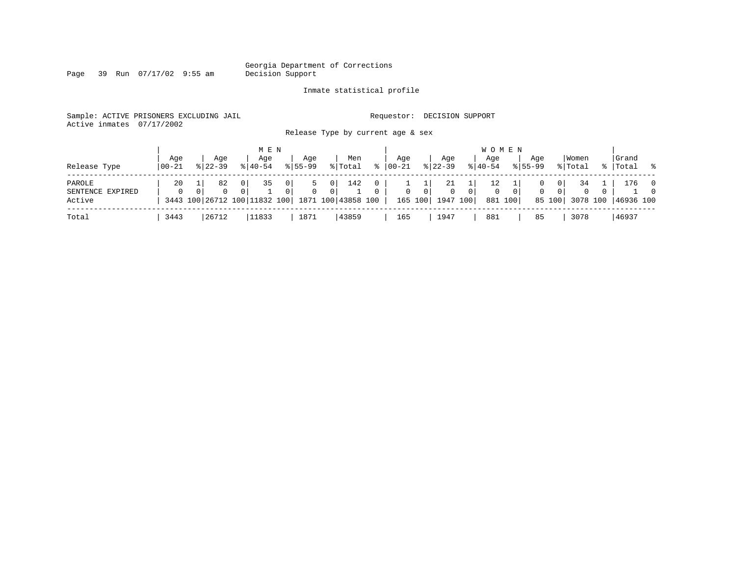Page 39 Run 07/17/02 9:55 am

#### Inmate statistical profile

Sample: ACTIVE PRISONERS EXCLUDING JAIL Requestor: DECISION SUPPORT Active inmates 07/17/2002

Release Type by current age & sex

| Release Type                         | Aqe<br>$ 00-21 $ | $8122 - 39$                                     | Aqe     | M E N<br>Aqe<br>$8140 - 54$ |                                  | Aqe<br>$8155 - 99$ |                                  | Men<br>% Total | °≈                       | Age<br>$00 - 21$ |                | Aqe<br>$ 22-39 $                       |                | <b>WOMEN</b><br>Aqe<br>$8140 - 54$ | Aqe<br>$8155 - 99$ |                               | Women<br>% Total           | Grand<br>%   Total % |                            |
|--------------------------------------|------------------|-------------------------------------------------|---------|-----------------------------|----------------------------------|--------------------|----------------------------------|----------------|--------------------------|------------------|----------------|----------------------------------------|----------------|------------------------------------|--------------------|-------------------------------|----------------------------|----------------------|----------------------------|
| PAROLE<br>SENTENCE EXPIRED<br>Active | 20<br>$\Omega$   | 3443 100 26712 100 11832 100 1871 100 43858 100 | 82<br>0 | 35                          | 0 <sup>1</sup><br>0 <sup>1</sup> | $\Omega$           | 0 <sup>1</sup><br>0 <sup>1</sup> | 142            | $\mathbf{0}$<br>$\Omega$ | $\mathbf{0}$     | 0 <sup>1</sup> | 21<br>$\mathbf{0}$<br>165 100 1947 100 | 0 <sup>1</sup> | 12<br>0<br>881 100                 | $\mathbf{0}$       | 0<br>0 <sup>1</sup><br>85 100 | 34<br>$\Omega$<br>3078 100 | ⊥76<br>46936 100     | $\overline{0}$<br>$\Omega$ |
| Total                                | 3443             | 26712                                           |         | 11833                       |                                  | 1871               |                                  | 43859          |                          | 165              |                | 1947                                   |                | 881                                | 85                 |                               | 3078                       | 46937                |                            |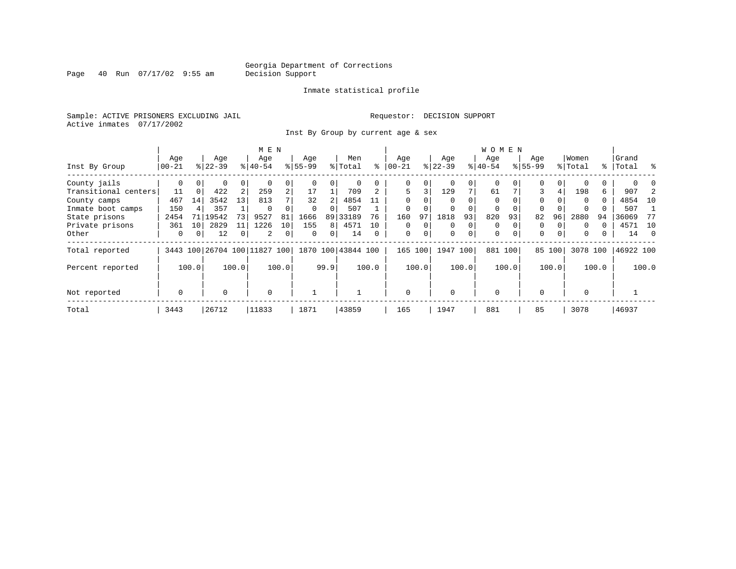Page 40 Run 07/17/02 9:55 am

#### Inmate statistical profile

Sample: ACTIVE PRISONERS EXCLUDING JAIL **Requestor: DECISION SUPPORT** Active inmates 07/17/2002

Inst By Group by current age & sex

|                      |                  |                 |           |       | M E N                    |                |          |                |                    |       |              |       |           |                | W O M E N   |          |             |       |          |       |           |                |
|----------------------|------------------|-----------------|-----------|-------|--------------------------|----------------|----------|----------------|--------------------|-------|--------------|-------|-----------|----------------|-------------|----------|-------------|-------|----------|-------|-----------|----------------|
|                      | Age              |                 | Age       |       | Age                      |                | Age      |                | Men                |       | Age          |       | Age       |                | Age         |          | Age         |       | Women    |       | Grand     |                |
| Inst By Group        | $ 00-21$         |                 | $8 22-39$ |       | $8 40-54$                |                | $ 55-99$ |                | % Total            | ⊱     | $00 - 21$    |       | $ 22-39 $ |                | $8 40-54$   |          | $8155 - 99$ |       | % Total  |       | %   Total | ႜ              |
| County jails         | 0                |                 | 0         | 0     |                          |                |          | 0              |                    |       | 0            |       | 0         | 0              | 0           |          | 0           |       |          |       |           |                |
| Transitional centers | 11               | $\Omega$        | 422       | 2     | 259                      | $\overline{2}$ | 17       |                | 709                |       | 5            | 3     | 129       | 7 <sub>1</sub> | 61          |          | 3           | 4     | 198      | 6     | 907       |                |
| County camps         | 467              | 14              | 3542      | 13    | 813                      |                | 32       | 2              | 4854               | 11    | $\Omega$     |       | $\Omega$  | $\Omega$       | $\Omega$    |          | $\Omega$    |       | $\Omega$ | 0     | 4854      | 10             |
| Inmate boot camps    | 150              |                 | 357       |       | $\Omega$                 |                | $\Omega$ | $\Omega$       | 507                |       | 0            |       | $\Omega$  |                | 0           | $\Omega$ | $\Omega$    |       | $\Omega$ |       | 507       |                |
| State prisons        | 2454             | 71              | 19542     | 73    | 9527                     | 81             | 1666     |                | 89 33189           | 76    | 160          | 97    | 1818      | 93             | 820         | 93       | 82          | 96    | 2880     | 94    | 36069     | 77             |
| Private prisons      | 361              | 10 <sup>1</sup> | 2829      | 11    | 1226                     | 10             | 155      | 8 <sup>1</sup> | 4571               | 10    | 0            |       | $\Omega$  | 0              | 0           |          | 0           |       | $\Omega$ |       | 4571      | 10             |
| Other                | 0                | 0               | 12        | 0     | 2                        | 0              | 0        | 0              | 14                 | 0     | $\mathbf 0$  | 0     | 0         | 0              | $\mathbf 0$ | $\Omega$ | $\mathbf 0$ | 0     | 0        | 0     | 14        | $\overline{0}$ |
| Total reported       |                  |                 |           |       | 3443 100 26704 100 11827 | 100            |          |                | 1870 100 43844 100 |       | 165          | 100   | 1947      | 100            | 881 100     |          | 85          | 100   | 3078 100 |       | 46922 100 |                |
| Percent reported     |                  | 100.0           |           | 100.0 |                          | 100.0          |          | 99.9           |                    | 100.0 |              | 100.0 |           | 100.0          |             | 100.0    |             | 100.0 |          | 100.0 |           | 100.0          |
| Not reported         | $\mathbf 0$<br>0 |                 |           |       | $\mathbf 0$              |                |          |                |                    |       | $\mathbf{0}$ |       | $\Omega$  |                | $\mathbf 0$ |          | $\Omega$    |       | $\Omega$ |       |           |                |
| Total                | 3443             |                 | 26712     |       | 11833                    |                | 1871     |                | 43859              |       | 165          |       | 1947      |                | 881         |          | 85          |       | 3078     |       | 46937     |                |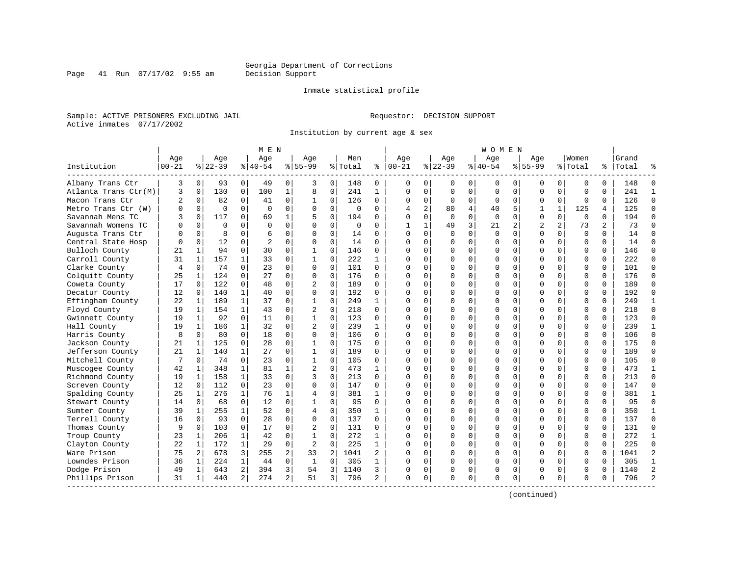Inmate statistical profile

Sample: ACTIVE PRISONERS EXCLUDING JAIL Requestor: DECISION SUPPORT Active inmates 07/17/2002

Page 41 Run 07/17/02 9:55 am

Institution by current age & sex

|                      |                |              |           |                | M E N     |                |                |          |             |              |            |          |             |          | WOMEN        |          |                |                |          |          |       |                |
|----------------------|----------------|--------------|-----------|----------------|-----------|----------------|----------------|----------|-------------|--------------|------------|----------|-------------|----------|--------------|----------|----------------|----------------|----------|----------|-------|----------------|
|                      | Age            |              | Age       |                | Age       |                | Aqe            |          | Men         |              | Age        |          | Aqe         |          | Age          |          | Aqe            |                | Women    |          | Grand |                |
| Institution          | $00 - 21$      |              | $8 22-39$ |                | $8 40-54$ |                | $8155 - 99$    |          | %   Total   | ႜ            | $ 00 - 21$ |          | $ 22-39$    |          | $8 40-54$    |          | $8155 - 99$    |                | % Total  | %        | Total |                |
| Albany Trans Ctr     | 3              | $\mathbf 0$  | 93        | 0              | 49        | 0 <sup>1</sup> | 3              | 0        | 148         | 0            | $\Omega$   | 0        | 0           | 0        | 0            | 0        | 0              | 0              | 0        | 0        | 148   | $\Omega$       |
| Atlanta Trans Ctr(M) | 3              | $\Omega$     | 130       | 0              | 100       | $\mathbf 1$    | 8              | 0        | 241         | $\mathbf{1}$ | $\Omega$   | $\Omega$ | $\mathbf 0$ | $\Omega$ | $\Omega$     | $\Omega$ | $\Omega$       | $\Omega$       | $\Omega$ | $\Omega$ | 241   | $\mathbf{1}$   |
| Macon Trans Ctr      | 2              | 0            | 82        | 0              | 41        | $\mathbf 0$    | 1              | 0        | 126         | $\Omega$     | $\Omega$   | $\Omega$ | $\Omega$    | $\Omega$ | <sup>0</sup> | 0        | 0              | $\Omega$       | $\Omega$ | $\Omega$ | 126   | $\Omega$       |
| Metro Trans Ctr (W)  |                | $\Omega$     | $\Omega$  | $\Omega$       | $\Omega$  | $\Omega$       | $\Omega$       | $\Omega$ | $\cap$      | $\Omega$     |            | 2        | 80          | 4        | 40           | 5        | 1              | $\mathbf{1}$   | 125      | 4        | 125   | $\Omega$       |
| Savannah Mens TC     |                | $\Omega$     | 117       | $\Omega$       | 69        | $\mathbf{1}$   | 5              | $\Omega$ | 194         | $\cap$       | ∩          | $\Omega$ | $\Omega$    | $\Omega$ | $\Omega$     | $\Omega$ | $\Omega$       | $\Omega$       | $\Omega$ | $\Omega$ | 194   | $\Omega$       |
| Savannah Womens TC   |                | $\Omega$     | $\Omega$  | $\Omega$       | $\Omega$  | $\Omega$       | $\Omega$       | $\Omega$ | $\mathbf 0$ | $\Omega$     |            |          | 49          | 3        | 21           | 2        | $\overline{2}$ | $\overline{a}$ | 73       | 2        | 73    | $\Omega$       |
| Augusta Trans Ctr    |                | 0            | 8         | $\Omega$       | 6         | 0              | 0              | 0        | 14          | $\Omega$     | $\Omega$   | $\Omega$ | $\mathbf 0$ | 0        | $\Omega$     | $\Omega$ | O              | 0              | $\Omega$ | $\Omega$ | 14    | $\Omega$       |
| Central State Hosp   |                | $\Omega$     | 12        | $\Omega$       | 2         | $\Omega$       | O              | $\Omega$ | 14          | $\Omega$     | $\Omega$   | $\Omega$ | O           | 0        |              | $\Omega$ | O              | $\Omega$       | $\Omega$ | $\Omega$ | 14    | $\Omega$       |
| Bulloch County       | 21             | $\mathbf{1}$ | 94        | $\Omega$       | 30        | $\Omega$       | $\mathbf{1}$   | $\Omega$ | 146         | $\Omega$     | ∩          | $\Omega$ | $\Omega$    | $\Omega$ | <sup>0</sup> | $\Omega$ | 0              | 0              | $\Omega$ | $\Omega$ | 146   | $\Omega$       |
| Carroll County       | 31             | $\mathbf{1}$ | 157       | $\mathbf{1}$   | 33        | $\Omega$       | $\mathbf{1}$   | $\Omega$ | 222         | 1            |            |          | C           | $\Omega$ |              | $\Omega$ | O              | O              | $\Omega$ | $\Omega$ | 222   | $\Omega$       |
| Clarke County        | $\overline{4}$ | $\Omega$     | 74        | $\Omega$       | 23        | $\Omega$       | $\Omega$       | $\Omega$ | 101         | $\Omega$     | ∩          | $\Omega$ | C           | $\Omega$ | <sup>0</sup> | $\Omega$ | O              | $\Omega$       | $\Omega$ | $\Omega$ | 101   | $\Omega$       |
| Colquitt County      | 25             | 1            | 124       | $\Omega$       | 27        | $\Omega$       | $\Omega$       | $\Omega$ | 176         | $\Omega$     | $\Omega$   | $\Omega$ | $\Omega$    | $\Omega$ | O            | $\Omega$ | O              | $\Omega$       | $\Omega$ | $\Omega$ | 176   | $\Omega$       |
| Coweta County        | 17             | $\Omega$     | 122       | 0              | 48        | $\Omega$       | 2              | 0        | 189         | $\Omega$     | ∩          | $\Omega$ | $\Omega$    | $\Omega$ |              | $\Omega$ | O              | $\Omega$       | $\Omega$ | $\Omega$ | 189   | $\Omega$       |
| Decatur County       | 12             | $\Omega$     | 140       | $\mathbf{1}$   | 40        | $\Omega$       | $\Omega$       | $\Omega$ | 192         | $\Omega$     | $\Omega$   | $\Omega$ | C           | $\Omega$ |              | $\Omega$ | U              | 0              | $\Omega$ | $\Omega$ | 192   | $\Omega$       |
| Effingham County     | 22             | 1            | 189       | 1              | 37        | 0              | -1             | 0        | 249         | 1            | ∩          | $\Omega$ | C           | O        |              | $\Omega$ | U              | 0              | $\Omega$ | 0        | 249   | 1              |
| Floyd County         | 19             | 1            | 154       | $\mathbf{1}$   | 43        | 0              | 2              | 0        | 218         | $\Omega$     |            |          | C           | $\Omega$ |              | $\Omega$ | O              | 0              | $\Omega$ | $\Omega$ | 218   | $\Omega$       |
| Gwinnett County      | 19             | $\mathbf{1}$ | 92        | $\Omega$       | 11        | $\Omega$       | $\mathbf{1}$   | $\Omega$ | 123         | $\Omega$     | ∩          | $\Omega$ | $\cap$      | $\Omega$ |              | $\Omega$ | O              | $\Omega$       | $\Omega$ | $\Omega$ | 123   | $\Omega$       |
| Hall County          | 19             | $\mathbf{1}$ | 186       | $\mathbf{1}$   | 32        | $\Omega$       | $\overline{2}$ | $\Omega$ | 239         | $\mathbf{1}$ |            | $\Omega$ | $\cap$      | $\Omega$ |              | $\Omega$ | O              | $\Omega$       | $\Omega$ | $\Omega$ | 239   | $\mathbf{1}$   |
| Harris County        | 8              | $\Omega$     | 80        | $\Omega$       | 18        | $\Omega$       | $\Omega$       | 0        | 106         | $\Omega$     | ∩          | $\Omega$ | $\Omega$    | $\Omega$ |              | $\Omega$ | O              | $\Omega$       | $\Omega$ | $\Omega$ | 106   | $\Omega$       |
| Jackson County       | 21             | 1            | 125       | $\Omega$       | 28        | $\Omega$       | $\mathbf{1}$   | $\Omega$ | 175         | $\Omega$     | $\Omega$   | $\Omega$ | C           | $\Omega$ |              | $\Omega$ | O              | $\Omega$       | $\Omega$ | $\Omega$ | 175   | $\Omega$       |
| Jefferson County     | 21             | 1            | 140       | $\mathbf{1}$   | 27        | $\Omega$       | -1             | $\Omega$ | 189         | <sup>0</sup> | $\Omega$   | $\Omega$ | C           | $\Omega$ |              | $\Omega$ | U              | U              | $\Omega$ | $\Omega$ | 189   | $\Omega$       |
| Mitchell County      |                | 0            | 74        | 0              | 23        | $\Omega$       | $\mathbf{1}$   | 0        | 105         | O            | ∩          | $\Omega$ | C           | $\Omega$ |              | $\Omega$ | U              | U              | $\Omega$ | $\Omega$ | 105   | $\Omega$       |
| Muscogee County      | 42             | 1            | 348       | $\mathbf{1}$   | 81        | 1              | $\overline{2}$ | $\Omega$ | 473         | $\mathbf{1}$ | $\Omega$   | $\Omega$ | $\cap$      | $\Omega$ |              | $\Omega$ | O              | $\Omega$       | $\Omega$ | $\Omega$ | 473   | 1              |
| Richmond County      | 19             | 1            | 158       | $\mathbf{1}$   | 33        | $\Omega$       | 3              | 0        | 213         | $\Omega$     | $\Omega$   | $\Omega$ | $\Omega$    | 0        |              | $\Omega$ | 0              | $\Omega$       | $\Omega$ | $\Omega$ | 213   | $\Omega$       |
| Screven County       | 12             | $\mathbf 0$  | 112       | $\mathbf{0}$   | 23        | $\Omega$       | $\Omega$       | 0        | 147         | $\Omega$     | $\Omega$   | $\Omega$ | $\Omega$    | $\Omega$ |              | $\Omega$ | O              | $\Omega$       | $\Omega$ | $\Omega$ | 147   | $\Omega$       |
| Spalding County      | 25             | $\mathbf{1}$ | 276       | $\mathbf{1}$   | 76        | $\mathbf{1}$   | 4              | $\Omega$ | 381         | $\mathbf{1}$ | $\Omega$   | $\Omega$ | C           | $\Omega$ |              | $\Omega$ | 0              | $\Omega$       | $\Omega$ | $\Omega$ | 381   | $\mathbf{1}$   |
| Stewart County       | 14             | $\Omega$     | 68        | $\Omega$       | 12        | $\Omega$       | -1             | $\Omega$ | 95          | $\Omega$     | $\Omega$   | $\Omega$ | C           | $\Omega$ |              | $\Omega$ | 0              | 0              | $\Omega$ | $\Omega$ | 95    | $\Omega$       |
| Sumter County        | 39             | 1            | 255       | $\mathbf{1}$   | 52        | $\Omega$       | 4              | $\Omega$ | 350         | 1            |            | $\Omega$ | n           | U        |              | ∩        | U              | 0              | $\Omega$ | $\Omega$ | 350   | 1              |
| Terrell County       | 16             | $\Omega$     | 93        | $\Omega$       | 28        | $\Omega$       | $\Omega$       | $\Omega$ | 137         | $\cap$       | ∩          | $\Omega$ | ∩           | $\Omega$ | ∩            | $\Omega$ | U              | $\Omega$       | $\Omega$ | $\Omega$ | 137   | $\Omega$       |
| Thomas County        |                | 0            | 103       | 0              | 17        | $\Omega$       | 2              | 0        | 131         | $\Omega$     | $\Omega$   | $\Omega$ | $\Omega$    | $\Omega$ |              | $\Omega$ | U              | $\Omega$       | $\Omega$ | $\Omega$ | 131   | $\Omega$       |
| Troup County         | 23             | 1            | 206       | $\mathbf{1}$   | 42        | 0              | $\mathbf{1}$   | 0        | 272         | $\mathbf{1}$ | ∩          | $\Omega$ | C           | O        |              | 0        | O              | $\Omega$       | $\Omega$ | $\Omega$ | 272   | $\mathbf{1}$   |
| Clayton County       | 22             | 1            | 172       | $\mathbf{1}$   | 29        | 0              | $\overline{2}$ | 0        | 225         | 1            | $\Omega$   | $\Omega$ | $\Omega$    | 0        | $\Omega$     | 0        | $\Omega$       | $\Omega$       | $\Omega$ | $\Omega$ | 225   | $\Omega$       |
| Ware Prison          | 75             | 2            | 678       | 3              | 255       | 2              | 33             | 2        | 1041        | 2            | $\Omega$   | $\Omega$ | $\Omega$    | $\Omega$ | 0            | $\Omega$ | 0              | $\Omega$       | $\Omega$ | $\Omega$ | 1041  | 2              |
| Lowndes Prison       | 36             | 1            | 224       | $\mathbf{1}$   | 44        | $\Omega$       | $\mathbf{1}$   | 0        | 305         | $\mathbf{1}$ | ∩          | $\Omega$ | C           | $\Omega$ |              | $\Omega$ | O              | $\Omega$       | $\Omega$ | $\Omega$ | 305   | $\mathbf{1}$   |
| Dodge Prison         | 49             | 1            | 643       | $\overline{a}$ | 394       | $\overline{3}$ | 54             | 3        | 1140        | 3            | $\Omega$   | 0        | $\Omega$    | 0        | <sup>0</sup> | $\Omega$ | U              | $\Omega$       | $\Omega$ | $\Omega$ | 1140  | $\overline{2}$ |
| Phillips Prison      | 31             | 1            | 440       | 2              | 274       | $\overline{2}$ | 51             | 3        | 796         | 2            | $\Omega$   | 0        | $\Omega$    | 0        | $\Omega$     | 0        | U              | 0              | $\Omega$ | U        | 796   | $\overline{a}$ |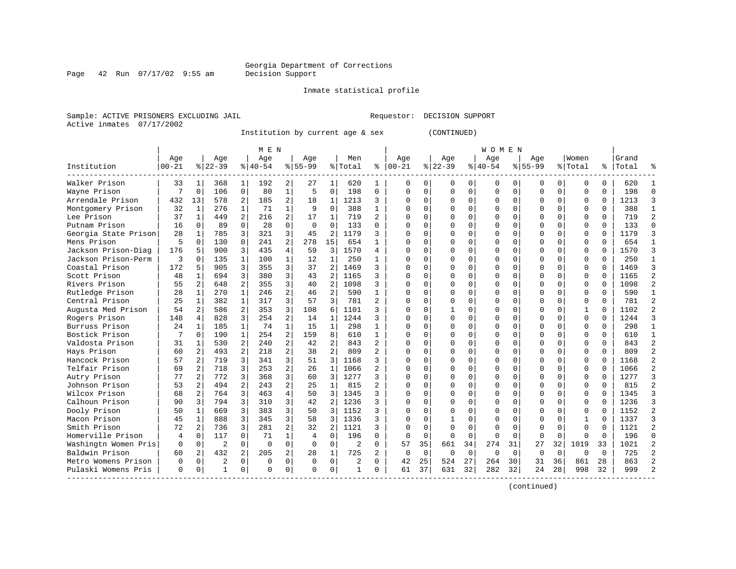Page 42 Run  $07/17/02$  9:55 am

#### Inmate statistical profile

Sample: ACTIVE PRISONERS EXCLUDING JAIL Requestor: DECISION SUPPORT Active inmates 07/17/2002

Institution by current age & sex (CONTINUED)

|                      |           |                |                |                | M E N     |                |           |                |                |                |              |             |          |             | WOMEN    |             |             |             |              |          |       |                |
|----------------------|-----------|----------------|----------------|----------------|-----------|----------------|-----------|----------------|----------------|----------------|--------------|-------------|----------|-------------|----------|-------------|-------------|-------------|--------------|----------|-------|----------------|
|                      | Age       |                | Age            |                | Age       |                | Age       |                | Men            |                | Age          |             | Age      |             | Age      |             | Age         |             | Women        |          | Grand |                |
| Institution          | $00 - 21$ |                | $8$   22-39    |                | $8 40-54$ |                | $8 55-99$ |                | % Total        |                | $% 100-21$   |             | $ 22-39$ |             | $ 40-54$ |             | $8155 - 99$ |             | % Total      | ႜ        | Total |                |
| Walker Prison        | 33        | -1             | 368            | 1              | 192       | 2              | 27        | 1              | 620            | 1              | 0            | 0           | O        | 0           | 0        | 0           | O           | 0           | 0            | 0        | 620   |                |
| Wayne Prison         | 7         | 0              | 106            | $\mathbf 0$    | 80        | 1              | 5         | $\Omega$       | 198            | 0              | $\Omega$     | 0           | $\Omega$ | $\mathbf 0$ | 0        | 0           | $\Omega$    | $\mathbf 0$ | $\Omega$     | $\Omega$ | 198   | $\Omega$       |
| Arrendale Prison     | 432       | 13             | 578            | 2              | 185       | 2              | 18        | 1              | 1213           | 3              | <sup>0</sup> | 0           | $\Omega$ | 0           | 0        | $\Omega$    | $\Omega$    | $\Omega$    | $\Omega$     | 0        | 1213  | ₹              |
| Montgomery Prison    | 32        | 1              | 276            | 1              | 71        | $\mathbf{1}$   | q         | $\Omega$       | 388            | $\mathbf{1}$   | <sup>0</sup> | 0           |          | 0           | O        | $\Omega$    | $\Omega$    | $\Omega$    | $\Omega$     | $\Omega$ | 388   | $\mathbf{1}$   |
| Lee Prison           | 37        | 1              | 449            | $\overline{a}$ | 216       | 2              | 17        | 1              | 719            | $\overline{2}$ | $\cap$       | 0           |          | $\Omega$    | O        | n           | $\Omega$    | $\Omega$    | $\cap$       | $\Omega$ | 719   | $\overline{a}$ |
| Putnam Prison        | 16        | $\Omega$       | 89             | $\Omega$       | 28        | 0              | $\Omega$  | $\Omega$       | 133            | $\Omega$       | $\cap$       | 0           | ∩        | $\Omega$    | U        | $\Omega$    | $\Omega$    | $\Omega$    | $\Omega$     | $\Omega$ | 133   | $\Omega$       |
| Georgia State Prison | 28        | 1              | 785            | 3              | 321       | 3              | 45        | 2              | 1179           | ς              | $\Omega$     | 0           | $\Omega$ | $\Omega$    | 0        | $\Omega$    | $\Omega$    | $\Omega$    | $\Omega$     | 0        | 1179  | ζ              |
| Mens Prison          | 5         | $\Omega$       | 130            | $\Omega$       | 241       | 2              | 278       | 15             | 654            |                | <sup>0</sup> | 0           | $\Omega$ | $\Omega$    | U        | $\Omega$    | $\Omega$    | $\Omega$    | $\Omega$     | 0        | 654   | $\mathbf{1}$   |
| Jackson Prison-Diag  | 176       | 5              | 900            | 3              | 435       | 4              | 59        | 3              | 1570           | 4              | ∩            | 0           | $\Omega$ | $\Omega$    | O        | n           | $\Omega$    | $\Omega$    | $\cap$       | O        | 1570  | ζ              |
| Jackson Prison-Perm  | 3         | ∩              | 135            | $\mathbf{1}$   | 100       | $\mathbf 1$    | 12        | $\mathbf{1}$   | 250            | 1              | ∩            | 0           | $\Omega$ | $\Omega$    | U        | $\cap$      | ∩           | $\cap$      | $\Omega$     | U        | 250   | $\mathbf{1}$   |
| Coastal Prison       | 172       | 5              | 905            | 3              | 355       | 3              | 37        | $\overline{2}$ | 1469           | ς              | ∩            | $\Omega$    | ∩        | $\Omega$    | O        | ∩           | ∩           | $\Omega$    | $\Omega$     | 0        | 1469  | २              |
| Scott Prison         | 48        | 1              | 694            | 3              | 380       | 3              | 43        | $\overline{2}$ | 1165           | 3              | Ω            | 0           | $\Omega$ | $\mathbf 0$ | 0        | $\Omega$    | $\Omega$    | $\Omega$    | $\mathbf 0$  | 0        | 1165  | 2              |
| Rivers Prison        | 55        | $\overline{a}$ | 648            | 2              | 355       | 3              | 40        | 2              | 1098           | 3              |              | 0           |          | $\Omega$    | ი        | $\Omega$    | $\Omega$    | $\Omega$    | $\Omega$     | 0        | 1098  | 2              |
| Rutledge Prison      | 28        | $\mathbf{1}$   | 270            | $\mathbf{1}$   | 246       | $\overline{a}$ | 46        | 2              | 590            | $\mathbf{1}$   | $\Omega$     | 0           | $\Omega$ | $\Omega$    | U        | n           | ∩           | $\Omega$    | C            | 0        | 590   | $\overline{1}$ |
| Central Prison       | 25        | 1              | 382            | $\mathbf{1}$   | 317       | 3              | 57        | 3              | 781            | $\overline{a}$ | $\cap$       | 0           | $\Omega$ | $\Omega$    | O        | $\Omega$    | $\Omega$    | $\Omega$    | $\Omega$     | $\Omega$ | 781   | $\mathfrak{D}$ |
| Augusta Med Prison   | 54        | 2              | 586            | 2              | 353       | 3              | 108       | 6              | 1101           | ς              | ∩            | 0           |          | $\Omega$    | U        | $\Omega$    | ∩           | $\Omega$    | -1           | 0        | 1102  | 2              |
| Rogers Prison        | 148       | 4              | 828            | 3              | 254       | 2              | 14        | $\mathbf{1}$   | 1244           | 3              | ∩            | 0           | $\Omega$ | $\Omega$    | 0        | $\Omega$    | $\Omega$    | $\Omega$    | $\Omega$     | 0        | 1244  | ₹              |
| Burruss Prison       | 24        | 1              | 185            | 1              | 74        | $\mathbf{1}$   | 15        | $\mathbf{1}$   | 298            | 1              | ∩            | 0           | $\Omega$ | $\Omega$    | U        | $\Omega$    | ∩           | $\Omega$    | C            | U        | 298   | $\mathbf{1}$   |
| Bostick Prison       | 7         | $\Omega$       | 190            | $\mathbf{1}$   | 254       | 2.             | 159       | 8              | 610            | 1              | ∩            | 0           | $\Omega$ | $\Omega$    | U        | $\Omega$    | ∩           | $\Omega$    | C            | 0        | 610   | $\mathbf{1}$   |
| Valdosta Prison      | 31        | -1             | 530            | $\overline{2}$ | 240       | $\overline{a}$ | 42        | 2              | 843            | $\overline{a}$ | $\Omega$     | 0           | $\Omega$ | $\Omega$    | O        | $\Omega$    | $\Omega$    | $\Omega$    | $\Omega$     | 0        | 843   | $\mathfrak{D}$ |
| Hays Prison          | 60        | $\overline{a}$ | 493            | $\overline{a}$ | 218       | $\overline{2}$ | 38        | $\overline{a}$ | 809            | $\overline{2}$ | ∩            | $\Omega$    | ∩        | $\Omega$    | U        | $\Omega$    | $\Omega$    | $\Omega$    | $\Omega$     | 0        | 809   | $\overline{2}$ |
| Hancock Prison       | 57        | $\mathbf{2}$   | 719            | 3              | 341       | 3              | 51        | 3              | 1168           | 3              | O            | 0           |          | $\Omega$    | 0        | $\Omega$    | 0           | $\Omega$    | $\Omega$     | 0        | 1168  |                |
| Telfair Prison       | 69        | $\overline{a}$ | 718            | 3              | 253       | $\overline{a}$ | 26        | $\mathbf{1}$   | 1066           | $\overline{2}$ | Ω            | 0           |          | $\Omega$    | Ω        | $\Omega$    | $\Omega$    | $\Omega$    | $\Omega$     | 0        | 1066  |                |
| Autry Prison         | 77        | $\overline{2}$ | 772            | 3              | 368       | 3              | 60        | 3              | 1277           | 3              | $\Omega$     | 0           |          | $\Omega$    | O        | $\Omega$    | $\Omega$    | $\Omega$    | $\Omega$     | $\Omega$ | 1277  |                |
| Johnson Prison       | 53        | $\mathcal{L}$  | 494            | $\overline{2}$ | 243       | $\overline{a}$ | 25        | $\mathbf{1}$   | 815            | $\overline{a}$ | $\cap$       | 0           | $\Omega$ | $\Omega$    | O        | $\Omega$    | $\Omega$    | $\Omega$    | $\Omega$     | $\Omega$ | 815   | $\mathfrak{D}$ |
| Wilcox Prison        | 68        | 2              | 764            | 3              | 463       | 4              | 50        | 3              | 1345           | ς              | $\cap$       | 0           | $\Omega$ | $\Omega$    | O        | $\Omega$    | $\Omega$    | $\Omega$    | $\Omega$     | 0        | 1345  | ₹              |
| Calhoun Prison       | 90        | 3              | 794            | 3              | 310       | 3              | 42        | 2              | 1236           | 3              | ∩            | 0           | $\Omega$ | $\Omega$    | U        | $\Omega$    | $\Omega$    | $\Omega$    | $\Omega$     | U        | 1236  | ζ              |
| Dooly Prison         | 50        |                | 669            | 3              | 383       | 3              | 50        | 3              | 1152           | ς              | ∩            | 0           |          | $\Omega$    | 0        | $\Omega$    | $\Omega$    | $\Omega$    | $\Omega$     | U        | 1152  | 2              |
| Macon Prison         | 45        | 1              | 888            | 3              | 345       | 3              | 58        | 3              | 1336           | 3              | $\cap$       | 0           |          | $\Omega$    | O        | $\Omega$    | $\Omega$    | $\Omega$    | $\mathbf{1}$ | U        | 1337  | ζ              |
| Smith Prison         | 72        | $\mathbf{2}$   | 736            | 3              | 281       | $\overline{a}$ | 32        | 2              | 1121           | 3              | ∩            | 0           | $\Omega$ | $\Omega$    | U        | $\cap$      | $\Omega$    | $\Omega$    | $\Omega$     | U        | 1121  | $\mathfrak{D}$ |
| Homerville Prison    | 4         | $\Omega$       | 117            | $\Omega$       | 71        | $\mathbf{1}$   | 4         | $\Omega$       | 196            | 0              | $\Omega$     | $\Omega$    | $\Omega$ | $\Omega$    | O        | $\Omega$    | $\Omega$    | $\Omega$    | $\Omega$     | $\Omega$ | 196   | $\Omega$       |
| Washingtn Women Pris | 0         | $\mathbf 0$    | $\overline{2}$ | $\mathbf 0$    | $\Omega$  | 0              | $\Omega$  | $\mathbf 0$    | $\overline{2}$ | $\Omega$       | 57           | 35          | 661      | 34          | 274      | 31          | 27          | 32          | 1019         | 33       | 1021  |                |
| Baldwin Prison       | 60        | 2              | 432            | 2              | 205       | $\overline{a}$ | 28        | $\mathbf{1}$   | 725            | $\overline{2}$ | $\Omega$     | $\mathbf 0$ | 0        | $\Omega$    | $\Omega$ | $\mathbf 0$ | $\Omega$    | $\Omega$    | $\Omega$     | $\Omega$ | 725   | 2              |
| Metro Womens Prison  | 0         | $\mathbf 0$    | 2              | $\Omega$       | $\Omega$  | 0              | $\Omega$  | $\Omega$       | 2              | $\Omega$       | 42           | 25          | 524      | 27          | 264      | 30          | 31          | 36          | 861          | 28       | 863   | $\mathfrak{D}$ |
| Pulaski Womens Pris  | $\Omega$  | 0              | 1              | 0              | $\Omega$  | 0              | $\cap$    | $\Omega$       | 1              | 0              | 61           | 37          | 631      | 32          | 282      | 32          | 24          | 28          | 998          | 32       | 999   | 2              |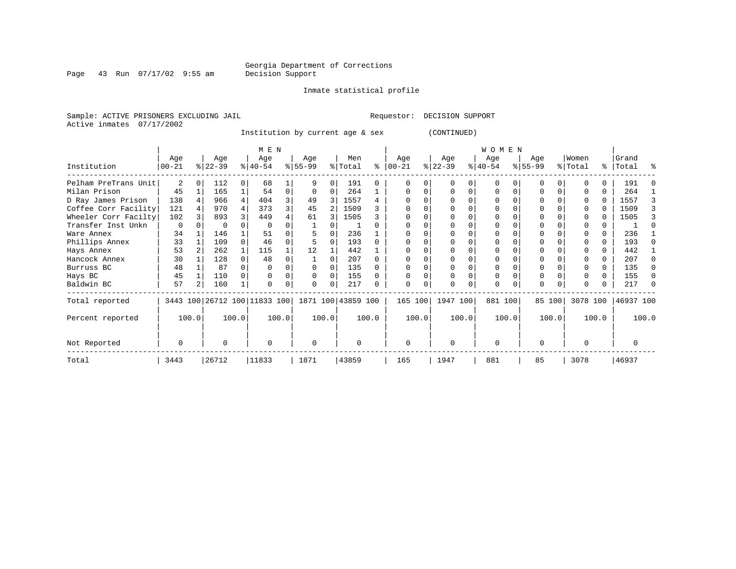Page 43 Run 07/17/02 9:55 am

#### Inmate statistical profile

Sample: ACTIVE PRISONERS EXCLUDING JAIL Requestor: DECISION SUPPORT Active inmates 07/17/2002

Institution by current age & sex (CONTINUED)

|                      |                 |   |                  |          | M E N            |          |                                                     |          |                |          |                  |          |                  |          | <b>WOMEN</b>     |          |                 |        |                  |       |                    |       |
|----------------------|-----------------|---|------------------|----------|------------------|----------|-----------------------------------------------------|----------|----------------|----------|------------------|----------|------------------|----------|------------------|----------|-----------------|--------|------------------|-------|--------------------|-------|
| Institution          | Age<br>$ 00-21$ |   | Age<br>$ 22-39 $ |          | Age<br>$8 40-54$ |          | Age<br>$8 55-99$                                    |          | Men<br>% Total | ႜ        | Age<br>$ 00-21 $ |          | Age<br>$ 22-39 $ |          | Age<br>$ 40-54 $ |          | Age<br>$ 55-99$ |        | Women<br>% Total |       | Grand<br>%   Total | ႜ     |
| Pelham PreTrans Unit | 2               | O | 112              | $\Omega$ | 68               |          | 9                                                   | U        | 191            | 0        |                  |          | $\Omega$         |          | $\Omega$         |          | O               |        |                  |       | 191                |       |
| Milan Prison         | 45              |   | 165              |          | 54               | $\Omega$ | $\Omega$                                            | 0        | 264            |          |                  |          |                  | $\Omega$ | 0                | $\Omega$ |                 |        |                  | 0     | 264                |       |
| D Ray James Prison   | 138             |   | 966              | 4        | 404              |          | 49                                                  |          | 1557           | 4        |                  |          |                  |          |                  |          |                 |        |                  | 0     | 1557               |       |
| Coffee Corr Facility | 121             |   | 970              | 4        | 373              |          | 45                                                  | 2        | 1509           |          |                  |          |                  |          |                  |          |                 |        |                  |       | 1509               |       |
| Wheeler Corr Facilty | 102             |   | 893              |          | 449              |          | 61                                                  |          | 1505           |          |                  |          |                  |          |                  |          |                 |        |                  |       | 1505               |       |
| Transfer Inst Unkn   | 0               |   | 0                |          |                  |          |                                                     |          |                |          |                  |          |                  |          |                  |          |                 |        |                  |       |                    |       |
| Ware Annex           | 34              |   | 146              |          | 51               |          |                                                     |          | 236            |          |                  |          |                  |          |                  |          |                 |        |                  |       | 236                |       |
| Phillips Annex       | 33              |   | 109              |          | 46               |          |                                                     |          | 193            |          |                  |          |                  |          |                  |          |                 |        |                  |       | 193                |       |
| Hays Annex           | 53              |   | 262              |          | 115              |          | 12                                                  |          | 442            |          |                  |          |                  |          |                  |          |                 |        |                  | U     | 442                |       |
| Hancock Annex        | 30              |   | 128              |          | 48               |          |                                                     |          | 207            |          |                  |          |                  |          |                  |          |                 |        |                  |       | 207                |       |
| Burruss BC           | 48              |   | 87               |          |                  |          |                                                     | U        | 135            |          |                  |          |                  |          |                  |          |                 |        |                  |       | 135                |       |
| Hays BC              | 45              |   | 110              |          |                  |          | 0                                                   | 0        | 155            |          |                  |          |                  |          | 0                |          | $\Omega$        |        |                  | 0     | 155                |       |
| Baldwin BC           | 57              |   | 160              |          |                  |          | 0                                                   | 0        | 217            |          |                  |          |                  |          | 0                |          | $\Omega$        |        |                  | 0     | 217                |       |
| Total reported       |                 |   |                  |          |                  |          | 3443 100 26712 100 11833 100   1871 100   43859 100 |          |                |          | 165 100          |          | 1947 100         |          | 881 100          |          |                 | 85 100 | 3078 100         |       | 46937 100          |       |
| Percent reported     | 100.0           |   |                  | 100.0    |                  | 100.0    | 100.0                                               |          |                | 100.0    |                  | 100.0    |                  | 100.0    |                  | 100.0    |                 | 100.0  |                  | 100.0 |                    | 100.0 |
| Not Reported         | 0               | O |                  | $\Omega$ |                  | 0        |                                                     | $\Omega$ |                | $\Omega$ |                  | $\Omega$ |                  | $\Omega$ |                  | $\Omega$ |                 |        |                  |       |                    |       |
| Total                | 3443            |   | 26712            |          | 11833            |          | 1871                                                |          | 43859          |          | 165              |          | 1947             |          | 881              |          | 85              |        | 3078             |       | 46937              |       |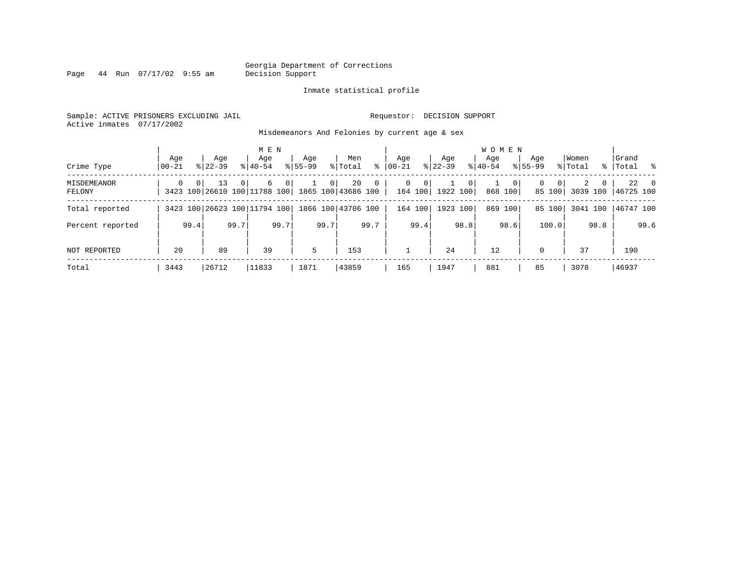Page 44 Run 07/17/02 9:55 am

#### Inmate statistical profile

Sample: ACTIVE PRISONERS EXCLUDING JAIL Requestor: DECISION SUPPORT Active inmates 07/17/2002

Misdemeanors And Felonies by current age & sex

| Crime Type                   | Age<br>  00-21 |          | Aqe<br>$8122 - 39$                 |          | M E N<br>Aqe<br>$8140 - 54$ |                | Aqe<br>$8155 - 99$ |                | Men<br>% Total           | ွေ          | Aqe<br>$00 - 21$ |                              | Aqe<br>$ 22-39 $         |                | <b>WOMEN</b><br>Aqe<br>$ 40-54 $ |              | Age<br>$8155 - 99$ |                    | Women<br>% Total |          | Grand<br>%   Total % |           |
|------------------------------|----------------|----------|------------------------------------|----------|-----------------------------|----------------|--------------------|----------------|--------------------------|-------------|------------------|------------------------------|--------------------------|----------------|----------------------------------|--------------|--------------------|--------------------|------------------|----------|----------------------|-----------|
| <b>MISDEMEANOR</b><br>FELONY | $\Omega$       | $\Omega$ | 13<br>3423 100 26610 100 11788 100 | $\Omega$ | 6                           | $\overline{0}$ |                    | 0 <sup>1</sup> | 20<br>1865 100 43686 100 | $\mathbf 0$ |                  | $\mathbf{0}$<br>0<br>164 100 | $\mathbf{1}$<br>1922 100 | 0 <sup>1</sup> |                                  | 0<br>868 100 | $\Omega$           | $\Omega$<br>85 100 | 2<br>3039 100    | $\Omega$ | 46725 100            | $22 \t 0$ |
| Total reported               |                |          | 3423 100 26623 100 11794 100       |          |                             |                |                    |                | 1866 100 43706 100       |             |                  | 164 100                      | 1923 100                 |                |                                  | 869 100      |                    | 85 100             | 3041 100         |          | 46747 100            |           |
| Percent reported             |                | 99.4     |                                    | 99.7     |                             | 99.7           |                    | 99.7           |                          | 99.7        |                  | 99.4                         |                          | 98.8           |                                  | 98.6         |                    | 100.0              |                  | 98.8     |                      | 99.6      |
| NOT REPORTED                 | 20             |          | 89                                 |          | 39                          |                | 5                  |                | 153                      |             |                  |                              | 24                       |                | 12                               |              | $\Omega$           |                    | 37               |          | 190                  |           |
| Total                        | 3443           |          | 26712                              |          | 11833                       |                | 1871               |                | 43859                    |             | 165              |                              | 1947                     |                | 881                              |              | 85                 |                    | 3078             |          | 46937                |           |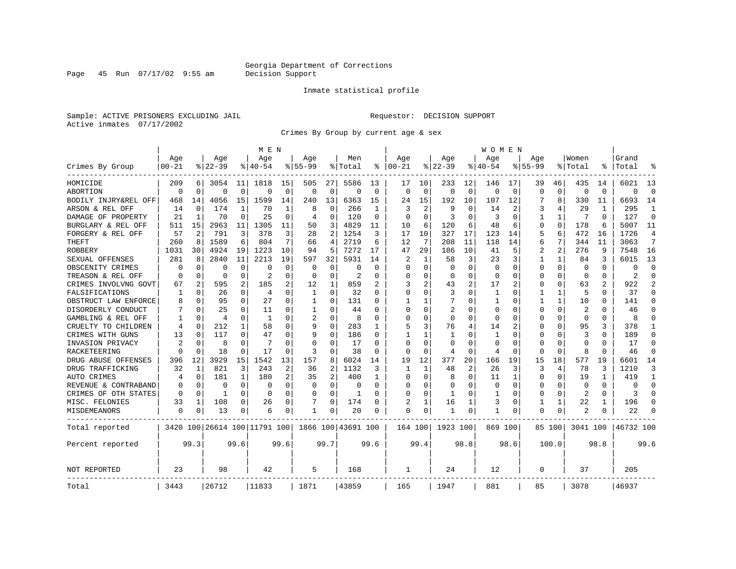#### Inmate statistical profile

Sample: ACTIVE PRISONERS EXCLUDING JAIL Requestor: DECISION SUPPORT Active inmates 07/17/2002

Page 45 Run 07/17/02 9:55 am

Crimes By Group by current age & sex

|                      |                |             |           |              | M E N                        |                |             |                |                    |          |              |              |                |             | W O M E N |             |             |                |          |          |           |                |
|----------------------|----------------|-------------|-----------|--------------|------------------------------|----------------|-------------|----------------|--------------------|----------|--------------|--------------|----------------|-------------|-----------|-------------|-------------|----------------|----------|----------|-----------|----------------|
|                      | Age            |             | Age       |              | Age                          |                | Age         |                | Men                |          | Age          |              | Age            |             | Age       |             | Age         |                | Women    |          | Grand     |                |
| Crimes By Group      | $00 - 21$      |             | $8 22-39$ |              | $8140 - 54$                  |                | $8155 - 99$ |                | % Total            | ៖        | $ 00-21$     |              | $8122 - 39$    |             | % 40-54   |             | $8155 - 99$ |                | % Total  |          | Total     | °              |
| HOMICIDE             | 209            | 6           | 3054      | 11           | 1818                         | 15             | 505         | 27             | 5586               | 13       | 17           | 10           | 233            | 12          | 146       | 17          | 39          | 46             | 435      | 14       | 6021      | 13             |
| ABORTION             | $\Omega$       | $\mathbf 0$ | 0         | $\Omega$     | $\Omega$                     | $\Omega$       | $\Omega$    | $\mathbf 0$    | $\Omega$           | $\Omega$ | $\Omega$     | $\Omega$     | $\Omega$       | $\mathbf 0$ | $\Omega$  | $\mathbf 0$ | $\Omega$    | $\Omega$       | $\Omega$ | $\Omega$ | $\Omega$  | $\Omega$       |
| BODILY INJRY&REL OFF | 468            | 14          | 4056      | 15           | 1599                         | 14             | 240         | 13             | 6363               | 15       | 24           | 15           | 192            | 10          | 107       | 12          |             | 8              | 330      | 11       | 6693      | 14             |
| ARSON & REL OFF      | 14             | 0           | 174       | 1            | 70                           |                | 8           | 0              | 266                | -1       | 3            | 2            | 9              | 0           | 14        | 2           | 3           | 4              | 29       | 1        | 295       | 1              |
| DAMAGE OF PROPERTY   | 21             | 1           | 70        | $\Omega$     | 25                           | ∩              | 4           | 0              | 120                | $\Omega$ | $\Omega$     | <sup>0</sup> | 3              | U           | 3         | $\Omega$    | 1           | $\mathbf{1}$   | 7        | $\Omega$ | 127       | $\Omega$       |
| BURGLARY & REL OFF   | 511            | 15          | 2963      | 11           | 1305                         | 11             | 50          | 3              | 4829               | 11       | 10           | 6            | 120            | 6           | 48        | 6           | 0           | $\Omega$       | 178      | 6        | 5007      | 11             |
| FORGERY & REL OFF    | 57             | 2           | 791       | 3            | 378                          | 3              | 28          | 2              | 1254               | 3        | 17           | 10           | 327            | 17          | 123       | 14          | 5           | 6              | 472      | 16       | 1726      | 4              |
| THEFT                | 260            | 8           | 1589      | 6            | 804                          | 7              | 66          | 4              | 2719               | 6        | 12           | 7            | 208            | 11          | 118       | 14          | 6           | 7              | 344      | 11       | 3063      | 7              |
| <b>ROBBERY</b>       | 1031           | 30          | 4924      | 19           | 1223                         | 10             | 94          | 5              | 7272               | 17       | 47           | 29           | 186            | 10          | 41        | 5           | 2           | $\overline{a}$ | 276      | 9        | 7548      | 16             |
| SEXUAL OFFENSES      | 281            | 8           | 2840      | 11           | 2213                         | 19             | 597         | 32             | 5931               | 14       | 2            | 1            | 58             | 3           | 23        | 3           |             | $\mathbf{1}$   | 84       | ٦        | 6015      | 13             |
| OBSCENITY CRIMES     | O              | 0           | O         | 0            | $\Omega$                     | O              | O           | 0              | n                  | U        | $\Omega$     | 0            | $\Omega$       | U           | $\Omega$  | $\Omega$    | O           | 0              | $\Omega$ | O        | O         | $\Omega$       |
| TREASON & REL OFF    | O              | 0           | $\Omega$  | 0            | 2                            | $\Omega$       | $\Omega$    | 0              | 2                  | O        | $\Omega$     | 0            | 0              | 0           | 0         | $\Omega$    | 0           | 0              | $\Omega$ | 0        | 2         | $\Omega$       |
| CRIMES INVOLVNG GOVT | 67             | 2           | 595       | 2            | 185                          | 2              | 12          | 1              | 859                |          | 3            |              | 43             | 2           | 17        | 2           | 0           | 0              | 63       | 2        | 922       | $\overline{2}$ |
| FALSIFICATIONS       | 1              | 0           | 26        | 0            | $\overline{4}$               | $\Omega$       | 1           | 0              | 32                 | $\Omega$ | $\Omega$     | 0            | 3              | 0           | -1        | 0           |             | 1              | 5        | O        | 37        | $\Omega$       |
| OBSTRUCT LAW ENFORCE | 8              | $\Omega$    | 95        | $\Omega$     | 27                           | $\Omega$       | -1          | 0              | 131                |          |              |              |                | 0           |           | $\Omega$    |             | $\mathbf{1}$   | 10       | U        | 141       | $\Omega$       |
| DISORDERLY CONDUCT   |                | $\Omega$    | 25        | $\Omega$     | 11                           | $\Omega$       | -1          | O              | 44                 |          | $\Omega$     |              | $\overline{2}$ | N           | $\Omega$  | $\Omega$    | Ω           | $\Omega$       | 2        |          | 46        | $\Omega$       |
| GAMBLING & REL OFF   |                | $\Omega$    | 4         | $\Omega$     | -1                           | ∩              | 2           | 0              | R                  | U        | ∩            | U            | $\Omega$       | U           | $\Omega$  | $\Omega$    | O           | 0              | $\Omega$ | 0        | 8         | ∩              |
| CRUELTY TO CHILDREN  | 4              | 0           | 212       | 1            | 58                           | $\Omega$       | 9           | 0              | 283                |          | 5            | 3            | 76             | 4           | 14        | 2           | U           | 0              | 95       | 3        | 378       | 1              |
| CRIMES WITH GUNS     | 13             | 0           | 117       | 0            | 47                           | $\Omega$       | 9           | 0              | 186                | $\Omega$ | $\mathbf{1}$ |              | 1              | U           | 1         | $\Omega$    | 0           | 0              | 3        | 0        | 189       | $\Omega$       |
| INVASION PRIVACY     | $\overline{c}$ | 0           | 8         | $\Omega$     | 7                            | $\Omega$       | $\Omega$    | 0              | 17                 | $\Omega$ | $\Omega$     | $\Omega$     | $\Omega$       | 0           | $\Omega$  | $\Omega$    | 0           | 0              | $\Omega$ | O        | 17        | $\Omega$       |
| RACKETEERING         | O              | $\mathbf 0$ | 18        | $\mathbf 0$  | 17                           | O              | 3           | 0              | 38                 | O        | $\Omega$     | 0            | 4              | 0           | 4         | $\mathbf 0$ | 0           | 0              | 8        | n        | 46        | $\mathbf 0$    |
| DRUG ABUSE OFFENSES  | 396            | 12          | 3929      | 15           | 1542                         | 13             | 157         | 8              | 6024               | 14       | 19           | 12           | 377            | 20          | 166       | 19          | 15          | 18             | 577      | 19       | 6601      | 14             |
| DRUG TRAFFICKING     | 32             | 1           | 821       | 3            | 243                          | $\overline{2}$ | 36          | $\overline{a}$ | 1132               | 3        | -1           | 1            | 48             | 2           | 26        | 3           | ζ           | 4              | 78       | 3        | 1210      | २              |
| AUTO CRIMES          | 4              | 0           | 181       | $\mathbf{1}$ | 180                          | 2              | 35          | 2              | 400                | -1       | $\Omega$     | 0            | 8              | 0           | 11        | 1           | $\Omega$    | 0              | 19       |          | 419       | 1              |
| REVENUE & CONTRABAND | O              | 0           | $\Omega$  | $\Omega$     | 0                            | $\Omega$       | O           | 0              | n                  | $\Omega$ | $\Omega$     | U            | $\Omega$       | U           | $\Omega$  | $\Omega$    | 0           | $\Omega$       | $\Omega$ | $\Omega$ | $\Omega$  | $\Omega$       |
| CRIMES OF OTH STATES | O              | 0           | 1         | $\Omega$     | $\Omega$                     | $\Omega$       | $\Omega$    | 0              | -1                 | $\Omega$ | $\Omega$     | 0            | 1              | 0           | 1         | 0           | 0           | 0              | 2        | $\Omega$ | 3         | $\Omega$       |
| MISC. FELONIES       | 33             | 1           | 108       | 0            | 26                           | 0              |             | 0              | 174                |          | 2            |              | 16             |             | 3         | $\Omega$    |             | 1              | 22       |          | 196       | $\Omega$       |
| MISDEMEANORS         | 0              | 0           | 13        | 0            | 6                            | 0              | 1           | 0              | 20                 | O        | $\Omega$     | 0            | 1              | 0           | 1         | $\Omega$    | 0           | 0              | 2        |          | 22        |                |
| Total reported       |                |             |           |              | 3420 100 26614 100 11791 100 |                |             |                | 1866 100 43691 100 |          | 164 100      |              | 1923 100       |             | 869 100   |             |             | 85 100         | 3041 100 |          | 46732 100 |                |
| Percent reported     |                | 99.3        |           | 99.6         |                              | 99.6           |             | 99.7           |                    | 99.6     |              | 99.4         |                | 98.8        |           | 98.6        |             | 100.0          |          | 98.8     |           | 99.6           |
| <b>NOT REPORTED</b>  | 23             |             | 98        |              | 42                           |                | 5           |                | 168                |          | 1            |              | 24             |             | 12        |             | 0           |                | 37       |          | 205       |                |
| Total                | 3443           |             | 26712     |              | 11833                        |                | 1871        |                | 43859              |          | 165          |              | 1947           |             | 881       |             | 85          |                | 3078     |          | 46937     |                |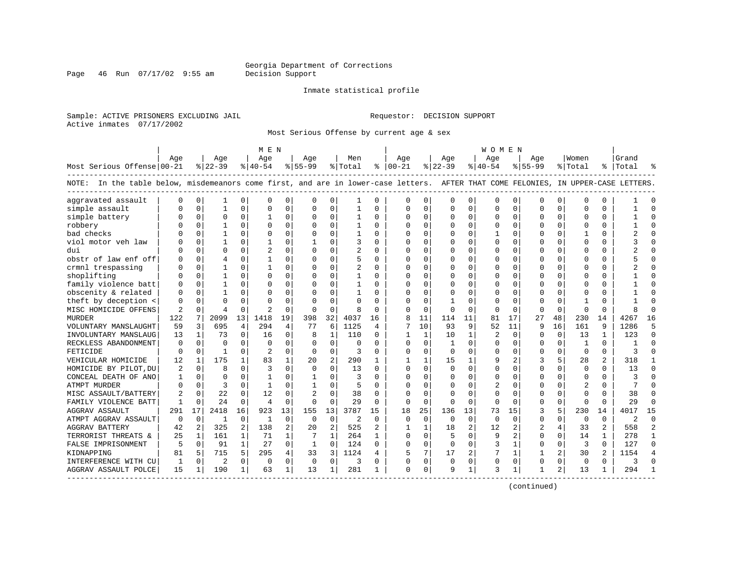Page 46 Run 07/17/02 9:55 am

#### Inmate statistical profile

Sample: ACTIVE PRISONERS EXCLUDING JAIL Requestor: DECISION SUPPORT Active inmates 07/17/2002

Most Serious Offense by current age & sex

|                                                                                                                                    |              |                |                |              | M E N          |                |              |                |                |          |                         |              |              |                | W O M E N    |             |           |              |              |              |                |           |
|------------------------------------------------------------------------------------------------------------------------------------|--------------|----------------|----------------|--------------|----------------|----------------|--------------|----------------|----------------|----------|-------------------------|--------------|--------------|----------------|--------------|-------------|-----------|--------------|--------------|--------------|----------------|-----------|
|                                                                                                                                    | Age          |                | Age            |              | Age            |                | Age          |                | Men            |          | Age                     |              | Aqe          |                | Age          |             | Age       |              | Women        |              | Grand          |           |
| Most Serious Offense 00-21                                                                                                         |              |                | $ 22-39$       |              | $ 40-54 $      |                | $ 55-99$     |                | % Total        |          | $\frac{1}{6}$   00 - 21 |              | $ 22-39$     |                | $ 40-54 $    |             | $8 55-99$ |              | % Total      | နု $\vert$   | Total          |           |
| NOTE: In the table below, misdemeanors come first, and are in lower-case letters. AFTER THAT COME FELONIES, IN UPPER-CASE LETTERS. |              |                |                |              |                |                |              |                |                |          |                         |              |              |                |              |             |           |              |              |              |                |           |
| aggravated assault                                                                                                                 | n            | $\Omega$       |                | 0            | $\mathbf 0$    | 0              | $\Omega$     | 0              | -1             | $\Omega$ | $\Omega$                | $\mathbf 0$  | $\Omega$     | $\Omega$       | 0            | $\Omega$    | $\Omega$  | $\Omega$     | $\Omega$     | 0            |                | $\cap$    |
| simple assault                                                                                                                     |              | $\Omega$       | 1              | $\Omega$     | $\Omega$       | $\mathbf 0$    | $\Omega$     | $\mathbf 0$    |                | O        | $\Omega$                | 0            | $\Omega$     | $\mathbf 0$    | $\Omega$     | $\mathbf 0$ | $\Omega$  | $\Omega$     | $\Omega$     | 0            |                | $\bigcap$ |
| simple battery                                                                                                                     |              | $\Omega$       | O              | $\Omega$     |                | 0              | O            | $\Omega$       |                | 0        | $\Omega$                | 0            | $\Omega$     | 0              | $\Omega$     | $\mathbf 0$ | $\Omega$  | $\Omega$     | <sup>0</sup> | O            |                | $\bigcap$ |
| robbery                                                                                                                            |              | $\Omega$       |                | U            | $\Omega$       | $\Omega$       | O            | $\Omega$       |                | $\Omega$ | $\Omega$                | $\Omega$     | $\Omega$     | $\Omega$       | $\Omega$     | $\Omega$    | $\Omega$  | $\Omega$     | $\Omega$     | 0            |                |           |
| bad checks                                                                                                                         |              | $\Omega$       |                | 0            | $\Omega$       | $\Omega$       | O            | $\Omega$       | -1             | 0        | $\Omega$                | $\Omega$     | $\Omega$     | $\Omega$       |              | $\Omega$    | ∩         | <sup>0</sup> |              | 0            |                |           |
| viol motor veh law                                                                                                                 |              | $\Omega$       |                | 0            | -1             | 0              |              | $\Omega$       | 3              | 0        | <sup>0</sup>            | $\Omega$     | $\Omega$     | $\Omega$       | O            | $\Omega$    | U         | $\Omega$     | $\cap$       | 0            |                |           |
| dui                                                                                                                                |              | $\Omega$       | U              | 0            | $\overline{2}$ | $\Omega$       | $\Omega$     | $\Omega$       | $\overline{2}$ | 0        | <sup>0</sup>            | $\Omega$     | $\Omega$     | $\Omega$       | O            | $\mathbf 0$ | U         | $\Omega$     | <sup>0</sup> | 0            |                | n         |
| obstr of law enf off                                                                                                               |              | $\mathbf 0$    | 4              | 0            | $\mathbf{1}$   | 0              | O            | $\mathbf 0$    | 5              | $\Omega$ | $\Omega$                | $\mathbf 0$  | $\Omega$     | $\Omega$       | O            | $\mathbf 0$ | U         | $\Omega$     | $\Omega$     | 0            |                | $\cap$    |
| crmnl trespassing                                                                                                                  |              | $\Omega$       |                | U            | -1             | $\Omega$       | $\Omega$     | $\Omega$       | $\overline{2}$ | $\Omega$ | $\cap$                  | $\Omega$     | $\Omega$     | $\Omega$       | U            | $\Omega$    | $\cap$    | $\Omega$     | <sup>0</sup> | 0            |                | $\cap$    |
| shoplifting                                                                                                                        |              | $\Omega$       |                | O            | $\Omega$       | 0              | O            | $\Omega$       | $\mathbf{1}$   | $\Omega$ | $\Omega$                | $\Omega$     | $\Omega$     | $\Omega$       | O            | $\Omega$    | U         | $\Omega$     | <sup>0</sup> | 0            |                | $\bigcap$ |
| family violence batt                                                                                                               |              | $\Omega$       |                | O            | $\Omega$       | $\Omega$       | $\Omega$     | $\Omega$       | 1              | 0        | $\Omega$                | $\Omega$     | $\Omega$     | $\Omega$       | O            | $\mathbf 0$ | $\Omega$  | <sup>0</sup> | <sup>0</sup> | U            |                | $\cap$    |
| obscenity & related                                                                                                                |              | $\Omega$       |                | U            | $\Omega$       | 0              | O            | $\Omega$       |                | O        | $\Omega$                | $\Omega$     | $\Omega$     | $\Omega$       | O            | $\Omega$    | $\Omega$  |              | ſ            | O            |                |           |
| theft by deception <                                                                                                               | O            | $\Omega$       | U              | U            | $\Omega$       | $\Omega$       | $\Omega$     | $\Omega$       | $\Omega$       | O        | $\Omega$                | $\Omega$     | $\mathbf{1}$ | $\Omega$       | <sup>0</sup> | $\Omega$    | $\Omega$  |              |              | U            |                |           |
| MISC HOMICIDE OFFENS                                                                                                               | 2            | $\Omega$       | 4              | <sup>0</sup> | $\overline{2}$ | $\Omega$       | $\Omega$     | $\Omega$       | 8              | $\Omega$ | $\cap$                  | $\Omega$     | $\Omega$     | $\Omega$       | <sup>0</sup> | $\Omega$    | $\Omega$  | $\Omega$     | $\Omega$     | 0            |                |           |
| MURDER                                                                                                                             | 122          | 7              | 2099           | 13           | 1418           | 19             | 398          | 32             | 4037           | 16       | 8                       | 11           | 114          | 11             | 81           | 17          | 27        | 48           | 230          | 14           | 4267           | 16        |
| VOLUNTARY MANSLAUGHT                                                                                                               | 59           | $\overline{3}$ | 695            | 4            | 294            | $\overline{4}$ | 77           | 6              | 1125           | 4        | 7                       | 10           | 93           | 9              | 52           | 11          | 9         | 16           | 161          | 9            | 1286           | д         |
| INVOLUNTARY MANSLAUG                                                                                                               | 13           | $\mathbf{1}$   | 73             | $\Omega$     | 16             | $\mathbf 0$    | 8            | $\mathbf{1}$   | 110            | $\Omega$ | $\mathbf{1}$            | $\mathbf{1}$ | 10           | $\mathbf{1}$   | 2            | $\Omega$    | $\cap$    | $\Omega$     | 13           | $\mathbf{1}$ | 123            | $\cap$    |
| RECKLESS ABANDONMENT                                                                                                               | $\Omega$     | $\Omega$       | $\Omega$       | $\Omega$     | $\Omega$       | $\Omega$       | $\Omega$     | $\Omega$       | $\Omega$       | $\Omega$ | $\Omega$                | $\Omega$     | $\mathbf{1}$ | $\Omega$       | O            | $\Omega$    | $\Omega$  | $\Omega$     | $\mathbf{1}$ | $\Omega$     | -1             | $\cap$    |
| FETICIDE                                                                                                                           | <sup>0</sup> | $\Omega$       | $\mathbf{1}$   | $\Omega$     | $\mathcal{D}$  | $\Omega$       | $\Omega$     | $\Omega$       | 3              | $\Omega$ | $\Omega$                | $\Omega$     | $\Omega$     | $\Omega$       | $\Omega$     | $\mathbf 0$ | $\Omega$  | $\Omega$     | $\Omega$     | 0            |                | $\cap$    |
| VEHICULAR HOMICIDE                                                                                                                 | 12           | 1              | 175            | $\mathbf{1}$ | 83             | 1              | 20           | 2              | 290            | 1        |                         |              | 15           | 1              | 9            | 2           | 3         | 5            | 28           | 2            | 318            | -1        |
| HOMICIDE BY PILOT, DU                                                                                                              | 2            | 0              | 8              | U            | 3              | 0              | $\Omega$     | $\Omega$       | 13             | O        | $\Omega$                | 0            | $\Omega$     | $\Omega$       | 0            | 0           | $\Omega$  | 0            | $\Omega$     | O            | 13             | $\cap$    |
| CONCEAL DEATH OF ANO                                                                                                               |              | $\Omega$       | U              |              | -1             | $\Omega$       |              | $\Omega$       | ζ              | $\Omega$ | $\cap$                  | $\Omega$     | $\Omega$     | $\Omega$       | $\Omega$     | $\Omega$    | $\cap$    | <sup>0</sup> | ∩            | 0            |                |           |
| ATMPT MURDER                                                                                                                       |              | $\Omega$       | 3              | U            | $\mathbf{1}$   | 0              |              | $\Omega$       | 5              | $\Omega$ |                         | $\Omega$     | $\Omega$     | $\Omega$       | 2            | $\Omega$    | ∩         | <sup>0</sup> | 2            | 0            | 7              |           |
| MISC ASSAULT/BATTERY                                                                                                               | 2            | $\Omega$       | 22             | $\Omega$     | 12             | $\Omega$       |              | $\Omega$       | 38             | $\Omega$ | ∩                       | $\Omega$     | $\Omega$     | $\Omega$       | O            | $\Omega$    | U         | $\Omega$     | <sup>0</sup> | 0            | 38             |           |
| FAMILY VIOLENCE BATT                                                                                                               | -1           | $\Omega$       | 24             | 0            | $\overline{4}$ | 0              | $\Omega$     | $\mathbf 0$    | 29             | $\Omega$ | $\Omega$                | $\mathbf 0$  | $\Omega$     | $\mathbf 0$    | $\Omega$     | $\mathbf 0$ | $\Omega$  | 0            | $\Omega$     | U            | 29             | $\cap$    |
| <b>AGGRAV ASSAULT</b>                                                                                                              | 291          | 17             | 2418           | 16           | 923            | 13             | 155          | 13             | 3787           | 15       | 18                      | 25           | 136          | 13             | 73           | 15          | 3         | 5            | 230          | 14           | 4017           | 15        |
| ATMPT AGGRAV ASSAULT                                                                                                               | $\Omega$     | $\Omega$       | $\mathbf{1}$   | $\Omega$     | $\mathbf{1}$   | $\mathbf 0$    | $\Omega$     | $\mathbf 0$    | $\overline{2}$ | $\Omega$ | $\Omega$                | $\Omega$     | 0            | $\Omega$       | $\Omega$     | $\Omega$    | $\Omega$  | 0            | $\Omega$     | $\Omega$     | $\overline{2}$ | $\cap$    |
| <b>AGGRAV BATTERY</b>                                                                                                              | 42           | 2              | 325            | 2            | 138            | $\overline{a}$ | 20           | $\overline{2}$ | 525            | 2        |                         | $\mathbf{1}$ | 18           | 2              | 12           | 2           |           | 4            | 33           | 2            | 558            | 2         |
| TERRORIST THREATS &                                                                                                                | 25           | 1              | 161            | $\mathbf{1}$ | 71             | $\mathbf 1$    |              | $\mathbf{1}$   | 264            |          | $\Omega$                | $\Omega$     | 5            | $\Omega$       | 9            | 2           | $\Omega$  | $\Omega$     | 14           |              | 278            | -1        |
| FALSE IMPRISONMENT                                                                                                                 | 5            | $\Omega$       | 91             | $\mathbf{1}$ | 27             | 0              | $\mathbf{1}$ | $\Omega$       | 124            | 0        | $\Omega$                | $\Omega$     | $\Omega$     | $\mathbf 0$    | 3            | 1           | $\Omega$  | $\Omega$     | 3            | 0            | 127            | $\Omega$  |
| KIDNAPPING                                                                                                                         | 81           | 5              | 715            | 5.           | 295            | 4              | 33           | 3              | 1124           | 4        |                         | 7            | 17           | $\overline{2}$ |              | 1           |           |              | 30           | 2            | 1154           |           |
| INTERFERENCE WITH CU                                                                                                               | 1            | $\Omega$       | $\overline{2}$ | 0            | 0              | 0              | $\mathbf 0$  | $\mathbf 0$    | 3              | 0        | $\Omega$                | $\mathbf 0$  | 0            | 0              | 0            | $\mathbf 0$ | $\Omega$  | 0            | $\mathbf 0$  | 0            | ζ              |           |
| AGGRAV ASSAULT POLCE                                                                                                               | 15           | 1              | 190            | $\mathbf{1}$ | 63             | 1              | 13           | 1              | 281            | 1        | $\cap$                  | $\Omega$     | 9            | $\mathbf{1}$   | 3            | 1           |           | 2            | 13           |              | 294            |           |

------------------------------------------------------------------------------------------------------------------------------------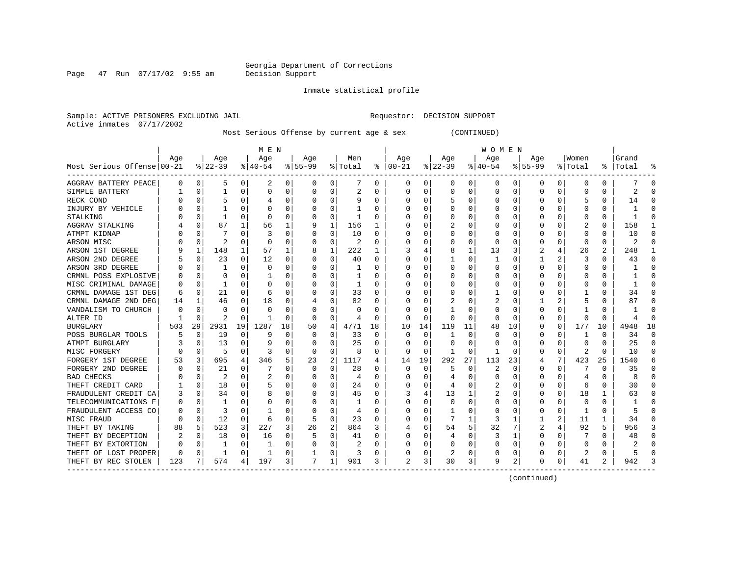Page 47 Run  $07/17/02$  9:55 am

Inmate statistical profile

Sample: ACTIVE PRISONERS EXCLUDING JAIL Requestor: DECISION SUPPORT Active inmates 07/17/2002

Most Serious Offense by current age & sex (CONTINUED)

|                            |     |                |              |              | M E N     |          |           |          |         |          |          |          |          |          | W O M E N |              |           |          |          |    |           |    |
|----------------------------|-----|----------------|--------------|--------------|-----------|----------|-----------|----------|---------|----------|----------|----------|----------|----------|-----------|--------------|-----------|----------|----------|----|-----------|----|
|                            | Aqe |                | Age          |              | Age       |          | Aqe       |          | Men     |          | Aqe      |          | Aqe      |          | Age       |              | Aqe       |          | Women    |    | Grand     |    |
| Most Serious Offense 00-21 |     |                | $8 22-39$    |              | $8 40-54$ |          | $8 55-99$ |          | % Total | ႜ        | $ 00-21$ |          | $ 22-39$ |          | $ 40-54$  |              | $8 55-99$ |          | % Total  |    | %   Total |    |
| AGGRAV BATTERY PEACE       | 0   | 0              | 5            | 0            | 2         | 0        | 0         | 0        |         | 0        | 0        | 0        | 0        | 0        | 0         | 0            | 0         | 0        | 0        | 0  |           | ſ  |
| SIMPLE BATTERY             |     | $\Omega$       | $\mathbf{1}$ | 0            | $\Omega$  | 0        | O         | $\Omega$ | 2       | U        | 0        | O        | $\Omega$ | 0        | 0         | 0            | $\Omega$  | $\Omega$ | O        | 0  | 2         | ſ  |
| RECK COND                  |     | $\Omega$       | 5            | U            |           | O        |           | O        | 9       | U        | C        | O        |          | O        | U         | $\Omega$     | $\Omega$  | O        | 5        | U  | 14        |    |
| INJURY BY VEHICLE          |     | $\Omega$       |              |              | C         | O        |           | O        |         | U        |          | 0        | O        | O        | Ω         | n            |           |          |          | U  |           |    |
| STALKING                   |     | U              | -1           | U            | 0         | O        |           | $\Omega$ | -1      | U        |          | U        |          | O        | Ω         | n            |           |          | n        | 0  |           |    |
| AGGRAV STALKING            |     | $\Omega$       | 87           | $\mathbf{1}$ | 56        | 1        |           | 1        | 156     | ı.       |          | 0        |          | U        |           | n            |           |          |          | 0  | 158       |    |
| ATMPT KIDNAP               |     | $\Omega$       |              | U            | 3         | $\Omega$ |           | $\Omega$ | 10      | U        |          | 0        |          | O        | ი         | $\Omega$     |           |          |          | U  | 10        |    |
| ARSON MISC                 |     | $\Omega$       | 2            | U            | 0         | O        |           | 0        | 2       | U        |          | O        |          | 0        | 0         | $\Omega$     |           | O        | $\Omega$ | U  | 2         |    |
| ARSON 1ST DEGREE           |     | 1              | 148          | $\mathbf{1}$ | 57        |          |           | 1        | 222     |          |          | 4        | 8        | 1        | 13        | 3            |           |          | 26       | 2  | 248       |    |
| ARSON 2ND DEGREE           |     | $\mathbf 0$    | 23           | 0            | 12        | $\Omega$ |           | 0        | 40      | 0        |          | 0        |          | $\Omega$ |           | 0            |           |          | 3        | 0  | 43        | ſ  |
| ARSON 3RD DEGREE           |     | $\Omega$       | 1            | U            | 0         | O        |           | $\Omega$ |         | U        |          | 0        | O        | O        | Ω         | $\Omega$     | $\Omega$  | U        |          | 0  |           | ∩  |
| CRMNL POSS EXPLOSIVE       |     | $\Omega$       | U            | U            |           | O        |           | 0        |         | U        |          | 0        |          | O        | Ω         | n            | O         | O        | C        | 0  |           | ∩  |
| MISC CRIMINAL DAMAGE       |     | $\Omega$       | -1           | 0            | 0         | 0        |           | 0        | -1      | 0        | O        | 0        | 0        | O        | 0         | 0            |           |          | C        | 0  |           | n  |
| CRMNL DAMAGE 1ST DEG       | 6   | $\mathbf 0$    | 21           | 0            | 6         | 0        |           | 0        | 33      | 0        | O        | 0        | O        | O        |           | $\left($     | O         | O        |          | 0  | 34        | n  |
| CRMNL DAMAGE 2ND DEG       | 14  | 1              | 46           | U            | 18        | 0        |           | 0        | 82      | U        |          | O        |          |          | 2         | O            |           | 2        |          | U  | 87        | n  |
| VANDALISM TO CHURCH        |     | $\Omega$       | U            | U            | C.        | O        |           | O        | O       | U        |          | O        |          |          | Ω         | n            |           |          |          | U  |           | C  |
| ALTER ID                   |     | $\Omega$       | 2            | U            |           | O        | O         | $\Omega$ | 4       | U        | O        | $\Omega$ | O        | O        | Ω         | n            |           | $\Omega$ |          | U  | Δ         | ſ  |
| <b>BURGLARY</b>            | 503 | 29             | 2931         | 19           | 1287      | 18       | 50        | 4        | 4771    | 18       | 10       | 14       | 119      | 11       | 48        | 10           | O         | $\Omega$ | 177      | 10 | 4948      | 18 |
| POSS BURGLAR TOOLS         |     | $\Omega$       | 19           | $\Omega$     | q         | O        | O         | O        | 33      | $\Omega$ | 0        | $\Omega$ |          | O        | Ω         | n            |           | $\Omega$ |          | U  | 34        | ∩  |
| ATMPT BURGLARY             |     | $\Omega$       | 13           | U            | q         | O        |           | O        | 25      | U        | O        | $\Omega$ | $\Omega$ | O        | Ω         | n            |           | $\Omega$ | O        | 0  | 25        | ∩  |
| MISC FORGERY               |     | $\Omega$       | 5            | 0            | 3         | O        | O         | $\Omega$ | 8       | U        | 0        | $\Omega$ |          | 0        |           | <sup>0</sup> |           | $\Omega$ | 2        | 0  | 10        | n  |
| FORGERY 1ST DEGREE         | 53  | $\overline{3}$ | 695          | 4            | 346       | 5        | 23        | 2        | 1117    | 4        | 14       | 19       | 292      | 27       | 113       | 23           |           | 7        | 423      | 25 | 1540      |    |
| FORGERY 2ND DEGREE         |     | $\Omega$       | 21           | 0            |           | $\Omega$ | O         | $\Omega$ | 28      | 0        | 0        | $\Omega$ |          | 0        | 2         | $\Omega$     |           | $\Omega$ |          | 0  | 35        |    |
| <b>BAD CHECKS</b>          |     | $\mathbf 0$    | 2            | O            | 2         | 0        |           | 0        | 4       | U        |          | $\Omega$ |          | O        | ი         | n            |           | $\Omega$ |          | O  | 8         |    |
| THEFT CREDIT CARD          |     | $\mathbf 0$    | 18           | U            |           | O        |           | $\Omega$ | 24      | U        |          | 0        | 4        | O        |           | n            | $\Omega$  | $\Omega$ | б        | 0  | 30        | ſ  |
| FRAUDULENT CREDIT CA       |     | $\Omega$       | 34           | U            | 8         | 0        |           | 0        | 45      | U        |          | 4        | 13       |          | 2         | 0            | O         | $\Omega$ | 18       | 1  | 63        | C  |
| TELECOMMUNICATIONS F       |     | 0              | -1           | U            | C         | 0        | O         | 0        | 1       | U        | O        | 0        | O        | O        | 0         | 0            | O         | 0        | O        | 0  |           | ſ  |
| FRAUDULENT ACCESS CO       |     | $\Omega$       | 3            | $\Omega$     |           | 0        | O         | 0        | 4       | U        |          | 0        |          | 0        | 0         | n            | $\left($  | $\Omega$ |          | 0  |           | n  |
| MISC FRAUD                 |     | 0              | 12           | 0            | 6         | 0        | 5         | 0        | 23      | 0        | O        | 0        |          | 1        | 3         |              |           | 2        | 11       | 1  | 34        | ∩  |
| THEFT BY TAKING            | 88  | 5              | 523          | 3            | 227       | 3        | 26        | 2        | 864     | 3        |          | 6        | 54       | 5        | 32        |              |           |          | 92       | 5  | 956       |    |
| THEFT BY DECEPTION         |     | 0              | 18           | 0            | 16        | 0        |           | 0        | 41      | 0        |          | 0        |          | 0        | 3         |              | O         | 0        |          | 0  | 48        |    |
| THEFT BY EXTORTION         |     | $\Omega$       | -1           | U            |           | 0        |           | $\Omega$ | 2       | U        |          | 0        | O        | O        | 0         | 0            | O         | O        | $\Omega$ | 0  |           |    |
| THEFT OF LOST PROPER       | O   | 0              | $\mathbf{1}$ | 0            |           | 0        |           | 0        | 3       | 0        |          | 0        |          | 0        | 0         | 0            |           |          |          | 0  | 5         |    |
| THEFT BY REC STOLEN        | 123 |                | 574          | 4            | 197       | 3        | 7         | 1        | 901     | 3        |          | 3        | 30       | 3        | 9         | 2            | $\Omega$  | 0        | 41       | 2  | 942       |    |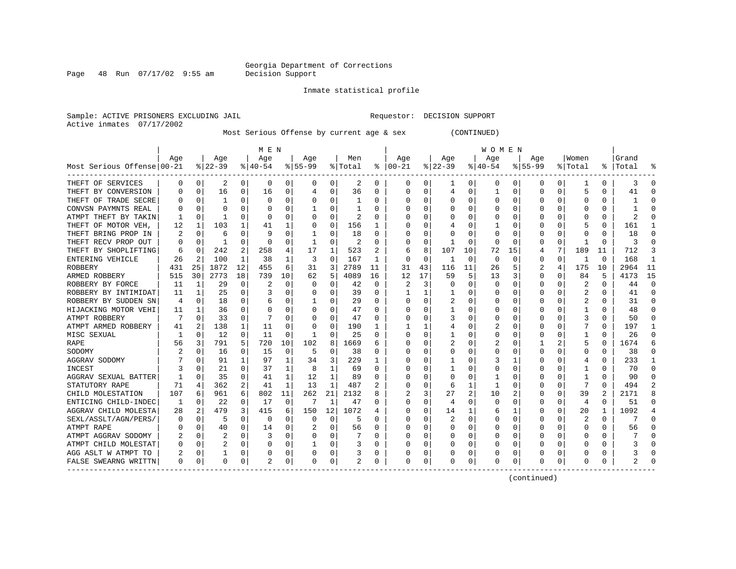Page 48 Run  $07/17/02$  9:55 am

Inmate statistical profile

Sample: ACTIVE PRISONERS EXCLUDING JAIL Requestor: DECISION SUPPORT Active inmates 07/17/2002

Most Serious Offense by current age & sex (CONTINUED)

|                            |     |          |          |          | M E N     |          |           |          |         |    |          |          |              |          | <b>WOMEN</b> |             |             |          |              |          |           |              |
|----------------------------|-----|----------|----------|----------|-----------|----------|-----------|----------|---------|----|----------|----------|--------------|----------|--------------|-------------|-------------|----------|--------------|----------|-----------|--------------|
|                            | Age |          | Age      |          | Age       |          | Age       |          | Men     |    | Age      |          | Age          |          | Age          |             | Aqe         |          | Women        |          | Grand     |              |
| Most Serious Offense 00-21 |     |          | $ 22-39$ |          | $8 40-54$ |          | $8 55-99$ |          | % Total | ႜ  | $ 00-21$ |          | $ 22-39$     |          | $ 40-54$     |             | $8155 - 99$ |          | % Total      |          | %   Total |              |
| THEFT OF SERVICES          | 0   | 0        | 2        | 0        | 0         | 0        | 0         | 0        | 2       | 0  | 0        | 0        | 1            | 0        | 0            | 0           | 0           | 0        | 1            | 0        | 3         | $\Omega$     |
| THEFT BY CONVERSION        |     | 0        | 16       | 0        | 16        | 0        |           | $\Omega$ | 36      | 0  | O        | 0        | 4            | 0        |              | $\mathbf 0$ | $\Omega$    | 0        | 5            | 0        | 41        |              |
| THEFT OF TRADE SECRE       |     | $\Omega$ |          | 0        | 0         | 0        |           | 0        |         | 0  |          | 0        | 0            | 0        | 0            | 0           | 0           | 0        | O            | 0        |           |              |
| CONVSN PAYMNTS REAL        |     | n        | O        |          | C         | 0        |           | O        |         | U  |          | U        |              | 0        |              | 0           | O           |          | C            | O        |           |              |
| ATMPT THEFT BY TAKIN       |     | $\Omega$ |          | 0        | C         | 0        |           | 0        | 2       | 0  |          | 0        |              | 0        |              | 0           |             |          | O            | O        |           |              |
| THEFT OF MOTOR VEH         | 12  | 1        | 103      |          | 41        |          |           | 0        | 156     |    |          | 0        |              | 0        |              | 0           |             | U        |              | 0        | 161       |              |
| THEFT BRING PROP IN        |     | $\Omega$ | h        | U        | q         | U        |           | $\Omega$ | 18      | U  |          | $\Omega$ |              | O        |              | 0           |             | O        | O            | 0        | 18        |              |
| THEFT RECV PROP OUT        | 0   | $\Omega$ |          | $\Omega$ | $\Omega$  | 0        |           | $\Omega$ | 2       | U  |          | 0        | ำ            | $\Omega$ | 0            | $\Omega$    | O           | $\Omega$ |              | 0        | 3         |              |
| THEFT BY SHOPLIFTING       | 6   | 0        | 242      | 2        | 258       | 4        | 17        | 1        | 523     | 2  | 6        | 8        | 107          | 10       | 72           | 15          | 4           | 7        | 189          | 11       | 712       |              |
| ENTERING VEHICLE           | 26  | 2        | 100      | 1        | 38        | 1        | 3         | 0        | 167     | 1  |          | 0        | $\mathbf{1}$ | 0        | 0            | $\mathbf 0$ | 0           | 0        | -1           | 0        | 168       | $\mathbf{1}$ |
| ROBBERY                    | 431 | 25       | 1872     | 12       | 455       | 6        | 31        | 3        | 2789    | 11 | 31       | 43       | 116          | 11       | 26           | 5           | 2           | 4        | 175          | 10       | 2964      | 11           |
| ARMED ROBBERY              | 515 | 30       | 2773     | 18       | 739       | 10       | 62        | 5        | 4089    | 16 | 12       | 17       | 59           | 5        | 13           | 3           | $\Omega$    | O        | 84           | 5        | 4173      | 15           |
| ROBBERY BY FORCE           | 11  | 1        | 29       | 0        | 2         | 0        | O         | 0        | 42      | 0  | 2        | 3        | U            | 0        | $\Omega$     | $\Omega$    | O           | O        | 2            | 0        | 44        | $\Omega$     |
| ROBBERY BY INTIMIDAT       | 11  | 1        | 25       | 0        |           | 0        |           | 0        | 39      | 0  |          | 1        | 1            | 0        | 0            | 0           | 0           | O        |              | 0        | 41        | $\Omega$     |
| ROBBERY BY SUDDEN SN       | 4   | 0        | 18       | 0        | 6         | 0        |           | 0        | 29      | 0  | O        | 0        |              | 0        | $\Omega$     | 0           | 0           | O        | 2            | 0        | 31        | ∩            |
| HIJACKING MOTOR VEHI       | 11  | 1        | 36       | 0        | 0         | 0        | O         | 0        | 47      | 0  |          | 0        |              | 0        | $\Omega$     | 0           | 0           | 0        |              | 0        | 48        | ∩            |
| ATMPT ROBBERY              |     | 0        | 33       | 0        |           | 0        |           | 0        | 47      | 0  |          | 0        |              | 0        | 0            | 0           | 0           |          | 3            |          | 50        | ∩            |
| ATMPT ARMED ROBBERY        | 41  |          | 138      | 1        | 11        | O        | O         | 0        | 190     |    |          |          |              | 0        | 2            | C           | O           |          |              | O        | 197       |              |
| MISC SEXUAL                |     | $\Omega$ | 12       | $\Omega$ | 11        | 0        |           | 0        | 25      | U  |          | 0        |              | 0        | O            | C           | O           |          |              | U        | 26        | $\cap$       |
| RAPE                       | 56  | 3        | 791      | 5        | 720       | 10       | 102       | 8        | 1669    | 6  |          | 0        |              | 0        | 2            | 0           |             |          | 5            | 0        | 1674      |              |
| SODOMY                     |     | $\cap$   | 16       | 0        | 15        | 0        | 5         | 0        | 38      | U  |          | 0        | U            | 0        |              | $\Omega$    | O           | O        | <sup>0</sup> | O        | 38        |              |
| AGGRAV SODOMY              |     | n        | 91       | 1        | 97        | 1        | 34        | 3        | 229     |    |          | 0        |              | 0        |              |             | O           | O        | 4            | 0        | 233       |              |
| INCEST                     |     | n        | 21       | 0        | 37        | 1        | 8         | 1        | 69      | U  |          | $\Omega$ |              | O        |              | 0           | O           | 0        |              | 0        | 70        |              |
| AGGRAV SEXUAL BATTER       |     | $\Omega$ | 35       | 0        | 41        | 1        | 12        | 1        | 89      | 0  |          | 0        | 0            | $\Omega$ |              | 0           |             | 0        |              | N        | 90        |              |
| STATUTORY RAPE             | 71  | 4        | 362      | 2        | 41        | 1        | 13        | 1        | 487     | 2  |          | 0        | 6            | 1        |              | 0           |             | $\Omega$ | 7            | $\Omega$ | 494       |              |
| CHILD MOLESTATION          | 107 | 6        | 961      | 6        | 802       | 11       | 262       | 21       | 2132    | 8  |          | 3        | 27           | 2        | 10           | 2           | O           | O        | 39           | 2        | 2171      |              |
| ENTICING CHILD-INDEC       | 1   | $\Omega$ | 22       | 0        | 17        | $\Omega$ | 7         | 1        | 47      | 0  |          | $\Omega$ | 4            | 0        | $\Omega$     | $\Omega$    | 0           | 0        | 4            | 0        | 51        | $\cap$       |
| AGGRAV CHILD MOLESTA       | 28  | 2        | 479      | 3        | 415       | 6        | 150       | 12       | 1072    | 4  |          | $\Omega$ | 14           | 1        | 6            | 1           | O           | O        | 20           | 1        | 1092      |              |
| SEXL/ASSLT/AGN/PERS/       | 0   | 0        | 5        | 0        | 0         | 0        | O         | 0        | 5       | U  |          | $\Omega$ |              | 0        | 0            | 0           | 0           | O        | 2            | $\Omega$ |           | $\cap$       |
| ATMPT RAPE                 | O   | 0        | 40       | 0        | 14        | 0        |           | 0        | 56      | 0  | O        | 0        | 0            | 0        | 0            | 0           | 0           | 0        | 0            | 0        | 56        | ∩            |
| ATMPT AGGRAV SODOMY        |     | 0        | 2        | O        | 3         | 0        | O         | 0        |         | 0  |          | 0        | O            | 0        | O            | 0           | O           | 0        | O            | 0        |           |              |
| ATMPT CHILD MOLESTAT       |     | 0        |          | 0        | 0         | 0        |           | 0        | 3       | 0  |          | 0        |              | 0        |              | 0           | 0           | 0        |              | 0        |           |              |
| AGG ASLT W ATMPT TO        |     | 0        |          | 0        | 0         | 0        |           | 0        | 3       | 0  |          | 0        |              | 0        |              | 0           |             | 0        |              |          |           |              |
| FALSE SWEARNG WRITTN       | 0   | 0        | $\Omega$ | 0        |           | 0        | $\Omega$  | 0        | 2       | 0  | O        | 0        |              | 0        | 0            | 0           | 0           | 0        | 0            | 0        |           |              |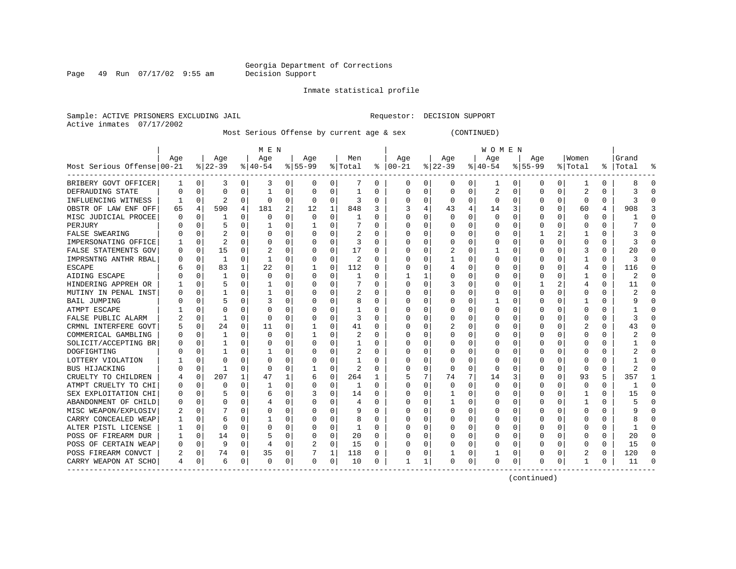Page 49 Run  $07/17/02$  9:55 am

#### Inmate statistical profile

Sample: ACTIVE PRISONERS EXCLUDING JAIL Requestor: DECISION SUPPORT Active inmates 07/17/2002

Most Serious Offense by current age & sex (CONTINUED)

|                            |     |          |              |              | M E N          |          |           |             |                |   |               |          |              |          | W O M E N        |          |           |          |              |          |           |          |
|----------------------------|-----|----------|--------------|--------------|----------------|----------|-----------|-------------|----------------|---|---------------|----------|--------------|----------|------------------|----------|-----------|----------|--------------|----------|-----------|----------|
|                            | Age |          | Age          |              | Age            |          | Age       |             | Men            |   | Age           |          | Age          |          | Age              |          | Age       |          | Women        |          | Grand     |          |
| Most Serious Offense 00-21 |     |          | $ 22-39$     |              | $8 40-54$      |          | $8 55-99$ |             | % Total        |   | $8   00 - 21$ |          | $ 22-39 $    |          | $ 40-54 $        |          | $8 55-99$ |          | % Total      |          | %   Total |          |
| BRIBERY GOVT OFFICER       | 1   | 0        | 3            | 0            | 3              | 0        | 0         | 0           | 7              | 0 | 0             | 0        | 0            | 0        | 1                | 0        | 0         | 0        | -1           | 0        | 8         | 0        |
| DEFRAUDING STATE           |     | $\Omega$ | 0            | 0            | -1             | 0        | 0         | 0           | 1              | 0 | 0             | 0        | $\Omega$     | 0        | 2                | 0        | $\Omega$  | 0        | 2            | 0        | 3         | O        |
| INFLUENCING WITNESS        |     | $\Omega$ | 2            | 0            | $\Omega$       | 0        | $\Omega$  | 0           | 3              | 0 | <sup>0</sup>  | 0        | <sup>0</sup> | $\Omega$ | $\Omega$         | $\Omega$ | O         | $\Omega$ | <sup>0</sup> | 0        | ζ         |          |
| OBSTR OF LAW ENF OFF       | 65  | 4        | 590          | 4            | 181            | 2        | 12        | 1           | 848            | 3 |               | 4        | 43           | 4        | 14               | 3        | ∩         | $\Omega$ | 60           | 4        | 908       |          |
| MISC JUDICIAL PROCEE       |     | $\Omega$ |              | U            | $\Omega$       | 0        | $\Omega$  | $\Omega$    |                | O | <sup>0</sup>  | 0        | <sup>0</sup> | O        | $\Omega$         | O        | $\Omega$  | $\Omega$ | <sup>0</sup> | U        |           |          |
| PERJURY                    |     | $\Omega$ | 5            | U            |                | 0        | -1        | $\Omega$    |                | 0 | <sup>0</sup>  | $\Omega$ | O            | O        | Ω                | O        | O         | $\Omega$ | C            | 0        |           |          |
| FALSE SWEARING             |     | $\Omega$ |              | U            | $\Omega$       | 0        | U         | $\Omega$    | 2              | 0 |               | $\Omega$ | O            | O        | Ω                | O        |           | 2        |              | U        |           |          |
| IMPERSONATING OFFICE       |     | $\Omega$ | 2            | U            | O              | 0        | O         | $\Omega$    | 3              | O |               | $\Omega$ | O            | 0        | Ω                | O        |           | $\Omega$ | O            | 0        | 3         |          |
| FALSE STATEMENTS GOV       |     | $\Omega$ | 15           | 0            | $\overline{c}$ | $\Omega$ | 0         | $\Omega$    | 17             | 0 |               | $\Omega$ | 2            | $\Omega$ |                  | 0        |           | $\Omega$ | 3            | $\Omega$ | 2.0       |          |
| IMPRSNTNG ANTHR RBAL       |     | 0        | 1            | 0            | -1             | 0        | 0         | 0           | 2              | O |               | 0        | $\mathbf{1}$ | 0        | Ω                | 0        |           | $\Omega$ |              | O        | 3         |          |
| <b>ESCAPE</b>              |     | $\Omega$ | 83           | $\mathbf{1}$ | 22             | 0        | 1         | $\Omega$    | 112            | O | <sup>0</sup>  | $\Omega$ | 4            | 0        | Ω                | 0        | O         | $\Omega$ | 4            | $\Omega$ | 116       | ſ        |
| AIDING ESCAPE              |     | $\Omega$ | 1            | 0            | 0              | 0        | O         | 0           | 1              | 0 |               | 1        | O            | O        | Ω                | $\Omega$ | $\Omega$  | $\Omega$ | 1            | 0        | 2         | ∩        |
| HINDERING APPREH OR        |     | $\Omega$ | 5            | 0            | -1             | 0        | O         | 0           |                | 0 | $\Omega$      | 0        |              | O        | U                | O        |           | 2        | 4            | 0        | 11        | $\Omega$ |
| MUTINY IN PENAL INST       |     | $\Omega$ |              | U            |                | 0        | O         | $\Omega$    | 2              | 0 | <sup>0</sup>  | $\Omega$ | 0            | 0        | 0                | 0        | $\Omega$  | $\Omega$ | 0            | 0        |           | n        |
| <b>BAIL JUMPING</b>        |     | $\Omega$ | 5            | U            | 3              | $\Omega$ | O         | 0           | 8              | O | <sup>0</sup>  | 0        | O            | 0        |                  | 0        | $\Omega$  | U        |              | 0        | Q         | ∩        |
| ATMPT ESCAPE               |     | $\Omega$ | U            | U            | $\Omega$       | 0        | O         | 0           | 1              | O |               | 0        |              | O        | Ω                | 0        | O         | U        | C            | U        |           |          |
| FALSE PUBLIC ALARM         |     | $\Omega$ | 1            | U            | $\Omega$       | 0        | O         | $\Omega$    | 3              | O | <sup>0</sup>  | 0        | 0            | 0        | Ω                | 0        |           |          |              | 0        |           |          |
| CRMNL INTERFERE GOVT       |     | $\Omega$ | 24           | $\Omega$     | 11             | 0        |           | $\Omega$    | 41             | U | ∩             | 0        |              | O        | Λ                | O        | ∩         | $\Omega$ |              | U        | 43        |          |
| COMMERICAL GAMBLING        |     | $\Omega$ | $\mathbf{1}$ | 0            | $\Omega$       | 0        | 1         | O           | $\mathfrak{D}$ | U | ∩             | 0        | O            | O        | Ω                | O        | ∩         | U        | U            | U        |           |          |
| SOLICIT/ACCEPTING BR       |     | $\Omega$ | 1            | 0            | $\Omega$       | $\Omega$ | O         | $\Omega$    |                | 0 |               | $\Omega$ | O            | $\Omega$ | $\left( \right)$ | O        |           | $\Omega$ | C            | U        |           |          |
| DOGFIGHTING                |     | $\Omega$ |              | 0            |                | $\Omega$ | n         | $\Omega$    | 2              | 0 |               | $\Omega$ | O            | $\Omega$ | Ω                | O        |           | $\Omega$ | n            | O        |           |          |
| LOTTERY VIOLATION          |     | $\Omega$ | U            | U            | $\Omega$       | 0        | O         | $\Omega$    | 1              | O |               | $\Omega$ | $\Omega$     | 0        | Ω                | O        |           | $\Omega$ | C            | U        |           | ſ        |
| BUS HIJACKING              |     | $\Omega$ |              | O            | $\Omega$       | 0        |           | $\mathbf 0$ | 2              | U |               | $\Omega$ | 0            | $\Omega$ | 0                | 0        |           | $\Omega$ | 0            | $\Omega$ |           |          |
| CRUELTY TO CHILDREN        |     | 0        | 207          | 1            | 47             | 1        | 6         | 0           | 264            |   | 5             | 7        | 74           | 7        | 14               | 3        | $\Omega$  | $\Omega$ | 93           | 5        | 357       |          |
| ATMPT CRUELTY TO CHI       |     | $\Omega$ | 0            | 0            | -1             | 0        |           | 0           | 1              | 0 | $\Omega$      | $\Omega$ | $\Omega$     | $\Omega$ | U                | $\Omega$ | O         | $\Omega$ | O            | 0        |           | ∩        |
| SEX EXPLOITATION CHI       |     | 0        |              | 0            | 6              | 0        |           | 0           | 14             | 0 | ∩             | 0        | 1            | 0        | 0                | 0        | O         | $\Omega$ |              | 0        | 15        | $\cap$   |
| ABANDONMENT OF CHILD       |     | 0        | U            | 0            |                | 0        | O         | 0           | 4              | 0 | <sup>0</sup>  | $\Omega$ | 1            | O        | U                | $\Omega$ | $\Omega$  | $\Omega$ |              | 0        |           | ∩        |
| MISC WEAPON/EXPLOSIV       |     | $\Omega$ |              | U            | O              | 0        | O         | $\Omega$    | 9              | 0 | <sup>0</sup>  | $\Omega$ | $\Omega$     | O        | U                | $\Omega$ | O         | $\Omega$ | O            | 0        |           | ∩        |
| CARRY CONCEALED WEAP       |     | $\Omega$ | 6            | U            |                | 0        | O         | 0           | 8              | 0 | <sup>0</sup>  | 0        | 0            | $\Omega$ | Ω                | 0        |           | U        |              | 0        |           |          |
| ALTER PISTL LICENSE        |     | $\Omega$ | O            | O            | $\Omega$       | 0        | O         | 0           |                | O | <sup>0</sup>  | 0        | O            | $\Omega$ | Ω                | 0        | ∩         | $\Omega$ |              | O        |           |          |
| POSS OF FIREARM DUR        |     | $\Omega$ | 14           | U            | 5              | 0        | O         | $\Omega$    | 20             | 0 | <sup>0</sup>  | $\Omega$ | O            | 0        | Ω                | 0        | O         | $\Omega$ | n            | U        | 20        |          |
| POSS OF CERTAIN WEAP       |     | $\Omega$ | 9            | 0            | 4              | 0        | 2         | 0           | 15             | O | ∩             | 0        | O            | 0        | Ω                | $\Omega$ | ∩         | $\Omega$ | n            | U        | 15        | C        |
| POSS FIREARM CONVCT        |     | $\Omega$ | 74           | 0            | 35             | 0        |           | 1           | 118            | 0 |               | 0        |              | 0        |                  | 0        |           | $\Omega$ |              | 0        | 120       | C        |
| CARRY WEAPON AT SCHO       | 4   | 0        | 6            | 0            | $\Omega$       | 0        | $\Omega$  | 0           | 10             | 0 | -1            | 1        | $\Omega$     | 0        | U                | 0        | O         | 0        |              | 0        | 11        |          |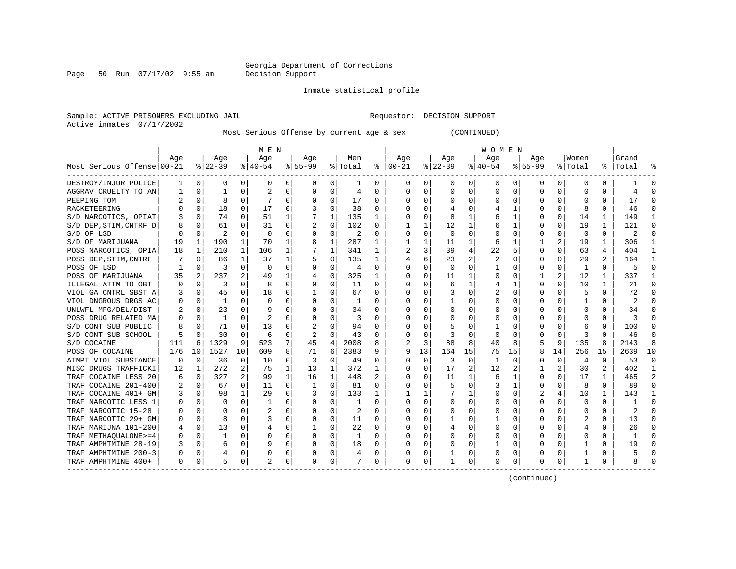Page 50 Run  $07/17/02$  9:55 am

#### Inmate statistical profile

Sample: ACTIVE PRISONERS EXCLUDING JAIL Requestor: DECISION SUPPORT Active inmates 07/17/2002

Most Serious Offense by current age & sex (CONTINUED)

|                            | M E N    |             |              |                |             |          |           |             |         |          | W O M E N    |             |             |          |          |          |             |                |                |                |           |            |
|----------------------------|----------|-------------|--------------|----------------|-------------|----------|-----------|-------------|---------|----------|--------------|-------------|-------------|----------|----------|----------|-------------|----------------|----------------|----------------|-----------|------------|
|                            | Aqe      |             | Age          |                | Age         |          | Aqe       |             | Men     |          | Age          |             | Aqe         |          | Age      |          | Aqe         |                | Women          |                | Grand     |            |
| Most Serious Offense 00-21 |          |             | $ 22-39 $    |                | $ 40-54$    |          | $8 55-99$ |             | % Total | ႜ        | $ 00-21$     |             | $ 22-39$    |          | $ 40-54$ |          | $8155 - 99$ |                | % Total        |                | %   Total |            |
| DESTROY/INJUR POLICE       | 1        | 0           | 0            | 0              | 0           | 0        | 0         | 0           | 1       | 0        | 0            | 0           | 0           | 0        | 0        | 0        | 0           | 0              | 0              | 0              |           | 0          |
| AGGRAV CRUELTY TO AN       |          | 0           | $\mathbf{1}$ | 0              |             | 0        | O         | 0           | 4       | U        | 0            | 0           | $\mathbf 0$ | 0        | 0        | $\Omega$ | $\Omega$    | $\Omega$       | O              | 0              | 4         | ſ          |
| PEEPING TOM                |          | $\Omega$    | 8            | U              |             | $\Omega$ | O         | $\Omega$    | 17      | U        | <sup>0</sup> | 0           | $\Omega$    | $\Omega$ | U        | $\Omega$ | $\Omega$    | $\Omega$       | U              | O              | 17        | ſ          |
| RACKETEERING               |          | $\Omega$    | 18           | 0              | 17          | $\Omega$ |           | $\Omega$    | 38      | 0        | <sup>0</sup> | 0           |             | 0        |          |          |             | $\Omega$       |                | U              | 46        |            |
| S/D NARCOTICS, OPIAT       |          | $\Omega$    | 74           | 0              | 51          | 1        |           | 1           | 135     | 1        | <sup>0</sup> | $\Omega$    | 8           | 1        | 6        |          |             | $\Omega$       | 14             | 1              | 149       |            |
| S/D DEP, STIM, CNTRF D     |          | $\Omega$    | 61           | 0              | 31          | $\Omega$ | 2         | $\Omega$    | 102     | 0        | -1           | 1           | 12          | 1        | 6        |          |             | $\Omega$       | 19             | 1              | 121       | Λ          |
| S/D OF LSD                 |          | 0           | 2            | 0              | $\mathbf 0$ | $\Omega$ | 0         | $\mathbf 0$ | 2       | U        | 0            | $\mathbf 0$ | 0           | $\Omega$ | Ω        | $\Omega$ |             | 0              | 0              | 0              | 2         | ſ          |
| S/D OF MARIJUANA           | 19       | 1           | 190          | $\mathbf 1$    | 70          | 1        | 8         | 1           | 287     |          |              | 1           | 11          | 1        | 6        |          |             | 2              | 19             | 1              | 306       |            |
| POSS NARCOTICS, OPIA       | 18       | 1           | 210          | $\mathbf{1}$   | 106         | 1        |           | 1           | 341     | 1        |              | 3           | 39          | 4        | 22       | 5        |             | $\Omega$       | 63             | 4              | 404       |            |
| POSS DEP, STIM, CNTRF      |          | 0           | 86           | 1              | 37          | 1        | 5         | 0           | 135     | 1        | 4            | 6           | 23          | 2        |          | 0        | $\Omega$    | $\Omega$       | 29             | 2              | 164       |            |
| POSS OF LSD                |          | $\Omega$    | 3            | $\Omega$       | $\Omega$    | $\Omega$ | O         | 0           | 4       | $\Omega$ | <sup>0</sup> | $\Omega$    | $\Omega$    | O        |          | n        | $\Omega$    | $\Omega$       | -1             | 0              | 5         | $\Omega$   |
| POSS OF MARIJUANA          | 35       | 2           | 237          |                | 49          | 1        | 4         | $\Omega$    | 325     | 1        | O            | $\Omega$    | 11          | 1        | 0        | 0        |             | 2              | 12             | 1              | 337       |            |
| ILLEGAL ATTM TO OBT        | $\Omega$ | 0           | 3            | 0              | 8           | 0        | O         | $\Omega$    | 11      | U        | <sup>0</sup> | 0           | 6           |          | 4        |          | $\Omega$    | 0              | 10             | 1              | 21        | n          |
| VIOL GA CNTRL SBST A       |          | 0           | 45           | 0              | 18          | 0        |           | 0           | 67      | U        |              | 0           |             | 0        | 2        | 0        |             |                | 5              | 0              | 72        |            |
| VIOL DNGROUS DRGS AC       |          | 0           | 1            |                | $\Omega$    | O        | O         | $\Omega$    | -1      | U        | C            | 0           |             | O        | U        | n        | ∩           |                | -1             | O              | 2         |            |
| UNLWFL MFG/DEL/DIST        |          | 0           | 23           | U              | q           | O        | O         | $\Omega$    | 34      | U        | O            | 0           | U           | O        | U        | n        |             |                | O              | O              | 34        |            |
| POSS DRUG RELATED MA       | n        | $\Omega$    | 1            | U              |             | 0        |           | O           | 3       | U        | O            | 0           | O           | O        | 0        | n        |             |                | O              | U              | 3         |            |
| S/D CONT SUB PUBLIC        |          | $\Omega$    | 71           | 0              | 13          | 0        |           | $\Omega$    | 94      | U        | O            | $\Omega$    |             | O        |          | n        |             | U              | 6              | 0              | 100       |            |
| S/D CONT SUB SCHOOL        | 5        | $\Omega$    | 30           | $\Omega$       | -6          | 0        | 2         | $\Omega$    | 43      | U        | <sup>0</sup> | $\Omega$    | 3           | O        | $\Omega$ | $\Omega$ |             | $\Omega$       | 3              | U              | 46        |            |
| S/D COCAINE                | 111      | 6           | 1329         | 9              | 523         | 7        | 45        | 4           | 2008    | 8        | 2            | 3           | 88          | 8        | 40       | 8        |             | 9              | 135            | 8              | 2143      |            |
| POSS OF COCAINE            | 176      | 10          | 1527         | 10             | 609         | 8        | 71        | 6           | 2383    | 9        | 9            | 13          | 164         | 15       | 75       | 15       |             | 14             | 256            | 15             | 2639      | 10         |
| ATMPT VIOL SUBSTANCE       | 0        | 0           | 36           | 0              | 10          | $\Omega$ | 3         | 0           | 49      | U        | 0            | $\mathbf 0$ | 3           | $\Omega$ | 1        | $\Omega$ | C           | $\Omega$       | $\overline{4}$ | $\Omega$       | 53        | $\sqrt{ }$ |
| MISC DRUGS TRAFFICKI       | 12       | 1           | 272          | $\overline{a}$ | 75          | 1        | 13        | 1           | 372     | 1        | 0            | $\Omega$    | 17          | 2        | 12       | 2        |             | $\overline{a}$ | 30             | $\overline{2}$ | 402       |            |
| TRAF COCAINE LESS 20       | 6        | 0           | 327          | 2.             | 99          | 1        | 16        | 1           | 448     | 2        | <sup>0</sup> | $\Omega$    | 11          | 1        | 6        | -1       | $\Omega$    | $\Omega$       | 17             | 1              | 465       | 2          |
| TRAF COCAINE 201-400       | 2        | 0           | 67           | $\Omega$       | 11          | $\Omega$ | 1         | $\Omega$    | 81      | U        | O            | 0           |             | O        | 3        |          | O           | $\Omega$       | 8              | $\Omega$       | 89        | ∩          |
| TRAF COCAINE 401+ GM       | 3        | 0           | 98           | $\mathbf{1}$   | 29          | 0        | 3         | $\Omega$    | 133     | 1        |              | 1           |             |          | 0        | 0        |             | 4              | 10             | 1              | 143       |            |
| TRAF NARCOTIC LESS 1       |          | 0           | 0            | 0              | 1           | 0        | 0         | $\Omega$    | -1      | 0        | 0            | 0           | 0           | 0        | 0        | 0        | O           | 0              | 0              | 0              |           | C          |
| TRAF NARCOTIC 15-28        |          | 0           | 0            |                | 2           | 0        | 0         | 0           | 2       | U        |              | 0           | 0           | 0        | 0        | 0        |             |                | C              | 0              | 2         |            |
| TRAF NARCOTIC 29+ GM       |          | $\mathbf 0$ | 8            |                |             | $\Omega$ | 0         | $\Omega$    | 11      | U        | C            | 0           |             | O        |          | n        | ∩           |                |                | O              | 13        |            |
| TRAF MARIJNA 101-200       |          | 0           | 13           | U              | 4           | $\Omega$ |           | 0           | 22      | 0        | 0            | 0           |             | 0        | 0        | 0        | O           |                |                | U              | 26        |            |
| TRAF METHAQUALONE>=4       |          | $\mathbf 0$ | 1            | 0              | $\Omega$    | 0        | 0         | 0           | 1       | U        | O            | $\Omega$    | O           | O        | 0        | n        | ∩           | U              | U              | U              | ำ         |            |
| TRAF AMPHTMINE 28-19       | 3        | $\Omega$    | б            | $\Omega$       | 9           | $\Omega$ | O         | $\Omega$    | 18      | $\Omega$ | O            | $\Omega$    | U           | 0        |          | $\Omega$ | O           | $\Omega$       |                | U              | 19        |            |
| TRAF AMPHTMINE 200-3       |          | $\Omega$    | 4            | 0              | 0           | 0        |           | $\Omega$    | 4       | 0        | 0            | $\Omega$    |             | 0        | 0        | 0        |             | 0              |                | 0              | 5         |            |
| TRAF AMPHTMINE 400+        | 0        | 0           | 5            | 0              | 2           | 0        | 0         | 0           |         | 0        | 0            | 0           |             | 0        | 0        | 0        | $\Omega$    | 0              |                | 0              | 8         |            |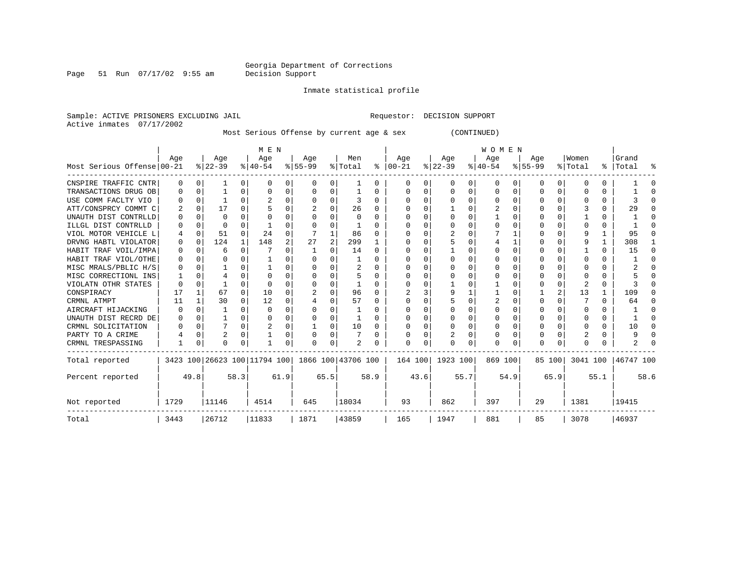Page 51 Run 07/17/02 9:55 am

Inmate statistical profile

Sample: ACTIVE PRISONERS EXCLUDING JAIL Requestor: DECISION SUPPORT Active inmates 07/17/2002

Most Serious Offense by current age & sex (CONTINUED)

|                            |          | M E N<br><b>WOMEN</b> |           |              |                                                 |      |           |                |          |              |                   |          |           |   |           |          |           |          |              |   |           |      |
|----------------------------|----------|-----------------------|-----------|--------------|-------------------------------------------------|------|-----------|----------------|----------|--------------|-------------------|----------|-----------|---|-----------|----------|-----------|----------|--------------|---|-----------|------|
|                            | Age      |                       | Age       |              | Age                                             |      | Age       |                | Men      |              | Age               |          | Age       |   | Age       |          | Age       |          | Women        |   | Grand     |      |
| Most Serious Offense 00-21 |          |                       | $ 22-39 $ |              | $8 40-54$                                       |      | $8 55-99$ |                | % Total  |              | $\approx$   00-21 |          | $ 22-39 $ |   | $ 40-54 $ |          | $8 55-99$ |          | % Total      |   | %   Total | ႜ    |
| CNSPIRE TRAFFIC CNTR       | 0        | $\Omega$              |           | $\Omega$     | $\Omega$                                        | 0    | 0         | 0              |          | $\Omega$     |                   | 0        | 0         | 0 | 0         | $\Omega$ | 0         | $\Omega$ | 0            | 0 |           |      |
| TRANSACTIONS DRUG OB       | $\Omega$ | 0                     |           | $\Omega$     | $\Omega$                                        | 0    | $\Omega$  | 0              |          | $\Omega$     | $\Omega$          | $\Omega$ | $\Omega$  | 0 | $\Omega$  | 0        | 0         | $\Omega$ | <sup>0</sup> | 0 |           |      |
| USE COMM FACLTY VIO        |          | 0                     |           | $\Omega$     |                                                 | 0    |           | 0              | 3        | 0            | O                 | 0        | O         | 0 | O         | 0        | O         | $\Omega$ |              | 0 |           |      |
| ATT/CONSPRCY COMMT C       | 2        | $\Omega$              | 17        | 0            |                                                 |      |           | 0              | 26       | 0            |                   |          |           | U | 2         | O        |           |          |              | 0 | 29        |      |
| UNAUTH DIST CONTRLLD       |          | $\Omega$              | $\Omega$  |              |                                                 |      |           | U              | $\Omega$ | <sup>n</sup> |                   |          | ∩         | U |           | ∩        | U         |          |              | 0 |           |      |
| ILLGL DIST CONTRLLD        |          | $\Omega$              | $\Omega$  | U            |                                                 | O    |           | O              |          |              |                   |          |           | U |           | $\Omega$ |           | 0        |              | 0 |           |      |
| VIOL MOTOR VEHICLE L       | 4        | 0                     | 51        | $\Omega$     | 2.4                                             | 0    |           | 1              | 86       | 0            |                   | 0        | 2         | U |           |          |           | 0        | 9            | 1 | 95        |      |
| DRVNG HABTL VIOLATOR       | 0        | $\Omega$              | 124       | $\mathbf{1}$ | 148                                             | 2    | 27        | $\overline{a}$ | 299      |              |                   | U        |           | U |           |          | U         |          | q            |   | 308       |      |
| HABIT TRAF VOIL/IMPA       | $\Omega$ | $\Omega$              | 6         | U            |                                                 | 0    |           | O              | 14       | $\Omega$     |                   |          |           | U |           | $\Omega$ | O         |          |              | 0 | 15        | ∩    |
| HABIT TRAF VIOL/OTHE       | $\Omega$ | $\Omega$              |           |              |                                                 | 0    |           |                |          | 0            |                   |          |           | U |           | 0        |           | 0        |              | 0 |           |      |
| MISC MRALS/PBLIC H/S       |          | $\Omega$              |           |              |                                                 | O    |           | O              | 2        | O            |                   |          |           | U |           | O        |           |          |              | 0 |           |      |
| MISC CORRECTIONL INS       |          | O                     |           |              | ∩                                               | N    |           | $\Omega$       |          | U            |                   |          |           | U |           |          | U         |          |              | 0 |           |      |
| VIOLATN OTHR STATES        | O        | $\Omega$              |           | U            |                                                 | N    |           | $\Omega$       |          | O            |                   |          |           | U |           | O        | O         | $\Omega$ |              | 0 |           |      |
| CONSPIRACY                 | 17       | 1                     | 67        | $\Omega$     | 10                                              | 0    |           | $\Omega$       | 96       | <sup>0</sup> |                   |          | 9         |   |           | 0        |           | 2        | 13           | 1 | 109       |      |
| CRMNL ATMPT                | 11       | 1                     | 30        | $\Omega$     | 12                                              | 0    |           | $\Omega$       | 57       | 0            |                   | 0        |           | O | 2         | $\Omega$ | 0         | 0        |              | 0 | 64        |      |
| AIRCRAFT HIJACKING         | $\Omega$ | $\Omega$              |           | U            | $\Omega$                                        | O    |           | $\Omega$       |          | U            |                   |          |           | U |           | $\Omega$ | O         |          | O            | 0 |           |      |
| UNAUTH DIST RECRD DE       | 0        | O                     |           | U            |                                                 |      |           | O              |          |              |                   |          |           | U |           | 0        |           | 0        |              | 0 |           |      |
| CRMNL SOLICITATION         |          | 0                     |           | 0            | 2                                               | 0    |           | 0              | 10       | 0            |                   | 0        | $\Omega$  | 0 |           | 0        | 0         | $\Omega$ | O            | 0 | 10        |      |
| PARTY TO A CRIME           |          | $\Omega$              | 2         | 0            |                                                 | 0    |           | 0              |          | 0            |                   |          |           | U |           | $\Omega$ | 0         |          |              | 0 |           |      |
| CRMNL TRESPASSING          |          | $\Omega$              | O         | 0            |                                                 | 0    | U         | 0              |          |              |                   | 0        | $\Omega$  |   | $\Omega$  |          | O         | 0        | ∩            |   |           |      |
| Total reported             |          |                       |           |              | 3423 100 26623 100 11794 100 1866 100 43706 100 |      |           |                |          |              | 164 100           |          | 1923 100  |   | 869 100   |          |           | 85 100   | 3041 100     |   | 46747 100 |      |
| Percent reported           |          | 49.8                  |           | 58.3         |                                                 | 61.9 |           | 65.5           | 58.9     |              |                   | 43.6     | 55.7      |   | 54.9      |          | 65.9      |          | 55.1         |   |           | 58.6 |
| Not reported               | 1729     |                       | 11146     |              | 4514                                            |      | 645       |                | 18034    |              | 93                |          | 862       |   | 397       |          | 29        |          | 1381         |   | 19415     |      |
| Total                      | 3443     |                       | 26712     |              | 11833                                           |      | 1871      |                | 43859    |              | 165               |          | 1947      |   | 881       |          | 85        |          | 3078         |   | 46937     |      |